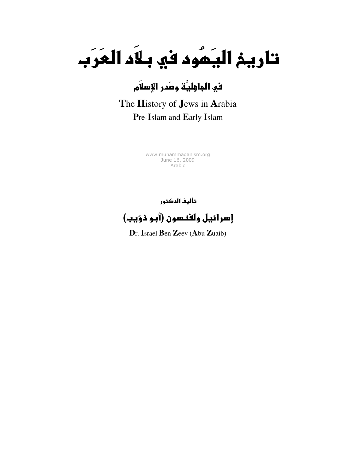# تاريخ اليَمُود في بـلاَد العَرَب

# في الماهِليَّة ومَدر الإسلاَم

The History of Jews in Arabia Pre-Islam and Early Islam

> www.muhammadanism.org June 16, 2009 Arabic

> > تأليف الدكتور



Dr. Israel Ben Zeev (Abu Zuaib)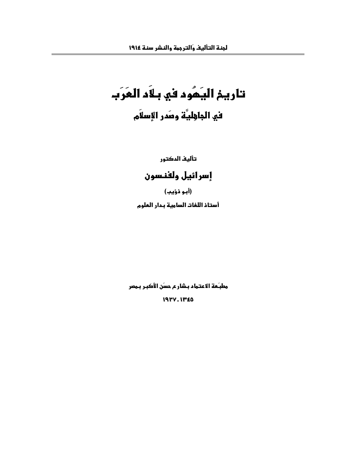تاريم اليَمُود في بلاَد العَرَب

في الماهِليَّة وصَدر الإِسلاَم

تأليف المكتور

### إسرائيل ولفنسون

(أبو ذؤيب) أستاذ اللغات السامية بدار العلوم

مطبَعة الاعتماد بـشارع مسَن الأكبر بـمعر

1977.1720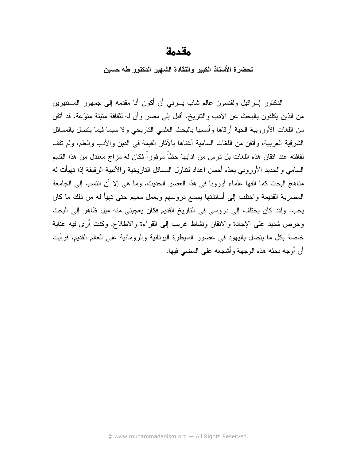#### مقدمة

لحضرة الأستاذ الكبير والنقادة الشهير الدكتور طه حسين

الدكتور إسرائيل ولفنسون عالم شاب يسرني أن أكون أنا مقدمه إلى جمهور المستتيرين من الذين يكلفون بالبحث عن الأدب والناريخ. أقبل إلى مصر وأن له لنقافة متينة منوّعة، قد أنقن من اللغات الأوروبية الحية أرقاها وأمسها بالبحث العلمي التاريخي ولا سيما فيما يتصل بالمسائل الشرقية العربية، وأنقن من اللغات السامية أغناها بالآثار القيمة في الدين والأدب والعلم، ولم نقف ثقافته عند اتقان هذه اللغات بل در س من آدابها حظاً موفور اً فكان له مز اج معتدل من هذا القديم السامي و الجديد الأور وبي يعدّه أحسن اعداد لنتاول المسائل النار يخية و الأدبية الرقيقة إذا تهيأت له مناهج البحث كما ألفها علماء أوروبا في هذا العصر الحديث. وما هي إلا أن انتسب إلى الجامعة المصرية القديمة واختلف إلى أساتذتها يسمع دروسهم ويعمل معهم حتى نهيأ له من ذلك ما كان يحب. ولقد كان يختلف إلى دروسي في التاريخ القديم فكان يعجبني منه ميل ظاهر إلى البحث وحرص شديد على الإجادة والاتقان ونشاط غريب إلى القراءة والاطلاع. وكنت أرى فيه عناية خاصة بكل ما يتصل باليهود في عصور السيطرة اليونانية والرومانية على العالم القديم. فرأيت أن أوجه بحثه هذه الوجهة وأشجعه على المضبي فيها.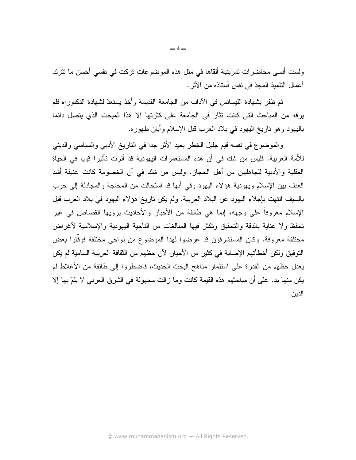ولست أنسى محاضرات تمرينية ألقاها في مثل هذه الموضوعات تركت في نفسى أحسن ما نترك أعمال التلميذ المجدّ في نفس أستاذه من الأثر .

ثم ظفر بشهادة الليسانس في الأداب من الجامعة القديمة وأخذ يستعدّ لشهادة الدكتوراه فلم يرقه من المباحث التي كانت نثارٍ في الجامعة على كثرتها إلا هذا المبحث الذي يتصل دائما باليهود وهو ناريخ اليهود في بلاد العرب قبل الإسلام وأبان ظهوره.

والموضوع في نفسه قيم جليل الخطر بعيد الأثر جدا في التاريخ الأدبي والسياسي والديني للأمة العربية. فليس من شك في أن هذه المستعمرات اليهودية قد أثرت تأثيرا قويا في الحياة العقلية والأدبية للجاهليين من أهل الحجاز. وليس من شك في أن الخصومة كانت عنيفة أشد العنف بين الإسلام ويهودية هؤلاء اليهود وفي أنها قد استحالت من المحاجة والمجادلة إلى حرب بالسبف انتهت بإجلاء اليهود عن البلاد العربية. ولم يكن تاريخ هؤلاء اليهود في بلاد العرب قبل الإسلام معروفاً على وجهه، إنما هي طائفة من الأخبار والأحاديث برويها القصاص في غير تحفظ ولا عناية بالدقة والتحقيق وتكثر فيها المبالغات من الناحية اليهودية والإسلامية لأغراض مختلفة معروفة. وكان المستشرقون قد عرضوا لهذا الموضوع من نواحي مختلفة فوفقوا بعض النوفيق ولكن أخطأتهم الإصابة في كثير من الأحيان لأن حظهم من الثقافة العربية السامية لم يكن يعدل حظهم من القدرة على استثمار مناهج البحث الحديث، فاضطروا إلى طائفة من الأغلاط لم يكن منها بد. على أن مباحثهم هذه القيمة كانت وما زالت مجهولة في الشرق العربي لا يلمّ بها إلا الذين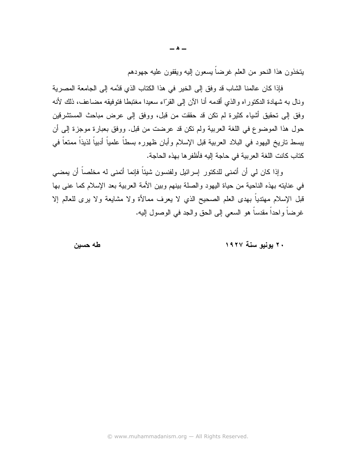يتخذون هذا النحو من العلم غرضا يسعون إليه ويقفون عليه جهودهم

فإذا كان عالمنا الشاب قد وفق إلى الخير في هذا الكتاب الذي قدَّمه إلى الجامعة المصرية ونال به شهادة الدكتوراه والذي أقدمه أنا الآن إلى القرّاء سعيدا مغتبطا فتوفيقه مضاعف، ذلك لأنه وفق إلى تحقيق أشياء كثيرة لم تكن قد حققت من قبل، ووفق إلى عرض مباحث المستشرقين حول هذا الموضوع في اللغة العربية ولم نكن قد عرضت من قبل. ووفق بعبارة موجزة إلى أن يبسط تاريخ اليهود في البلاد العربية قبل الإسلام وأبان ظهوره بسطاً علمياً أدبياً لذيذاً ممتعاً في كتاب كانت اللغة العربية في حاجة إليه فأظفر ها بهذه الحاجة.

و إذا كان لي أن أتمنى للدكتور ٍ إسرائيل ولفنسون شيئاً فإنما أتمنى له مخلصاً أن يمضي في عنايته بهذه الناحية من حياة اليهود والصلة بينهم وبين الأمة العربية بعد الإسلام كما عني بها قبل الإسلام مهتدياً بهدى العلم الصحيح الذي لا يعرف ممالأة ولا مشايعة ولا برى للعالم إلا غرضاً واحداً مقدساً هو السعى إلى الحق والجد فى الوصول إليه.

٢٠ يونيو سنة ١٩٢٧

طه حسين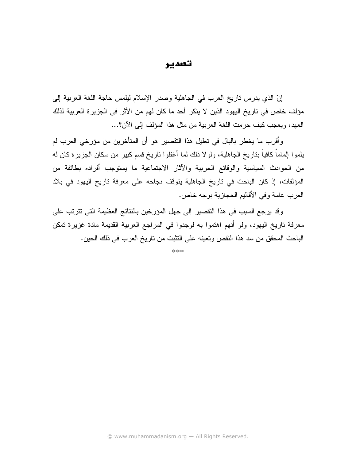#### تصدير

إنّ الذي يدرس ناريخ العرب في الجاهلية وصدر الإسلام ليلمس حاجة اللغة العربية إلى مؤلف خاص في تاريخ اليهود الذين لا ينكر أحد ما كان لهم من الأثر في الجزيرة العربية لذلك العهد، ويعجب كيف حر مت اللغة العربية من مثل هذا المؤلف إلى الآن؟...

وأقرب ما يخطر بالبال في تعليل هذا التقصير هو أن المتأخرين من مؤرخي العرب لم يلموا إلماماً كافياً بتاريخ الجاهلية، ولولا ذلك لما أغفلوا تاريخ قسم كبير من سكان الجزيرة كان له من الحوادث السياسية والوفائع الحربية والآثار الاجتماعية ما يستوجب أفراده بطائفة من المؤلفات، إذ كان الباحث في تاريخ الجاهلية يتوقف نجاحه على معرفة تاريخ اليهود في بلاد العرب عامة وفي الأقاليم الحجازية بوجه خاص.

وقد يرجع السبب في هذا التقصير إلى جهل المؤرخين بالنتائج العظيمة التي نترنب على معرفة تاريخ اليهود، ولو أنهم اهتموا به لوجدوا في المراجع العربية القديمة مادة غزيرة تمكن الباحث المحقق من سد هذا النقص وتعينه على النثبت من تاريخ العرب في ذلك الحين.

\*\*\*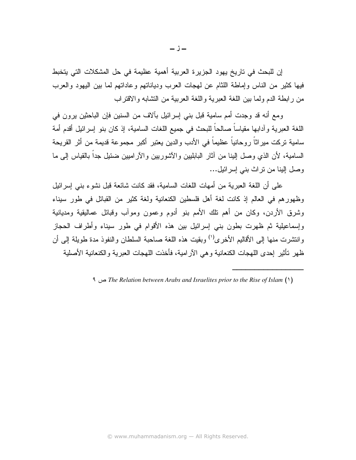إن للبحث في تاريخ يهود الجزيرة العربية أهمية عظيمة في حل المشكلات التي يتخبط فيها كثير من الناس وإماطة اللثام عن لهجات العرب ودياناتهم وعاداتهم لما بين اليهود والعرب من رابطة الدم ولما بين اللغة العبرية واللغة العربية من النشابه والاقتراب

ومع أنه قد وجدت أمم سامية قبل بنبي إسرائيل بالاف من السنين فإن الباحثين برون في اللغة العبرية وادابها مقياسا صىالحا للبحث في جميع اللغات السامية، إذ كان بنو ٳسرائيل أقدم أمة سامية نركت ميراثا روحانيا عظيما في الأدب والدين يعتبر أكبر مجموعة قديمة من أثر القريحة السامية، لأن الذي وصل البينا من اثار البابلبين والأشوريين والأراميين ضئيل جدا بالقياس إلى ما وصل البينا من نراث بني اِسرائيل...

على أن اللغة العبرية من أمهات اللغات السامية، فقد كانت شائعة قبل نشوء بني إسرائيل وظهور هم في العالم إذ كانت لغة أهل فلسطين الكنعانية ولغة كثير من القبائل في طور سيناء وشرق الأردن، وكان من أهم تلك الأمم بنو أدوم وعمون ومواب وقبائل عماليقية ومديانية وإسماعيلية ثم ظهرت بطون بني إسرائيل بين هذه الأقوام في طور سيناء وأطراف الحجاز وانتشرت منها إلى الأقاليم الأخرى<sup>(י)</sup> وبقيت هذه اللغة صاحبة السلطان والنفوذ مدة طويلة إلى أن ظهر ناثير إحدى اللهجات الكنعانية وهي الارامية، فأخذت اللهجات العبرية والكنعانية الأصلية

 $\overline{\phantom{a}}$   $\overline{\phantom{a}}$   $\overline{\phantom{a}}$   $\overline{\phantom{a}}$   $\overline{\phantom{a}}$   $\overline{\phantom{a}}$   $\overline{\phantom{a}}$   $\overline{\phantom{a}}$   $\overline{\phantom{a}}$   $\overline{\phantom{a}}$   $\overline{\phantom{a}}$   $\overline{\phantom{a}}$   $\overline{\phantom{a}}$   $\overline{\phantom{a}}$   $\overline{\phantom{a}}$   $\overline{\phantom{a}}$   $\overline{\phantom{a}}$   $\overline{\phantom{a}}$   $\overline{\$ 

DY *The Relation between Arabs and Israelites prior to the Rise of Islam* )V (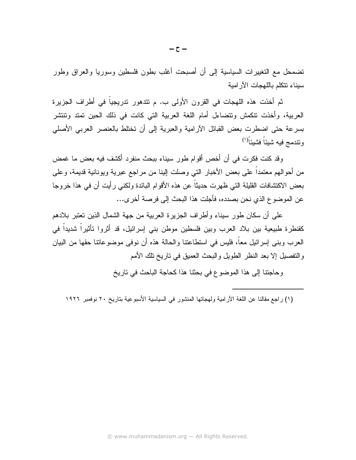تضمحل مع التغييرات السياسية إلىي أن أصبحت أغلب بطون فلسطين وسوريا والعراق وطور سيناء نتكلم باللهجات الآر امية

ثم أخذت هذه اللهجات في القرون الأولى ب. م تتدهور تدريجياً في أطراف الجزيرة العربية، وأخذت نتكمش ونتضاءل أمام اللغة العربية التي كانت في ذلك الحين نمتد ونتنشر بسرعة حتى اضطرت بعض القبائل الأرامية والعبرية إلى أن تختلط بالعنصر العربي الأصلي ونتدمج فيه شيئاً فشيئاً(')

وقد كنت فكرت في أن أخص أقوام طور سيناء ببحث منفرد أكشف فيه بعض ما غمض من أحوالهم معتمداً على بعض الأخبار التي وصلت البنا من مراجع عبرية ويونانية قديمة، وعلى بعض الاكتشافات القليلة التبي ظهرت حديثًا عن هذه الأقوام البائدة ولكنبي رأيت أن في هذا خروجا عن الموضوع الذي نحن بصدده، فأجلت هذا البحث إلى فرصة أخر ي...

علمي أن سكان طور سيناء و أطر اف الجزير ة العربية من جهة الشمال الذين تعتبر بلادهم كقنطرة طبيعية بين بلاد العرب وبين فلسطين موطن بني إسرائيل، قد أثروا تأثيراً شديداً في العرب وبني إسرائيل معاً، فليس في استطاعتنا والحالة هذه أن نوفي موضوعاتنا حقها من البيان والتفصيل إلا بعد النظر الطويل والبحث العميق في تاريخ نلك الأمم

وحاجتنا إلى هذا الموضوع في بحثنا هذا كحاجة الباحث في ناريخ

(١) راجع مقالنا عن اللغة الأرامية ولهجاتها المنشور في السياسية الأسبوعية بتاريخ ٢٠ نوفمبر ١٩٢٦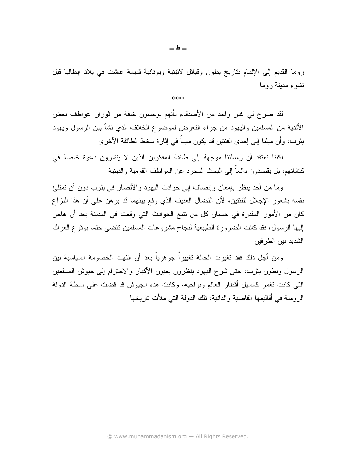$-4-$ 

روما القديم إلى الإلمام بناريخ بطون وقبائل لاتينية ويونانية قديمة عاشت في بلاد إيطاليا قبل نشوء مدبنة روما

\*\*\*

لقد صرح لمي غير واحد من الأصدقاء بأنهم بوجسون خيفة من ثوران عواطف بعض الأندية من المسلمين واليهود من جراء التعرض لموضوع الخلاف الذي نشأ بين الرسول ويهود يثرب، وأن مبلنا إلى إحدى الفئتين قد يكون سبباً في إثارة سخط الطائفة الأخرى

لكننا نعتقد أن رسالتنا موجهة إلى طائفة المفكرين الذين لا ينشرون دعوة خاصة في كتاباتهم، بل يقصدون دائماً إلى البحث المجر د عن العو اطف القومية و الدينية

وما من أحد ينظر بإمعان وإنصاف إلى حوادث اليهود والأنصار في يثرب دون أن نمتلئ نفسه بشعور الإجلال للفئتين، لأن النضال العنيف الذي وقع بينهما قد برهن على أن هذا النزاع كان من الأمور المقدرة في حسبان كل من نتبع الحوادث التي وقعت في المدينة بعد أن هاجر إليها الرسول، فقد كانت الضرورة الطبيعية لنجاح مشروعات المسلمين نقضى حتما بوقوع العراك الشديد بين الطر فين

ومن أجل ذلك فقد تغيرت الحالة تغييراً جوهرياً بعد أن انتهت الخصومة السياسية بين الرسول وبطون بثرب، حتى شرع اليهود بنظرون بعيون الأكبار والاحترام إلى جيوش المسلمين التي كانت تغمر كالسيل أقطار العالم ونواحيه، وكانت هذه الجيوش قد قضت على سلطة الدولة الرومية في أقاليمها القاصية والدانية، تلك الدولة التي ملأت تاريخها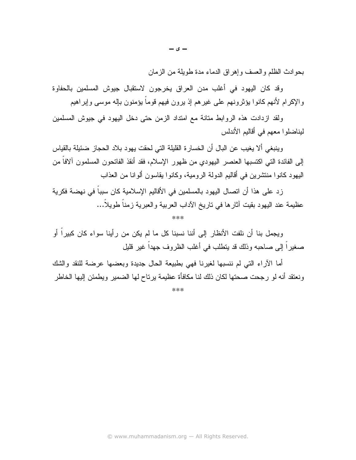بحوادث الظلم والعسف وإهراق الدماء مدة طويلة من الزمان

وقد كان اليهود في أغلب مدن العراق يخرجون لاستقبال جيوش المسلمين بالحفاوة والإكرام لأنهم كانوا يؤثرونهم على غيرهم إذ يرون فيهم قوما يؤمنون بإله موسى وإبراهيم

ولقد ازدادت هذه الروابط متانة مع امتداد الزمن حتى دخل اليهود في جيوش المسلمين ليناضلوا معهم في أقاليم الأندلس

وينبغي ألا يغيب عن البال أن الخسارة القليلة التي لحقت يهود بلاد الحجاز ضئيلة بالقياس إلى الفائدة النبي اكتسبها العنصر اليهودي من ظهور الإسلام، فقد أنقذ الفاتحون المسلمون ألافاً من اليهود كانوا منتشرين في أقاليم الدولة الرومية، وكانوا يقاسون ألوانا من العذاب

ز د علي هذا أن اتصال اليهود بالمسلمين في الأقاليم الإسلامية كان سبباً في نهضة فكرية عظيمة عند اليهود بقيت أثارها في ناريخ الأداب العربية والعبرية زمنا طويلا…

 $***$ 

ويجمل بنا أن نلفت الأنظار إلى أننا نسبنا كل ما لم يكن من رأينا سواء كان كبيراً أو صغيراً إلى صاحبه وذلك قد يتطلب في أغلب الظروف جهداً غير قليل

أما الأراء التبي لم ننسبها لغيرنا فهي بطبيعة الحال جديدة وبعضها عرضة للنقد والشك ونعتقد أنه لو رجحت صحتها لكان ذلك لنا مكافأة عظيمة يرتاح لها الضمير ويطمئن إليها الخاطر

\*\*\*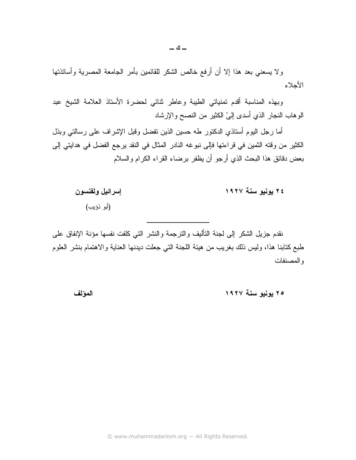ولا يسعني بعد هذا إلا أن أرفع خالص الشكر للقائمين بأمر الجامعة المصرية وأساتذتها الأجلاء

وبهذه المناسبة أقدم تمنياتي الطيبة وعاطر نثائي لحضرة الأستاذ العلامة الشيخ عبد الوهاب النجار الذي أسدى إلىّ الكثير من النصح والإرشاد

أما رجل اليوم أستاذي الدكتور طه حسين الذين تفضل وقبل الإشراف على رسالتي وبذل الكثير من وقته الثمين في قراءتها فإلى نبوغه النادر المثال في النقد يرجع الفضل في هدايتي إلى بعض دقائق هذا البحث الذي أرجو أن يظفر برضاء القراء الكرام والسلام

| إسرائيل ولفنسون | ٢٤ يونيو سنة ١٩٢٧ |
|-----------------|-------------------|
| (أبو ذؤيب)      |                   |

نقدم جزيل الشكر إلى لجنة النأليف والنرجمة والنشر الني كلفت نفسها مؤنة الإنفاق على طبع كتابنا هذا، وليس ذلك بغريب من هيئة اللجنة النبي جعلت ديدنها العناية والاهتمام بنشر العلوم و المصنفات

۲۵ يونيو سنة ۱۹۲۷

المؤلف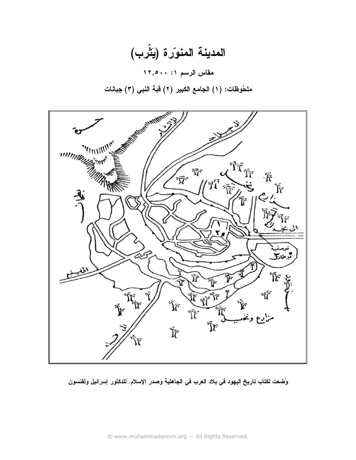المدينة المنوّرة (يَثْرب) مقاس الرسم ١: ١٢,٥٠٠ ملحُوظات: (١) الجامع الكبير (٢) قبة النبي (٣) جبانات



وُضعت لكتاب تاريخ اليهود في بلاد العرب في الجاهلية وصدر الإسلام. للدكتور إسرائيل ولفنسون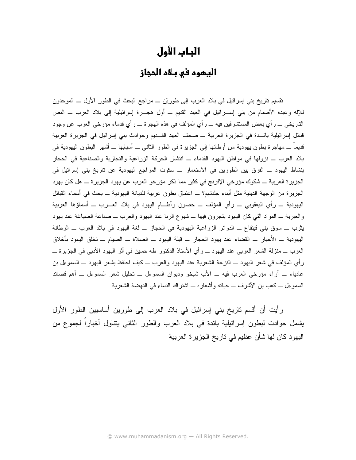## الباب الأول

#### اليمود في بـلاد المجاز

تقسيم تاريخ بني إسرائيل في بلاد العرب إلى طوريْن ـــ مراجع البحث في الطور الأول ـــ الموحدون للإله وعبدة الأصنام من بني إســـرائيل في العهد القديم ـــ أول هجـــرة إسرائيلية إلى بلاد العرب ـــ النص التاريخي \_ ر أي بعض المستشرقين فيه \_ ر أي المؤلف في هذه الهجرة \_ ر أي قدماء مؤرخي العرب عن وجود قبائل إسرائيلية بائــدة في الجزيرة العربية ـــ صحف العهد القــديم وحوادث بني إسرائيل في الجزيرة العربية قديماً ـــ مهاجرة بطون يهودية من أوطانها إلى الجزيرة في الطور الثاني ـــ أسبابها ـــ أشهر البطون اليهودية في بلاد العرب ــ نزولها في مواطن اليهود القدماء ـــ انتشار الحركة الزراعية والتجارية والصناعية في الحجاز بنشاط اليهود ــ الفرق بين الطورين في الاستعمار ــ سكوت المراجع اليهودية عن تاريخ بني إسرائيل في الجزيرة العربية ــ شكوك مؤرخي الإفرنج في كثير مما ذكر مؤرخو العرب عن يهود الجزيرة ـــ هل كان يهود الجزيرة من الوجهة الدينية مثل أبناء جلدتهم؟ ــ اعتناق بطون عربية للديانة اليهودية ــ بحث في أسماء القبائل اليهودية ـــ رأي اليعقوبي ـــ رأي المؤلف ـــ حصون وآطـــام اليهود في بلاد العــــرب ــــ أسماؤها العربية والعبرية ـ المواد التبي كان اليهود يتجرون فيها ــ شيوع الربا عند اليهود والعرب ــ صناعة الصياغة عند يهود يثرب ـــ سوق بني فينقاع ـــ الدوائر الزراعية اليهودية في الحجاز ـــ لغة اليهود في بلاد العرب ـــ الرطانة اليهودية ـــ الأحبار ـــ القضاء عند يهود الحجاز ـــ قبلة اليهود ـــ الصلاة ـــ الصيام ـــ تخلق اليهود بأخلاق العرب ـــ منزلة الشعر العربي عند اليهود ـــ رأى الأستاذ الدكتور طه حسين في أثر اليهود الأدبي في الجزيرة ــــ رأي المؤلف في شعر اليهود ـــ النزعة الشعرية عند اليهود والعرب ـــ كيف احتفظ بشعر اليهود ـــ السموءل بن عادياء \_ آراء مؤرخي العرب فيه \_ الأب شيخو وديوان السموءل \_ تحليل شعر السموءل \_ أهم قصائد السموعل ــ كعب بن الأشرف ـــ حياته وأشعاره ـــ اشتراك النساء في النهضة الشعرية

رِ أيت أن أقسم تاريخ بني إسرائيل في بلاد العرب إلى طورين أساسيين الطور الأول يشمل حوادث لبطون إسرائيلية بائدة في بلاد العرب والطور الثاني يتناول أخبارا لجموع من اليهود كان لها شأن عظيم في تاريخ الجزيرة العربية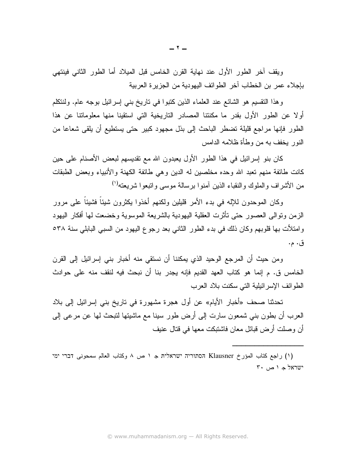ويقف أخر الطور الأول عند نهاية القرن الخامس قبل الميلاد أما الطور الثاني فينتهي بإجلاء عمر بن الخطاب آخر الطوائف اليهودية من الجزير ة العربية

وهذا التقسيم هو الشائع عند العلماء الذين كتبوا في ناريخ بنبي إسرائيل بوجه عام. ولنتكلم أولا عن الطور الأول بقدر ما مكنتنا المصادر التاريخية التي استقينا منها معلوماتنا عن هذا الطور فإنها مراجع قليلة تضطر الباحث إلى بذل مجهود كبير حتى يستطيع أن يلقى شعاعا من النور بخفف به من وطأة ظلامه الدامس

كان بنو إسرائيل في هذا الطور الأول يعبدون الله مع تقديسهم لبعض الأصنام على حين كانت طائفة منهم تعبد الله وحده مخلصين له الدين وهي طائفة الكهنة والأنبياء وبعض الطبقات من الأشراف والملوك والنقباء الذين آمنوا برسالة موسى وانبعوا شريعته<sup>(١)</sup>

وكان الموحدون للإله في بدء الأمر قليلين ولكنهم أخذوا يكثرون شيئاً فشيئاً على مرور الزمن وتوالى العصور حتى نأثرت العقلية اليهودية بالشريعة الموسوية وخضعت لها أفكار اليهود وامتلأت بها قلوبهم وكان ذلك في بدء الطور الثاني بعد رجوع اليهود من السبي البابلي سنة ٥٣٨ ق. م.

ومن حيث أن المرجع الوحيد الذي يمكننا أن نستقي منه أخبار بني إسرائيل إلى القرن الخامس ق. م إنما هو كتاب العهد القديم فإنه يجدر بنا أن نبحث فيه لنقف منه على حوادث الطوائف الإسر ائيلية التي سكنت بلاد العرب

تحدثنا صحف «أخبار الأيام» عن أول هجرة مشهورة في تاريخ بني إسرائيل إلى بلاد العرب أن بطون بنبي شمعون سارت إلى أرض طور سينا مع ماشيتها لتبحث لها عن مرعى إلى أن و صلت أر ض قبائل معان فاشتبكت معها في قتال عنبف

(١) راجع كتاب المؤرخ Klausner הסתוריה ישראלית ج ١ ص ٨ وكتاب العالم سمحونى דברי ימי  $\mathbf{r} \cdot \mathbf{r} \cdot \mathbf{r}$ ישראל ج ו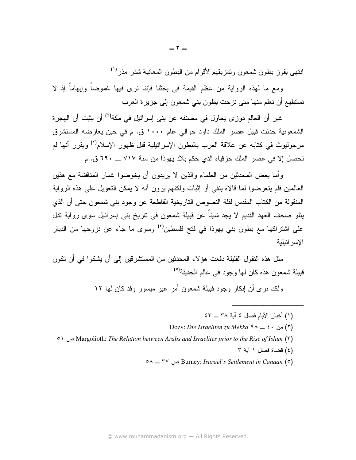انتهى بفوز بطون شمعون وتمزيقهم لأقوام من البطون المعانية شذر مذر<sup>(١)</sup>

ومع ما لهذه الرواية من عظم القيمة في بحثنا فإننا نرى فيها غموضاً وإبهاماً إذ لا نستطيع أن نعلم منها متى نزحت بطون بني شمعون إلى جزيرة العرب

غير أن العالم دوزي يحاول في مصنفه عن بني إسرائيل في مكة<sup>(٢)</sup> أن يثبت أن الهجرة الشمعونية حدثت قبيل عصر الملك داود حوالي عام ١٠٠٠ ق. م في حين يعارضه المستشرق مرجوليوث في كتابه عن علاقة العرب بالبطون الإسرائيلية قبل ظهور الإسلام<sup>(٢)</sup> ويقرر أنها لم تحصل إلا في عصر الملك حزقياه الذي حكم بلاد يهوذا من سنة ٧١٧ ـــ ٦٩٠ ق. م

وأما بعض المحدثين من العلماء والذين لا يريدون أن يخوضوا غمار المناقشة مع هذين العالمين فلم يتعرضوا لما قالاه بنفي أو إثبات ولكنهم برون أنه لا يمكن التعويل على هذه الرواية المنقولة من الكتاب المقدس لقلة النصوص التاريخية القاطعة عن وجود بني شمعون حتى أن الذي يتلو صحف العهد القديم لا يجد شيئاً عن قبيلة شمعون في تاريخ بني إسرائيل سوى رواية ندل علي اشتراكها مع بطون بني يهوذا في فتح فلسطين<sup>(؛)</sup> وسوى ما جاء عن نزوحها من الديار الاسر ائبلبة

مثل هذه النقول القليلة دفعت هؤلاء المحدثين من المستشرقين إلى أن يشكوا في أن تكون قبيلة شمعون هذه كان لها وجود في عالم الحقيقة<sup>(٥)</sup>

ولكنا نرى أن إنكار وجود قبيلة شمعون أمر غير ميسور وقد كان لها ١٢

- (١) أخيار الأبام فصل ٤ آبة ٣٨ ــ ٤٣
- Dozy: Die Israeliten zu Mekka ٩٨ = ٤٠ )
- ^ Margolioth: *The Relation between Arabs and Israelites prior to the Rise of Islam* ( $\tilde{r}$ )
	- (٤) فضاة فصل ١ آبة ٣
	- ٥٨ \_ ٣٧ ص Burney: Isarael's Settlement in Canaan (٥)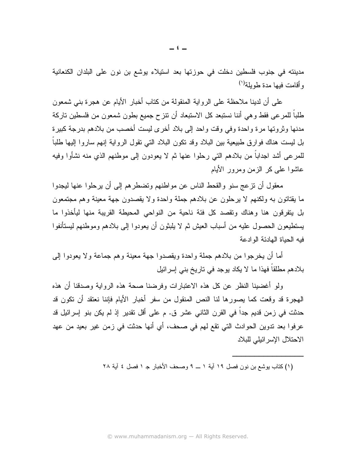مدينته في جنوب فلسطين دخلت في حوزتها بعد استيلاء يوشع بن نون على البلدان الكنعانية و أقامت فيها مدة طويلة<sup>(١)</sup>

على أن لدينا ملاحظة على الرواية المنقولة من كتاب أخبار الأيام عن هجرة بني شمعون طلباً للمرعى فقط وهي أننا نستبعد كل الاستبعاد أن نتزح جميع بطون شمعون من فلسطين تاركة مدنها وثر وتها مر ۃ و احدۃ وفی وقت و احد اِلی بلاد أخر ی لیست أخصب من بلادھم بدر جة کبیر ۃ بل ليست هناك فوارق طبيعية بين البلاد وقد نكون البلاد التبي نقول الرواية إنهم ساروا إليها طلباً للمرعى أشد اجداباً من بلادهم التي رحلوا عنها ثم لا يعودون إلى موطنهم الذي منه نشأوا وفيه عاشوا علمي كر الزمن ومرور الأيام

معقول أن نزعج سنو والقحط الناس عن مواطنهم وتضطرهم إلىي أن يرحلوا عنها ليجدوا ما يقتاتون به ولكنهم لا يرحلون عن بلادهم جملة واحدة ولا يقصدون جهة معينة وهم مجتمعون بل يتفرقون هنا وهناك وتقصد كل فئة ناحية من النواحي المحيطة القريبة منها ليأخذوا ما يستطيعون الحصول عليه من أسباب العيش ثم لا يلبثون أن يعودوا إلى بلادهم وموطنهم ليستأنفوا فيه الحياة الهادئة الو ادعة

أما أن يخرجوا من بلادهم جملة واحدة ويقصدوا جهة معينة وهم جماعة ولا يعودوا إلى بلادهم مطلقاً فهذا ما لا يكاد يوجد في تاريخ بني إسرائيل

ولو أغضبنا النظر عن كل هذه الاعتبارات وفرضنا صحة هذه الرواية وصدقنا أن هذه الهجرة قد وقعت كما يصورها لنا النص المنقول من سفرٍ أخبارٍ الأيام فإننا نعتقد أن نكون قد حدثت في زمن قديم جداً في القرن الثاني عشر ق. م على أقل تقدير إذ لم يكن بنو إسرائيل قد عرفوا بعد ندوين الحوادث التي نقع لهم في صحف، أي أنها حدثت في زمن غير بعيد من عهد الاحتلال الإسرائيلي للبلاد

(١) كتاب يوشع بن نون فصل ١٩ آية ١ ـــ ٩ وصحف الأخبار جـ ١ فصل ٤ آية ٢٨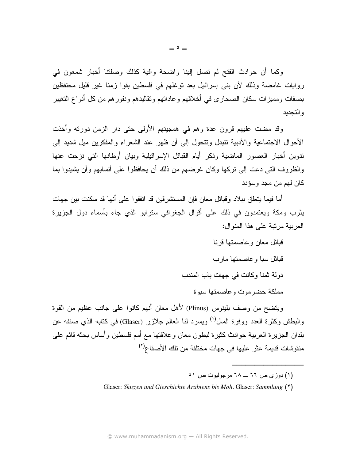وكما أن حوادث الفتح لم تصل إلينا واضحة وافية كذلك وصلتنا أخبار شمعون في روايات غامضة وذلك لأن بني إسرائيل بعد توغلهم في فلسطين بقوا زمنا غير قليل محتفظين بصفات ومميزات سكان الصحاري في أخلاقهم وعاداتهم وتقاليدهم ونفورهم من كل أنواع التغيير و التجديد

وقد مضت عليهم قرون عدة وهم في همجيتهم الأولى حتى دار الزمن دورته وأخذت الأحوال الاجتماعية والأدبية نتبدل ونتحول إلىي أن ظهر عند الشعراء والمفكرين ميل شديد إلىي ندوين أخبار العصور الماضية وذكر أيام القبائل الإسرائيلية وبيان أوطانها التي نزحت عنها والظروف التي دعت إلى نركها وكان غرضهم من ذلك أن يحافظوا على أنسابهم وأن يشيدوا بما كان لهم من مجد وسؤدد

أما فيما يتعلق ببلاد وقبائل معان فإن المستشرقين قد اتفقوا على أنها قد سكنت بين جهات يثرب ومكة ويعتمدون في ذلك على أقوال الجغرافي سترابو الذي جاء بأسماء دول الجزيرة العربية مرتبة على هذا المنوال:

> قبائل معان وعاصمتها قرنا قبائل سبا و عاصمتها مارب دولة ثمنا وكانت في جهات باب المندب مملكة حضر موت وعاصمتها سبوة

ويتضح من وصف بلينوس (Plinus) لأهل معان أنهم كانوا على جانب عظيم من القوة والبطش وكثرة العدد ووفرة المال<sup>(י)</sup> ويسرد لنا العالم جلازر (Glaser) في كتابه الذي صنفه عن بلدان الجزيرة العربية حوادث كثيرة لبطون معان وعلاقتها مع أمم فلسطين وأساس بحثه قائم على منقوشات قديمة عثر عليها في جهات مختلفة من تلك الأصقاع<sup>(٢)</sup>

<sup>(</sup>۱) دوزی ص ٦٦ ــ ٦٨ مرجوليوث ص ٥١

Glaser: Skizzen und Gieschichte Arabiens bis Moh. Glaser: Sammlung (\*)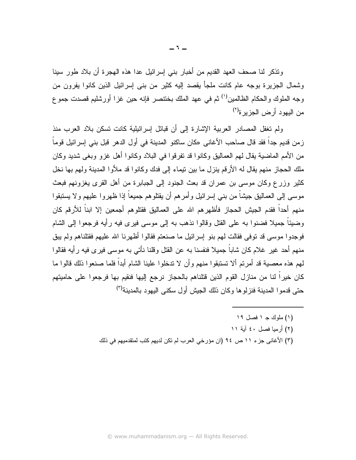وتذكر لنا صحف العهد القديم من أخبار بنبي إسرائيل عدا هذه الهجرة أن بلاد طور سينا وشمال الجزيرة بوجه عام كانت ملجأ يقصد إليه كثير من بنبي إسرائيل الذين كانوا يفرون من وجه الملوك والحكام الظالمين'') ثم في عهد الملك بخنتصر فإنه حين غزا أورشليم قصدت جمو ع من البهود أرض الجزير ة<sup>(٢)</sup>

ولم تغفل المصادر العربية الإشار ة إلى أن قبائل إسر ائيلية كانت تسكن بلاد العرب منذ زمن قديم جداً فقد قال صاحب الأغاني «كان ساكنو المدينة في أول الدهر قبل بني إسرائيل قوماً من الأمم الماضية يقال لهم العماليق وكانوا قد تفرقوا في البلاد وكانوا أهل غزو وبغي شديد وكان ملك الحجاز ٍ منهم يقال له الأرقم ينزل ما بين نيماء إلى فدك وكانوا قد ملأوا المدينة ولهم بها نخل كثير وزرع وكان موسى بن عمر ان قد بعث الجنود إلى الجبابر ة من أهل القر ي يغزونهم فبعث موسى إلى العماليق جيشاً من بني إسرائيل وأمرهم أن يقتلوهم جميعاً إذا ظهروا عليهم ولا يستبقوا منهم أحداً فقدم الجيش الحجاز فأظهرهم الله على العماليق فقتلوهم أجمعين إلا ابناً للأرقم كان وضيئاً جميلًا فضنوا به على القتل وقالوا نذهب به إلى موسى فيرى فيه رأيه فرجعوا إلى الشام فوجدوا موسى قد توفى فقالت لهم بنو إسرائيل ما صنعتم فقالوا أظهرنا الله عليهم فقتلناهم ولم يبق منهم أحد غير ِ غلام كان شاباً جميلا فنفسنا به عن القتل وقلنا نأتي به موسى فير ي فيه ر أيه فقالو ا لمهم هذه معصية قد أمرتم ألا تستبقوا منهم وأن لا تدخلوا علينا الشام أبداً فلما صنعوا ذلك قالوا ما كان خيراً لنا من منازل القوم الذين قتلناهم بالحجاز نرجع إليها فنقيم بها فرجعوا على حاميتهم حتى قدمو ا المدبنة فنز لو ها و كان ذلك الجبش أو ل سكني البهو د بالمدبنة<sup>(٣)</sup>

- (١) ملوك ج ١ فصل ١٩
- (٢) أرميا فصل ٤٠ آية ١١
- (٣) الأغاني جزء ١١ ص ٩٤ (ان مؤرخي العرب لم تكن لديهم كتب لمتقدميهم في ذلك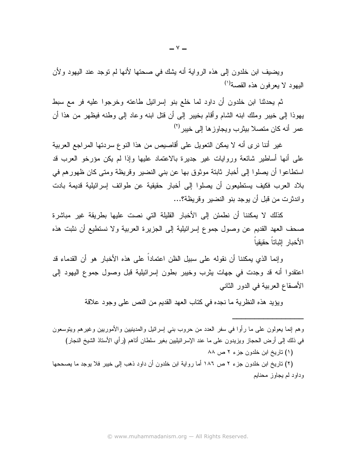ويضيف ابن خلدون إلى هذه الرواية أنه يشك في صحتها لأنها لم توجد عند اليهود ولأن البيهو د لا يعر فون هذه القصبة<sup>(١)</sup>

ثم يحدثنا ابن خلدون أن داود لما خلع بنو ٳسرائيل طاعته وخرجوا عليه فر مع سبط يهوذا إلى خيبر وملك ابنه الشام وأقام بخيبر إلى أن قتل ابنه وعاد إلى وطنه فيظهر من هذا أن عمر أنه كان متصلاً بيثر ب ويجاوز ها الے خبير <sup>(٢)</sup>

غير أننا نرى أنه لا يمكن التعويل على أقاصيص من هذا النوع سردتها المراجع العربية على أنها أساطير شائعة وروايات غير جديرة بالاعتماد عليها وإذا لم يكن مؤرخو العرب قد استطاعو! أن يصلو! إلى أخبار ثابتة موثوق بها عن بني النضير وقريظة ومتى كان ظهور هم في بلاد العرب فكيف يستطيعون أن يصلوا إلى أخبار حقيقية عن طوائف إسرائيلية قديمة بادت و اندثرت من قبل أن يوجد بنو النضير وقريظة؟...

كذلك لا بمكننا أن نطمئن إلى الأخبار القليلة التي نصت عليها بطريقة غير مباشرة صحف العهد القديم عن وصول جموع إسرائيلية إلى الجزيرة العربية ولا نستطيع أن نثبت هذه الأخبار اثباتاً حقبقباً

وإنما الذي يمكننا أن نقوله على سبيل الظن اعتماداً على هذه الأخبار هو أن القدماء قد اعتقدوا أنه قد وجدت في جهات يثرب وخيبر بطون إسرائيلية قبل وصول جموع اليهود إلى الأصقاع العربية في الدور الثاني

ويؤيد هذه النظرية ما نجده في كناب العهد القديم من النص على وجود علاقة

و هم إنما يعولون على ما رأوا في سفر العدد من حروب بني إسرائيل والمدينيين والأموريين وغير هم ويتوسعون في ذلك إلى أرض الحجاز ويزيدون على ما عند الإسرائيليين بغير سلطان أناهم (رأي الأستاذ الشيخ النجار) (١) تاريخ ابن خلدون جزء ٢ ص ٨٨

(۲) تاریخ ابن خلدون جزء ۲ ص ۱۸۲ أما روایة ابن خلدون أن داود ذهب إلی خیبر فلا یوجد ما یصححها وداود لم يجاوز محنايم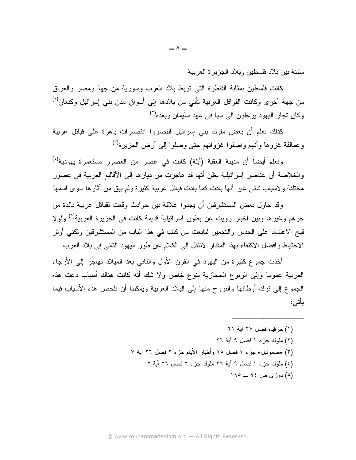متبنة ببن بلاد فلسطين وبلاد الجزير ة العربية

كانت فلسطين بمثابة القنطرة التبي نربط بلاد العرب وسورية من جهة ومصر والعراق من جهة أخرى وكانت القوافل العربية تأتي من بلادها إلى أسواق مدن بني إسرائيل وكنعان'') وكان تجار اليهود بر حلون إلى سبأ في عهد سليمان وبعده<sup>(٢)</sup>

كذلك نعلم أن بعض ملوك بنى إسرائيل انتصروا انتصارات باهرة على قبائل عربية وعمالقة غزوها وأنهم وإصلوا غزواتهم حتى وصلوا إلى أرض الجزيرة<sup>(٣)</sup>

ونعلم أيضاً أن مدينة العقبة (أيلة) كانت في عصر من العصور مستعمرة يهودية<sup>(٤)</sup> والخلاصة أن عناصر إسرائيلية يظن أنها قد هاجرت من ديارها إلى الأقاليم العربية في عصور مختلفة ولأسباب شتى غير أنها بادت كما بادت قبائل عربية كثيرة ولم يبق من آثارها سوى اسمها

وقد حاول بعض المستشرقين أن يجدوا علاقة بين حوادث وقعت لقبائل عربية بائدة من جرهم وغيرها وبين أخبار رويت عن بطون إسرائيلية قديمة كانت في الجزيرة العربية<sup>(٥)</sup> ولولا قبح الاعتماد على الحدس والتخمين لتابعت من كتب في هذا الباب من المستشرقين ولكني أوثر الاحتياط وأفضل الاكتفاء بهذا المقدار لانتقل إلى الكلام عن طور اليهود الثاني في بلاد العرب

أخذت جموع كثيرة من اليهود في القرن الأول والثاني بعد الميلاد تهاجر إلى الأرجاء العربية عموما وإلى الربوع الحجازية بنوع خاص ولا شك أنه كانت هناك أسباب دعت هذه الجموع إلى نزك أوطانها والنزوح منها إلى البلاد العربية ويمكننا أن نلخص هذه الأسباب فيما يأتى: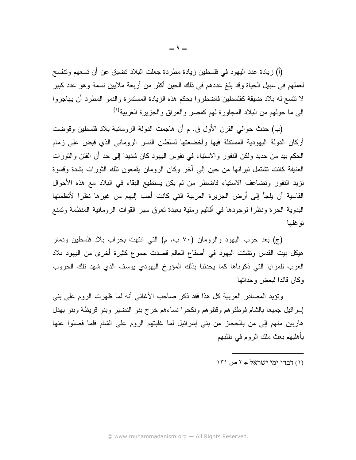(أ) زيادة عدد اليهود في فلسطين زيادة مطردة جعلت البلاد نضبق عن أن تسعهم وتنفسح لعملهم في سبيل الحياة وقد بلغ عددهم في ذلك الحين أكثر من أربعة ملايين نسمة وهو عدد كبير لا نتسع له بلاد ضبقة كفلسطين فاضطروا بحكم هذه الزيادة المستمرة والنمو المطرد أن يهاجروا إلى ما حولهم من البلاد المجاورة لهم كمصر والعراق والجزيرة العربية<sup>(י)</sup>

(ب) حدث حوالي القرن الأول ق. م أن هاجمت الدولة الرومانية بلاد فلسطين وقوضت أركان الدولة اليهودية المستقلة فيها وأخضعتها لسلطان النسر الروماني الذي قبض على زمام الحكم بيد من حديد ولكن النفور والاستياء في نفوس اليهود كان شديدا إلى حد أن الفتن والثورات العنيفة كانت نتشتمل نير انها من حين إلى أخر وكان الرومان يقمعون تلك الثورات بشدة وفسوة تزيد النفور وتضاعف الاستياء فاضطر من لم يكن يستطيع البقاء في البلاد مع هذه الأحوال القاسية أن يلجأ إلى أرض الجزيرة العربية التي كانت أحب إليهم من غيرها نظرا لأنظمتها البدوية الحرة ونظرا لوجودها في أقاليم رملية بعيدة نعوق سير القوات الرومانية المنظمة ونمنع نو غليها

(ج) بعد حرب اليهود والرومان (٧٠ ب. م) التي انتهت بخراب بلاد فلسطين ودمار هيكل بيت القدس ونشنت اليهود في أصقاع العالم قصدت جموع كثيرة أخرى من اليهود بلاد العرب للمزايا التي ذكرناها كما يحدثنا بذلك المؤرخ اليهودي يوسف الذي شهد نلك الحروب وكان قائدا ليعض وحداتها

ونؤيد المصادر العربية كل هذا فقد ذكر صاحب الأغاني أنه لما ظهرت الروم على بني إسرائيل جميعا بالشام فوطئوهم وقتلوهم ونكحوا نساءهم خرج بنو النضير وبنو قريظة وبنو بهدل هاربين منهم إلى من بالحجاز من بني إسرائيل لما غلبتهم الروم على الشام فلما فصلوا عنها بأهليهم بعث ملك الروم في طلبهم

ו ון הברי ימי ישראל בז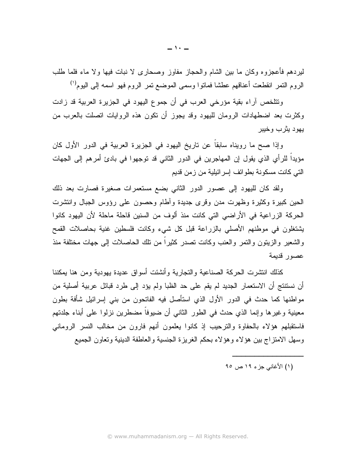ليردهم فأعجزوه وكان ما بين الشام والحجاز مفاوز وصحارى لا نبات فيها ولا ماء فلما طلب الروم النمر انقطعت أعناقهم عطشا فماتوا وسمى الموضع نمر الروم فهو اسمه إلى اليوم<sup>(י)</sup>

ونتلخص آراء بقية مؤرخي العرب في أن جموع اليهود في الجزيرة العربية قد زادت وكثرت بعد اضطهادات الرومان لليهود وقد يجوز أن نكون هذه الروايات انصلت بالعرب من بـهو د بنْز ب و خبير

وإذا صح ما رويناه سابقاً عن تاريخ اليهود في الجزيرة العربية في الدور الأول كان مؤيدا للرأي الذي يقول إن المهاجرين في الدور الثاني قد توجهوا في بادئ أمرهم إلى الجهات التي كانت مسكونة بطوائف إسر ائيلية من زمن قديم

ولقد كان لليهود إلى عصور الدور الثاني بضع مستعمرات صغيرة فصارت بعد ذلك الحين كبيرة وكثيرة وظهرت مدن وقرى جديدة وأطام وحصون على رؤوس الجبال وانتشرت الحركة الزراعية في الأراضي التي كانت منذ ألوف من السنين قاحلة ماحلة لأن اليهود كانوا يشتغلون في موطنهم الأصلي بالزراعة قبل كل شيء وكانت فلسطين غنية بحاصلات القمح والشعير والزيتون والتمر والعنب وكانت تصدر كثيراً من تلك الحاصلات إلى جهات مختلفة منذ عصور قديمة

كذلك انتشرت الحركة الصناعية والتجارية وأنشئت أسواق عديدة يهودية ومن هنا بمكننا أن نستتتج أن الاستعمار الجديد لم يقم على حد الظبا ولم يؤد إلى طرد قبائل عربية أصلية من مواطنها كما حدث في الدور الأول الذي استأصل فيه الفاتحون من بني إسرائيل شأفة بطون معينية وغيرها وإنما الذي حدث في الطور الثاني أن ضيوفاً مضطرين نزلوا على أبناء جلدتهم فاستقبلهم هؤلاء بالحفاوة والترحيب إذ كانوا يعلمون أنهم فارون من مخالب النسر الروماني وسهل الامتزاج بين هؤلاء وهؤلاء بحكم الغريزة الجنسية والعاطفة الدينية وتعاون الجميع

(١) الأغاني جزء ١٩ ص ٩٥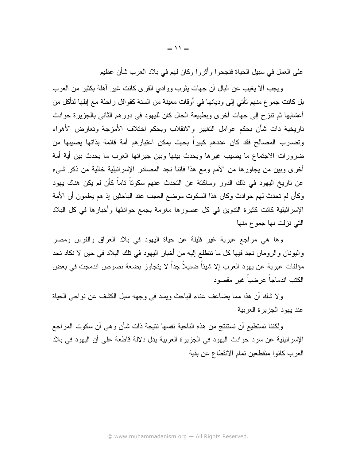على العمل في سبيل الحياة فنجحوا وأثروا وكان لهم في بلاد العرب شأن عظيم

ويجب ألا يغيب عن البال أن جهات يثرب ووادي القرى كانت غير أهلة بكثير من العرب بل كانت جموع منهم نأتي إلى وديانها في أوقات معينة من السنة كقوافل راحلة مع إبلها لتأكل من أعشابها ثم نتزح إلى جهات أخرى وبطبيعة الحال كان لليهود في دورهم الثاني بالجزيرة حوادث ناريخية ذات شأن بحكم عوامل التغيير والانقلاب وبحكم اختلاف الأمزجة وتعارض الأهواء وتضارب المصالح فقد كان عددهم كبيراً بحيث يمكن اعتبارهم أمة قائمة بذاتها يصيبها من ضرورات الاجتماع ما يصيب غيرها ويحدث بينها وبين جيرانها العرب ما يحدث بين أية أمة أخرى وبين من يجاورها من الأمم ومع هذا فإننا نجد المصادر الإسرائيلية خالية من ذكر شيء عن تاريخ اليهود في ذلك الدور وساكتة عن التحدث عنهم سكوتاً تاماً كأن لم يكن هناك يهود وكأن لم تحدث لهم حوادث وكان هذا السكوت موضع العجب عند الباحثين إذ هم يعلمون أن الأمة الإسرائيلية كانت كثيرة الندوين في كل عصورها مغرمة بجمع حوادثها وأخبارها في كل البلاد التي نزلت بها جموع منها

وها هي مراجع عبرية غير قليلة عن حياة اليهود في بلاد العراق والفرس ومصر واليونان والرومان نجد فيها كل ما نتطلع إليه من أخبار اليهود في نلك البلاد في حين لا نكاد نجد مؤلفات عبرية عن يهود العرب إلا شيئاً ضئيلاً جداً لا يتجاوز بضعة نصوص اندمجت في بعض الكتب اندماجاً عرضياً غير مقصود

ولا شك أن هذا مما يضاعف عناء الباحث ويسد في وجهه سبل الكشف عن نواحي الحياة عند بهود الجزير ۃ العربية

ولكننا نستطيع أن نستنتج من هذه الناحية نفسها نتيجة ذات شأن وهي أن سكوت المراجع الإسرائيلية عن سرد حوادث اليهود في الجزيرة العربية يدل دلالة قاطعة على أن اليهود في بلاد العرب كانوا منقطعين تمام الانقطاع عن بقية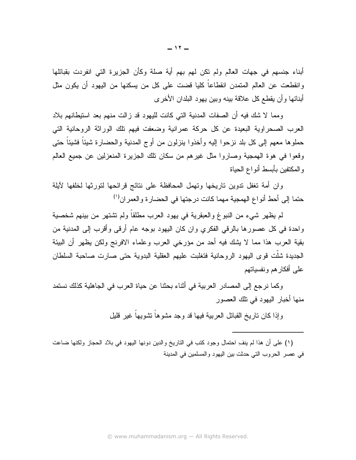أبناء جنسهم في جهات العالم ولم نكن لهم بهم أية صلة وكأن الجزيرة التي انفردت بقبائلها وانقطعت عن العالم المتمدن انقطاعاً كليا قضت على كل من يسكنها من اليهود أن يكون مثل أبنائها وأن يقطع كل علاقة بينه وبين يهود البلدان الأخرى

ومما لا شك فيه أن الصفات المدنية التي كانت لليهود قد زالت منهم بعد استيطانهم بلاد العرب الصحراوية البعيدة عن كل حركة عمرانية وضعفت فيهم نلك الوراثة الروحانية التي حملوها معهم إلى كل بلد نزحوا إليه وأخذوا بنزلون من أوج المدنية والحضارة شيئاً فشيئاً حتى وفعوا في هوة الهمجية وصاروا مثل غيرهم من سكان نلك الجزيرة المنعزلين عن جميع العالم والمكتفين بأبسط أنواع الحياة

وان أمة نغفل ندوين ناريخها ونهمل المحافظة على نتائج قرائحها لنورثها لخلفها لأيلة حتما إلى أحط أنواع الهمجية مهما كانت درجتها في الحضارة والعمران (')

لم يظهر شيء من النبوغ والعبقرية في يهود العرب مطلقاً ولم تشتهر من بينهم شخصية واحدة في كل عصورها بالرقي الفكري وإن كان اليهود بوجه عام أرقى وأقرب إلى المدنية من بِقِيةِ العربِ هذا مما لا يشكِ فيه أحدٍ من مؤرِّخي العربِ وعلماءِ الافرنجِ ولكن يظهرٍ أن البيئةِ الجديدة شلَّت قوى اليهود الروحانية فتغلبت عليهم العقلية البدوية حتى صبارت صباحية السلطان علمي أفكار هم ونفسياتهم

وكما نرجع إلى المصادر العربية في أثناء بحثنا عن حياة العرب في الجاهلية كذلك نستمد منها أخبار اليهود في نلك العصور

وإذا كان ناريخ القبائل العربية فيها قد وجد مشوهاً نتثىويهاً غير قليل

(١) على أن هذا لم ينف ِ احتمال وجود كتب في الناريخ والدين دونها اليهود في بلاد الحجاز ولكنها ضاعت في عصر الحروب التي حدثت بين اليهود والمسلمين في المدينة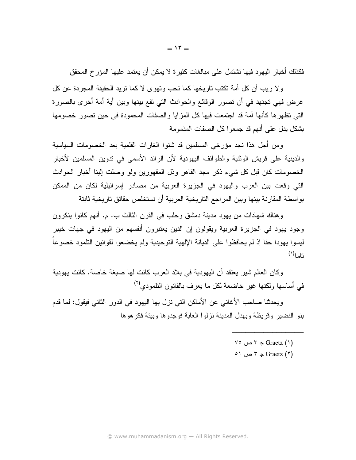فكذلك أخبار اليهود فيها تشتمل على مبالغات كثيرة لا يمكن أن يعتمد عليها المؤرخ المحقق

ولا ريب أن كل أمة تكتب تاريخها كما تحب وتهوى لا كما تريد الحقيقة المجردة عن كل غرض فهي تجتهد في أن تصور الوقائع والحوادث التي تقع بينها وبين أية أمة أخرى بالصورة التي نظهرها كأنها أمة قد اجتمعت فيها كل المزايا والصفات المحمودة في حين تصور خصومها يشكل بدل على أنهم قد جمعو اكل الصفات المذمومة

ومن أجل هذا نجد مؤرخي المسلمين قد شنوا الغارات القلمية بعد الخصومات السياسية و الدينية على قريش الوثنية والطوائف اليهودية لأن الرائد الأسمى في ندوين المسلمين لأخبار الخصومات كان قبل كل شيء ذكر ٍ مجد القاهر وذل المقهورين ولو وصلت إلينا أخبار الحوادث التي وقعت بين العرب واليهود في الجزيرة العربية من مصادر إسرائيلية لكان من الممكن بواسطة المقارنة بينها وبين المراجع التاريخية العربية أن نستخلص حقائق تاريخية ثابتة

و هناك شهادات من يهود مدينة دمشق و حلب في القرن الثالث ب. م. أنهم كانوا ينكرون وجود يهود في الجزيرة العربية ويقولون إن الذين يعتبرون أنفسهم من اليهود في جهات خيبر ليسوا يهودا حقا إذ لم يحافظوا على الديانة الإلهية التوحيدية ولم يخضعوا لقوانين التلمود خضوعاً  $^{(1)}$  Lalz

وكان العالم شير يعتقد أن اليهودية في بلاد العرب كانت لها صبغة خاصة. كانت يهودية في أساسها ولكنها غير خاضعة لكل ما يعرف بالقانون النلمودي<sup>(٢)</sup>

ويحدثنا صـاحب الأغانـي عن الأماكن التي نزل بـها اليـهود في الدور الثانـي فيقول: لما قدم بِنو النضير وقريظة وبهدل المدينة نزلوا الغابة فوجدوها وبيئة فكر هوها

- $\forall \circ \circ \circ \neg$  =  $\forall$  =  $\circ$
- $\circ$  جس ۲ ص ۲۰ Graetz (۲)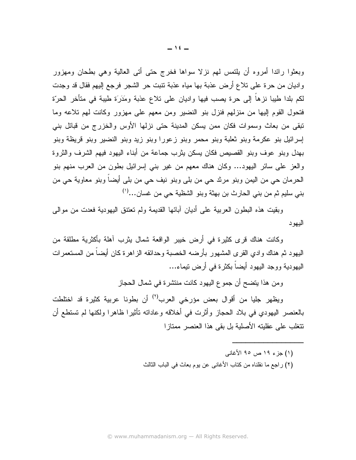وبعثوا رائدا أمروه أن بلتمس لمهم نزلا سواها فخرج حتى أتى العالبة وهي بطحان ومهزور واديان من حرة على نلاع أرض عذبة بها مياه عذبة نتبت حر الشجر فرجع إليهم فقال قد وجدت لكم بلدا طيبا نزهاً إلى حرة يصب فيها واديان على نلاع عذبة ومَدَرَة طيبة في متأخر الحرّة فتحول القوم إليها من منزلهم فنزل بنو النضير ومن معهم على مهزور وكانت لهم تلاعه وما تبقى من بعاث وسموات فكان ممن يسكن المدينة حتى نزلها الأوس والخزرج من قبائل بني إسرائيل بنو عكرمة وبنو ثعلبة وبنو محمر وبنو زعورا وبنو زيد وبنو النضير وبنو قريظة وبنو بهدل وبنو عوف وبنو القصيص فكان يسكن يثرب جماعة من أبناء البهود فيهم الشرف والثروة والعز على سائر اليهود… وكان هناك معهم من غير بني إسرائيل بطون من العرب منهم بنو الحرمان حي من اليمن وبنو مرند حي من بلي وبنو نيف حي من بلي أيضاً وبنو معاوية حي من بني سليم ثم من بني الحارث بن بهثة وبنو الشظية حي من غسان...(')

وبقيت هذه البطون العربية على أديان آبائها القديمة ولم تعتتق اليهودية فعدت من موالى اليهو د

وكانت هناك قرى كثيرة في أرض خيبر الواقعة شمال بثرب آهلة بأكثرية مطلقة من اليهود ثم هناك وادي القرى المشهور بأرضه الخصبة وحدائقه الزاهرة كان أيضاً من المستعمرات اليهودية ووجد اليهود أيضاً بكثرة في أرض نيماء...

ومن هذا يتضح أن جموع اليهود كانت منتشرة في شمال الحجاز

ويظهر جليا من أقوال بعض مؤرخى العرب<sup>(٢)</sup> أن بطونا عربية كثيرة قد اختلطت بالعنصر اليهودي في بلاد الحجاز وأثرت في أخلاقه وعاداته تأثيرا ظاهرا ولكنها لم تستطع أن تتغلب على عقليته الأصلية بل بقى هذا العنصر ممتاز ا

- (١) جزء ١٩ ص ٩٥ الأغاني
- (٢) راجع ما نقلناه من كتاب الأغاني عن يوم بعاث في الباب الثالث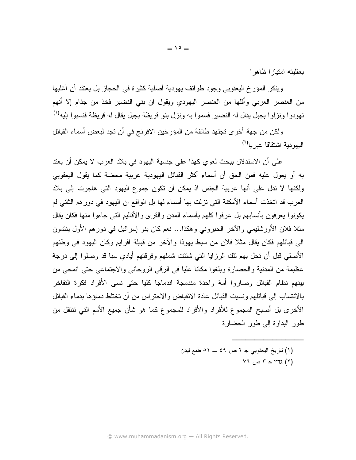بعقلبته امتباز ا ظاهر ا

وينكر المؤرخ اليعقوبي وجود طوائف بهودية أصلية كثيرة في الحجاز بل يعتقد أن أغلبها من العنصر العربي وأقلها من العنصر اليهودي ويقول ان بني النضير فخذ من جذام إلا أنهم تهودوا ونزلوا بجبل يقال له النضير فسموا به ونزل بنو قريظة بجبل يقال له قريظة فنسبوا إليه<sup>(י)</sup>

ولكن من جهة أخرى تجتهد طائفة من المؤرخين الافرنج في أن تجد لبعض أسماء القبائل البهودية اشتقاقا عبر با<sup>(٢)</sup>

على أن الاستدلال ببحث لغوي كهذا على جنسية اليهود في بلاد العرب لا يمكن أن يعتد به أو يعول عليه فمن الحق أن أسماء أكثر القبائل اليهودية عربية محضة كما يقول اليعقوبي ولكنها لا ندل على أنها عربية الجنس إذ يمكن أن نكون جموع اليهود التي هاجرت إلى بلاد العرب قد انخذت أسماء الأمكنة التي نزلت بها أسماء لها بل الواقع ان اليهود في دورهم الثاني لم يكونوا يعرفون بأنسابهم بل عرفوا كلهم بأسماء المدن والقرى والأقاليم التبي جاءوا منها فكان يقال مثلاً فلان الأورشليمي والآخر الحبروني وهكذا… نعم كان بنو ٳسرائيل في دورهم الأول بنتمون إلى قبائلهم فكان بقال مثلا فلان من سبط بهوذا والآخر ٍ من قبيلة افر ايم وكان اليهود في وطنهم الأصلي قبل أن تحل بهم تلك الرز ايا التي شنتت شملهم وفر قتهم أيادي سبا قد وصلوا إلى درجة عظيمة من المدنية والحضارة وبلغوا مكانا عليا في الرقي الروحاني والاجتماعي حتى انمحي من بينهم نظام القبائل وصاروا أمة واحدة مندمجة اندماجا كليا حتى نسى الأفراد فكرة التفاخر بالانتساب إلى قبائلهم ونسبت القبائل عادة الانقباض والاحتراس من أن تختلط دماؤها بدماء القبائل الأخرى بل أصبح المجموع للأفراد والأفراد للمجموع كما هو شأن جميع الأمم التي تتنقل من طور البداوة إلى طور الحضارة

- (١) تاريخ اليعقوبي جـ ٢ ص ٤٩ ـــ ٥١ طبع ليدن
	- $Y^{\dagger}$  (۲) גדץ جس ۲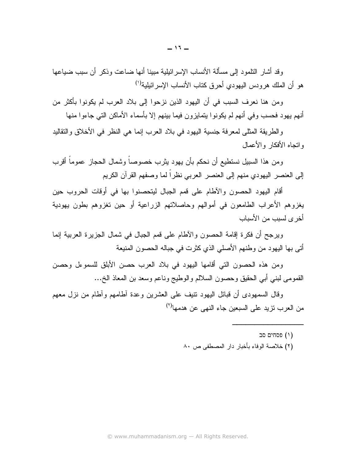وقد أشار النلمود إلى مسألة الأنساب الإسر ائبلبة مببنا أنها ضباعت وذكر أن سبب ضباعها هو أن الملك هرودس اليهودي أحرق كتاب الأنساب الإسرائيلية<sup>(י)</sup>

ومن هنا نعرف السبب في أن اليهود الذين نزحوا إلى بلاد العرب لم يكونوا بأكثر من أنهم بهود فحسب وفي أنهم لم يكونوا بتمايزون فيما ببنهم إلا بأسماء الأماكن التي جاءوا منها

و الطريقة المثلي لمعرفة جنسية اليهود في بلاد العرب إنما هي النظر في الأخلاق والنقاليد واتحاه الأفكار والأعمال

ومن هذا السبيل نستطيع أن نحكم بأن يهود يثرب خصوصاً وشمال الحجاز عموماً أقرب إلى العنصر اليهودي منهم إلى العنصر العربي نظراً لما وصفهم القرآن الكريم

أقام اليهود الحصون والآطام على قمم الجبال ليتحصنوا بها في أوقات الحروب حين يغزوهم الأعراب الطامعون في أموالهم وحاصلاتهم الزراعية أو حين تغزوهم بطون يهودية أخر ي لسبب من الأسباب

ويرجح أن فكرة إقامة الحصون والأطام على قمم الجبال في شمال الجزيرة العربية إنما أتي بها اليهود من وطنهم الأصلي الذي كثرت في جباله الحصون المنيعة

ومن هذه الحصون التبي أقامها اليهود في بلاد العرب حصن الأبلق للسموءل وحصن القمومي لبني أبي الحقيق وحصون السلالم والوطيج وناعم وسعد بن المعاذ الخ...

وقال السمهودي أن قبائل اليهود نتيف على العشرين وعدة آطامهم وأطام من نزل معهم من العرب نزيد على السبعين جاء النهي عن هدمها<sup>(٢)</sup>

ו) פסחים סב

(٢) خلاصة الوفاء بأخبار دار المصطفى ص ٨٠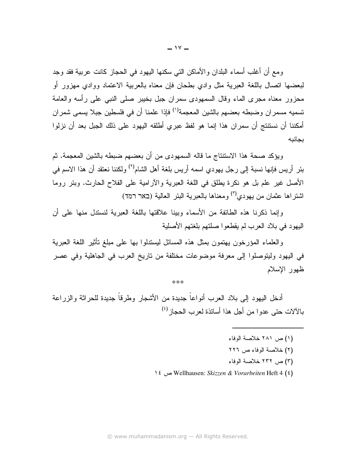ومع أن أغلب أسماء البلدان والأماكن التي سكنها اليهود في الحجاز كانت عربية فقد وجد لبعضها انصال باللغة العبرية مثل وادى بطحان فإن معناه بالعربية الاعتماد ووادى مهزور أو محزور معناه مجرى الماء وقال السمهودي سمران جبل بخيبر صلبي النبي على رأسه والعامة تسميه مسمران وضبطه بعضهم بالشين المعجمة<sup>(י)</sup> فإذا علمنا أن في فلسطين جبلا يسمى شمران أمكننا أن نستنتج أن سمران هذا إنما هو لفظ عبرى أطلقه اليهود على ذلك الجبل بعد أن نزلوا ىحانىە

ويؤكد صحة هذا الاستنتاج ما قاله السمهودي من أن بعضهم ضبطه بالشين المعجمة. ثم بئر ٍ أريس فإنها نسبة إلى رجل يهودي اسمه أريس بلغة أهل الشام<sup>(٢)</sup> ولكننا نعتقد أن هذا الاسم في الأصل غير علم بل هو نكرة بطلق في اللغة العبرية والآرامية على الفلاح الحارث. وبئر روما اشتر اها عثمان من بهودي<sup>(٣)</sup> ومعناها بالعبر بـة البئر العالبـة (באר רמד)

وإنما ذكرنا هذه الطائفة من الأسماء وببنا علاقتها باللغة العبربة لنستدل منها على أن اليهود في بلاد العرب لم يقطعوا صلتهم بلغتهم الأصلية

والعلماء المؤرخون يهتمون بمثل هذه المسائل ليستدلوا بها على مبلغ نأثير اللغة العبرية في اليهود وليتوصلوا إلى معرفة موضوعات مختلفة من ناريخ العرب في الجاهلية وفي عصر ظهور الإسلام

\*\*\*

أدخل اليهود إلى بلاد العرب أنواعاً جديدة من الأشجار وطرقاً جديدة للحراثة والزراعة بالآلات حتى عدوا من أجل هذا أساتذة لعرب الحجاز <sup>(٤)</sup>

- (١) ص ٢٨١ خلاصة الوفاء
- (٢) خلاصة الوفاء ص ٢٢٦
- (٣) ص ٢٣٢ خلاصة الوفاء
- 12) Wellhausen: Skizzen & Vorarbeiten Heft 4 (2)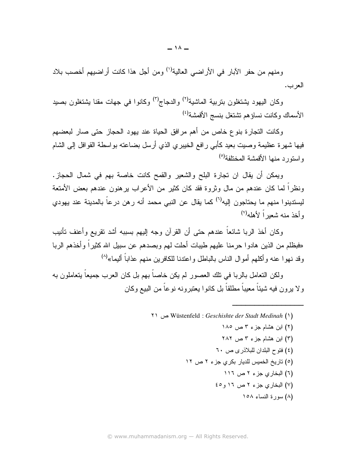ومنهم من حفر الأبار في الأراضي العالية<sup>(י)</sup> ومن أجل هذا كانت أراضيهم أخصب بلاد العر ب.

وكان اليهود بشتغلون بتربية الماشية<sup>(٢)</sup> والدجاج<sup>(٣)</sup> وكانوا في جهات مقنا بشتغلون بصبد الأسماك وكانت نساؤهم نشتغل بنسج الأقمشة<sup>(٤)</sup>

وكانت التجارة بنوع خاص من أهم مرافق الحياة عند يهود الحجاز حتى صار لبعضهم فيها شهرة عظيمة وصبت بعيد كأبي رافع الخيبري الذي أرسل بضاعته بواسطة القوافل إلى الشام واستورد منها الأقمشة المختلفة<sup>(٥)</sup>

ويمكن أن يقال ان تجارة البلح والشعير والقمح كانت خاصة بهم في شمال الحجاز. ونظراً لما كان عندهم من مال وثروة فقد كان كثير من الأعراب برهنون عندهم بعض الأمتعة ليستدينوا منهم ما يحتاجون إليه<sup>(٦)</sup> كما يقال عن النبي محمد أنه رهن درعاً بالمدينة عند يهودي ه أخذ منه شعد أكلاهله<sup>(٧)</sup>

وكان أخذ الربا شائعاً عندهم حتى أن القرآن وجه إليهم بسببه أشد نقريع وأعنف تأنيب «فبظلم من الذين هادوا حرمنا عليهم طيبات أحلت لهم وبصدهم عن سبيل الله كثيراً وأخذهم الربا وقد نهوا عنه وأكلهم أموال الناس بالباطل واعتدنا للكافرين منهم عذاباً أليما»<sup>(٨)</sup>

ولكن التعامل بالربا في نلك العصور لم يكن خاصاً بهم بل كان العرب جميعاً يتعاملون به ولا برون فيه شيئاً معيباً مطلقاً بل كانوا يعتبرونه نوعاً من البيع وكان

- (۱) Wüstenfeld : Geschishte der Stadt Medinah ص ٢١
	- (٢) ابن هشام جزء ٣ ص ١٨٥ (۳) ابن هشام جزء ۳ ص ۲۸۲ (٤) فتوح البلدان للبلاذري ص ٦٠
	- (٥) تاريخ الخميس للديار بكري جزء ٢ ص ١٢
		- (٦) البخاري جزء ٢ ص ١١٦
			- (٧) البخاري جزء ٢ ص ١٦ و٤٥
				- (٨) سورة النساء ١٥٨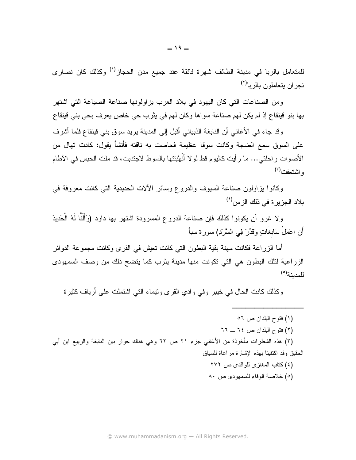للمتعامل بالربا في مدينة الطائف شهرة فائقة عند جميع مدن الحجاز<sup>(י)</sup> وكذلك كان نصارى نجر ان بتعاملون بالر با<sup>(۲)</sup>

ومن الصناعات التي كان اليهود في بلاد العرب بزاولونها صناعة الصياغة التي اشتهر بها بنو قينقاع إذ لم يكن لهم صناعة سواها وكان لهم في يثرب حي خاص يعرف بحي بني قينقاع

وقد جاء في الأغاني أن النابغة الذبياني أقبل إلى المدينة يريد سوق بني قينقاع فلما أشرف على السوق سمع الضجة وكانت سوقا عظيمة فحاصت به ناقته فأنشأ يقول: كادت تهال من الأصوات راحلتي… ما رأيت كاليوم قط لولا أنَهْنِئتها بالسوط لاجندبت، قد ملت الحبس في الآطام ه اشتعفت<sup>(۳)</sup>

وكانوا بزاولون صناعة السيوف والدروع وسائر الألات الحديدية التبي كانت معروفة في بلاد الجز ير ۃ في ذلك الز من<sup>(٤)</sup>

ولا غرو أن يكونوا كذلك فإن صناعة الدروع المسرودة اشتهر بها داود (وَأَلَنَّا لَهُ الْحَدِيدَ أَن اعْمَلْ سَابغَاتٍ وَقَدِّرٍ فِي السَّرْدِ) سورة سبأ

أما الزراعة فكانت مهنة بقية البطون التبي كانت نعيش في القرى وكانت مجموعة الدوائر الزراعية لتلك البطون هي التي تكونت منها مدينة يثرب كما يتضح ذلك من وصف السمهودي للمدينة(٥)

وكذلك كانت الحال في خيبر وفي وادي القرى ونبماء النبي اشتملت على أرياف كثيرة

(۱) فتوح البلدان ص ٥٦ (٢) فتوح البلدان ص ٢٤ ــ ٦٢

(٣) هذه الشطرات مأخوذة من الأغاني جزء ٢١ ص ٦٢ وهي هناك حوار بين النابغة والربيع ابن أبي الحقيق وقد اكتفينا بهذه الإشارة مراعاة للسياق

- (٤) كتاب المغازي للواقدي ص ٢٧٢
- (٥) خلاصة الوفاء للسمهودي ص ٨٠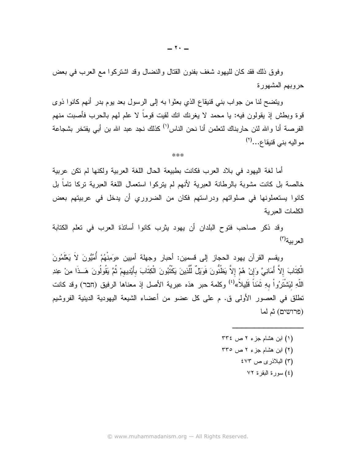وفوق ذلك فقد كان لليهود شغف بفنون القتال والنضال وقد اشتركوا مع العرب في بعض حروبهم المشهورة

ويتضح لنا من جواب بني قنيقاع الذي بعثوا به إلى الرسول بعد يوم بدر أنهم كانوا ذوى قوة وبطش إذ يقولون فيه: يا محمد لا يغرنك انك لقيت قوماً لا علم لهم بالحرب فأصبت منهم الفرصة أنا والله لئن حاربناك لنعلمن أنا نحن الناس<sup>(١)</sup> كذلك نجد عبد الله بن أبـي يفتخر بشجاعة مو اليه بني قنيقاع...(٢)

 $***$ 

أما لغة اليهود في بلاد العرب فكانت بطبيعة الحال اللغة العربية ولكنها لم نكن عربية خالصة بل كانت مشوبة بالرطانة العبرية لأنهم لم يتركوا استعمال اللغة العبرية تركا تاماً بل كانوا يستعملونها في صلواتهم ودراستهم فكان من الضروري أن يدخل في عربيتهم بعض الكلمات العبربة

وقد ذكر صاحب فتوح البلدان أن يهود بثرب كانوا أساتذة العرب في نعلم الكتابة العربية(٣)

ويقسم القرآن يهود الحجاز إلى قسمين: أحبار وجهلة أميين «وَمِنْهُمْ أُمِّيُّونَ لاَ يَعْلَمُونَ الْكِتَابَ إِلاَّ أَمَانِيَّ وَإِنْ هُمْ إِلاَّ يَظُنُونَ فَوَيْلٌ لِّلَّذِينَ يَكْتُبُونَ الْكِتَابَ بأَيْدِيهمْ ثُمَّ يَقُولُونَ هَــذَا مِنْ عِندِ اللَّهِ لَيَشْتَرُواْ بِهِ ثَمَناً قَلِيلاً»<sup>(٤)</sup> وكلمة حبر هذه عبرية الأصل إذ معناها الرفيق (חבר) وقد كانت تطلق في العصور الأولى ق. م على كل عضو من أعضاء الشيعة اليهودية الدينية الفروشيم (פרושים) ثم لما

> (۱) ابن هشام جزء ۲ ص ۳۳٤ (٢) ابن هشام جزء ٢ ص ٣٣٥ (۳) البلاذر ي ص ٤٧٣ (٤) سورة البقرة ٧٢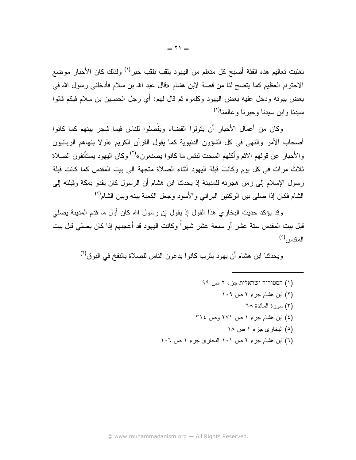تغلبت تعاليم هذه الفئة أصبح كل متعلم من اليهود يلقب بلقب حبر<sup>(י)</sup> ولذلك كان الأحبار موضع الاحترام العظيم كما يتضح لنا من قصة لابن هشام «قال عبد الله بن سلام فأدخلني رسول الله في بعض بيونه ودخل عليه بعض اليهود وكلموه ثم قال لمهم: أي رجل الحصين بن سلام فيكم قالوا سبدنا واین سبدنا و حبر نا و عالمنا<sup>(۲)</sup>

وكان من أعمال الأحبار أن يتولوا القضاء ويَفْصلوا للناس فيما شجر بينهم كما كانوا أصحاب الأمر والنهي في كل الشؤون الدنيوية كما يقول القرآن الكريم «لولا ينهاهم الربانيون والأحبار عن قولهم الاثم وأكلهم السحت لبئس ما كانوا بصنعون»<sup>(٢)</sup> وكان اليهود بستأنفون الصلاة ثلاث مرات في كل يوم وكانت قبلة اليهود أثناء الصلاة متجهة إلى بيت المقدس كما كانت قبلة ر سول الإسلام إلى ز من هجر ته للمدينة إذ يحدثنا ابن هشام أن الر سول كان يفدو بمكة وقبلته إلى الشام فكان إذا صلى بين الركنين البراني والأسود وجعل الكعبة بينه وبين الشام<sup>(٤)</sup>

وقد يؤكد حديث البخاري هذا القول إذ يقول إن رسول الله كان أول ما قدم المدينة يصلَّى قبل بيت المقدس سنة عشر ٍ أو سبعة عشر شهرٍ أو كانت اليهود قد أعجبهم إذا كان يصلى قبل بيت  $\binom{(\circ)}{\alpha}$ المقدس

ويحدثنا ابن هشام أن يهود بِثر ب كانو ا يدعو ن الناس للصلاة بالنفخ في البو ق<sup>(٦)</sup>

ו) הסטוריה ישׂראלית בנ 4 מ (٢) ابن هشام جزء ٢ ص ١٠٩ (٣) سورة المائدة ٦٨ (٤) ابن هشام جزء ١ ص ٢٧١ وص ٣١٤ (٥) البخاري جزء ١ ص ١٨ (٦) ابن هشام جزء ٢ ص ١٠١ البخاري جزء ١ ص ١٠٦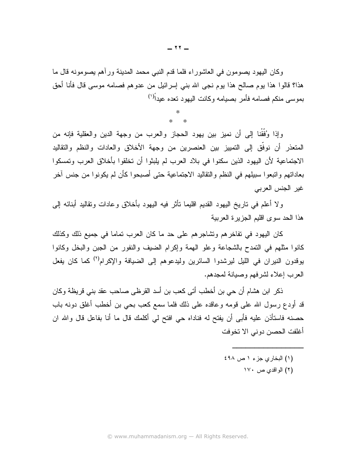وكان اليهود بصومون في العاشوراء فلما قدم النبي محمد المدينة ورأهم يصومونه قال ما هذا؟ قالوا هذا يوم صـالـح هذا يوم نـجي الله بنـي إسرائيل من عدوهم فصـامـه موسـي قال فأنا أحق بموسى منكم فصامه فأمر بصيامه وكانت اليهود تعده عيداً<sup>(١)</sup>

وإذا وُفَّقْنا إلى أن نميز بين يهود الحجاز والعرب من وجهة الدين والعقلية فإنه من المتعذر أن نوفَّق إلى التمييز بين العنصرين من وجهة الأخلاق والعادات والنظم والتقاليد الاجتماعية لأن اليهود الذين سكنوا في بلاد العرب لم يلبثوا أن تخلقوا بأخلاق العرب وتمسكوا بعاداتهم وانتبعوا سبيلهم في النظم والنقاليد الاجتماعية حتى أصبحوا كأن لم يكونوا من جنس آخر غير الجنس العربي

ولا أعلم في تاريخ اليهود القديم اقليما تأثر فيه اليهود بأخلاق وعادات وتقاليد أبنائه إلى هذا الحد سوى اقليم الجزيرة العربية

كان اليهود في تفاخرهم وتشاجرهم على حد ما كان العرب تماما في جميع ذلك وكذلك كانوا مثلهم في التمدح بالشجاعة وعلو الهمة وإكرام الضيف والنفور من الجبن والبخل وكانوا يوقدون النيران في الليل ليرشدوا السائرين وليدعوهم إلى الضيافة والإكرام<sup>(٢)</sup> كما كان يفعل العرب إعلاء لشرفهم وصبانة لمجدهم.

ذكر ابن هشام أن حي بن أخطب أتي كعب بن أسد القرظي صاحب عقد بني قريظة وكان قد أودع رسول الله على قومه وعاقده على ذلك فلما سمع كعب بحي بن أخطب أغلق دونه باب حصنه فاستأذن عليه فأبـي أن يفتح له فناداه حي افتح لـي أكلمك قال ما أنا بفاعل قال والله ان أغلفت الحصن دوني الا تخوفت

- (۱) البخاري جزء ۱ ص ٤٩٨
	- (٢) الواقدي ص ١٧٠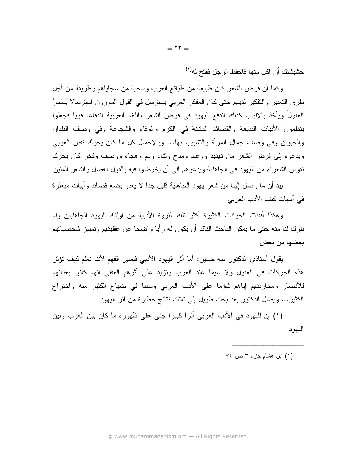$-117-$ 

حشيشتك أن آكل منها فاحفظ الرجل ففتح له<sup>(י)</sup>

وكما أن قرض الشعر كان طبيعة من طبائع العرب وسجية من سجاياهم وطريقة من أجل طرق التعبير والتفكير لديهم حتى كان المفكر العربي يسترسل في القول الموزون استرسالا يَسْحَرُ العقول ويأخذ بالألباب كذلك اندفع اليهود في قرض الشعر باللغة العربية اندفاعا قويا فجعلوا ينظمون الأبيات البديعة والقصائد المتينة في الكرم والوفاء والشجاعة وفي وصف البلدان والحيوان وفي وصف جمال المرأة والتثنبيب بها… وبالإجمال كل ما كان يحرك نفس العربي ويدعوه إلىي قرض الشعر من تهديد ووعيد ومدح وثناء وذم وهجاء ووصف وفخر كان يحرك نفوس الشعر اء من اليهود في الجاهلية ويدعو هم إلى أن يخوضو ا فيه بالقول الفصل والشعر المتين

بيد أن ما وصل إلينا من شعر يهود الجاهلية قليل جدا لا يعدو بضع قصائد وأبيات مبعثرة في أمهات كتب الأدب العربي

و هكذا أفقدتنا الحوادث الكثير ة أكثر تلك الثر و ة الأدبية من أولئك اليهو د الجاهليين ولم نترك لنا منه حتى ما يمكن الباحث الناقد أن يكون له رأيا واضحا عن عقليتهم وتمييز شخصياتهم بعضها من بعض

يقول أستاذي الدكتور طه حسين: أما أثر اليهود الأدبي فيسير الفهم لأننا نعلم كيف تؤثر هذه الحركات في العقول ولا سيما عند العرب ونزيد على أثرهم العقلي أنهم كانوا بعدائهم للأنصار ومحاربتهم إياهم شؤما على الأدب العربي وسببا في ضباع الكثير منه واختراع الكثير ... ويصل الدكتور بعد بحث طويل إلى ثلاث نتائج خطيرة من أثر اليهود

(١) إن لليهود في الأدب العربي أثرًا كبيرًا جني على ظهوره ما كان بين العرب وبين اليهود

(۱) ابن هشام جزء ۳ ص ۷٤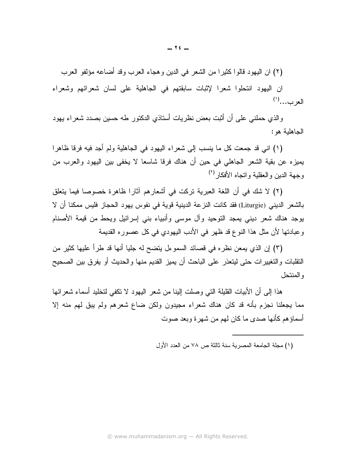(٢) ان اليهود قالوا كثيرا من الشعر في الدين وهجاء العرب وقد أضاعه مؤلفو العرب

ان اليهود انتحلوا شعرا لإثبات سابقتهم في الجاهلية على لسان شعرائهم وشعراء العرب....(١)

و الذي حملني على أن أثبت بعض نظر يات أستاذي الدكتور ً طه حسين بصدد شعر اء يهود الجاهلبة هو:

(١) اني قد جمعت كل ما ينسب إلى شعراء اليهود في الجاهلية ولم أجد فيه فرقا ظاهرا يميزه عن بقية الشعر الجاهلي في حين أن هناك فرقا شاسعا لا يخفى بين اليهود والعرب من وجهة الدين و العقلية و اتجاه الأفكار <sup>(٢)</sup>

(٢) لا شك في أن اللغة العبرية تركت في أشعار هم آثار ا ظاهر ة خصوصا فيما يتعلق بالشعر الديني (Liturgie) فقد كانت النزعة الدينية قوية في نفوس يهود الحجاز فليس ممكنا أن لا يوجد هناك شعر ديني يمجد التوحيد وأل موسى وأنبياء بنبي إسرائيل ويحط من قيمة الأصنام وعبادتها لأن مثل هذا النوع قد ظهر في الأدب اليهودي في كل عصوره القديمة

(٣) إن الذي يمعن نظره في قصائد السموءل يتضح له جليا أنها قد طرأ عليها كثير من النقلبات والنغييرات حتى ليتعذر على الباحث أن يميز القديم منها والحديث أو يفرق بين الصحيح و المنتحل

هذا إلى أن الأبيات القليلة التي وصلت إلينا من شعر اليهود لا تكفي لتخليد أسماء شعر ائها مما يجعلنا نجزم بأنه قد كان هناك شعراء مجيدون ولكن ضاع شعرهم ولم بيق لمهم منه إلا أسماؤهم كأنها صدى ما كان لهم من شهرة وبعد صوت

<sup>(</sup>١) مجلة الجامعة المصر بة سنة ثالثة ص ٧٨ من العدد الأول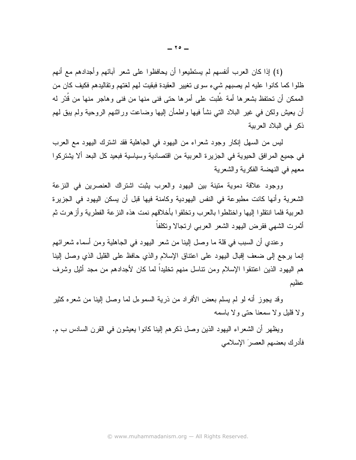(٤) إذا كان العرب أنفسهم لم يستطيعوا أن يحافظوا على شعر آبائهم وأجدادهم مع أنهم ظلوا كما كانوا عليه لم يصبهم شيء سوى نغيير العقيدة فبقيت لهم لغتهم وتقاليدهم فكيف كان من الممكن أن تحتفظ بشعرها أمة غُلبت على أمرها حتى فني منها من فني وهاجر منها من قُدّر له أن يعيش ولكن في غير البلاد التي نشأ فيها واطمأن إليها وضاعت وراثنهم الروحية ولم يبق لمهم ذكر في البلاد العربية

ليس من السهل إنكار وجود شعراء من اليهود في الجاهلية فقد اشترك اليهود مع العرب في جميع المرافق الحيوية في الجزيرة العربية من اقتصادية وسياسية فبعيد كل البعد ألا يشتركوا معهم في النهضة الفكرية والشعرية

ووجود علاقة دموية منينة بين اليهود والعرب يثبت اشتراك العنصرين في النزعة الشعرية وأنها كانت مطبوعة في النفس اليهودية وكامنة فيها قبل أن يسكن اليهود في الجزيرة العربية فلما انتقلوا اليها واختلطوا بالعرب وتخلقوا بأخلاقهم نمت هذه النزعة الفطرية وأزهرت ثم أثمرت الشهى فقرض البهود الشعر العربي ارتجالا وتكلفاً

و عندي أن السبب في قلة ما وصل البنا من شعر البهود في الجاهلية ومن أسماء شعر ائهم إنما برجع إلى ضعف إقبال اليهود على اعتناق الإسلام والذي حافظ على القليل الذي وصل إلينا هم اليهود الذين اعتنقوا الإسلام ومن نتاسل منهم تخليداً لما كان لأجدادهم من مجد أثيل وشرف عظيم

وقد يجوز أنه لو لم يسلم بعض الأفراد من ذرية السموءل لما وصل الِينا من شعره كثير ولا قليل ولا سمعنا حتبي ولا باسمه

ويظهر أن الشعر اء اليهود الذين وصل ذكر هم إلينا كانوا يعيشون في القرن السادس ب م. فأدرك بعضهم العصر الإسلامي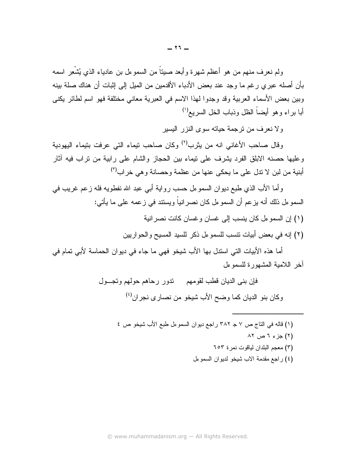ولم نعرف منهم من هو أعظم شهر ة وأبعد صيتاً من السموعل بن عادياء الذي يُشْعِر اسمه بأن أصله عبر ي رغم ما وجد عند بعض الأدباء الأقدمين من الميل إلى إثبات أن هناك صلة بينه وبين بعض الأسماء العربية وقد وجدوا لهذا الاسم في العبرية معاني مختلفة فهو اسم لطائر يكني أبا بر اء و هو أبضياً الظل و ذباب الخل السر بع<sup>(١)</sup>

و لا نعر ف من تر جمة حياته سوى النز ر النسير

وقال صاحب الأغاني انه من بِثر ب<sup>(٢)</sup> وكان صاحب نبماء التي عرفت بنبماء البهودية وعليها حصنه الابلق الفرد بشرف على نيماء بين الحجاز والشام على رابية من نراب فيه آثار أبنية من لبن لا تدل على ما يحكي عنها من عظمة وحصانة و هي خر اب<sup>(٣)</sup>

وأما الأب الذي طبع ديوان السموءل حسب رواية أبي عبد الله نفطويه فله زعم غريب في السموءل ذلك أنه يزعم أن السموءل كان نصر انياً ويستند في زعمه على ما يأتي:

- (١) إن السمو عل كان بنسب إلى غسان و غسان كانت نصر انبة
- (٢) إنه في بعض أبيات نتسب للسمو عل ذكر للسيد المسيح والحواريين

أما هذه الأبيات التي استدل بها الأب شيخو فهي ما جاء في ديوان الحماسة لأبي تمام في آخر اللامية المشهورة للسموعل

> فإن بني الديان قطب لقومهم متدور رحاهم حولهم وتجــول وكان بنو الديان كما وضح الأب شيخو من نصار ي نجر ان<sup>(٤)</sup>

(١) قاله في التاج ص ٧ جـ ٣٨٢ راجع ديوان السمو على طبع الأب شيخو ص ٤  $\lambda$ ۲ جزء ۲ ص (٣) معجم البلدان لياقوت نمرة ٦٥٣ (٤) راجع مقدمة الاب شيخو لديوان السموءل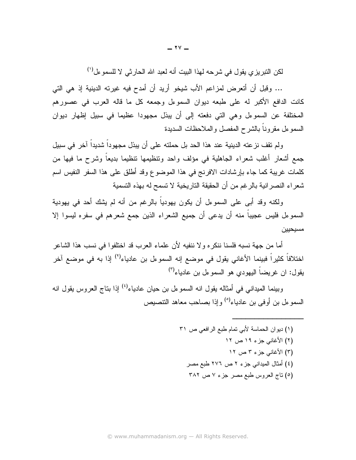لكن النبريز ي يقول في شرحه لهذا البيت أنه لعبد الله الحارثي لا للسمو عل<sup>(י)</sup>

... وقبل أن أتعرض لمزاعم الأب شيخو أريد أن أمدح فيه غيرته الدينية إذ هي التي كانت الدافع الأكبر له على طبعه ديوان السموءل وجمعه كل ما قاله العرب في عصورهم المختلفة عن السموءل وهي التي دفعته إلى أن يبذل مجهودا عظيما في سبيل إظهار ديوان السمو ءل مقر ونا بالشرح المفصل والملاحظات السديدة

ولم تقف نزعته الدينية عند هذا الحد بل حملته على أن يبذل مجهوداً شديداً آخر ً في سبيل جمع أشعار أغلب شعراء الجاهلية في مؤلف واحد ونتظيمها نتظيما بديعاً وشرح ما فيها من كلمات غريبة كما جاء بإرشادات الافرنج في هذا الموضوع وقد أطلق على هذا السفر النفيس اسم شعر اء النصر انية بالرغم من أن الحقيقة النار يخية لا نسمح له بهذه التسمية

ولكنه وقد أبي على السموءل أن يكون يهودياً بالرغم من أنه لم يشك أحد في يهودية السموءل فليس عجيباً منه أن يدعى أن جميع الشعراء الذين جمع شعرهم في سفره ليسوا إلا مسيحيين

أما من جهة نسبه فلسنا ننكره ولا ننفيه لأن علماء العرب قد اختلفوا في نسب هذا الشاعر اختلافاً كثيراً فبينما الأغاني يقول في موضع إنه السموءل بن عادياء<sup>(٢)</sup> إذا به في موضع آخر يقول: ان غريضاً اليهودي هو السموءل بن عادياء<sup>(٣)</sup>

وبينما الميداني في أمثاله يقول انه السمو عل بن حيان عادياء<sup>(٤)</sup> إذا بتاج العروس يقول انه السموءل بن أوفى بن عادياء<sup>(٥)</sup> وإذا بصاحب معاهد التتصيص

> (١) ديوان الحماسة لأبي تمام طبع الرافعي ص ٣١ (٢) الأغاني جزء ١٩ ص ١٢ (٣) الأغاني جزء ٣ ص ١٢ (٤) أمثال الميداني جزء ٢ ص ٢٧٦ طبع مصر (٥) ناج العروس طبع مصر جزء ٧ ص ٣٨٢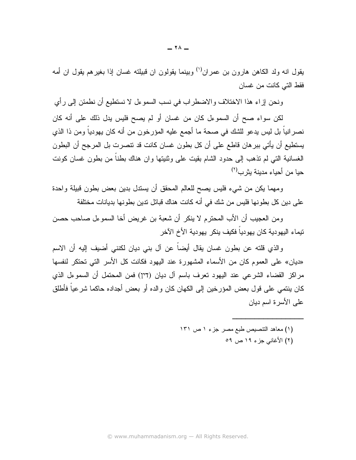يقول انه ولد الكاهن هارون بن عمران<sup>(۱)</sup> وبينما يقولون ان قبيلته غسان إذا بغيرهم يقول ان أمه فقط التي كانت من غسان

ونحن إزاء هذا الاختلاف والاضطراب في نسب السموءل لا نستطيع أن نطمئن إلى رأي

لكن سواء صبح أن السمو عل كان من غسان أو لم يصبح فليس بدل ذلك على أنه كان نصرانياً بل ليس يدعو للشك في صحة ما أجمع عليه المؤرخون من أنه كان يهودياً ومن ذا الذي يستطيع أن يأتي ببر هان قاطع على أن كل بطون غسان كانت قد نتصرت بل المرجح أن البطون الغسانية التبي لم نذهب إلى حدود الشام بقيت على وثنيتها وان هناك بطناً من بطون غسان كونت حيا من أحياء مدينة بثر ب<sup>(٢)</sup>

ومهما يكن من شيء فليس يصح للعالم المحقق أن يستدل بدين بعض بطون قبيلة واحدة على دين كل بطونها فليس من شك في أنه كانت هناك فبائل ندين بطونها بديانات مختلفة

ومن العجيب أن الأب المحترم لا ينكر أن شعبة بن غريض أخا السموعل صاحب حصن تيماء اليهودية كان يهودياً فكيف ينكر يهودية الأخ الآخر

والذي قلته عن بطون غسان يقال أيضاً عن أل بني ديان لكنني أضيف إليه أن الاسم «ديان» على العموم كان من الأسماء المشهورة عند اليهود فكانت كل الأسر التي تحتكر لنفسها مراكز القضاء الشرعي عند اليهود تعرف باسم آل ديان (7٦) فمن المحتمل أن السموعل الذي كان ينتمي على قول بعض المؤر خين إلى الكهان كان والده أو بعض أجداده حاكما شر عياً فأطلق على الأسرة اسم ديان

- (١) معاهد التنصيص طبع مصر جزء ١ ص ١٣١
	- (٢) الأغاني جزء ١٩ ص ٥٩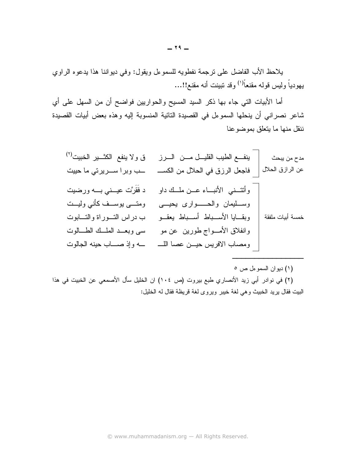يلاحظ الأب الفاضل على نرجمة نفطويه للسموءل ويقول: وفي ديواننا هذا يدعوه الراوي يهودياً وليس قوله مقنعاً<sup>(י)</sup> وقد ننبينت أنه مقنع!!...

أما الأبيات التي جاء بها ذكر السيد المسيح والحواريين فواضح أن من السهل على أي شاعر نصراني أن ينحلها السموءل في القصيدة التائية المنسوبة إليه وهذه بعض أبيات القصيدة ننقل منها ما يتعلق بموضو عنا

(١) ديوان السمو على ص ٥

(٢) في نوادر أبي زيد الأنصاري طبع بيروت (ص ١٠٤) ان الخليل سأل الأصمعي عن الخبيت في هذا البيت فقال بريد الخبيث وهي لغة خيبر ويروى لغة قريظة فقال له الخليل: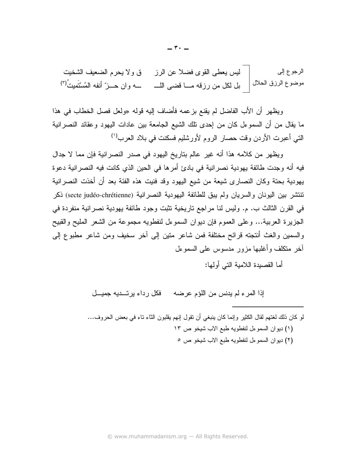ليس بعطي القوى فضلا عن الرز في ولا يحرم الضعيف الشخيت الرجوع إلى موضوع الرزق الحلال | بل لكل من رزقه مـــا قضـى اللــــــــــــه وان حـــز ّ أنفه المُستَميتُ<sup>(٣)</sup>

ويظهر أن الأب الفاضل لم يقنع بزعمه فأضاف إليه قوله «ولعل فصل الخطاب في هذا ما يقال من أن السموءل كان من إحدى نلك الشيع الجامعة بين عادات اليهود وعقائد النصرانية التي أعبرت الأردن وقت حصار الروم لأورشليم فسكنت في بلاد العرب<sup>(י)</sup>

ويظهر من كلامه هذا أنه غير عالم بتاريخ اليهود في صدر النصر انية فإن مما لا جدال فيه أنه وجدت طائفة يهودية نصرالنية في بادئ أمرها في الحين الذي كانت فيه النصرانية دعوة يهودية بحتة وكان النصاري شيعة من شيع اليهود وقد فنيت هذه الفئة بعد أن أخذت النصرانية نتنشر بين اليونان والسريان ولم يبق للطائفة اليهودية النصر انية (secte judéo-chrétienne) ذكر في القرن الثالث ب. م. وليس لنا مراجع ناريخية نثبت وجود طائفة يهودية نصرانية منفردة في الجزيرة العربية... وعلى العموم فإن ديوان السموءل لنفطويه مجموعة من الشعر المليح والقبيح والسمين والغث أنتجته قرائح مختلفة فمن شاعر متين إلى آخر سخيف ومن شاعر مطبوع إلى أخر منكلف وأغلبها مزور مدسوس على السموعل

أما القصيدة اللامية التي أولها:

إذا المرء لم يدنس من اللؤم عرضه فكل رداء يرتـديه جميـل

لو كان ذلك لغتهم لقال الكثير وإنما كان ينبغي أن نقول إنهم يقلبون الثاء ناء في بعض الحروف... (١) ديوان السموءل لنفطويه طبع الاب شيخو ص ١٣ (٢) ديوان السموعل لنفطويه طبع الاب شيخو ص ٥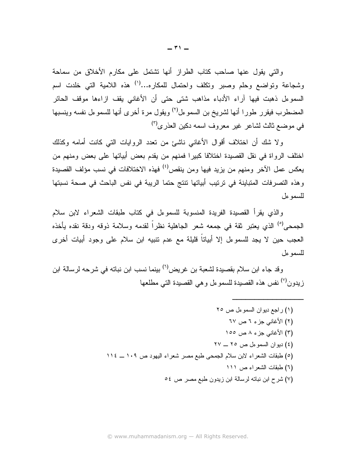والتي يقول عنها صاحب كتاب الطراز أنها نشتمل على مكارم الأخلاق من سماحة وشجاعة وتواضع وحلم وصبر وتكلف واحتمال للمكاره...<sup>(١)</sup> هذه اللامية التبي خلدت اسم السموعل ذهبت فيها آراء الأدباء مذاهب شتى حتى أن الأغاني يقف ازاءها موقف الحائر المضطرب فيقرر طورا أنها لشريخ بن السموءل<sup>(٢)</sup> ويقول مرة أخرى أنها للسموءل نفسه وينسبها في موضع ثالث لشاعر ِ غير معروف اسمه دكين العذر ي<sup>(٣)</sup>

ولا شك أن اختلاف أقوال الأغاني ناشئ من نعدد الروايات التي كانت أمامه وكذلك اختلف الرواة في نقل القصيدة اختلافا كبيرا فمنهم من يقدم بعض أبياتها على بعض ومنهم من يعكس عمل الآخر ومنهم من يزيد فيها ومن ينقص<sup>(٤)</sup> فهذه الاختلافات في نسب مؤلف القصيدة وهذه التصرفات المتباينة في ترتيب أبياتها تتتج حتما الريبة في نفس الباحث في صحة نسبتها للسمو عل

والذي يقرأ القصيدة الفريدة المنسوبة للسموءل في كتاب طبقات الشعراء لابن سلام الجمحي<sup>(٥)</sup> الذي يعتبر ثقة في جمعه شعر الجاهلية نظراً لقدمه وسلامة ذوقه ودقة نقده يأخذه العجب حين لا يجد للسموءل إلا أبياتا قليلة مع عدم نتبيه ابن سلام على وجود أبيات أخرى للسمو عل

وقد جاء ابن سلام بقصيدة لشعبة بن غريض<sup>(٦)</sup> بينما نسب ابن نباته في شرحه لرسالة ابن زيدون<sup>(٧)</sup> نفس هذه القصبدة للسموعل وهي القصبدة التي مطلعها

> (١) راجع ديوان السموءل ص ٢٥ (٢) الأغاني جزء ٦ ص ٦٧ (٣) الأغاني جزء ٨ ص ١٥٥ (٤) ديوان السموءل ص ٢٥ \_ ٢٧ (٥) طبقات الشعراء لابن سلام الجمحى طبع مصر شعراء اليهود ص ١٠٩ ــ ١١٤ (٦) طبقات الشعراء ص ١١١ (٧) شرح ابن نباته لرسالة ابن زيدون طبع مصر ص ٥٤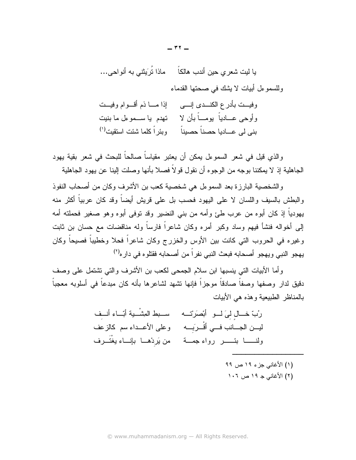# يا ليت شعري حين أندب هالكاً ماذا تُرَيِثني به أنواحي... وللسموءل أبيات لا يشك في صحتها القدماء وفيت بأدرع الكنــدى إنـــى لهذا مـــا ذم أقـــوام وفيــت وأوحى عـــادياً بومـــاً بأن لا تهدم يا ســـمو عل ما بنيت بني لي عـــاديا حصناً حصيناً وبئر أكلما شئت استقيت<sup>(١)</sup>

و الذي قبل في شعر السمو عل يمكن أن يعتبر مقياساً صـالحاً للبحث في شعر بقية يهو د الجاهلية إذ لا يمكننا بوجه من الوجوه أن نقول قولاً فصلاً بأنها وصلت البنا عن يهود الجاهلية

والشخصية البارزة بعد السموعل هي شخصية كعب بن الأشرف وكان من أصحاب النفوذ والبطش بالسبف واللسان لا على اليهود فحسب بل على قريش أيضاً وقد كان عربياً أكثر منه يهودياً إذ كان أبوه من عرب طئ وأمه من بني النضير وقد توفي أبوه وهو صغير فحملته أمه إلى أخواله فنشأ فيهم وساد وكبر أمره وكان شاعراً فارساً وله مناقضات مع حسان بن ثابت وغيره في الحروب التي كانت بين الأوس والخزرج وكان شاعراً فحلا وخطيباً فصيحاً وكان يهجو النبي ويهجو أصحابه فبعث النبي نفراً من أصحابه فقتلوه في دار ه<sup>(٢)</sup>

وأما الأبيات التي ينسبها ابن سلام الجمحي لكعب بن الأشرف والتي تشتمل على وصف دقيق لدار وصفها وصفاً صادقاً موجزاً فإنها نشهد لشاعرها بأنه كان مبدعاً في أسلوبه معجباً بالمناظر الطبيعية وهذه هي الأبيات

> رُبِّ خــال ليَ لــو أَبْصَرَتْــه مســبط المِشْــبة أبّــاء أنــف ليـــن الجــــانب فــــى أقْـــربَــــه وعلى الأعـــداء سم كالزعف ولنـــــــــا بئــــــــــر رواء جمــــة من يَردْهــــا بإنــــاء يغْتَـــرف

> > (١) الأغاني جزء ١٩ ص ٩٩ (٢) الأغاني جـ ١٩ ص ١٠٦.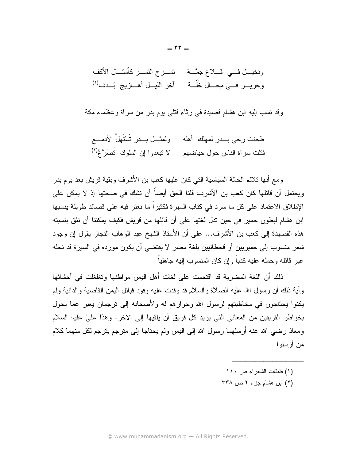ونخيـــل فــــى قــــلاع جَمَّـــة مـــــزج التمـــر كأمثـــال الأكف وحريــر فـــى مِحــال خَلّـــة م آخر الليــل أهـــازيج بُــدف<sup>(١)</sup>

وقد نسب إليه ابن هشام قصيدة في رثاء قتلي بوم بدر من سراة وعظماء مكة

طحنت رحى بـــدر لمهلك أهله ولمثـــل بـــدر تَسْتَهلَّ الأدمــــع قتلت سراة الناس حول حياضهم لا تبعدوا إن الملوك تَصَرَّغُ<sup>(٢)</sup>

ومع أنها تلائم الحالة السياسية التي كان عليها كعب بن الأشرف وبقية قريش بعد يوم بدر ويحتمل أن قائلها كان كعب بن الأشرف فلنا الحق أيضاً أن نشك في صحتها إذ لا يمكن على الإطلاق الاعتماد على كل ما سرد في كتاب السير ة فكثير اً ما نعثر فيه على قصائد طويلة بنسبها ابن هشام لبطون حمير في حين تدل لغتها على أن قائلها من قريش فكيف بمكننا أن نثق بنسبته هذه القصيدة إلى كعب بن الأشر ف... على أن الأستاذ الشيخ عبد الو هاب النجار يقول إن وجود شعر منسوب إلى حميريين أو قحطانيين بلغة مضر لا يقتضي أن يكون مورده في السيرة قد نحله غير فائله وحمله عليه كذباً وإن كان المنسوب البه جاهلياً

ذلك أن اللغة المضرية قد اقتحمت على لغات أهل اليمن مواطنها وتغلغلت في أحشائها و أية ذلك أن رسول الله عليه الصلاة والسلام قد وفدت عليه وفود قبائل اليمن القاصية والدانية ولم يكنوا بحتاجون في مخاطبتهم لرسول الله وحوارهم له ولأصحابه إلى نرجمان بعبر عما بجول بخواطر الفريقين من المعاني التي يريد كل فريق أن يلقيها إلى الآخر . وهذا عليّ عليه السلام ومعاذ رضبي الله عنه أرسلهما رسول الله إلى اليمن ولم يحتاجا إلى منزجم بنزجم لكل منهما كلام من أرسلوا

- (١) طبقات الشعراء ص ١١٠
- (٢) ابن هشام جزء ٢ ص ٣٣٨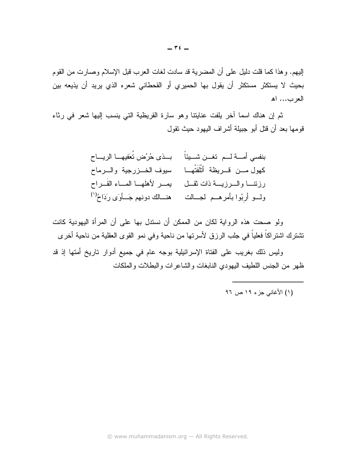إليهم. وهذا كما قلت دليل على أن المضرية قد سادت لغات العرب قبل الإسلام وصارت من القوم بحيث لا يستكثر مستكثر أن يقول بها الحميري أو القحطاني شعره الذي يريد أن يذيعه بين العرب... اه

ثم إن هناك اسما أخر يلفت عنايتنا وهو سارة القريظية التي ينسب إليها شعر في رثاء قو مها بعد أن قتل أبو جبيلة أشر اف اليهو د حيث تقول

| بنفسي أمسة لسم تغسن شسيئاً مسذى حُرُض تُعَفيها الريساح                           |                                |
|----------------------------------------------------------------------------------|--------------------------------|
| سيوف الخــزرجية والـــرماح                                                       | كهول مــن قــريظة أتْلَفَتْهـا |
| يمسر لأهلهسا المساء القَسراح                                                     | رزئنا والمرزيسة ذات ثقل        |
| ولسو أربُوا بأمرهــم لجــالت      هنـــالك دونهم جَــأوَى رَدَاحُ <sup>(١)</sup> |                                |

ولو صحت هذه الرواية لكان من الممكن أن نستدل بها على أن المرأة اليهودية كانت نتثنترك اشتراكاً فعلياً في جلب الرزق لأسرتها من ناحية وفي نمو القوى العقلية من ناحية أخرى

وليس ذلك بغريب على الفتاة الإسرائيلية بوجه عام في جميع أدوار تاريخ أمتها إذ قد ظهر من الجنس اللطيف اليهودي النابغات والشاعر ات والبطلات والملكات

(١) الأغاني جزء ١٩ ص ٩٦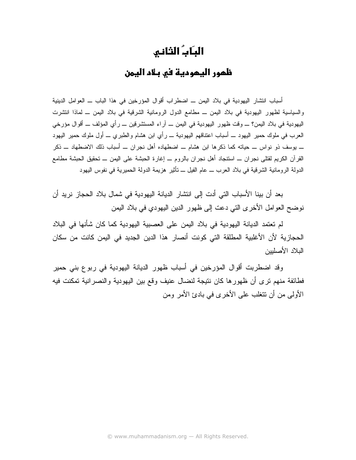# البَابُ الثاني

## ظمور اليمودية في بـلاد اليمن

أسباب انتشار اليهودية في بلاد اليمن ـــ اضطراب أقوال المؤرخين في هذا الباب ـــ العوامل الدينية والسياسية لظهور اليهودية في بلاد اليمن ــ مطامع الدول الرومانية الشرقية في بلاد اليمن ــ لماذا انتشرت اليهودية في بلاد اليمن؟ \_ وقت ظهور اليهودية في اليمن \_ آراء المستشرقين \_ رأي المؤلف \_ أقوال مؤرخي العرب في ملوك حمير اليهود ـــ أسباب اعتناقهم اليهودية ـــ رأى ابن هشام والطبرى ـــ أول ملوك حمير اليهود ــ يوسف ذو نواس ـــ حياته كما ذكر ها ابن هشام ـــ اضطهاده أهل نجر ان ـــ أسباب ذلك الاضطهاد ـــ ذكر القرآن الكريم لقتلي نجران ـــ استنجاد أهل نجران بالروم ـــ إغارة الحبشة على اليمن ـــ تحقيق الحبشة مطامع الدولة الرومانية الشرقية في بلاد العرب ـــ عام الفيل ـــ تأثير هزيمة الدولة الحميرية في نفوس اليهود

بعد أن بينا الأسباب التي أدت إلى انتشار الديانة اليهودية في شمال بلاد الحجاز نريد أن نوضح العوامل الأخرى التي دعت إلى ظهور الدين اليهودي في بلاد اليمن

لم تعتمد الديانة اليهودية في بلاد اليمن على العصبية اليهودية كما كان شأنها في البلاد الحجازية لأن الأغلبية المطلقة التي كونت أنصار هذا الدين الجديد في اليمن كانت من سكان البلاد الأصليين

وقد اضطربت أقوال المؤرخين في أسباب ظهور الديانة اليهودية في ربوع بني حمير فطائفة منهم نرى أن ظهورها كان نتيجة لنضال عنيف وقع بين اليهودية والنصرانية تمكنت فيه الأولى من أن نتغلب على الأخرى في بادئ الأمر ومن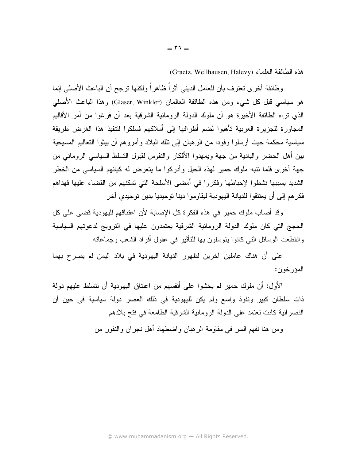(Graetz, Wellhausen, Halevy) هذه الطائفة العلماء

وطائفة أخرى نعترف بأن للعامل الديني أثراً ظاهراً ولكنها نرجح أن الباعث الأصلي إنما هو سياسي قبل كل شيء ومن هذه الطائفة العالمان (Glaser, Winkler) وهذا الباعث الأصلي الذي نزاه الطائفة الأخيرة هو أن ملوك الدولة الرومانية الشرقية بعد أن فرغوا من أمر الأقاليم المجاور ة للجزير ة العربية تأهبوا لضم أطرافها إلى أملاكهم فسلكوا لتتفيذ هذا الغرض طريقة سياسية محكمة حيث أرسلوا وفودا من الرهبان إلى نلك البلاد وأمروهم أن يبثوا النعاليم المسيحية بين أهل الحضر والبادية من جهة ويمهدوا الأفكار والنفوس لقبول التسلط السياسي الروماني من جهة أخرى فلما نتبه ملوك حمير لهذه الحيل وأدركوا ما يتعرض له كيانهم السياسي من الخطر الشديد بسببها نشطوا لإحباطها وفكروا في أمضبي الأسلحة التي تمكنهم من القضاء عليها فهداهم فكر هم إلى أن يعتنقو ا للديانة اليهو دية ليقاو مو ا دينا تو حيديا بدين تو حيدي آخر

وقد أصباب ملوك حمير في هذه الفكرة كل الإصبابة لأن اعتناقهم لليهودية قضبي على كل الحجج التي كان ملوك الدولة الرومانية الشرقية بعتمدون عليها في الترويج لدعوتهم السياسية وانقطعت الوسائل النبي كانوا بنوسلون بها للنأنير في عقول أفراد الشعب وجماعاته

على أن هناك عاملين آخرَين لظهور الديانة اليهودية في بلاد اليمن لم يصرح بهما المؤرخون:

الأول: أن ملوك حمير لم يخشوا على أنفسهم من اعتناق اليهودية أن نتسلط عليهم دولة ذات سلطان كبير ونفوذ واسع ولم يكن لليهودية في ذلك العصر دولة سياسية في حين أن النصر انية كانت تعتمد على الدولة الرومانية الشرقية الطامعة في فتح بلادهم

ومن هنا نفهم السر ً في مقاومة الرِّ هبان و اضطهاد أهل نجر ان و النفور ٍ من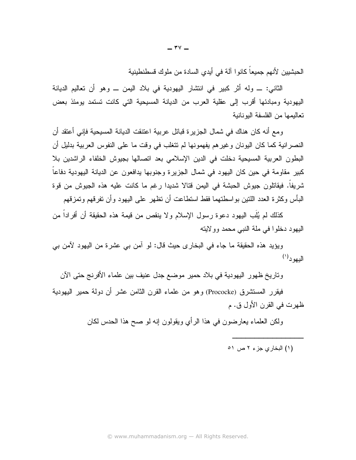الحبشيين لأنهم جميعاً كانوا آلة في أيدي السادة من ملوك قسطنطينية

الثاني: \_ وله أثر كبير في انتشار اليهودية في بلاد اليمن \_ وهو أن تعاليم الديانة اليهودية ومبادئها أقرب إلى عقلية العرب من الديانة المسيحية التي كانت تستمد يومئذ بعض تعاليمها من الفلسفة اليونانية

ومع أنه كان هناك في شمال الجزيرة قبائل عربية اعتنقت الديانة المسيحية فإني أعتقد أن النصر انية كما كان اليونان وغير هم يفهمونها لم تتغلب في وقت ما على النفوس العربية بدليل أن البطون العربية المسيحية دخلت في الدين الإسلامي بعد انصالها بجيوش الخلفاء الراشدين بلا كبير ٍ مقاومة في حين كان اليهود في شمال الجزير ة وجنوبها يدافعون عن الديانة اليهودية دفاعا شريفا. فيقاتلون جيوش الحبشة في اليمن قتالا شديدا رغم ما كانت عليه هذه الجيوش من قوة البأس وكثرة العدد اللتين بو اسطتهما فقط استطاعت أن نظهر على اليهود و أن نفر قهم وتمزقهم

كذلك لم يُلَب اليهود دعوة رسول الإسلام و لا ينقص من قيمة هذه الحقيقة أن أفر اداً من اليهود دخلوا في ملة النبي محمد وولايته

ويؤيد هذه الحقيقة ما جاء في البخاري حيث قال: لو آمن بي عشرة من اليهود لأمن بي اليهود(١)

وتاريخ ظهور اليهودية في بلاد حمير موضع جدل عنيف بين علماء الأفرنج حتى الآن

فيقرر المستشرق (Prococke) وهو من علماء القرن الثامن عشر أن دولة حمير اليهودية ظهرت في القرن الأول ق. م

ولكن العلماء يعارضون في هذا الرأي ويقولون إنه لو صح هذا الحدس لكان

(١) البخاري جزء ٢ ص ٥١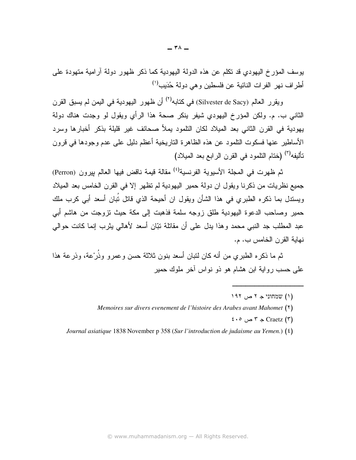يوسف المؤرخ اليهودي قد تكلَّم عن هذه الدولة اليهودية كما ذكر ظهور دولة ارامية متهودة على أطراف نهر الفرات النائية عن فلسطين و هي دولة حُدَيب<sup>(')</sup>

ويقرر العالم (Silvester de Sacy) في كتابه<sup>(٢)</sup> أن ظهور اليهودية في اليمن لم يسبق القرن الثاني ب. م. ولكن المؤرخ اليهودي شيفر ينكر صحة هذا الرأي ويقول لو وجدت هناك دولة يهودية في القرن الثاني بعد الميلاد لكان النلمود بملأ صحائف غير قليلة بذكر أخبارها وسرد الأساطير عنها فسكوت النلمود عن هذه الظاهرة الناريخية أعظم دليل على عدم وجودها في قرون تأليفه<sup>(٣)</sup> (خنام النلمود في القرن الرابع بعد الميلاد)

ثم ظهرت في المجلة الأسيوية الفرنسية<sup>(٤)</sup> مقالة قيمة ناقض فيها العالم بيرون (Perron) جميع نظريات من ذكرنا ويقول ان دولة حمير اليهودية لم نظهر إلا في القرن الخامس بعد الميلاد ويستدل بما ذكره الطبري في هذا الشأن ويقول ان أحيحة الذي قاتل نبان أسعد أبي كرب ملك حمير وصاحب الدعوة اليهودية طلق زوجه سلمة فذهبت إلى مكة حيث نزوجت من هاشم أبي عبد المطلب جد النبي محمد وهذا يدل على أن مقاتلة نبّان أسعد لأهالي يثرب إنما كانت حوالي نهاية القرن الخامس ب. م.

ثم ما ذكره الطبري من أنه كان لنبان أسعد بنون ثلاثة حسن وعمرو وذرْعة، وذرعة هذا علمی حسب روایة ابن هشام هو ذو نواس اخر ملوك حمیر

 $\overline{\phantom{a}}$   $\overline{\phantom{a}}$   $\overline{\phantom{a}}$   $\overline{\phantom{a}}$   $\overline{\phantom{a}}$   $\overline{\phantom{a}}$   $\overline{\phantom{a}}$   $\overline{\phantom{a}}$   $\overline{\phantom{a}}$   $\overline{\phantom{a}}$   $\overline{\phantom{a}}$   $\overline{\phantom{a}}$   $\overline{\phantom{a}}$   $\overline{\phantom{a}}$   $\overline{\phantom{a}}$   $\overline{\phantom{a}}$   $\overline{\phantom{a}}$   $\overline{\phantom{a}}$   $\overline{\$ 

 $( )$  שמחוני $\in$   $Y$   $\infty$  (  $( )$ )

*Memoires sur divers evenement de l'histoire des Arabes avant Mahomet* (\*)

 $\epsilon \cdot \circ \circ \circ \cdot \cdot \cdot$  Craetz (۳)

*Journal asiatique* 1838 November p 358 (*Sur l'introduction de judaisme au Yemen.*) ( $\mathfrak{t}$ )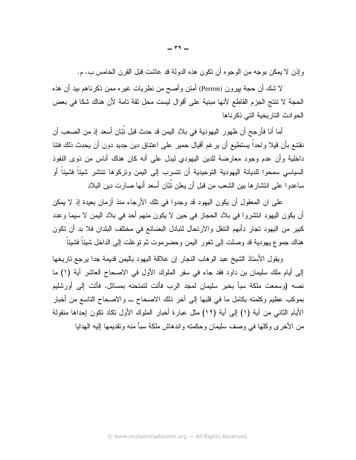و إذن لا يمكن بوجه من الوجوء أن نكون هذه الدولة قد عاشت قبل القرن الخامس ب. م.

لا شك أن حجة بيرون (Perron) أمتن وأصح من نظريات غيره ممن ذكرناهم بيد أن هذه الحجة لا نتنج الجزم القاطع لأنها مبنية على أقوال ليست محل ثقة تامة لأن هناك شكا في بعض الحوادث التاريخية التي ذكرناها

أما أنا فأرجح أن ظهور ِ اليهودية في بلاد اليمن قد حدث قبل تُبّان أسعد إذ من الصعب أن نقتتع بأن قيلا وإحداً يستطيع أن يرغم أقيال حمير ٍ على اعتناق دين جديد دون أن يحدث ذلك فتنا داخلية وأن عدم وجود معارضة للدين اليهودي ليدل على أنه كان هناك أناس من ذوى النفوذ السياسي سمحو ا للديانة اليهودية التوحيدية أن تتسرب إلى اليمن وتركوها تتتشر شيئاً فشيئاً أو ساعدوا على انتشارها بين الشعب من قبل أن يعلن نُبّان أسعد أنها صارت دين البلاد

على ان المعقول أن يكون اليهود قد وجدوا في نلك الأرجاء منذ أزمان بعيدة إذ لا يمكن أن يكون اليهود انتشروا في بلاد الحجاز في حين لا يكون منهم أحد في بلاد اليمن لا سيما وعدد كبير من اليهود تجار دأبهم النتقل والارتحال لتبادل البضائع في مختلف البلدان فلا بد أن تكون هناك جموع بهودية قد وصلت إلى ثغور اليمن وحضرموت ثم توغلت إلى الداخل شيئاً فشيئاً

ويقول الأستاذ الشيخ عبد الوهاب النجار إن علاقة اليهود باليمن قديمة جدا يرجع تاريخها إلى أيام ملك سليمان بن داود فقد جاء في سفر الملوك الأول في الاصحاح العاشر آية (١) ما نصه (وسمعت ملكة سبأ بخبر سليمان لمجد الرب فأتت لتمتحنه بمسائل. فأتت إلى أورشليم بموكب عظيم وكلمته بكامل ما في قلبها إلى أخر ذلك الاصحاح \_ والاصحاح التاسع من أخبار الأيام الثاني من آية (١) إلى آية (١٢) مثل عبارة أخبار الملوك الأول نكاد نكون إحداها منقولة من الأخرى وكلها في وصف سليمان وحكمته واندهاش ملكة سبأ منه وتقديمها إليه الهدايا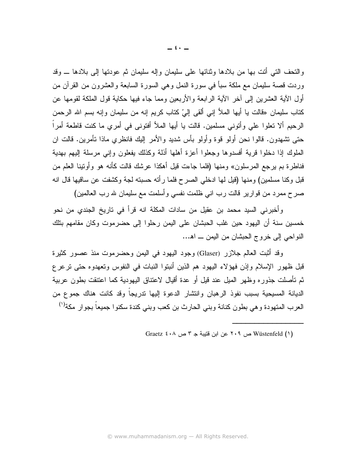والنَّحف الَّتي أنت بها من بلادها وثَّنائها على سليمان وإله سليمان ثم عودتها إلى بلادها ـــ وقد وردت قصة سليمان مع ملكة سبأ في سورة النمل وهي السورة السابعة والعشرون من القرآن من أول الآية العشرين إلى آخر الآية الرابعة والأربعين ومما جاء فيها حكاية قول الملكة لقومها عن كتاب سليمان «فالت يا أيها الملأ إني ألقى إليّ كتاب كريم إنه من سليمان وإنه بسم الله الرحمن الرحيم ألا تعلوا على وأتوني مسلمين. قالت يا أيها الملأ أفتوني في أمرٍ ما كنت قاطعة أمراً حتى نشهدون. قالوا نحن أولو قوة وأولو بأس شديد والأمر إليك فانظرى ماذا نأمرين. قالت ان الملوك إذا دخلوا قرية أفسدوها وجعلوا أعزة أهلها أذلة وكذلك يفعلون وإنبى مرسلة إليهم بهدية فناطرة بم برجع المرسلون» ومنها (فلما جاءت قيل أهكذا عرشك قالت كأنه هو وأوننينا العلم من قبل وكنا مسلمين) ومنها (قيل لها ادخلي الصرح فلما رأته حسبته لجة وكشفت عن ساقيها قال انه صرح ممرد من قوارير قالت رب انبي ظلمت نفسي وأسلمت مع سليمان لله رب العالمين)

وأخبرني السيد محمد بن عقيل من سادات المكلة انه قرأ في تاريخ الجندي من نحو خمسين سنة أن اليهود حين غلب الحبشان على اليمن رحلوا إلى حضرموت وكان مقامهم بتلك النو احي إلى خروج الحبشان من اليمن ــ اه...

وقد أثبت العالم جلازر (Glaser) وجود اليهود في اليمن وحضرموت منذ عصور كثيرة قبل ظهور الإسلام وإذن فهؤلاء اليهود هم الذين أنبتوا النبات في النفوس وتعهدوه حتى ترعرع ثم نأصلت جذوره وظهر الميل عند قيل أو عدة أقيال لاعتناق اليهودية كما اعتنقت بطون عربية الديانة المسيحية بسبب نفوذ الرهبان وانتشار الدعوة إليها ندريجاً وقد كانت هناك جموع من العر ب المتهو دة و هي بطون كنانة وبني الحار ث بن كعب وبني كندة سكنو ا جميعاً بجو ار مكة<sup>(י)</sup>

Graetz ٤٠٨ ص ٢٠٩ عن ابن قتبية جـ ٣ ص ٤٠٨ Graetz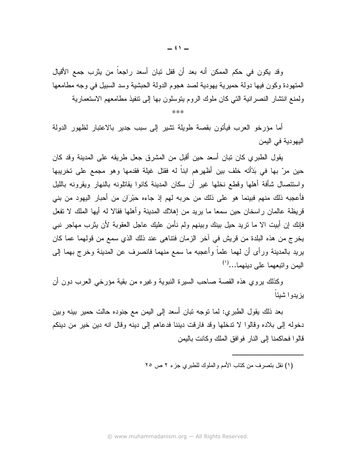وقد يكون في حكم الممكن أنه بعد أن قفل تبان أسعد راجعاً من يثرب جمع الأقيال المتهودة وكون فيها دولة حميرية يهودية لصد هجوم الدولة الحبشية وسد السبيل في وجه مطامعها ولمنع انتشار النصر انية التي كان ملوك الروم بنوسلون بها إلى نتفيذ مطامعهم الاستعمارية  $***$ 

أما مؤرخو العرب فيأتون بقصة طويلة نشير إلى سبب جدير بالاعتبار لظهور الدولة اليهودية في اليمن

يقول الطبر ي كان نبان أسعد حين أقبل من المشرق جعل طريقه على المدينة وقد كان حين مرّ بها في بَدْأته خلف بين أظهرهم ابناً له فقتل غيلة فقدمها وهو مجمع على تخريبها واستئصال شأفة أهلها وقطع نخلها غير أن سكان المدينة كانوا يقاتلونه بالنهار ويقرونه بالليل فأعجبه ذلك منهم فبينما هو على ذلك من حربه لهم إذ جاءه حبْرَانٍ من أحبار اليهود من بني قريظة عالمان ر اسخان حين سمعا ما بريد من إهلاك المدينة و أهلها فقالا له أيها الملك لا تفعل فإنك إن أبيت الا ما نريد حيل بينك وبينهم ولم نأمن عليك عاجل العقوبة لأن يثرب مهاجر نبي يخرج من هذه البلدة من قريش في آخر الزمان فتناهي عند ذلك الذي سمع من قولهما عما كان يريد بالمدينة ورأى أن لمهما علماً وأعجبه ما سمع منهما فانصرف عن المدينة وخرج بهما إلىي اليمن وانتبعهما على دينهما...<sup>(י)</sup>

وكذلك يروى هذه القصة صاحب السيرة النبوية وغيره من بقية مؤرخي العرب دون أن يز يدو ا شبئاً

بعد ذلك يقول الطبري: لما نوجه نبان أسعد إلى اليمن مع جنوده حالت حمير بينه وبين دخوله إلى بلاده وقالوا لا ندخلها وقد فارقت ديننا فدعاهم إلى دينه وقال انه دين خير من دينكم قالو ا فحاكمنا إلى النار ٍ فو افق الملك و كانت بالبمن

(١) نقل بتصرف من كتاب الأمم والملوك للطبري جزء ٢ ص ٢٥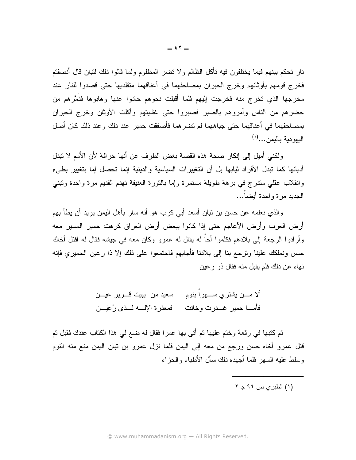نار تحكم بينهم فيما يختلفون فيه تأكل الظالم ولا تضر المظلوم ولما قالوا ذلك لتبان قال أنصفتم فخرج قومهم بأوثانهم وخرج الحبران بمصاحفهما في أعناقهما متقلديها حتى قصدوا للنار عند مخرجها الذي تخرج منه فخرجت إليهم فلما أقبلت نحوهم حادوا عنها وهابوها فذَمَّرَهم من حضرهم من الناس وأمروهم بالصبر فصبروا حتى غشيتهم وأكلت الأوثان وخرج الحبران بمصاحفهما في أعناقهما حتى جباههما لم تضر هما فأصفقت حمير عند ذلك وعند ذلك كان أصل البيهو دبة باليمن...(')

ولكني أميل إلى إنكار صحة هذه القصة بغض الطرف عن أنها خرافة لأن الأمم لا تبدل أديانها كما ننبدل الأفراد ثيابها بل أن التغييرات السياسية والدينية إنما تحصل إما بتغيير بطيء وانقلاب عقلي مندرج في برهة طويلة مستمرة وإما بالثورة العنيفة تهدم القديم مرة واحدة وننبنى الجديد مر ة و احدة أبضاً…

والذي نعلمه عن حسن بن نبان أسعد أبي كرب هو أنه سار بأهل اليمن بريد أن يطأ بهم أرض العرب وأرض الأعاجم حتى إذا كانوا ببعض أرض العراق كرهت حمير المسير معه وأرادوا الرجعة إلى بلادهم فكلموا أخاً له يقال له عمرو وكان معه في جيشه فقال له اقتل أخاك حسن ونملكك علينا ونرجع بنا إلىى بلادنا فأجابهم فاجتمعوا على ذلك إلا ذا رعين الحميري فإنه نهاه عن ذلك فلم يقبل منه فقال ذو رعين

> ألا مـــن يشتري ســــهر ا بنوم م سعيد من بيبت قـــرير عيـــن فأمسا حمير غسدرت وخانت متفعذرة الإلسه لسذى رُعَيسن

ثم كتبها في رقعة وختم عليها ثم أتى بها عمرا فقال له ضع لي هذا الكتاب عندك فقبل ثم قتل عمرو أخاه حسن ورجع من معه إلى اليمن فلما نزل عمرو بن نبان اليمن منع منه النوم وسلط علبه السهر فلما أجهده ذلك سأل الأطباء والحزاء

(۱) الطبري ص ۹۶ جـ ۲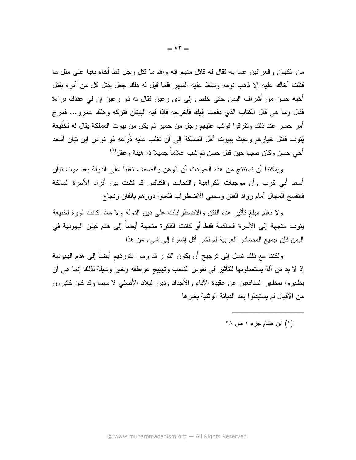من الكهان والعرافين عما به فقال له قائل منهم إنه والله ما قُتل رجل قط أخاه بغيا على مثل ما قتلت أخاك عليه إلا ذهب نومه وسلط عليه السهر فلما قيل له ذلك جعل يقتل كل من أمره بقتل أخيه حسن من أشراف اليمن حتى خلص إلى ذي رعين فقال له ذو رعين إن لي عندك براءة فقال وما هي قال الكتاب الذي دفعت إليك فأخرجه فإذا فيه البيتان فتركه وهلك عمرو… فمرج أمر حمير عند ذلك وتفرقوا فوثب عليهم رجل من حمير لم يكن من بيوت المملكة يقال له لُخْنيعة يَنوف فقتل خيارهم وعبث ببيوت أهل المملكة إلى أن تغلب عليه ذُرْعه ذو نواس ابن نبان أسعد أخي حسن وكان صببيا حين قتل حسن ثم شب غلاماً جميلا ذا هيئة وعقل'')

ويمكننا أن نستتتج من هذه الحوادث أن الوهن والضعف تغلبا على الدولة بعد موت تبان أسعد أبي كرب وأن موجبات الكراهية والتحاسد والتنافس قد فشت بين أفراد الأسرة المالكة فانفسح المجال أمام رواد الفتن ومحبى الاضطراب فلعبوا دورهم باتقان ونجاح

ولا نعلم مبلغ نأنثير هذه الفتن والاضطرابات على دين الدولة ولا ماذا كانت ثورة لخنيعة ينوف متجهة إلى الأسرة الحاكمة فقط أو كانت الفكرة متجهة أيضاً إلى هدم كيان اليهودية في اليمن فإن جميع المصـادر الـعربية لم نشر أقل إشارة إلـى شـيء من هذا

ولكننا مع ذلك نميل إلى ترجيح أن يكون الثوار قد ر موا بثور تهم أيضاً إلى هدم اليهودية إذ لا بد من آلة يستعملونها للتأثير في نفوس الشعب وتهييج عواطفه وخير وسيلة لذلك إنما هي أن بظهروا بمظهر المدافعين عن عقيدة الأباء والأجداد ودين البلاد الأصلبي لا سيما وقد كان كثيرون من الأقبال لم بستبدلو ا بعد الدبانة الوثنية بغير ها

(١) ابن هشام جزء ١ ص ٢٨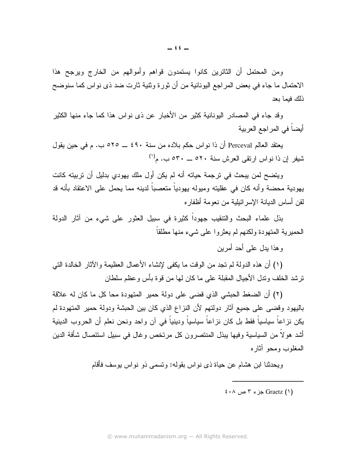ومن المحتمل أن الثائرين كانوا يستمدون قواهم وأموالهم من الخارج ويرجح هذا الاحتمال ما جاء في بعض المراجع اليونانية من أن ثورة وثنية ثارت ضد ذي نواس كما سنوضح ذلك فبما بعد

وقد جاء في المصادر اليونانية كثير من الأخبار عن ذي نواس هذا كما جاء منها الكثير أيضاً في المر اجع العربية

يعتقد العالم Perceval أن ذا نواس حكم بلاده من سنة ٤٩٠ \_ ٢٥٥ ب. م في حين يقول شيفر إن ذا نواس ارتقى العرش سنة ٥٢٠ \_ ٥٣٠ ب. م<sup>(١)</sup>

ويتضح لمن يبحث في ترجمة حياته أنه لم يكن أول ملك يهودي بدليل أن تربيته كانت يهودية محضة وأنه كان في عقليته وميوله يهودياً متعصباً لدينه مما يحمل على الاعتقاد بأنه قد لقن أساس الديانة الإسر ائيلية من نعومة أظفار ه

بذل علماء البحث والتنقيب جهوداً كثيرة في سبيل العثور على شيء من آثار الدولة الحميرية المتهودة ولكنهم لم يعثروا على شيء منها مطلقاً

و هذا بدل علم أحد أمر بن

(١) أن هذه الدولة لم تجد من الوقت ما يكفي لإنشاء الأعمال العظيمة والآثار الخالدة التي نرشد الخلف وندل الأجيال المقبلة على ما كان لها من قوة بأس وعظم سلطان

(٢) أن الضغط الحبشي الذي قضبي على دولة حمير المتهودة محا كل ما كان له علاقة باليهود وقضي على جميع أثار دولتهم لأن النزاع الذي كان بين الحبشة ودولة حمير المتهودة لم يكن نزاعاً سياسياً فقط بل كان نزاعاً سياسياً ودينياً في آن واحد ونحن نعلم أن الحروب الدينية أشد هولاً من السياسية وفيها ببذل المنتصرون كل مرتخص وغال في سبيل استئصال شأفة الدين المغلوب ومحو أثاره

ويحدثنا ابن هشام عن حياة ذي نو اس بقوله: وتسمى ذو نو اس يوسف فأقام

<sup>{</sup>۱} Graetz جزء ۳ ص ٤٠٨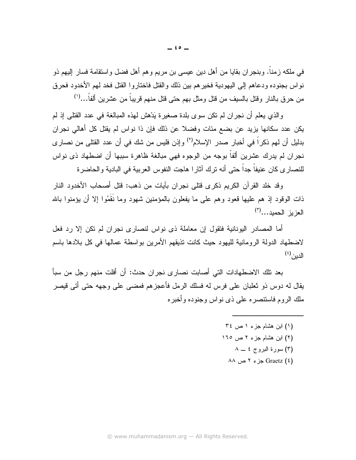في ملكه زمناً. وبنجر إن بقايا من أهل دين عيسى بن مريع و هم أهل فضل و استقامة فسار ٍ البيهم ذو نو اس بجنو ده و دعاهم إلى اليهو دية فخير هم بين ذلك و القتل فاختار و ا القتل فخد لهم الأخدو د فحر ق من حرق بالنار وقتل بالسيف من قتل ومثل بهم حتى قتل منهم قريباً من عشرين ألفاً….<sup>(י)</sup>

والذي يعلم أن نجران لم نكن سوى بلدة صغيرة يَدْهش لمهذه المبالغة في عدد القتلى إذ لم يكن عدد سكانها يزيد عن بضع مئات وفضلا عن ذلك فإن ذا نواس لم يقتل كل أهالي نجران بدليل أن لهم ذكراً في أخبار صدر الإسلام<sup>(٢)</sup> وإذن فليس من شك في أن عدد القتلي من نصار ي نجران لم يدرك عشرين ألفاً بوجه من الوجوه فهي مبالغة ظاهرة سببها أن اضطهاد ذي نواس للنصار ي كان عنيفاً جداً حتى أنه ترك آثار ا هاجت النفوس العربية في البادية و الحاضر ة

وقد خلد القرآن الكريم ذكر ي قتلي نجران بآيات من ذهب: قتل أصحاب الأخدود النار ذات الوقود إذ هم عليها قعود وهم على ما يفعلون بالمؤمنين شهود وما نَقَمُوا إلا أن يؤمنوا بالله  $\left(\begin{matrix}r\end{matrix}\right)$ العزبز الحميد

أما المصادر اليونانية فتقول إن معاملة ذي نواس لنصارى نجران لم نكن إلا رد فعل لاضطهاد الدولة الر ومانية لليهود حيث كانت تذيقهم الأمرين بواسطة عمالها في كل بلادها باسم  $\mathfrak{l}'$ الددن (\*)

بعد نلك الاضطهادات التي أصابت نصار ي نجر ان حدث: أن أفلت منهم رجل من سبأ يقال له دوس ذو ثعلبان على فرس له فسلك الرمل فأعجزهم فمضبي على وجهه حتى أتى قيصر ملك الروم فاستنصره على ذي نو اس وجنوده و أخبر ه

- (۱) ابن هشام جزء ۱ ص ۳٤
- (٢) ابن هشام جزء ٢ ص ١٦٥
	- (٣) سورة البروج ٤ \_ ٨
	- $\land \land \sim$  جزء ۲ ص $\land \land \sim$  Graetz (٤)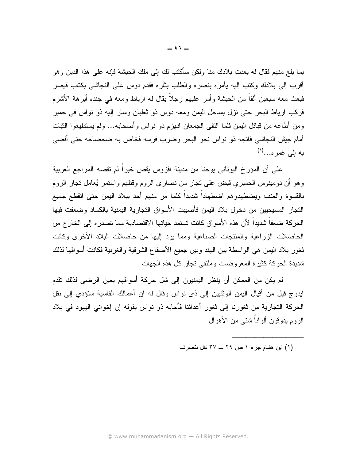بما بلغ منهم فقال له بعدت بلادك منا ولكن سأكتب لك إلى ملك الحبشة فإنه على هذا الدين و هو أقرب إلى بلادك وكتب إليه يأمره بنصره والطلب بثأره فقدم دوس على النجاشي بكتاب قيصر فبعث معه سبعين ألفاً من الحبشة وأمر ٍ عليهم رجلاً بقال له ارياط ومعه في جنده أبر هة الأشرح فركب ارياط البحر حتى نزل بساحل اليمن ومعه دوس ذو ثعلبان وسار إليه ذو نواس في حمير ومن أطاعه من قبائل اليمن فلما النقى الجمعان انهزم ذو نواس وأصحابه... ولم يستطيعوا الثبات أمام جيش النجاشي فاتجه ذو نواس نحو البحر وضرب فرسه فخاض به ضحضاحه حتى أفضي  $(')$ به الے غمر ه

على أن المؤرخ اليوناني يوحنا من مدينة افزوس يقص خبراً لم تقصه المراجع العربية و هو أن دو مينو س الحمير ي قبض على تجار من نصبار ي الرو م و قتلهم و استمر يُعامل تجار الرو م بالقسوة والعنف ويضطهدوهم اضطهاداً شديداً كلما مر منهم أحد ببلاد اليمن حتى انقطع جميع النجار المسيحيين من دخول بلاد اليمن فأصببت الأسواق النجارية اليمنية بالكساد وضعفت فيها الحركة ضعفاً شديداً لأن هذه الأسواق كانت تستمد حياتها الاقتصادية مما تصدر ه إلى الخارج من الحاصلات الزراعية والمنتجات الصناعية ومما برد إليها من حاصلات البلاد الأخرى وكانت ثغور بلاد اليمن هي الواسطة بين الهند وبين جميع الأصقاع الشرقية والغربية فكانت أسواقها لذلك شديدة الحركة كثيرة المعروضات وملتقى تجار كل هذه الجهات

لم يكن من الممكن أن ينظر اليمنيون إلى شل حركة أسواقهم بعين الرضي لذلك تقدم ايدوج قيل من أقيال اليمن الوثنيين إلى ذي نواس وقال له ان أعمالك القاسية ستؤدي إلى نقل الحر كة التجار ية من ثغور نا إلى ثغور ۖ أعدائنا فأجابه ذو ۖ نواس بقوله إن إخواني اليهود في بلاد الروم بذوقون ألواناً شتبي من الأهوال

(۱) ابن هشام جزء ۱ ص ۲۹ ــ ۳۷ نقل بتصرف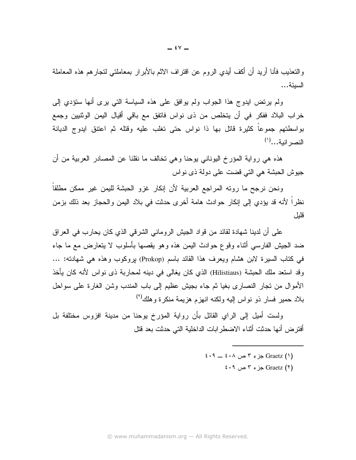والنعذيب فأنا أريد أن أكف أيدي الروم عن اقتراف الاثم بالأبرار بمعاملتي لتجارهم هذه المعاملة السبئة...

ولم يرتض ايدوج هذا الجواب ولم يوافق على هذه السياسة التي يرى أنها ستؤدى إلى خراب البلاد ففكر في أن يتخلص من ذي نواس فاتفق مع باقي أقيال اليمن الوثنيين وجمع بواسطتهم جموعاً كثيرة قاتل بها ذا نواس حتى تغلب عليه وقتله ثم اعتتق ايدوج الديانة  $^{(1)}$ النصد انبة

هذه هي رواية المؤرخ اليوناني يوحنا وهي تخالف ما نقلنا عن المصادر العربية من أن جيوش الحبشة هي التي قضت على دولة ذي نواس

ونحن نرجح ما روته المراجع العربية لأن إنكار غزو الحبشة لليمن غير ممكن مطلقاً نظراً لأنه قد يؤدي إلى إنكار حوادث هامة أخرى حدثت في بلاد اليمن والحجاز بعد ذلك بزمن قليل

على أن لدينا شهادة لقائد من قواد الجيش الروماني الشرقي الذي كان يحارب في العراق ضد الجيش الفارسي أثناء وقوع حوادث اليمن هذه وهو يقصها بأسلوب لا يتعارض مع ما جاء في كتاب السيرة لابن هشام ويعرف هذا القائد باسم (Prokop) بروكوب وهذه هي شهادته: ... وقد استعد ملك الحبشة (Hilistiaus) الذي كان يغالبي في دينه لمحاربة ذي نواس لأنه كان يأخذ الأموال من نجار النصارى بغيا ثم جاء بجيش عظيم إلى باب المندب وشن الغارة على سواحل بلاد حمير فسار ذو نواس اليه ولكنه انهزم هزيمة منكرة وهلك<sup>(٢)</sup>

ولست أميل إلى الراي القائل بأن رواية المؤرخ يوحنا من مدينة افزوس مختلفة بل أفترض أنها حدثت أثناء الاضطرابات الداخلية التي حدثت بعد قتل

- $\mathfrak{c} \cdot \mathfrak{q} = \mathfrak{c} \cdot \mathfrak{d}$  جزء ۳ ص ٤٠٨ ــ ٤٠٩
	- $\epsilon \cdot \mathcal{A}$  جزء ۳ ص ۶۰۹  $\epsilon$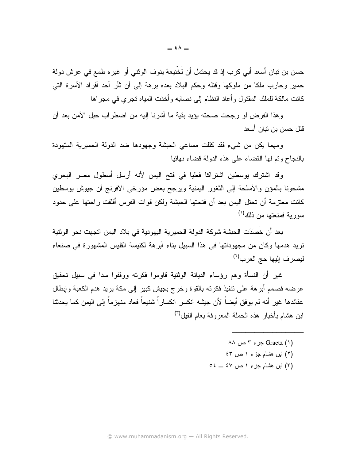حسن بن نبان أسعد أبي كرب إذ قد يحتمل أن لَخْنيعة ينوف الوثني أو غيره طمع في عرش دولة حمير وحارب ملكا من ملوكها وقتله وحكم البلاد بعده برهة إلى أن ثأر أحد أفراد الأسرة التي كانت مالكة للملك المقتول وأعاد النظام إلى نصابه وأخذت المياه تجري في مجراها

وهذا الفرض لو رجحت صحته يؤيد بقية ما أشرنا إليه من اضطراب حبل الأمن بعد أن قتل حسن بن نيان أسعد

ومهما يكن من شيء فقد كللت مساعى الحبشة وجهودها ضد الدولة الحميرية المتهودة بالنجاح وتم لمها القضاء على هذه الدولة قضاء نهائيا

وقد اشترك بوسطين اشتراكا فعليا في فتح اليمن لأنه أرسل أسطول مصر البحرى مشحونا بالمؤن والأسلحة إلىي الثغور اليمنية ويرجح بعض مؤرخي الافرنج أن جيوش بوسطين كانت معتزمة أن تحتل اليمن بعد أن فتحتها الحبشة ولكن قوات الفرس أقلقت راحتها على حدود سور بهٔ فمنعتها من ذلك<sup>(۱)</sup>

بعد أن خَصَدَت الحبشة شوكة الدولة الحميرية اليهودية في بلاد اليمن اتجهت نحو الوثنية تريد هدمها وكان من مجهوداتها في هذا السبيل بناء أبرهة لكنيسة القليس المشهورة في صنعاء ليصرف إليها حج العرب<sup>(٢)</sup>

غير أن النسأة وهم رؤساء الديانة الوثنية قاوموا فكرته ووقفوا سدا في سبيل تحقيق غرضه فصمم أبرهة على نتفيذ فكرته بالقوة وخرج بجيش كبير إلىي مكة يريد هدم الكعبة وإبطال عقائدها غير أنه لم يوفق أيضاً لأن جيشه انكسر انكساراً شنيعاً فعاد منهزماً إلى اليمن كما يحدثنا ابن هشام بأخبار هذه الحملة المعر وفة بعام الفيل<sup>(٢)</sup>

- 
- (٢) ابن هشام جزء ١ ص ٤٣
- $05 = 50$  ابن هشام جزء ١ ص ٤٧ ــ ٥٤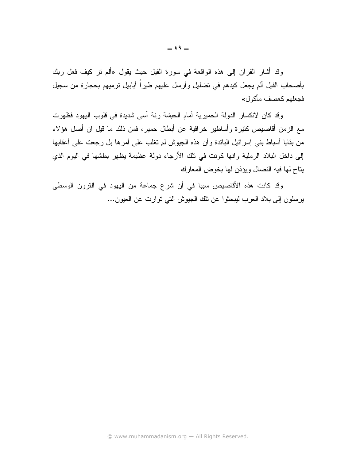وقد أشار القرآن إلى هذه الواقعة في سورة الفيل حيث يقول «ألم نر كيف فعل ربك بأصحاب الفيل ألم يجعل كيدهم في نضليل وأرسل عليهم طيراً أبابيل نرميهم بحجارة من سجيل فجعلهم كعصف مأكول»

وقد كان لانكسار الدولة الحميرية أمام الحبشة رنة أسى شديدة في قلوب اليهود فظهرت مع الزمن أقاصيص كثير ة وأساطير خر افية عن أبطال حمير ، فمن ذلك ما قيل ان أصل هؤلاء من بقايا أسباط بنبي إسرائيل البائدة وأن هذه الجيوش لم تغلب علمي أمرها بل رجعت علمي أعقابها إلى داخل البلاد الرملية وانها كونت في نلك الأرجاء دولة عظيمة يظهر بطشها في اليوم الذي يتاح لها فيه النضال ويؤذن لها بخوض المعارك

وقد كانت هذه الأقاصيص سببا في أن شرع جماعة من اليهود في القرون الوسطى برسلون إلى بلاد العرب ليبحثوا عن نلك الجيوش التي توارت عن العيون...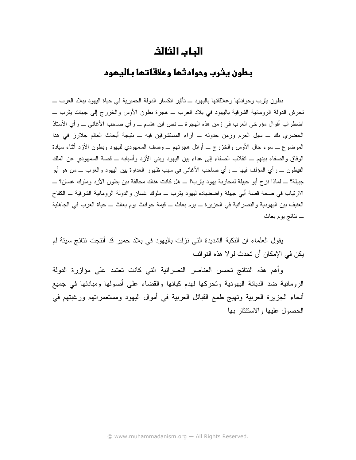### الىام الثالث

#### بطون يثرب وحوادثها وعلاقاتما باليمود

بطون بثرب وحوادثها وعلاقاتها باليهود ــ تأثير انكسار الدولة الحميرية في حياة اليهود ببلاد العرب ـــ تحرش الدولة الرومانية الشرقية باليهود في بلاد العرب ـــ هجرة بطون الأوس والخزرج إلى جهات بثرب ـــ اضطراب أقوال مؤرخي العرب في زمن هذه الهجرة ـــ نص ابن هشام ـــ رأي صاحب الأغاني ـــ رأي الأستاذ الحضري بك \_ سيل العرم وزمن حدوثه \_ آراء المستشرقين فيه \_ نتيجة أبحاث العالم جلارز في هذا الموضوع ــ سوء حال الأوس والخزرج ــ أوائل هجرتهم ــ وصف السمهودي لليهود وبطون الأزد أثناء سيادة الوفاق والصفاء بينهم ــ انقلاب الصفاء إلى عداء بين اليهود وبني الأزد وأسبابه ــ قصة السمهودي عن الملك الفيطون \_ رأي المؤلف فيها \_ رأي صاحب الأغاني في سبب ظهور العداوة بين اليهود والعرب \_ من هو أبو جبيلة؟ ـــ لماذا نزح أبو جبيلة لمحاربة يهود يثرب؟ ـــ هل كانت هناك محالفة بين بطون الأزد وملوك غسان؟ ـــ الارتياب في صحة قصة أبي جبيلة واضطهاده ليهود بثرب ــ ملوك غسان والدولة الرومانية الشرقية ــ الكفاح العنيف بين اليهودية والنصر انية في الجزيرة ــ يوم بعاث ــ قيمة حوادث يوم بعاث ــ حياة العرب في الجاهلية ے نتائج بوم بعاث

يقول العلماء ان النكبة الشديدة التي نزلت باليهود في بلاد حمير قد أنتجت نتائج سيئة لم بكن في الإمكان أن تحدث لو لا هذه النو ائب

وأهم هذه النتائج تحمس العناصر النصرانية التي كانت تعتمد على مؤازرة الدولة الر و مانية ضد الديانة اليهودية وتحركها لهدم كيانها والقضاء على أصولها ومبادئها في جميع أنحاء الجزير ة العربية وتهيج طمع القبائل العربية في أموال اليهود ومستعمر اتهم ور غبتهم في الحصول عليها والاستئثار يها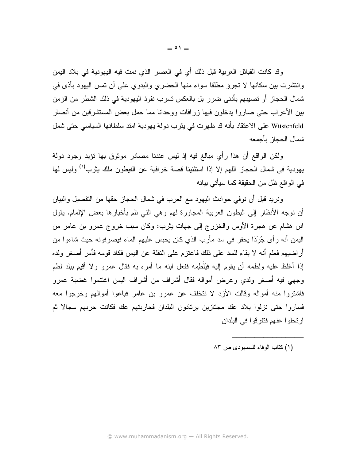وقد كانت القبائل العربية قبل ذلك أي في العصر الذي نمت فيه اليهودية في بلاد اليمن وانتشرت بين سكانها لا نجرؤ مطلقا سواء منها الحضري والبدوي على أن نمس اليهود بأذى في شمال الحجاز أو تصيبهم بأدنى ضرر بل بالعكس تسرب نفوذ اليهودية في ذلك الشطر من الزمن بين الأعراب حتى صاروا يدخلون فيها زرافات ووحدانا مما حمل بعض المستشرقين من أنصار Wüstenfeld على الاعتقاد بأنه قد ظهرت في يثرب دولة يهودية امتد سلطانها السياسي حتى شمل شمال الححاز بأحمعه

ولكن الواقع أن هذا رأى مبالغ فيه إذ ليس عندنا مصادر موثوق بها نؤيد وجود دولة يهودية في شمال الحجاز اللهم إلا إذا استثنينا قصة خرافية عن الفيطون ملك يثرب<sup>(י)</sup> وليس لها في الو اقع ظل من الحقيقة كما سيأتي بيانه

ونريد قبل أن نوفي حوادث اليهود مع العرب في شمال الحجاز حقها من التفصيل والبيان أن نوجه الأنظار إلى البطون العربية المجاورة لمهم وهي التي نلم بأخبارها بعض الإلمام. يقول ابن هشام عن هجرة الأوس والخزرج إلى جهات بثرب: وكان سبب خروج عمرو بن عامر من اليمن أنه رأى جُرِدَا يحفر في سد مأرب الذي كان يحبس عليهم الماء فيصرفونه حيث شاءوا من أراضيهم فعلم أنه لا بقاء للسد على ذلك فاعتزم على النقلة عن اليمن فكاد قومه فأمر أصغر ولده إذا أغلظ عليه ولطمه أن يقوم إليه فيَلْطِمه ففعل ابنه ما أمره به فقال عمرو ولا أقيم ببلد لطم وجهي فيه أصغر ولدى وعرض أمواله فقال أشراف من أشراف اليمن اغتنموا غضبة عمرو فاشتروا منه أمواله وقالت الأزد لا نتخلف عن عمرو بن عامر فباعوا أموالهم وخرجوا معه فساروا حتى نزلوا بلاد عك مجتازين برتادون البلدان فحاربتهم عك فكانت حربهم سجالا ثم ار تحلو ا عنهم فتفر قو ا في البلدان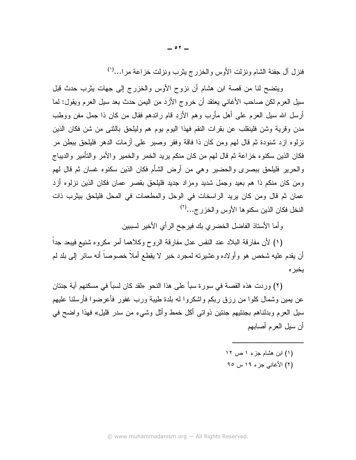فنزل أل جفنة الشام ونزلت الأوس والخزرج بثرب ونزلت خزاعة مرا...(')

ويتضح لنا من قصة ابن هشام أن نزوح الأوس والخزرج إلى جهات يثرب حدث قبل سيل العرم لكن صاحب الأغاني يعتقد أن خروج الأزد من اليمن حدث بعد سيل العرم ويقول: لما أرسل الله سيل العرم على أهل مأرب وهم الأزد قام رائدهم فقال من كان ذا جمل مفن ووطب مدن وقرية وشن فلينقلب عن بقرات النقم فهذا اليوم يوم هم وليلحق بالثني من شن فكان الذين نزلوه ازد شنودة ثم قال لهم ومن كان ذا فاقة وفقر وصبر على أزمات الدهر فليلحق ببطن مر فكان الذين سكنوه خزاعة ثم قال لهم من كان منكم يريد الخمر والخمير والأمر والتأمير والديباج والحرير فليلحق ببصرى والحضير وهي من أرض الشأم فكان الذين سكنوه غسان ثم قال لهم ومن كان منكم ذا هم بعيد وجمل شديد ومزاد جديد فليلحق بقصر عمان فكان الذين نزلوه أزد عمان ثم قال ومن كان بريد الراسخات في الوحل والمطعمات في المحل فليلحق بيثرب ذات النخل فكان الذين سكنو ها الأوس والخزرج...(٢)

و أما الأستاذ الفاضل الخضري بك فيرجح الر أي الأخير لسببين

(١) لأن مفارقة البلاد عند النفس عدل مفارقة الروح وكلاهما أمر مكروه شنيع فيبعد جداً أن يقدم عليه شخص هو وأو لاده و عشير ته لمجرد خبر لا يقطـع أملاً خصـوصـاً أنـه سائر إلـى بلد لـم يخبر ہ

(٢) وردت هذه القصــة في سورة سبأ علـى هذا النحو «لقد كان لسبأ في مسكنهم آيـة جنتان عن يمين وشمال كلوا من رزق ربكم واشكروا له بلدة طيبة ورب غفور فأعرضوا فأرسلنا عليهم سيل العرم وبدلناهم بجنتيهم جنتين ذواتبي أكل خمط وأثل وشيء من سدر قليل» فهذا واضح في أن سيل العرم أصابهم

- (۱) ابن هشام جزء ۱ ص ۱۲
- (٢) الأغاني جزء ١٩ س ٩٥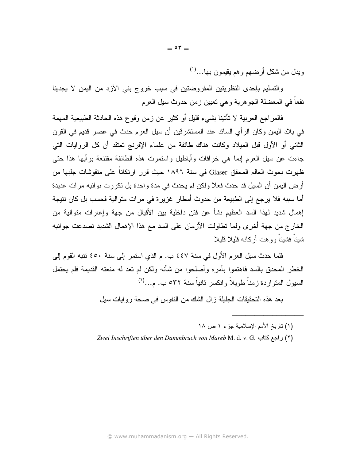ويدل من شكل أرضهم وهم يقيمون بها…(')

والتسليم بإحدى النظريتين المفروضتين في سبب خروج بنبي الأزد من اليمن لا يجدينا نفعا في المعضلة الجوهرية وهي نعيين زمن حدوث سيل العرم

فالمر اجع العربية لا تأتينا بشيء قليل أو كثير ٍ عن زمن وقوع هذه الحادثة الطبيعية المهمة في بلاد اليمن وكان الرأى السائد عند المستشرقين أن سيل العرم حدث في عصر قديم في القرن الثاني أو الأول قبل الميلاد وكانت هناك طائفة من علماء الإفرنج تعتقد أن كل الروايات التي جاءت عن سيل العرب إنما هي خرافات وأباطيل واستمرت هذه الطائفة مقتنعة برأيها هذا حتى ظهرت بحوث العالم المحقق Glaser في سنة ١٨٩٦ حيث قرر ارتكاناً على منقوشات جلبها من أرض اليمن أن السيل قد حدث فعلا ولكن لم يحدث في مدة و لحدة بل تكررت نو ائبه مر ات عديدة أما سببه فلا يرجع إلى الطبيعة من حدوث أمطار ِ غزير ة في مرات متوالية فحسب بل كان نتيجة إهمال شديد لهذا السد العظيم نشأ عن فتن داخلية بين الأقيال من جهة وإغارات متوالية من الخارج من جهة أخرى ولما نطاولت الأزمان على السد مع هذا الإهمال الشديد نصدعت جوانبه شبنًا فشبنًا ووهت أركانه قلبلا قليلا

فلما حدث سيل العر م الأول في سنة ٤٤٧ ب. م الذي استمر إلى سنة ٤٥٠ نتبه القوم إلى الخطر المحدق بالسد فاهتموا بأمره وأصلحوا من شأنه ولكن لم تعد له منعته القديمة فلم يحتمل السبول المتوار دة ز مناً طوبلاً وانكسر ثانباً سنة ٥٣٢ ب. م...(٢)

بعد هذه التحقيقات الجليلة زال الشك من النفوس في صحة روايات سيل

- (١) تاريخ الأمم الإسلامية جزء ١ ص ١٨
- Zwei Inschriften über den Dammbruch von Mareb M. d. v. G. (٢)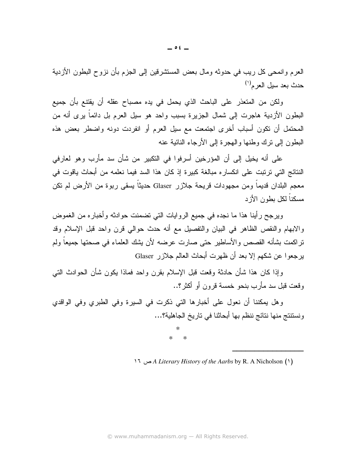العرم وانمحي كل ريب في حدوثه ومال بعض المستشرقين إلى الجزم بأن نزوح البطون الأزدية حدث بعد سبل العر م<sup>(۱)</sup>

ولكن من المتعذر على الباحث الذي يحمل في يده مصباح عقله أن يقتنع بأن جميع البطون الأزدية هاجرت إلى شمال الجزيرة بسبب واحد هو سيل العرم بل دائماً برى أنه من المحتمل أن نكون أسباب أخرى اجتمعت مع سيل العرم أو انفردت دونه واضطر بعض هذه البطون إلى نزك وطنها والهجرة إلى الأرجاء النائية عنه

على أنه يخيل إلى أن المؤرخين أسرفوا في النكبير من شأن سد مأرب وهو لعارفي النتائج التي ترتبت على انكسار ، مبالغة كبيرة إذ كان هذا السد فيما نعلمه من أبحاث ياقوت في معجم البلدان قديما ومن مجهودات قريحة جلازر Glaser حديثا يسقى ربوة من الأرض لم نكن مسكناً لكل بطون الأز د

ويرجح رأينا هذا ما نجده في جميع الروايات التي تضمنت حوادثه وأخباره من الغموض والابهام والنقص الظاهر في البيان والتفصيل مع أنه حدث حوالي قرن واحد قبل الإسلام وقد تراكمت بشأنه القصص والأساطير حتى صارت عرضه لأن يشك العلماء في صحتها جميعاً ولم يرجعوا عن شكهم إلا بعد أن ظهرت أبحاث العالم جلازر Glaser

وإذا كان هذا شأن حادثة وقعت قبل الإسلام بقرن واحد فماذا يكون شأن الحوادث التبي وقعت قبل سد مأرب بنحو خمسة قرون أو أكثر ؟..

وهل يمكننا أن نعول على أخبارها التي ذكرت في السيرة وفي الطبري وفي الواقدي ونستتتج منها نتائج ننظم بها أبحاثنا في تاريخ الجاهلية؟...

 $\star$ 

11 A Literary History of the Aarbs by R. A Nicholson (۱)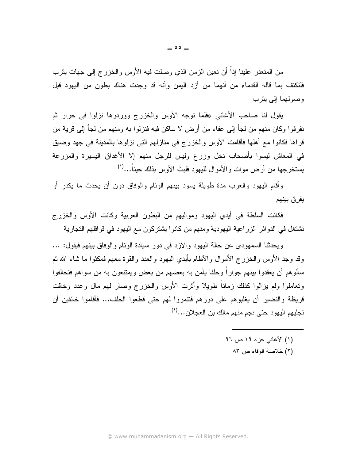من المتعذر علينا إذاً أن نعين الزمن الذي وصلت فيه الأوس والخزرج إلى جهات بثرب فلنكتف بما قاله القدماء من أنهما من أزد اليمن وأنه قد وجدت هناك بطون من اليهود قبل وصولهما إلى بثرب

يقول لنا صاحب الأغاني «فلما توجه الأوس والخزرج ووردوها نزلوا في حرار ثم تفر قو ا وكان منهم من لجأ إلى عفاء من أر ض لا ساكن فيه فنز لو ا به و منهم من لجأ إلى قر ية من قراها فكانوا مع أهلها فأقامت الأوس والخزرج في منازلهم التي نزلوها بالمدينة في جهد وضيق في المعاش ليسوا بأصحاب نخل وزرع وليس للرجل منهم إلا الأغداق اليسيرة والمزرعة يستخرجها من أرض موات والأموال لليهود فلبث الأوس بذلك حيناً...(')

وأقام اليهود والعرب مدة طويلة يسود بينهم الوئام والوفاق دون أن يحدث ما يكدر أو يفر ق بينهم

فكانت السلطة في أيدي اليهود ومواليهم من البطون العربية وكانت الأوس والخزرج تشتغل في الدوائر الزراعية اليهودية ومنهم من كانوا يشتركون مع اليهود في قوافلهم التجارية

ويحدثنا السمهودي عن حالة اليهود والأزد في دور سيادة الوئام والوفاق بينهم فيقول: ... وقد وجد الأوس والخزرج الأموال والأطام بأيدي اليهود والعدد والقوة معهم فمكثوا ما شاء الله ثم سألوهم أن يعقدوا بينهم جواراً وحلفا يأمن به بعضهم من بعض ويمتنعون به من سواهم فتحالفوا ونعاملوا ولم بزالوا كذلك زماناً طويلا وأثرت الأوس والخزرج وصار لمهم مال وعدد وخافت قريظة والنضير أن يغلبوهم على دورهم فتنمروا لهم حتى قطعوا الحلف... فأقاموا خائفين أن تجليهم اليهود حتى نجم منهم مالك بن العجلان...<sup>(٢)</sup>

- (۱) الأغاني جزء ۱۹ ص ۹۲
	- (٢) خلاصة الوفاء ص ٨٣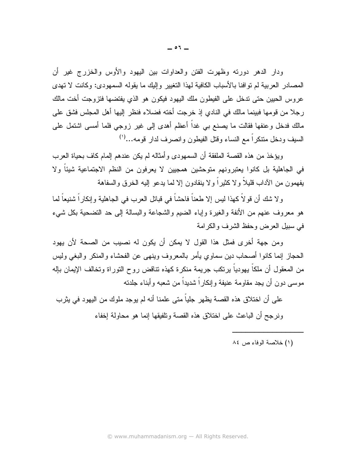ودار الدهر دورته وظهرت الفتن والعداوات بين اليهود والأوس والخزرج غير أن المصـادر العربية لم نو افنا بـالأسباب الكـافية لـهذا النـغيير وإليك مـا يقولـه السمـهودي: وكـانت لا نـهدي عروس الحيين حتى تدخل على الفيطون ملك اليهود فيكون هو الذي يفتضها فتزوجت أخت مالك رجلا من قومها فبينما مالك في النادي إذ خرجت أخته فضلاء فنظر إليها أهل المجلس فشق على مالك فدخل وعنفها فقالت ما يصنع بـى غداً أعظم أهدى إلـى غير زوجـى فلما أمسـى اشتمل علـى السيف ودخل منتكراً مع النساء وقتل الفيطون وانصرف لدار قومه...(')

ويؤخذ من هذه القصنة الملفقة أن السمهودي وأمثاله لم يكن عندهم إلمام كاف بحياة العرب في الجاهلية بل كانوا يعتبرونهم متوحشين همجيين لا يعرفون من النظم الاجتماعية شيئا ولا يفهمون من الآداب قليلاً و لا كثير اً و لا ينقادون إلا لما يدعو إليه الخر ق والسفاهة

و لا شك أن قو لاَّ كهذا ليس إلا طعناً فاحشاً في قبائل العرب في الجاهلية و إنكار اً شنيعاً لما هو معروف عنهم من الأنفة والغيرة وإباء الضيم والشجاعة والبسالة إلى حد النضحية بكل شيء في سبيل العرض وحفظ الشرف والكرامة

ومن جهة أخر ي فمثل هذا القول لا يمكن أن يكون له نصيب من الصحة لأن يهود الحجاز إنما كانو ا أصحاب دين سماو ي يأمر بالمعر و ف و ينهي عن الفحشاء و المنكر و البغي و ليس من المعقول أن ملكاً بـهودياً بر تكب جريمة منكر ة كـهذه تتاقض ر و ح التور اة و تخالف الإيمان بـإلـه موسى دون أن يجد مقاومة عنيفة وإنكاراً شديداً من شعبه وأبناء جلدته

على أن اختلاق هذه القصـة يظهر جلياً متى علمنا أنه لم يوجد ملوك من اليهود في يثرب ونرجح أن الباعث على اختلاق هذه القصة ونلفيقها إنما هو محاولة إخفاء

(١) خلاصة الوفاء ص ٢٤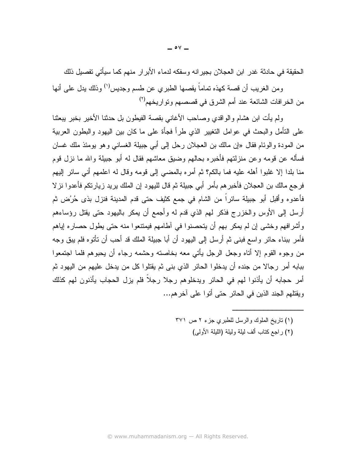الحقيقة في حادثة غدر ابن العجلان بجيرانه وسفكه لدماء الأبرار منهم كما سيأتي تفصيل ذلك

ومن الغريب أن قصـة كـهذه نمـامـاً يقصـمها الطبري عن طسم وجديس'') وذلك يدل علـى أنـها من الخرافات الشائعة عند أمم الشرق في قصصهم وتواريخهم<sup>(٢)</sup>

ولم يأت ابن هشام والواقدي وصاحب الأغانبي بقصة الفيطون بل حدثنا الأخير بخبر بيعثنا على التأمل والبحث في عوامل التغيير الذي طراً فجأة على ما كان بين اليهود والبطون العربية من المودة والوئام فقال «إن مالك بن العجلان رحل إلى أبي جبيلة الغساني وهو يومئذ ملك غسان فسأله عن قومه وعن منزلتهم فأخبره بحالهم وضبق معاشهم فقال له أبو جبيلة والله ما نزل قوم منا بلدا إلا غلبوا أهله عليه فما بالكم؟ ثم أمره بالمضبي إلى قومه وقال له اعلمهم أنبي سائر إليهم فرجع مالك بن العجلان فأخبر هم بأمر أبي جبيلة ثم قال لليهود إن الملك يريد زيارتكم فأعدوا نز لا فأعدوه وأقبل أبو جبيلة سائراً من الشام في جمع كثيف حتى قدم المدينة فنزل بذى حُرُض ثم أرسل إلى الأوس والخزرج فذكر لمهم الذي قدم له وأجمع أن يمكر باليهود حتى يقتل رؤساءهم وأشرافهم وخشى إن لم يمكر بهم أن يتحصنوا في أطامهم فيمنتعوا منه حتى يطول حصاره إياهم فأمر ببناء حائرٍ واسع فبني ثم أرسل إلى اليهود أن أبا جبيلة الملك قد أحب أن تأتوه فلم يبق وجه من وجوه القوم إلا أناه وجعل الرجل بأنبي معه بخاصنه وحشمه رجاء أن يحبوهم فلما اجتمعوا ببابه أمر رجالًا من جنده أن يدخلوا الحائر الذي بني ثم يقتلوا كل من يدخل عليهم من اليهود ثم أمر حجابه أن يأذنوا لهم في الحائر ويدخلوهم رجلا رجلاً فلم يزل الحجاب يأذنون لهم كذلك ويقتلهم الجند الذين في الحائر حتى أتوا على آخر هم...

- (١) تاريخ الملوك والرسل للطبري جزء ٢ ص ٣٧١
	- (٢) راجع كتاب ألف ليلة وليلة (الليلة الأولى)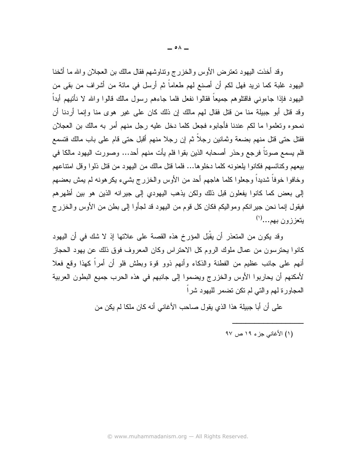وقد أخذت البيهود تعترض الأوس والخزرج ونتاوشهم فقال مالك بن العجلان والله ما أثخنا اليهود غلبة كما نريد فهل لكم أن أصنع لهم طعاماً ثم أرسل في مائة من أشراف من بقي من البهود فإذا جاءونبي فاقتلوهم جميعاً فقالوا نفعل فلما جاءهم رسول مالك قالوا والله لا نأتيهم أبداً وقد قتل أبو جبيلة منا من قتل فقال لمهم مالك إن ذلك كان على غير هوى منا وإنما أردنا أن نمحوه وتعلموا ما لكم عندنا فأجابوه فجعل كلما دخل عليه رجل منهم أمر به مالك بن العجلان فقتل حتى قتل منهم بضعة وثمانين رجلاً ثم إن رجلا منهم أقبل حتى قام على باب مالك فتسمع فلم يسمع صوتاً فرجع وحذر أصحابه الذين بقوا فلم يأت منهم أحد… وصورت اليهود مالكا في بيعهم وكنائسهم فكانوا بلعنونه كلما دخلوها… فلما قتل مالك من اليهود من قتل ذلوا وقل امتناعهم وخافوا خوفاً شديداً وجعلوا كلما هاجهم أحد من الأوس والخزرج بشيء يكرهونه لم يمش بعضهم إلى بعض كما كانوا يفعلون قبل ذلك ولكن يذهب اليهودي إلى جيرانه الذين هو بين أظهرهم فيقول إنما نحن جيرانكم ومواليكم فكان كل قوم من اليهود قد لجأوا إلى بطن من الأوس والخزرج يتعززون بهم...<sup>(۱)</sup>

وقد يكون من المتعذر أن يقْبِل المؤرخ هذه القصة على علاتها إذ لا شك في أن اليهود كانوا يحترسون من عمال ملوك الروم كل الاحتراس وكان المعروف فوق ذلك عن يهود الحجاز أنهم على جانب عظيم من الفطنة والذكاء وأنهم ذوو قوة وبطش فلو أن أمراً كهذا وقع فعلا لأمكنهم أن يحاربوا الأوس والخزرج ويضموا إلى جانبهم في هذه الحرب جميع البطون العربية المجاور ة لهم و التي لم تكن تضمر لليهود شر ا

على أن أبا جبيلة هذا الذي يقول صاحب الأغاني أنه كان ملكا لم يكن من

(١) الأغاني جزء ١٩ ص ٩٧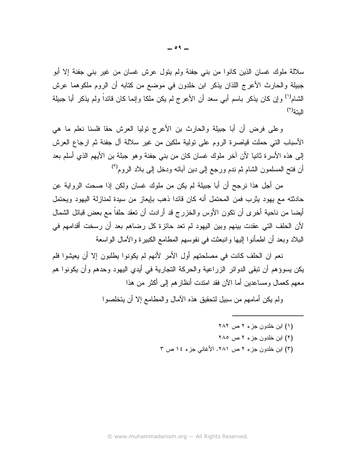سلالة ملوك غسان الذين كانوا من بني جفنة ولم يتول عرش غسان من غير بني جفنة إلا أبو جبيلة والحارث الأعرج اللذان يذكر ابن خلدون في موضع من كتابه أن الروم ملكوهما عرش الشام<sup>(י)</sup> و إن كان يذكر باسم أبي سعد أن الأعرج لم يكن ملكا وإنما كان قائداً ولم يذكر أبا جبيلة  $\mathbb{L}^{(7)}$ النتة

وعلى فرض أن أبا جبيلة والحارث بن الأعرج توليا العرش حقا فلسنا نعلم ما هي الأسباب التي حملت قياصرة الروم على تولية ملكين من غير سلالة آل جفنة ثم ارجاع العرش إلى هذه الأسرة ثانيا لأن آخر ملوك غسان كان من بني جفنة وهو جبلة بن الأيهم الذي أسلم بعد أن فتح المسلمون الشام ثم ندم ورجع إلى دين آبائه ودخل إلى بلاد الروم<sup>(٣)</sup>

من أجل هذا نرجح أن أبا جبيلة لم يكن من ملوك غسان ولكن إذا صحت الرواية عن حادثته مع بهود يثرب فمن المحتمل أنه كان قائدا ذهب بإيعاز من سيدة لمنازلة اليهود ويحتمل أيضا من ناحية أخرى أن نكون الأوس والخزرج قد أرادت أن نعقد حلفاً مع بعض قبائل الشمال لأن الحلف التي عقدت بينهم وبين اليهود لم تعد حائزة كل رضاهم بعد أن رسخت أقدامهم في البلاد وبعد أن اطمأنوا الِيها وانبعثت في نفوسهم المطامع الكبيرة والأمال الواسعة

نعم ان الحلف كانت في مصلحتهم أول الأمر لأنهم لم يكونوا يطلبون إلا أن يعيشوا فلم يكن يسوؤهم أن نبقى الدوائر الزراعية والحركة التجارية في أيدي اليهود وحدهم وأن يكونوا هم معهم كعمال ومساعدين أما الآن فقد امندت أنظارهم إلى أكثر من هذا

ولم يكن أمامهم من سبيل لتحقيق هذه الآمال والمطامع إلا أن يتخلصوا

- (۱) ابن خلدون جزء ۲ ص ۲۸۲ (٢) ابن خلدون جزء ٢ ص ٢٨٥
- (٣) ابن خلدون جزء ٢ ص ٢٨١. الأغانبي جزء ١٤ ص ٣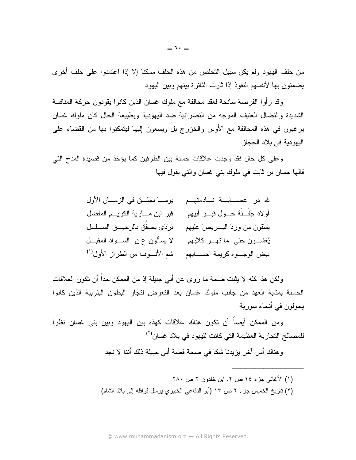من حلف اليهود ولم يكن سبيل التخلص من هذه الحلف ممكنا إلا إذا اعتمدوا على حلف أخرى يضمنون بها لأنفسهم النفوذ إذا ثارت الثائرة ببنهم وببن البهود

وقد رأوا الفرصة سانحة لعقد محالفة مع ملوك غسان الذين كانوا يقودون حركة المنافسة الشديدة والنضال العنيف الموجه من النصرانية ضد اليهودية وبطبيعة الحال كان ملوك غسان يرغبون في هذه المحالفة مع الأوس والخزرج بل ويسعون إليها ليتمكنوا بها من القضاء على البهو دبة في بلاد الحجاز

وعلى كل حال فقد وجدت علاقات حسنة بين الطرفين كما يؤخذ من قصيدة المدح التي قالها حسان بن ثابت في ملوك بنبي غسان والتبي يقول فيها

ولكن هذا كله لا يثبت صحة ما روى عن أبي جبيلة إذ من الممكن جداً أن نكون العلاقات الحسنة بمثابة العهد من جانب ملوك غسان بعد التعرض لتجار البطون البثربية الذين كانوا يجولون في أنحاء سورية

ومن الممكن أيضاً أن تكون هناك علاقات كهذه بين اليهود وبين بنى غسان نظرا للمصـالـح النجارية العظيمة التي كانت لليهود في بلاد غسان<sup>(٢)</sup>

وهناك أمرٍ آخرٍ يزيدنا شكا في صحة قصة أبي جبيلة ذلك أننا لا نجد

(۱) الأغاني جزء ١٤ ص ٢. ابن خلدون ٢ ص ٢٨٠ (٢) تاريخ الخميس جزء ٢ ص ١٣ (أبو الدفاعي الخيبري برسل قوافله إلى بلاد الشام)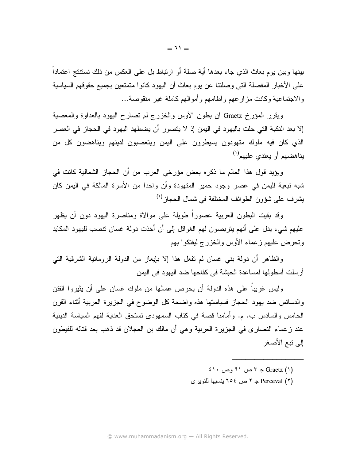بينها وبين يوم بعاث الذي جاء بعدها أية صلة أو ارتباط بل على العكس من ذلك نستتتج اعتماداً على الأخبار المفصلة التي وصلتنا عن يوم بعاث أن اليهود كانوا متمتعين بجميع حقوقهم السياسية والاجتماعية وكانت مزارعهم وأطامهم وأموالهم كاملة غير منقوصة…

ويقرر المؤرخ Graetz ان بطون الأوس والخزرج لم تصارح اليهود بالعداوة والمعصية إلا بعد النكبة التي حلت باليهود في اليمن إذ لا يتصور أن يضطهد اليهود في الحجاز في العصر الذي كان فيه ملوك متهودون يسيطرون على اليمن ويتعصبون لدينهم ويناهضون كل من بناهضهم أو بعتدى عليهم<sup>(١)</sup>

ويؤيد قول هذا العالم ما ذكره بعض مؤرخي العرب من أن الحجاز الشمالية كانت في شبه تبعية لليمن في عصر وجود حمير المتهودة وأن واحدا من الأسرة المالكة في اليمن كان يشر ف على شؤون الطوائف المختلفة في شمال الحجاز <sup>(٢)</sup>

وقد بقيت البطون العربية عصوراً طويلة على موالاة ومناصرة اليهود دون أن يظهر عليهم شيء يدل على أنهم يتربصون لهم الغوائل إلى أن أخذت دولة غسان نتصب لليهود المكايد وتحرض عليهم زعماء الأوس والخزرج ليفتكوا بهم

والظاهر أن دولة بني غسان لم تفعل هذا إلا بإيعاز من الدولة الرومانية الشرقية التي أرسلت أسطولها لمساعدة الحبشة في كفاحها ضد اليهود في اليمن

وليس غربياً على هذه الدولة أن يحرص عمالها من ملوك غسان على أن يثيروا الفتن والدسائس ضد يهود الحجاز فسياستها هذه واضحة كل الوضوح في الجزيرة العربية أثناء القرن الخامس والسادس ب. م. وأمامنا قصة في كتاب السمهودي تستحق العناية لفهم السياسة الدينية عند زعماء النصاري في الجزيرة العربية وهي أن مالك بن العجلان قد ذهب بعد قتاله للفيطون إلى تبع الأصغر

- $(1)$  Graetz = ۳ ج ۳ ص ۹۱ وص
- Perceval (۲) جـ ۲ ص ٢٥٤ ينسبها للنويري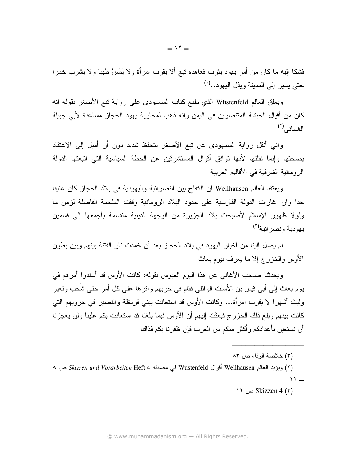فشكا إليه ما كان من أمر يهود بثرب فعاهده نبع ألا بقرب امرأة ولا يَمَسَّ طيبا ولا بشرب خمرا حتى يسير إلى المدينة وبذل البهود...(')

ويعلق العالم Wüstenfeld الذي طبع كتاب السمهودي على رواية نبع الأصغر بقوله انه كان من أقيال الحبشة المنتصرين في اليمن وانه ذهب لمحاربة يهود الحجاز مساعدة لأبي جبيلة الغساني (٢)

واني أنقل رواية السمهودي عن تبع الأصغر بتحفظ شديد دون أن أميل إلى الاعتقاد بصحتها وإنما نقلتها لأنها توافق أقوال المستشرقين عن الخطة السياسية التي اتبعتها الدولة الرومانية الشرقية في الأقاليم العربية

ويعتقد العالم Wellhausen ان الكفاح بين النصر انية واليهودية في بلاد الحجاز كان عنيفا جدا وان اغارات الدولة الفارسية على حدود البلاد الرومانية وقفت الملحمة الفاصلة لزمن ما ولولا ظهور الإسلام لأصبحت بلاد الجزيرة من الوجهة الدينية منقسمة بأجمعها إلى قسمين بهودبة ونصر انبة<sup>(٣)</sup>

لم يصل إلينا من أخبار اليهود في بلاد الحجاز بعد أن خمدت نار الفتنة بينهم وبين بطون الأوس والخزرج إلا ما يعرف بيوم بعاث

ويحدثنا صاحب الأغاني عن هذا اليوم العبوس بقوله: كانت الأوس قد أسندوا أمرهم في يوم بعاث إلى أبي قيس بن الأسلت الوائلي فقام في حربهم وآثرها على كل أمر حتى شَحَب وتغير ولبث أشهرا لا يقرب امرأة… وكانت الأوس قد استعانت ببني قريظة والنضبر في حروبهم التي كانت بينهم وبلغ ذلك الخزرج فبعثت إليهم أن الأوس فيما بلغنا قد استعانت بكم علينا ولن يعجزنا أن نستعين بأعدادكم وأكثر ً منكم من العرب فإن ظفر نا يكم فذاك

N  $\omega$  Skizzen 4 (۳)

<sup>(</sup>٣) خلاصة الوفاء ص ٨٣

<sup>(</sup>٢) ويؤيد العالم Wellhausen أقوال Wüstenfeld في مصنفه Skizzen und Vorarbeiten Heft 4 ص ٨  $\mathbf{11}$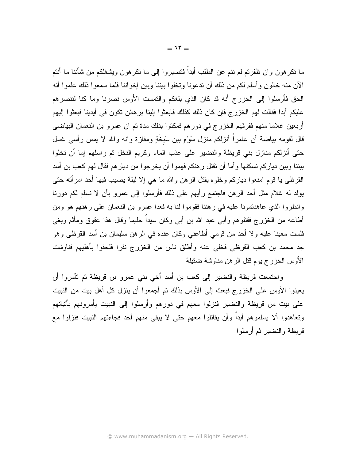ما نكر هون وإن ظفرتم لم ننم عن الطلب أبداً فتصبروا إلى ما نكر هون ويشغلكم من شأننا ما أنتم الآن منه خالون وأسلم لكم من ذلك أن ندعونا وتخلوا بيننا وبين إخواننا فلما سمعوا ذلك علموا أنه الحق فأرسلوا إلى الخزرج أنه قد كان الذي بلغكم والنمست الأوس نصرنا وما كنا لننصرهم عليكم أبدا فقالت لهم الخزرج فإن كان ذلك كذلك فابعثوا إلينا برهائن تكون في أيدينا فبعثوا إليهم أربعين غلاما منهم ففرقهم الخزرج في دورهم فمكثوا بذلك مدة ثم ان عمرو بن النعمان البياضي قال لقومه بياضة أن عامراً أنزلكم منزل سَوْءٍ بين سَبخَةٍ ومفازة وانه والله لا يمس رأسي غسل حتى أنزلكم منازل بني قريظة والنضير على عذب الماء وكريم النخل ثم راسلهم إما أن تخلوا بيننا وبين دياركم نسكنها وأما أن نقتل رهنكم فهموا أن يخرجوا من ديارهم فقال لهم كعب بن أسد القرظبي يا قوم امنعوا دياركم وخلوه يقتل الرهن والله ما هي إلا ليلة يصيب فيها أحد امرأته حتى يولد له غلام مثل أحد الرهن فاجتمع رأيهم على ذلك فأرسلوا إلى عمرو بأن لا نسلم لكم دورنا وانظروا الذي عاهدتمونا عليه في رهننا فقوموا لنا به فعدا عمرو بن النعمان على رهنهم هو ومن أطاعه من الخزرج فقتلوهم وأبي عبد الله بن أبي وكان سيداً حليما وقال هذا عقوق ومأثم وبغي فلست معينا عليه ولا أحد من قومي أطاعني وكان عنده في الرهن سليمان بن أسد القرظي وهو جد محمد بن كعب القرظى فخلى عنه وأطلق ناس من الخزرج نفرا فلحقوا بأهليهم فناوشت الأوس الخز رج يوم قتل الر هن مناوشة ضئيلة

واجتمعت قريظة والنضير إلى كعب بن أسد أخى بنى عمرو بن قريظة ثم تأمروا أن يعينوا الأوس على الخزرج فبعث إلى الأوس بذلك ثم أجمعوا أن ينزل كل أهل بيت من النبيت على بيت من قريظة والنضير فنزلوا معهم في دورهم وأرسلوا إلى النبيت يأمرونهم بأتيانهم ونعاهدوا ألا يسلموهم أبداً وأن يقاتلوا معهم حتى لا يبقى منهم أحد فجاءتهم النبيت فنزلوا مع قريظة والنضير ثم أرسلوا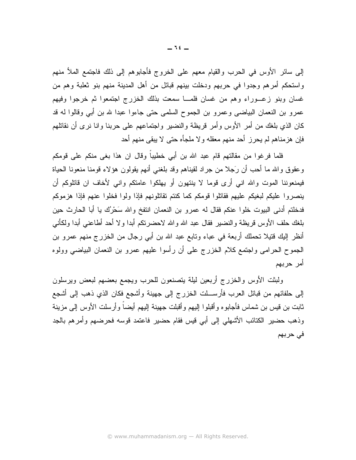إلى سائر الأوس في الحرب والقيام معهم على الخروج فأجابوهم إلى ذلك فاجتمع الملأ منهم واستحكم أمرهم وجدوا في حربهم ودخلت بينهم قبائل من أهل المدينة منهم بنو ثعلبة وهم من غسان وبنو زعــوراء وهم من غسان فلمـــا سمعت بذلك الخزرج اجتمعوا ثم خرجوا وفيهم عمرو بن النعمان البياضيي وعمرو بن الجموح السلمي حتى جاءوا عبدا لله بن أبي وقالوا له قد كان الذي بلغك من أمر الأوس وأمر قريظة والنضير واجتماعهم على حربنا وانا نرى أن نقاتلهم فإن هزمناهم لم يحرز أحد منهم معقله ولا ملجأه حتى لا يبقى منهم أحد

فلما فرغوا من مقالتهم قام عبد الله بن أبي خطيباً وقال ان هذا بغي منكم على قومكم وعقوق والله ما أحب أن رَجلاً من جراد لقيناهم وقد بلغني أنهم يقولون هؤلاء قومنا منعونا الحياة فيمنعوننا الموت والله اني أرى قوما لا ينتهون أو يهلكوا عامتكم واني لأخاف ان قاتلوكم أن ينصروا عليكم لبغيكم عليهم فقاتلوا قومكم كما كنتم تقاتلونهم فإذا ولوا فخلوا عنهم فإذا هزموكم فدخلتم أدنى البيوت خلوا عنكم فقال له عمرو بن النعمان انتفخ والله سَحْرُك يا أبا الحارث حين بلغك حلف الأوس قريظة والنضير فقال عبد الله والله لاحضرنكم أبدا ولا أحد أطاعنبي أبدا ولكأنبي أنظر إليك قتيلًا تحملك أربعة في عباء ونابع عبد الله بن أبي رجالٍ من الخزرج منهم عمرو بن الجموح الحرامي واجتمع كلام الخزرج على أن رأسوا عليهم عمرو بن النعمان البياضي وولوه أمر حربهم

ولبثت الأوس والخزرج أربعين ليلة يتصنعون للحرب ويجمع بعضهم لبعض ويرسلون إلى حلفائهم من قبائل العرب فأرســـلت الخزرج إلى جهينة وأشجع فكان الذي ذهب إلى أشجع ثابت بن قيس بن شماس فأجابو ه و أقبلو ا اليهم و أقبلت جهينة اليهم أيضـاً و أر سلت الأوس إلى مز بنة وذهب حضير الكتائب الأشهلي إلى أبي قيس فقام حضير فاعتمد قوسه فحرضهم وأمرهم بالجد في حربهم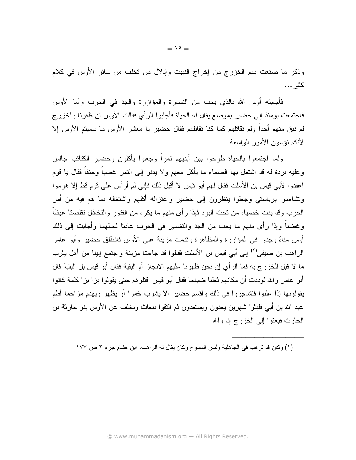وذكر ما صنعت بهم الخزرج من إخراج النبيت وإذلال من تخلف من سائر الأوس في كلام كثبر …

فأجابته أوس الله بالذي يحب من النصرة والمؤازرة والجد في الحرب وأما الأوس فاجتمعت يومئذ إلى حضير بموضع يقال له الحياة فأجابوا الرأى فقالت الأوس ان ظفرنا بالخزر ج لم نبق منهم أحداً ولم نقاتلهم كما كنا نقاتلهم فقال حضير يا معشر الأوس ما سميتم الأوس إلا لأنكم نؤسون الأمور الواسعة

ولما اجتمعوا بالحياة طرحوا بين أيديهم تمرأ وجعلوا يأكلون وحضير الكتائب جالس وعليه بردة له قد اشتمل بها الصماء ما يأكل معهم ولا يدنو إلى التمر غضباً وحنقاً فقال يا قوم اعقدوا لأبي قيس بن الأسلت فقال لهم أبو قيس لا أقبل ذلك فإني لم أرأس على قوم قط إلا هزموا ونشاءموا برياستى وجعلوا بنظرون إلى حضبر واعتزاله أكلهم واشتغاله بما هم فيه من أمر الحرب وقد بدت خصياه من تحت البرد فإذا رأى منهم ما يكره من الفتور والتخاذل تقلصتا غيظاً وغضباً وإذا رأى منهم ما يحب من الجد والتشمير في الحرب عادنا لحالهما وأجابت إلى ذلك أوس مناهُ وجدوا في المؤازرة والمظاهرة وقدمت مزينة على الأوس فانطلق حضير وأبو عامر الراهب بن صيفي<sup>(٢)</sup> إلى أبي قيس بن الأسلت فقالوا قد جاءننا مزينة واجتمع إلينا من أهل يثرب ما لا قبل للخزرج به فما الرأي إن نحن ظهرنا عليهم الانجاز أم البقية فقال أبو قيس بل البقية قال أبو عامر والله لو ددت أن مكانهم ثعلبا ضباحا فقال أبو قيس اقتلو هم حتى يقولو ا بز ا بز ا كلمة كانو ا يقولونها إذا غلبوا فتشاجروا في ذلك وأقسم حضير ألا يشرب خمرا أو يظهر ويهدم مزاحما أطم عبد الله بن أبي فلبثوا شهرين يعدون ويستعدون ثم النقوا ببعاث وتخلف عن الأوس بنو حارثة بن الحارث فبعثوا إلى الخزرج إنا والله

(١) وكان قد نرهب في الجاهلية ولبس المسوح وكان يقال له الراهب. ابن هشام جزء ٢ ص ١٧٧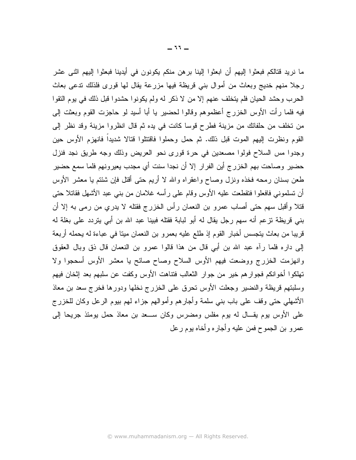ما نريد قتالكم فبعثوا إليهم أن ابعثوا إلينا برهن منكم يكونون في أيدينا فبعثوا إليهم اثني عشر رجلًا منهم خديج وبعاث من أموال بني قريظة فيها مزرعة يقال لها قوري فلذلك ندعى بعاث الحرب وحشد الحيان فلم يتخلف عنهم إلا من لا ذكر له ولم يكونوا حشدوا قبل ذلك في يوم النقوا فيه فلما رأت الأوس الخزرج أعظموهم وقالوا لحضبر يا أبا أسيد لو حاجزت القوم وبعثت إلى من تخلف من حلفائك من مزينة فطرح قوسا كانت في يده ثم قال انظروا مزينة وقد نظر إلى القوم ونظرت إليهم الموت قبل ذلك. ثم حمل وحملوا فاقتتلوا قتالا شديداً فانهزم الأوس حين وجدوا مس السلاح فولوا مصعدين في حرة قورى نحو العريض وذلك وجه طريق نجد فنزل حضير وصاحت بهم الخزرج أين الفرار إلا أن نجدا سنت أي مجدب يعيرونهم فلما سمع حضير طعن بسنان رمحه فخذه ونزل وصاح واعقراه والله لا أريم حتى أفتل فإن شئتم يا معشر الأوس أن تسلموني فافعلوا فتقطعت عليه الأوس وقام على رأسه غلامان من بني عبد الأشهل فقاتلا حتى قتلاً وأقبل سهم حتى أصاب عمرو بن النعمان رأس الخزرج فقتله لا يدري من رمي به إلا أن بني قريظة تز عم أنه سهم ر جل يقال له أبو لبابة فقتله فبينا عبد الله بن أبي بتر دد على بغلة له قريبا من بعاث بِتجسس أخبار القوم إذ طلع عليه بعمر و بن النعمان مبتا في عباءة له بحمله أربعة إلى داره فلما رآه عبد الله بن أبي قال من هذا قالوا عمرو بن النعمان قال ذق وبال العقوق وانهزمت الخزرج ووضعت فيهم الأوس السلاح وصاح صائح يا معشر الأوس أسحجوا ولا تهلكوا أخوانكم فجوارهم خير من جوار الثعالب فتناهت الأوس وكفت عن سلبهم بعد إثخان فيهم وسلبتهم قريظة والنضير وجعلت الأوس تحرق على الخزرج نخلها ودورها فخرج سعد بن معاذ الأشهلي حتى وقف على باب بني سلمة وأجارهم وأموالهم جزاء لهم ببوم الرعل وكان للخزرج على الأوس بوم يقــال له بوم مفلس ومضرس وكان ســـعد بن معاذ حمل بومئذ جريحا إلى عمرو بن الجموح فمن عليه وأجاره وأخاه يوم رعل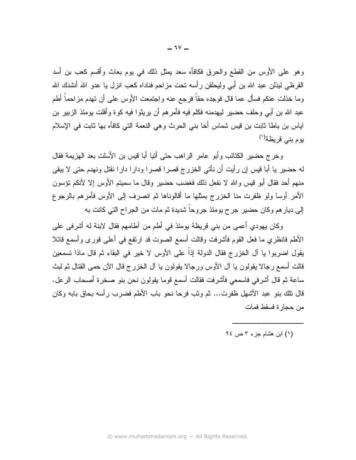وهو على الأوس من القطع والحرق فكافأه سعد يمثل ذلك في يوم بعاث وأقسم كعب بن أسد القرظى ليذلن عبد الله بن أبي وليحلقن رأسه نحت مزاحم فناداه كعب انزل يا عدو الله أنشدك الله وما خذلت عنكم فسأل عما قال فوجده حقاً فرجع عنه واجتمعت الأوس على أن تهدم مز احماً أطم عبد الله بن أبي وحلف حضير ليهدمنه فكلم فيه فأمرهم أن يريثوا فيه كوة وأفلت يومئذ الزبير بن اياس بن باطا ثابت بن قيس شماس أخا بني الحرث وهي النعمة التي كافأه بها ثابت في الإسلام يو ۾ بني قريظة<sup>(۱)</sup>

وخرج حضير الكتائب وأبو عامر الراهب حتى أتيا أبا قيس بن الأسلت بعد الهزيمة فقال له حضير يا أبا قيس إن رأيت أن نأتي الخزرج قصر ا قصر ا ودار ا دار ا نقتل ونهدم حتى لا بيقى منهم أحد فقال أبو قيس والله لا نفعل ذلك فغضب حضير وقال ما سميتم الأوس إلا لأنكم تؤسون الأمر أوسا ولو ظفرت منا الخزرج بمثلها ما أقالوناها ثم انصرف إلى الأوس فأمرهم بالرجوع إلى ديار هم وكان حضير جر ح يومئذ جروحاً شديدة ثم مات من الجراح التي كانت به

وكان يهودي أعمى من بني قريظة يومئذ في أطم من أطامهم فقال لابنة له أشرفي على الأطم فانظري ما فعل القوم فأشرفت وقالت أسمع الصوت قد ارتفع في أعلى قورى وأسمع قائلا يقول اضربوا يا آل الخزرج فقال الدولة إذاً على الأوس لا خير في البقاء ثم قال ماذا تسمعين قالت أسمع رجالًا يقولون يا آل الأوس ورجالًا يقولون يا آل الخزرج قال الآن حمى القتال ثم لبث ساعة ثم قال أشرفي فاسمعي فأشرفت فقالت أسمع قوما يقولون نحن بنو صخرة أصحاب الرعل. قال تلك بنو عبد الأشهل ظفرت... ثم وثب فرحا نحو باب الأطم فضرب رأسه بحاق بابه وكان من حجار ة فسقط فمات

(۱) ابن هشام جزء ۳ ص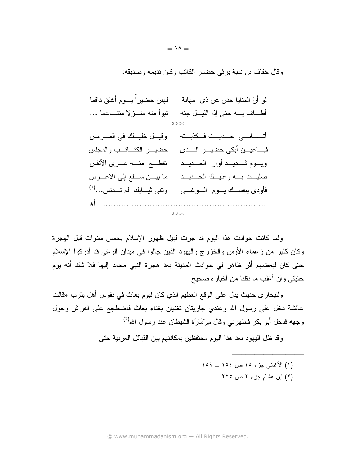وقال خفاف بن ندبة بر ثي حضير الكاتب وكان نديمه وصديقه:

| لمهبن حضبيراً يـــوم أغلق داقما | لو أنّ المنايا حدن عن ذي مهابة              |
|---------------------------------|---------------------------------------------|
| نبوأ منه منـــزلا متنــــاعما … | أطاف بــــه حتى إذا الليـــل جنه            |
|                                 |                                             |
| وقيـــل خليـــلك في المـــــرمس | أتـــــــــانــــى حــــديـــث فـــكذبـــته |
| حضيــر الكتــائـــب والمجلس     | فياعيــن أبكى حضيــر النــدى                |
| نقطـــع منـــه عـــرى الأنفس    | ويسوم شمديلد أوار الحسديلد                  |
| ما بيــن ســـلع إلى الاعـــرس   | صليت به وعليك الحديد                        |
| ونقى ثيــابك لم تـــدنس(')      | فأودى بنفسك بوم السوغسي                     |
|                                 |                                             |
| ***                             |                                             |

ولما كانت حوادث هذا اليوم قد جرت قبيل ظهور الإسلام بخمس سنوات قبل الهجرة وكان كثير من زعماء الأوس والخزرج واليهود الذين جالوا في ميدان الوغي قد أدركوا الإسلام حتى كان لبعضهم أثر ظاهر في حوادث المدينة بعد هجرة النبي محمد إليها فلا شك أنه يوم حقيقي وأن أغلب ما نقلنا من أخبار ه صحيح

وللبخاري حديث يدل على الوقع العظيم الذي كان ليوم بعاث في نفوس أهل يثرب «فالت عائشة دخل علي رسول الله وعندي جاريتان تغنيان بغناء بعاث فاضطجع على الفراش وحول وجهه فدخل أبو بكر فانتهزني وقال مزْمَارَة الشيطان عند رسول الله<sup>(٢)</sup>

وقد ظل اليهود بعد هذا اليوم محتفظين بمكانتهم بين القبائل العربية حتى

- (١) الأغاني جزء ١٥٥ ص ١٥٤ \_ ١٥٩
	- (۲) ابن هشام جزء ۲ ص ۲۲۰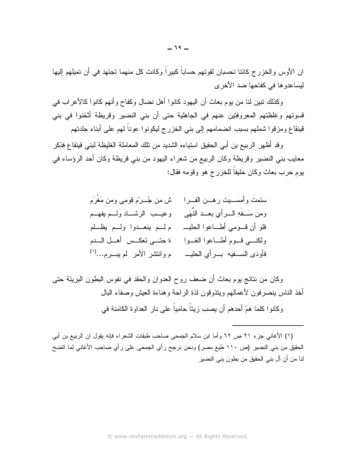ان الأوس والخزر ج كانتا تحسبان لقوتهم حساباً كبيراً وكانت كل منهما تجتهد في أن تميلهم إليها ليساعدو ها في كفاحها ضد الأخر ي

وكذلك نبين لنا من يوم بعاث أن اليهود كانوا أهل نضال وكفاح وأنهم كانوا كالأعراب في قسوتهم وغلظتهم المعروفتين عنهم في الجاهلية حتى أن بني النضير وقريظة أثخنوا في بني قينقاع ومزقوا شملهم بسبب انضمامهم إلى بني الخزرج ليكونوا عوناً لهم على أبناء جلدتهم

وقد أظهر الربيع بن أبي الحقيق استياءه الشديد من نلك المعاملة الغليظة لبني قينقاع فذكر معايب بني النضير وقريظة وكان الربيع من شعراء اليهود من بني قريظة وكان أحد الرؤساء في يوم حرب بعاث وكان حليفاً للخزرج هو وقومه فقال:

وكان من نتائج يوم بعاث أن ضعف روح العدوان والحقد في نفوس البطون البريئة حتى أخذ الناس بنصر فون لأعمالهم وبنذوقون لذة الراحة وهناءة العبش وصفاء البال وكانوا كلما همّ أحدهم أن يصب زيتاً حامياً على نار العداوة الكامنة في

(١) الأغاني جزء ٢١ ص ٦٢ وأما ابن سلام الجمحي صاحب طبقات الشعراء فإنه يقول ان الربيع بن أبي الحقيق من بني النضير (ص ١١٠ طبع مصر) ونحن نرجح رأي الجمحي على رأي صاحب الأغاني لما اتضح لنا من أن آل بني الحقيق من بطون بني النضير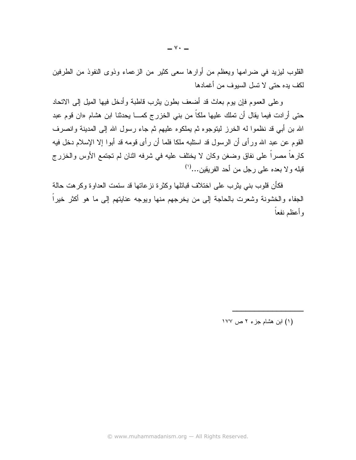القلوب ليزيد في ضرامها ويعظم من أوارها سعى كثير من الزعماء وذوى النفوذ من الطرفين لكف يده حتى لا تسل السيوف من أغمادها

وعلى العموم فإن يوم بعاث قد أضعف بطون بثرب قاطبة وأدخل فيها المبل إلى الاتحاد حتى أرادت فيما يقال أن تملك عليها ملكاً من بني الخزرج كمـــا يحدثنا ابن هشام «ان قوم عبد الله بن أبي قد نظموا له الخرز ليتوجوه ثم يملكوه عليهم ثم جاء رسول الله إلى المدينة وانصرف القوم عن عبد الله ورأى أن الرسول قد استلبه ملكا فلما أن رأى قومه قد أبوا إلا الإسلام دخل فيه كارهاً مصراً على نفاق وضغن وكان لا يختلف عليه في شرفه اثنان لم تجتمع الأوس والخزرج قبله ولا بعده على رجل من أحد الفريقين...<sup>(١)</sup>

فكأن قلوب بني يثرب على اختلاف قبائلها وكثرة نزعاتها قد سئمت العداوة وكرهت حالة الْجِفاء والخُشونة وشعرت بالحاجة إلى من يخرجهم منها ويوجه عنايتهم إلى ما هو أكثر خيراً وأعظم نفعأ

(۱) ابن هشام جزء ۲ ص ۱۷۷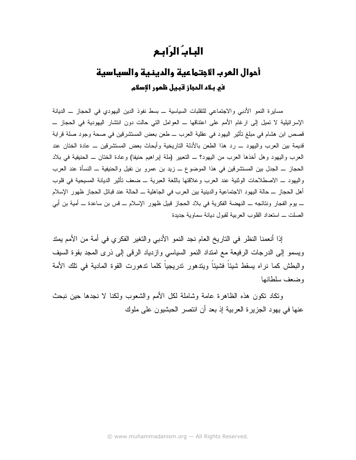## الباب الرّابع

## أحوال العرب الاجتماعية والدينية والسياسية في بـلاد المجاز قببيل ظمور الإسلام

مسايرة النمو الأدبي والاجتماعي للتقلبات السياسية ـــ بسط نفوذ الدين اليهودي في الحجاز ـــ الديانة الإسرائيلية لا تميل إلى ارغام الأمم على اعتناقها ــ العوامل التي حالت دون انتشار اليهودية في الحجاز ـــ قصص ابن هشام في مبلغ تأثير اليهود في عقلية العرب ـــ طعن بعض المستشرقين في صحة وجود صلة قرابة قديمة بين العرب واليهود ـــ رد هذا الطعن بالأدلة التاريخية وأبحاث بعض المستشرقين ـــ عادة الختان عند العرب واليهود وهل أخذها العرب من اليهود؟ ــ التعبير (ملة ايراهيم حنيفا) وعادة الختان ــ الحنيفية في بلاد الحجاز \_ الجدل بين المستشرقين في هذا الموضوع \_ زيد بن عمرو بن نفيل والحنيفية \_ النسأة عند العرب واليهود ــ الاصطلاحات الوثنية عند العرب وعلاقتها باللغة العبرية ـــ ضعف نأثير الديانة المسيحية في فلوب أهل الحجاز ـــ حالة اليهود الاجتماعية والدينية بين العرب في الجاهلية ـــ الحالة عند قبائل الحجاز ظهور الإسلام \_ يوم الفجار ونتائجه \_ النهضة الفكرية في بلاد الحجاز قبيل ظهور الإسلام \_ قس بن ساعدة \_ أمية بن أبي الصلت ـــ استعداد القلوب العربية لقبول ديانة سماوية جديدة

إذا أنعمنا النظر في الناريخ العام نجد النمو الأدبي والتغير الفكري في أمة من الأمم يمند ويسمو إلىي الدرجات الرفيعة مع امتداد النمو السياسي وازدياد الرقبي إلىي ذرى المجد بقوة السيف والبطش كما نراه يسقط شيئاً فشيئاً ويتدهور تدريجياً كلما تدهورت القوة المادية في نلك الأمة وضعف سلطانها

ونكاد نكون هذه الظاهرة عامة وشاملة لكل الأمم والشعوب ولكنا لا نجدها حين نبحث عنها في يهود الجزير ة العربية إذ بعد أن انتصر الحبشيون على ملوك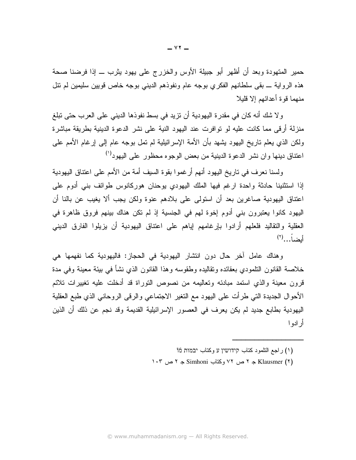$YY -$ 

حمير المتهودة وبعد أن أظهر أبو جبيلة الأوس والخزرج على يهود بثرب ــ إذا فرضنا صحة هذه الرواية ـــ بقى سلطانهم الفكري بوجه عام ونفوذهم الديني بوجه خاص قويين سليمين لم نتل منهما قوة أعدائهم إلا قلبلا

و لا شك أنه كان في مقدرة اليهودية أن تزيد في بسط نفوذها الديني على العرب حتى تبلغ منز لة أر قي مما كانت عليه لو تو افر ت عند اليهو د النية علي نشر الدعو ة الدينية بطر يقة مباشر ة ولكن الذي يعلم ناريخ اليهود يشهد بأن الأمة الإسرائيلية لم تمل بوجه عام إلى إرغام الأمم على اعتناق دينها و ان نشر الدعو ة الدينية من بعض الوجو ه محظور على اليهود<sup>(י)</sup>

ولِسنا نعرف في تاريخ اليهود أنهم أرغموا بقوة السيف أمة من الأمم على اعتناق اليهودية إذا استثنينا حادثة واحدة ارغم فيها الملك اليهودي يوحنان هوركانوس طوائف بنبي أدوم على اعتناق اليهودية صاغرين بعد أن استولى على بلادهم عنوة ولكن يجب ألا يغيب عن بالنا أن اليهود كانوا يعتبرون بني أدوم إخوة لهم في الجنسية إذ لم نكن هناك بينهم فروق ظاهرة في العقلية والنقاليد فلعلهم أرادوا بإرغامهم إياهم على اعتناق اليهودية أن بزيلوا الفارق الديني أيضاً...(٢)

و هناك عامل آخر حال دون انتشار اليهودية في الحجاز: فاليهودية كما نفهمها هي خلاصة القانون النلمودي بعقائده وتقاليده وطقوسه وهذا القانون الذي نشأ في بيئة معينة وفي مدة قرون معينة والذي استمد مبادئه وتعاليمه من نصوص التوراة قد أدخلت عليه تغييرات تلائم الأحوال الجديدة النبي طرأت على اليهود مع النغير الاجتماعي والرقى الروحاني الذي طبع العقلية اليهودية بطابع جديد لم يكن يعرف في العصور الإسرائيلية القديمة وقد نجم عن ذلك أن الذين أر ادو ا

- (١) راجع التلمود كتاب קידושין لا وكتاب יבמות מֹן
- 10) Klausmer ج ۲ ص ۷۲ وکتاب Simhoni ج ۲ ص ۱۰۳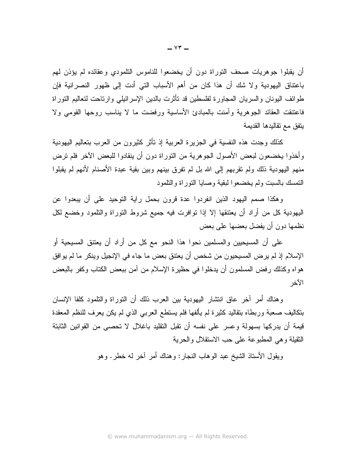أن يقبلوا جوهريات صحف التوراة دون أن يخضعوا للناموس التلمودي وعقائده لم يؤذن لهم باعتناق اليهودية ولا شك أن هذا كان من أهم الأسباب التي أدت إلى ظهور النصرانية فإن طوائف البونان والسريان المجاورة لفلسطين قد نأثرت بالدين الإسرائيلي وارتاحت لتعاليم النوراة فاعتنقت العقائد الجوهرية وأمنت بالمبادئ الأساسية ورفضت ما لا يناسب روحها القومي ولا يتفق مع نقاليدها القديمة

كذلك وجدت هذه النفسية في الجزيرة العربية إذ تأثر كثيرون من العرب بتعاليم اليهودية وأخذوا يخضعون لبعض الأصول الجوهرية من التوراة دون أن ينقادوا للبعض الآخر فلم ترض منهم اليهودية ذلك ولم نقربهم إلى الله بل لم نفرق بينهم وبين بقية عبدة الأصنام لأنهم لم يقبلوا النَّمسكَ بِالسِّبتِ ولم يخضِّعوا لبقية وصَّابا النَّور اة والنَّلْمود

وهكذا صمم اليهود الذين انفردوا عدة قرون بحمل راية التوحيد على أن يبعدوا عن اليهودية كل من أراد أن يعتنقها إلا إذا نوافرت فيه جميع شروط التوراة والتلمود وخضع لكل نظمها دون أن يفضل بعضها على بعض

على أن المسيحيين والمسلمين نحوا هذا النحو مع كل من أراد أن يعتنق المسيحية أو الإسلام إذ لم ير ض المسيحيون من شخص أن يعتنق بعض ما جاء في الإنجيل وينكر ٍ ما لم يو افق هواه وكذلك رفض المسلمون أن يدخلوا في حظيرة الإسلام من آمن ببعض الكتاب وكفر بالبعض الآخر

وهناك أمر آخر عاق انتشار البهودية بين العرب ذلك أن التوراة والتلمود كلفا الإنسان بنكاليف صعبة وربطاه بنقاليد كثيرة لم يألفها فلم يستطع العرببي الذي لم يكن يعرف للنظم المعقدة قيمة أن يدركها بسهولة وعسر على نفسه أن نقبل النقليد باغلال لا نحصـي من القوانين الثابتة النقيلة وهي المطبوعة على حب الاستقلال والحرية

ويقول الأستاذ الشيخ عبد الوهاب النجار : وهناك أمر آخر له خطر . وهو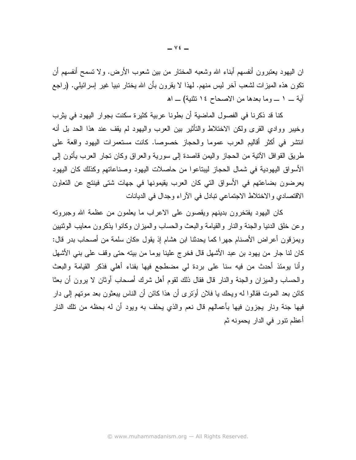ان اليهود يعتبرون أنفسهم أبناء الله وشعبه المختار من بين شعوب الأرض. ولا تسمح أنفسهم أن نكون هذه المبزات لشعب آخر ليس منهم. لهذا لا يقرون بأن الله يختار نبيا غير إسرائيلي. (راجع أية \_ ١ \_ وما بعدها من الاصحاح ١٤ نتثنية) \_ اهـ

كنا قد ذكر نا في الفصول الماضية أن بطونا عربية كثير ة سكنت بجوار اليهود في بِثر بِ وخيبر ووادى القرى ولكن الاختلاط والتأثير بين العرب واليهود لم يقف عند هذا الحد بل أنه انتشر في أكثر أقاليم العرب عموما والحجاز خصوصا. كانت مستعمرات اليهود واقعة على طريق القوافل الأنية من الحجاز واليمن قاصدة إلى سورية والعراق وكان تجار العرب يأتون إلى الأسواق اليهودية في شمال الحجاز ليبتاعوا من حاصلات اليهود وصناعاتهم وكذلك كان اليهود يعرضون بضاعتهم في الأسواق التي كان العرب يقيمونها في جهات شتى فينتج عن التعاون الاقتصادي والاختلاط الاجتماعي نبادل في الأراء وجدال في الديانات

كان اليهود يفتخرون بدينهم ويقصون على الاعراب ما يعلمون من عظمة الله وجبروته وعن خلق الدنيا والجنة والنار والقيامة والبعث والحساب والميزان وكانوا يذكرون معايب الوثنيين ويمزقون أعراض الأصنام جهرًا كما يحدثنا ابن هشام إذ يقول «كان سلمة من أصحاب بدر قال: كان لنا جار من يهود بن عبد الأشهل قال فخرج علينا يوما من بيته حتى وقف على بني الأشهل وأنا يومئذ أحدث من فيه سنا على بردة لمي مضطجع فيها بفناء أهلي فذكر القيامة والبعث والحساب والمميزان والجنة والنار قال فقال ذلك لقوم أهل شرك أصحاب أوثان لا برون أن بعثا كائن بعد الموت فقالوا له ويحك يا فلان أوَترى أن هذا كائن أن الناس يبعثون بعد موتهم إلى دار فيها جنة ونار يجزون فيها بأعمالهم قال نعم والذي يحلف به ويود أن له بحظه من نلك النار أعظم نتور في الدار يحمونه ثم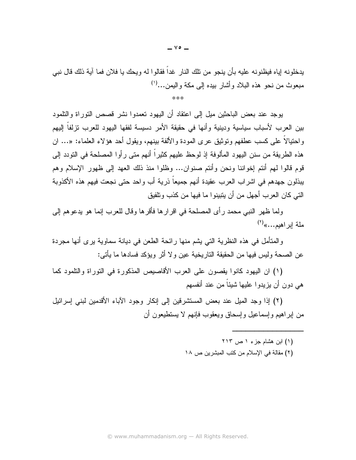يدخلونه إياه فيظنونه عليه بأن ينجو من تلك النار غداً فقالوا له ويحك يا فلان فما آية ذلك قال نبي مبعوث من نحو هذه البلاد وأشار ببده إلى مكة والبص:...(')

 $***$ 

يوجد عند بعض الباحثين ميل إلى اعتقاد أن اليهود تعمدوا نشر قصص النوراة والنلمود بين العرب لأسباب سياسية ودينية وأنها في حقيقة الأمر دسيسة لفقها اليهود للعرب نزلفاً إليهم واحتيالًا على كسب عطفهم وتوثيق عرى المودة والألفة بينهم، ويقول أحد هؤلاء العلماء: «… ان هذه الطريقة من سنن اليهود المألوفة إذ لوحظ عليهم كثيراً أنهم متى رأوا المصلحة في النودد إلى قوم قالوا لهم أنتم إخواننا ونحن وأنتم صنوان... وظلوا منذ ذلك العهد إلى ظهور الإسلام وهم ببذلون جهدهم في اشر اب العرب عقيدة أنهم جميعاً ذرية أب واحد حتى نجعت فيهم هذه الأكذوبة التي كان العر ب أجهل من أن بنيبنو ا ما فيها من كذب و تلفيق

ولما ظهر النبي محمد رأى المصلحة في اقرار ها فأقرها وقال للعرب إنما هو يدعوهم إلى ملة ابر اهيم...»<sup>(٢)</sup>

والمتأمل في هذه النظرية التي يشم منها رائحة الطعن في ديانة سماوية برى أنها مجردة عن الصحة وليس فيها من الحقيقة التاريخية عين ولا أثر ويؤكد فسادها ما يأتي:

(١) ان اليهود كانوا يقصون على العرب الأقاصيص المذكورة في التوراة والتلمود كما هي دون أن يزيدوا عليها شيئاً من عند أنفسهم

(٢) إذا وجد الميل عند بعض المستشرقين إلى إنكار وجود الآباء الأقدمين لبني إسرائيل من لبراهيم وإسماعيل وإسحاق ويعقوب فإنهم لا يستطيعون أن

- (۱) ابن هشام جزء ۱ ص ۲۱۳
- (٢) مقالة في الإسلام من كتب المبشرين ص ١٨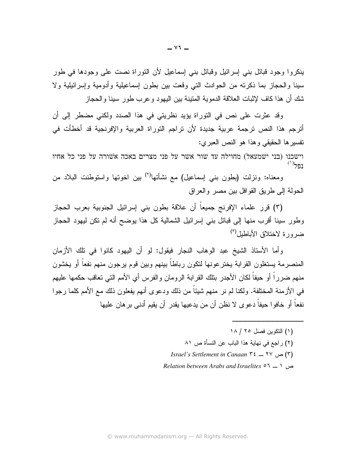ينكروا وجود قبائل بنبي إسرائيل وقبائل بنبي إسماعيل لأن النوراة نصت على وجودها في طور سينا والحجاز بما ذكرته من الحوادث التي وقعت بين بطون إسماعيلية وأدومية وإسرائيلية ولا شك أن هذا كاف لإثبات العلاقة الدموية المنينة بين اليهود وعرب طور سينا والحجاز

وقد عثرت على نص في النوراة يؤيد نظريتي في هذا الصدد ولكني مضطر إلى أن أترجم هذا النص ترجمة عربية جديدة لأن تراجم التوراة العربية والإفرنجية قد أخطأت في نفسيرها الحقيقى وهذا هو النص العبرى:

וישכנו (בני ישמעאל) מחוילה עד שור אשר על פני מצרים באכה אשורה על פני כל אחיו ותל<sup>(י)</sup>

ومعناه: ونزلت (بطون بنبي إسماعيل) مع نشأتها<sup>(٢)</sup> بين اخوتها واستوطنت البلاد من الحولة إلى طريق القوافل بين مصر والعراق

(٣) قرر علماء الإفرنج جميعاً أن علاقة بطون بني إسرائيل الجنوبية بعرب الحجاز وطور سبنا أقرب منها إلى قبائل بني إسرائيل الشمالية كل هذا يوضح أنه لم نكن ليهود الحجاز ضرورة لاختلاق الأباطيل<sup>(٣)</sup>

و أما الأستاذ الشيخ عبد الوهاب النجار فيقول: لو أن اليهود كانوا في تلك الأزمان المنصرمة يستغلون القرابة يختر عونها لنكون رباطاً بينهم وبين قوم يرجون منهم نفعاً أو يخشون منهم ضرراً أو حيفاً لكان الأجدر بنلك القرابة الرومان والفرس أي الأمم التي تعاقب حكمها عليهم في الأزمنة المختلفة. ولكنا لم نر منهم شيئاً من ذلك ودعوى أنهم يفعلون ذلك مع الأمم كلما رجو ا نفعاً أو خافو ا حيفاً دعو ي لا نظن أن من بدعيها بقدر ۖ أن بقيم أدنى بر هان عليها ۖ

- (١) النكوين فصل ٢٥ / ١٨
- (٢) راجع في نهاية هذا الباب عن النسأة ص ٨١
- Israel's Settlement in Canaan  $\mathbf{r} = \mathbf{r} \cdot \mathbf{r}$  ص  $(\mathbf{r})$
- Relation between Arabs and Israelites  $\circ 7 1$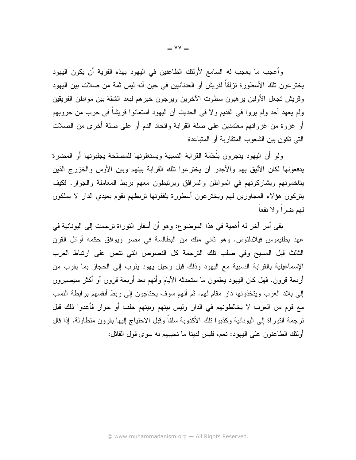وأعجب ما يعجب له السامع لأولئك الطاعنين في اليهود بهذه الفرية أن يكون اليهود يختر عون تلك الأسطورة تزلقاً لقريش أو العدنانيين في حين أنه ليس ثمة من صلات بين اليهود وقريش نجعل الأولين يرهبون سطوت الآخرين ويرجون خيرهم لبعد الشقة بين مواطن الفريقين ولم يعهد أحد ولم يروا في القديم ولا في الحديث أن اليهود استعانوا قريشا في حرب من حروبهم أو غزوة من غزواتهم معتمدين على صلة القرابة واتحاد الدم أو على صلة أخرى من الصلات التي تكون بين الشعوب المتقاربة أو المتباعدة

ولو أن اليهود يتجرون بلُحْمَة القرابة النسبية ويستغلونها للمصلحة يجلبونها أو المضرة يدفعونها لكان الأليق بهم والأجدر أن يخترعوا تلك القرابة بينهم وبين الأوس والخزرج الذين يتاخمونهم ويشاركونهم في المواطن والمرافق ويرتبطون معهم بربط المعاملة والجوار . فكيف بِتركون هؤلاء المجاورين لمهم ويخترعون أسطورة بِلفقونها تربطهم بقوم بعيدي الدار لا بِملكون لمهم ضرأ ولا نفعاً

بقي أمر آخر له أهمية في هذا الموضوع: وهو أن أسفار النوراة نرجمت إلى اليونانية في عهد بطليموس فيلادلتوس. وهو ثاني ملك من البطالسة في مصر ويوافق حكمه أوائل القرن الثالث قبل المسيح وفي صلب نلك الترجمة كل النصوص التي نتص على ارتباط العرب الإسماعيلية بالقرابة النسبية مع اليهود وذلك قبل رحيل يهود يثرب إلى الحجاز بما يقرب من أربعة قرون. فهل كان اليهود يعلمون ما ستحدثه الأيام وأنهم بعد أربعة قرون أو أكثر سيصيرون إلى بلاد العرب ويتخذونها دار مقام لهم. ثم أنهم سوف يحتاجون إلى ربط أنفسهم برابطة النسب مع قوم من العرب لا يخالطونهم في الدار وليس بينهم وبينهم حلف أو جوار فأعدوا ذلك قبل ترجمة التوراة إلى اليونانية وكذبوا تلك الأكذوبة سلفاً وقبل الاحتياج إليها بقرون متطاولة. إذا قال أو لئك الطاعنو ن على اليهو د: نعم، فليس لدينا ما نجيبهم به سو ي قول القائل: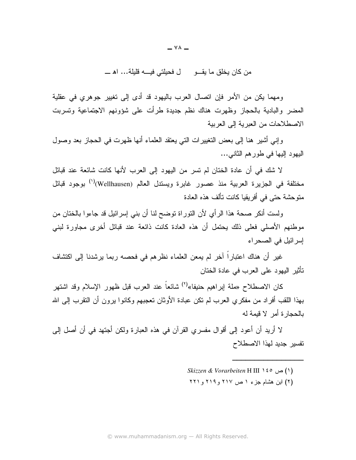من كان يخلق ما يقـــو ل فحيلتي فيــــه قليلة... اه ــــ

ومهما يكن من الأمر فإن اتصال العرب باليهود قد أدى إلى تغيير جوهري في عقلية المضر والبادية بالحجاز وظهرت هناك نظم جديدة طرأت علىي شؤونهم الاجتماعية ونسربت الاصطلاحات من العبر ية إلى العربية

وَإِنِّي أَشْيَرٍ هَنَّا إِلَى بَعْضَ النَّغْبِيرَاتِ الَّتِي يَعْتَقَدَ الْعَلَمَاءِ أَنَّهَا ظَهَرَتَ فَبِي الحجاز بعد وصول البيهود البيها في طور هم الثاني...

لا شك في أن عادة الختان لم تسر من اليهود إلى العرب لأنها كانت شائعة عند قبائل مختلفة في الجزيرة العربية منذ عصور غابرة ويستدل العالم (Wellhausen)<sup>(י)</sup> بوجود قبائل متو حشة حتى في أفر يقيا كانت تألف هذه العادة

ولست أنكر صحة هذا الرأي لأن النوراة توضح لنا أن بني إسرائيل قد جاءوا بالختان من موطنهم الأصلي فعلى ذلك يحتمل أن هذه العادة كانت ذائعة عند قبائل أخرى مجاورة لبني إسر ائيل في الصحر اء

غير أن هناك اعتبارا آخر لم يمعن العلماء نظرهم في فحصه ربما يرشدنا إلى اكتشاف تأثير اليهود على العرب في عادة الختان

كان الاصطلاح «ملة ايراهيم حنيفا»<sup>(٢)</sup> شائعاً عند العرب قبل ظهور الإسلام وقد اشتهر بهذا اللقب أفراد من مفكر ي العرب لم نكن عبادة الأوثان تعجبهم وكانوا برون أن النقرب إلى الله بالحجار ة أمر لا قيمة له

لا أريد أن أعود إلى أقوال مفسري القرآن في هذه العبارة ولكن أجتهد في أن أصل إلى تفسير جديد لهذا الاصطلاح

- (١) ص ١٤٥ Skizzen & Vorarbeiten H III
- (۲) ابن هشام جزء ۱ ص ۲۱۷ و ۲۱۹ و ۲۲۱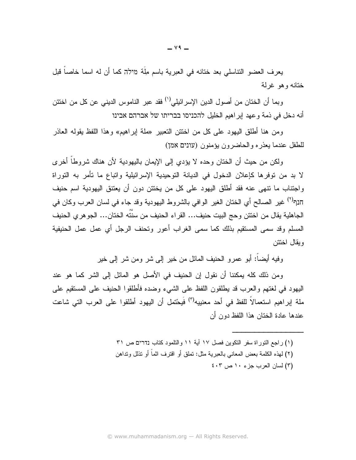يعرف العضو النتاسلي بعد ختانه في العبرية باسم مِلَّة מילה كما أن له اسما خاصاً قبل ختانه و هو غرلة

وبما أن الختان من أصول الدين الإسرائيلي<sup>(י)</sup> فقد عبر الناموس الديني عن كل من اختتن أنه دخل في ذمة و عهد إبر اهيم الخليل להכניסו בבריתו של אברהם אבינו

ومن هنا أطلق اليهود على كل من اختتن التعبير «ملة إبراهيم» وهذا اللفظ يقوله العاذر للطفل عندما يعذره والحاضرون يؤمنون (لاانات אמן)

ولكن من حيث أن الختان وحده لا يؤدي إلى الإيمان باليهودية لأن هناك شروطاً أخرى لا بد من توفرها كإعلان الدخول في الديانة التوحيدية الإسرائيلية واتباع ما تأمر به التوراة واجتناب ما نتهي عنه فقد أطلق اليهود على كل من يختتن دون أن يعتنق اليهودية اسم حنيف חנף<sup>(י)</sup> غير الصـالـح أي الـختان الـغير الوافـي بـالشروط اليـهوديـة وقد جـاء فـي لسـان الـعرب وكـان فـي الجاهلية يقال من اختتن وحج البيت حنيف... القراء الحنيف من سنَّتَه الختان... الجوهر ي الحنيف المسلم وقد سمى المستقيم بذلك كما سمى الغراب أعور وتحنف الرجل أي عمل عمل الحنيفية وبقال اختتن

وفيه أيضـا: أبو عمرو الـحنيف المـائل من خير إلـي شر ومن شر إلـي خير

ومن ذلك كله بمكننا أن نقول إن الحنيف في الأصل هو المائل إلى الشر كما هو عند اليهود في لغتهم والعرب قد يطلقون اللفظ على الشيء وضده فأطلقوا الحنيف على المستقيم على ملة إبراهيم استعمالاً للفظ في أحد معنييه<sup>(٣)</sup> فَيحْتمل أن اليهود أطلقوا على العرب التي شاعت عندها عادة الختان هذا اللفظ دون أن

> (١) راجع التوراة سفر التكوين فصل ١٧ آية ١١ والتلمود كتاب 77-٥ ص ٣١ (٢) لهذه الكلمة بعض المعاني بالعبرية مثل: نملق أو اقترف اثماً أو نذلل ونداهن  $(5.7)$ لسان العرب جزء ١٠ ص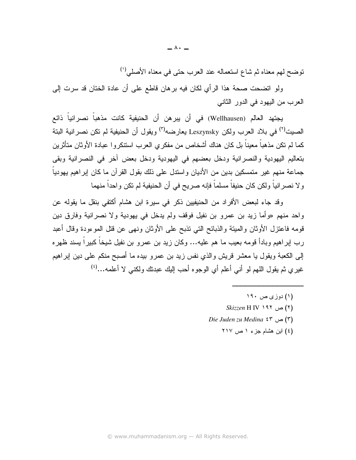نوضح لهم معناه ثم شاع استعماله عند العرب حتى في معناه الأصلي (')

ولو انضحت صحة هذا الرأي لكان فيه برهان قاطع على أن عادة الختان قد سرت إلى العرب من اليهود في الدور الثاني

يجتهد العالم (Wellhausen) في أن يبر هن أن الحنيفية كانت مذهباً نصر انياً ذائع الصيت<sup>(٢)</sup> في بلاد العرب ولكن Leszynsky يعارضه<sup>(٣)</sup> ويقول أن الحنيفية لم تكن نصر انية البتة كما لم تكن مذهباً معيناً بل كان هناك أشخاص من مفكر ي العرب استنكر و ا عبادة الأوثان متأثر بن بتعاليم اليهودية والنصر انية ودخل بعضهم في اليهودية ودخل بعض آخر في النصر انية وبقى جماعة منهم غير متمسكين بدين من الأديان واستدل على ذلك بقول القرآن ما كان ابر اهيم يهودياً و لا نصر انياً و لكن كان حنيفاً مسلماً فإنه صريح في أن الحنيفية لم نكن و احداً منهما

وقد جاء لبعض الأفراد من الحنيفيين ذكر في سيرة ابن هشام أكتفي بنقل ما يقوله عن واحد منهم «وأما زيد بن عمرو بن نفيل فوقف ولم يدخل في يهودية ولا نصرانية وفارق دين قومه فاعتزل الأوثان والمبتة والذبائح التبي تذبح على الأوثان ونهي عن قتل الموءودة وقال أعبد رب إبراهيم وبادأ قومه بعيب ما هم عليه… وكان زيد بن عمرو بن نفيل شيخاً كبيراً يسند ظهره إلى الكعبة ويقول يا معشر قريش و الذي نفس زيد بن عمر و بيده ما أصبح منكم على دين إبر اهيم غير ي ثم يقول اللَّهم لو أنبي أعلم أي الوجو ه أحب إليك عبدتك و لكنبي لا أعلمه...<sup>(٤)</sup>

- (۱) دوزی ص ۱۹۰
- Skizzen H IV ۱۹۲  $\omega$  (۲)
- Die Juden zu Medina  $5^{\circ}$  ص  $(5^{\circ})$ 
	- (٤) ابن هشام جزء ١ ص ٢١٧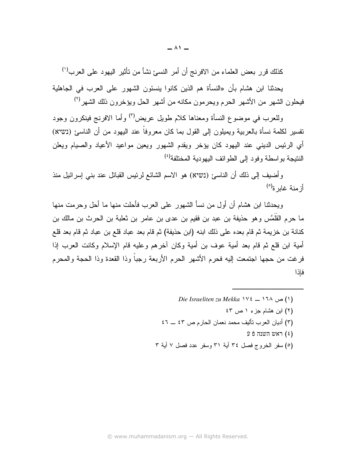كذلك قرر بعض العلماء من الافرنج أن أمر النسئ نشأ من تأثير اليهود على العرب (')

يحدثنا ابن هشام بأن «النسأة هم الذين كانوا ينسئون الشهور على العرب في الجاهلية فيحلون الشهر من الأشهر الحرم ويحرمون مكانه من أشهر الحل ويؤخرون ذلك الشهر<sup>(٢)</sup>

وللعرب في موضوع النسأة ومعناها كلام طويل عريض<sup>(٣)</sup> وأما الافرنج فينكرون وجود تفسير لكلمة نسأة بالعربية ويميلون إلى القول بما كان معروفاً عند اليهود من أن الناسئ (נשיא) أي الرئيس الدينبي عند اليهود كان يؤخر ويقدم الشهور ويعين مواعيد الأعياد والصيام ويعلن النتيجة بواسطة وفود إلى الطوائف اليهودية المختلفة<sup>(٤)</sup>

أز منة غاير ة<sup>(٥)</sup>

ويحدثنا ابن هشام أن أولٍ من نسأ الشهور ٍ على العرب فأحلت منها ما أحل وحرمت منها ما حرم القُلَمَّس وهو حذيفة بن عبد بن فقيم بن عدى بن عامرٍ بن ثعلبة بن الحرث بن مالك بن كنانة بن خزيمة ثم قام بعده على ذلك ابنه (ابن حذيفة) ثم قام بعد عباد قلع بن عباد ثم قام بعد قلع أمية ابن قلع ثم قام بعد أمية عوف بن أمية وكان آخر هم وعليه قام الإسلام وكانت العرب إذا فرغت من حجها اجتمعت إليه فحرم الأشهر الحرم الأربعة رجباً وذا القعدة وذا الحجة والمحرم فاذا

> Die Israeliten zu Mekka  $\forall$  (1) ص ١٦٨ — (1)  $\mathcal{E}(\mathbf{r})$  این هشام جزء ۱ ص (٣) أديان العرب تأليف محمد نعمان الحارم ص ٤٣ ــ ٤٦ ראש השנה פֿ $(i)$ (٥) سفر الخروج فصل ٣٤ آبة ٣١ وسفر عدد فصل ٧ آبة ٣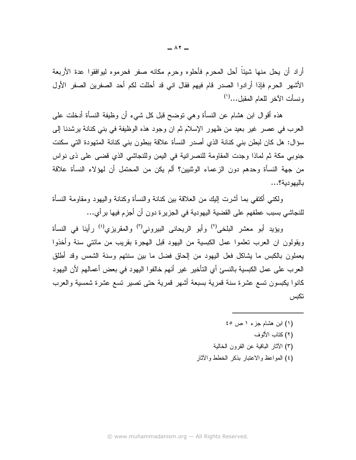أراد أن يحل منها شيئاً أحل المحرم فأحلوه وحرم مكانه صفر فحرموه ليوافقوا عدة الأربعة الأشهر الحرم فإذا أرادوا الصدر قام فيهم فقال اني قد أحللت لكم أحد الصفرين الصفر الأول ونسأت الآخر للعام المقبل...<sup>(י)</sup>

هذه أقوال ابن هشام عن النسأة وهي نوضح قبل كل شيىء أن وظيفة النسأة أدخلت علمي العرب في عصر غير بعيد من ظهور الإسلام ثم ان وجود هذه الوظيفة في بني كنانة يرشدنا إلى سؤال: هل كان لبطن بني كنانة الذي أصدر النسأة علاقة ببطون بني كنانة المتهودة التي سكنت جنوبي مكة ثم لماذا وجدت المقاومة للنصرانية في اليمن وللنجاشي الذي قضبي على ذي نواس من جهة النسأة وحدهم دون الزعماء الوثنيين؟ ألم يكن من المحتمل أن لمؤلاء النسأة علاقة باللهودية؟...

ولكنبي أكتفي بما أشرت إليك من العلاقة بين كنانة والنسأة وكنانة واليهود ومقاومة النسأة للنجاشي بسبب عطفهم على القضبة اليهودية في الجزيرة دون أن أجزم فيها بر أي...

ويؤيد أبو معشر البلخي<sup>(٢)</sup> وأبو الريحاني البيروني<sup>(٣)</sup> والمقريزي<sup>(٤)</sup> رأينا في النسأة ويقولون ان العرب تعلموا عمل الكبسية من اليهود قبل الهجرة بقريب من مائتي سنة وأخذوا يعملون بالكبس ما يشاكل فعل اليهود من الحاق فضل ما بين سنتهم وسنة الشمس وقد أطلق العر ب على عمل الكبسية بالنسئ أي التأخير غير أنهم خالفو ا اليهو د في بعض أعمالهم لأن اليهو د كانوا بكبسون تسع عشرة سنة قمرية بسبعة أشهر قمرية حتى تصير تسع عشرة شمسية والعرب تكبس

> (۱) ابن هشام جزء ۱ ص ٤٥ (٢) كتاب الألوف (٣) الآثار الباقية عن القرون الخالية (٤) المواعظ والاعتبار بذكر الخطط والآثار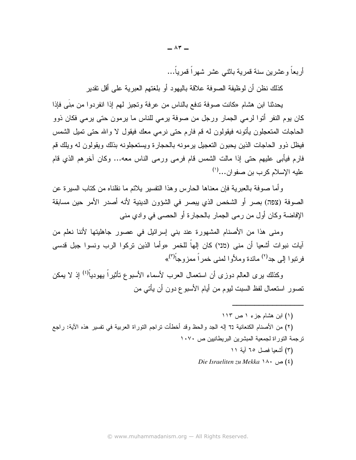وكذلك ير ي العالم دوز ي أن استعمال العرب لأسماء الأسبو ع تأثير اً يهودياً<sup>(٤)</sup> إذ لا يمكن تصور استعمال لفظ السبت ليوم من أيام الأسبوع دون أن يأتي من

فرنبوا إلى جد<sup>(٢)</sup> مائدة وملأوا لمني خمراً ممز وجاً<sup>(٣)</sup>»

الإفاضة وكان أول من رمي الجمار بالحجارة أو الحصيي في وادي مني

(۱) ابن هشام جزء ۱ ص ۱۱۳

(٢) من الأصنام الكنعانية 71 إله الجد والحظ وقد أخطأت نراجم النوراة العربية في نفسير هذه الآية: راجع ترجمة التوراة لجمعية المبشرين البريطانيين ص ١٠٧٠

(٣) أشعبا فصل ٦٥ آبة ١١

(٤) ص ١٨٠ Die Israeliten zu Mekka

أربعاً وعشرين سنة قمرية باثني عشر شهراً قمرياً…

كذلك نظن أن لوظيفة الصوفة علاقة باليهود أو بلغتهم العبرية على أقل نقدير

يحدثنا ابن هشام «كانت صوفة تدفع بالناس من عرفة وتجيز لمهم إذا انفردوا من مِنِّي فإذا كان يوم النفر أتوا لرمي الجمار ورجل من صوفة يرمي للناس ما يرمون حتى يرمي فكان ذوو الحاجات المتعجلون يأتونه فيقولون له قم فارم حتى نرمى معك فيقول لا والله حتى تميل الشمس فيظل ذوو الحاجات الذين يحبون التعجيل يرمونه بالحجارة ويستعجلونه بذلك ويقولون له ويلك قم فارم فيأبي عليهم حتى إذا مالت الشمس قام فرمي ورمي الناس معه... وكان أخرهم الذي قام عليه الإسلام كرب بن صفو ان...<sup>(١)</sup>

وأما صوفة بالعبرية فإن معناها الحارس وهذا التفسير يلائم ما نقلناه من كتاب السيرة عن

ومني هذا من الأصنام المشهورة عند بني إسرائيل في عصور جاهليتها لأننا نعلم من

الصوفة (צפה) بصر أو الشخص الذي يبصر في الشؤون الدينية لأنه أصدر الأمر حين مسابقة

آيات نبوات أشعيا أن منى (מני) كان إلهاً للخمر «وأما الذين تركوا الرب ونسوا جبل قدسى

 $\odot$  www.muhammadanism.org  $-$  All Rights Reserved.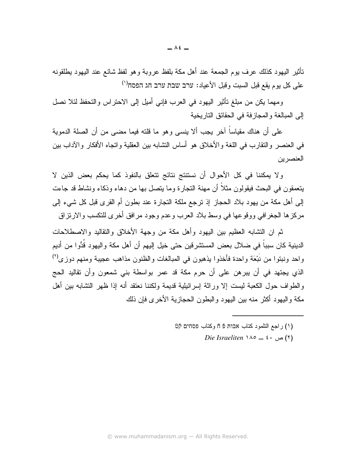تأثير اليهود كذلك عرف بوم الجمعة عند أهل مكة بلفظ عروبة وهو لفظ شائع عند اليهود يطلقونه على كل يوم يقع قبل السبت وقبل الأعياد: ערב שבת ערב חג הפסח<sup>(י)</sup>

ومهما يكن من مبلغ تأثير اليهود في العرب فإني أميل إلى الاحتراس والتحفظ لئلا نصل إلى المبالغة و المجاز فة في الحقائق التار بخية

على أن هناك مقياساً آخر يجب ألا ينسى وهو ما قلته فيما مضىي من أن الصلة الدموية في العنصر والنقارب في اللغة والأخلاق هو أساس النشابه بين العقلية وانجاه الأفكار والآداب بين العنصر بن

ولا يمكننا في كل الأحوال أن نستنتج نتائج نتعلق بالنفوذ كما يحكم بعض الذين لا يتعمقون في البحث فيقولون مثلاً أن مهنة التجارة وما يتصل بها من دهاء وذكاء ونشاط قد جاءت إلى أهل مكة من يهود بلاد الحجاز إذ نرجع ملكة النجارة عند بطون أم القرى قبل كل شيء إلى مركزها الجغرافي ووقوعها في وسط بلاد العرب وعدم وجود مرافق أخرى للتكسب والارتزاق

ثم ان النشابه العظيم بين البهود وأهل مكة من وجهة الأخلاق والنقاليد والاصطلاحات الدينية كان سبباً في ضلال بعض المستشرقين حتى خيل إليهم أن أهل مكة واليهود قُدُّوا من أديم واحد ونبتوا من نَبْعَة واحدة فأخذوا يذهبون في المبالغات والظنون مذاهب عجيبة ومنهم دوزي<sup>(٢)</sup> الذي يجتهد في أن يبرهن على أن حرم مكة قد عمر بواسطة بني شمعون وأن نقاليد الحج والطواف حول الكعبة ليست إلا وراثة إسرائيلية قديمة ولكننا نعتقد أنه إذا ظهر التشابه بين أهل مكة و البهود أكثر ً منه بين البهود و البطون الحجاز بة الأخر ي فإن ذلك

- (١) راجع التلمود كتاب אבות 5 ה وكتاب פסחים קס
	- Die Israeliten ۱۸۵ = ٤٠ (٢)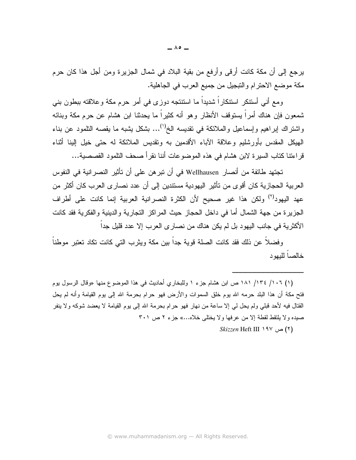يرجع إلى أن مكة كانت أرقى وأرفع من بقية البلاد في شمال الجزيرة ومن أجل هذا كان حرم مكة موضع الاحترام والتبجيل من جميع العرب في الجاهلية.

ومع أنبي أستنكر استنكاراً شديداً ما استنتجه دوزي في أمر حرم مكة وعلاقته ببطون بنبي شمعون فإن هناك أمراً يستوقف الأنظار وهو أنه كثيراً ما يحدثنا ابن هشام عن حرم مكة وبنائه واشتراك ابراهيم وإسماعيل والملائكة في تقديسه الخ<sup>(١)</sup>... بشكل بشبه ما بقصه التلمود عن بناء الهيكل المقدس بأورشليم وعلاقة الآباء الأقدمين به وتقديس الملائكة له حتى خيل إلينا أثناء قراءتنا كتاب السيرة لابن هشام في هذه الموضوعات أننا نقرأ صحف التلمود القصصية...

تجتهد طائفة من أنصار ِ Wellhausen في أن تبر هن على أن تأثير النصر انية في النفوس العربية الحجازية كان أقوى من تأثير اليهودية مستندين إلى أن عدد نصار ي العرب كان أكثر من عهد اليهود<sup>(٢)</sup> ولكن هذا غير صحيح لأن الكثرة النصرانية العربية إنما كانت على أطراف الجزير ة من جهة الشمال أما في داخل الحجاز حيث المراكز التجارية والدينية والفكرية فقد كانت الأكثرية في جانب اليهود بل لم يكن هناك من نصارى العرب إلا عدد قليل جداً

وفضلاً عن ذلك فقد كانت الصلة قوية جداً بين مكة ويثرب التي كانت تكاد تعتبر موطناً خالصا للبهود

(١) ١٠٦/ ١٣٤/ ١٨١ ص ابن هشام جزء ١ وللبخاري أحاديث في هذا الموضوع منها «وقال الرسول بوم فتح مكة أن هذا البلد حرمه الله يوم خلق السموات والأرض فهو حرام بحرمة الله إلى يوم القيامة وأنه لم يحل القتال فيه لأحد قبلي ولم يحل لمي إلا ساعة من نهار فهو حرام بحرمة الله إلى يوم القيامة لا يعضد شوكه ولا ينفر صيده ولا يلتقط لقطة إلا من عرفها ولا يختلبي خلاه...» جزء ٢ ص ٣٠١

*Skizzen* Heft III ۱۹۷ ص $(1)$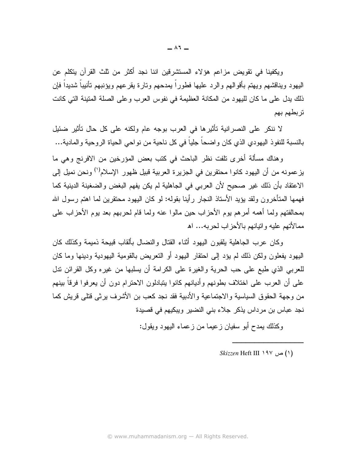ويكفينا في تقويض مزاعم هؤلاء المستشرقين اننا نجد أكثر من ثلث القرآن يتكلم عن اليهود ويناقشهم ويهتم بأقوالهم والرد عليها فطوراً يمدحهم وتارة يقرعهم ويؤنبهم نأنيباً شديداً فإن ذلك يدل على ما كان لليهود من المكانة العظيمة في نفوس العرب وعلى الصلة المتينة التي كانت تربطهم بهم

لا ننكر ٍ على النصر انية تأثير ها في العرب بوجه عام ولكنه على كل حال تأثير ٍ ضئيل بالنسبة للنفوذ اليهودي الذي كان واضحاً جلياً في كل ناحية من نواحي الحياة الروحية والمادية…

وهناك مسألة أخرى نلفت نظر الباحث في كتب بعض المؤرخين من الافرنج وهي ما يزعمونه من أن اليهود كانوا محتقرين في الجزيرة العربية قبيل ظهور الإسلام<sup>(١)</sup> ونحن نميل إلى الاعتقاد بأن ذلك غير صحيح لأن العربي في الجاهلية لم يكن يفهم البغض والضغينة الدينية كما فهمها المتأخرون ولقد يؤيد الأستاذ النجار رأينا بقوله: لو كان اليهود محتقرين لما اهتم رسول الله بمحالفتهم ولما أهمه أمرهم بوم الأحزاب حين مالوا عنه ولما قام لحربهم بعد بوم الأحزاب على ممالأتهم علبه واتبانهم بالأحز اب لحر به... اه

وكان عرب الجاهلية يلقبون اليهود أثناء القتال والنضال بألقاب قبيحة ذميمة وكذلك كان البِهود بفعلون ولكن ذلك لم يؤد إلى احتقار البِهود أو التعريض بالقومية البِهودية ودينها وما كان للعربي الذي طبع على حب الحرية والغير ة على الكرامة أن يسلبها من غير ه وكل القرائن ندل على أن العرب على اختلاف بطونهم وأديانهم كانوا بتبادلون الاحترام دون أن يعرفوا فرقاً بينهم من وجهة الحقوق السياسية والاجتماعية والأدبية فقد نجد كعب بن الأشرف يرثى قتلى قريش كما نجد عباس بن مرداس يذكر جلاء بني النضير ويبكيهم في قصيدة

وكذلك بمدح أبو سفيان زعيما من زعماء البهود ويقول:

Skizzen Heft III ۱۹۷ ص $(1)$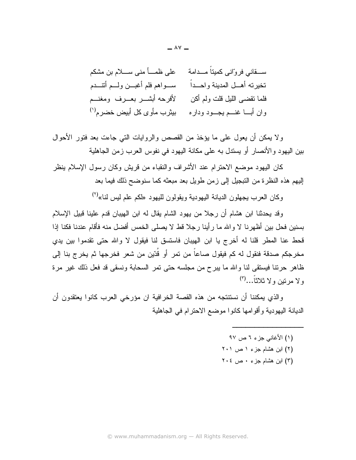ولا يمكن أن يعول على ما يؤخذ من القصص والروايات التي جاءت بعد فتور الأحوال بين اليهود و الأنصار أو يستدل به على مكانة اليهود في نفوس العرب ز من الجاهلية

كان اليهود موضع الاحترام عند الأشراف والنقباء من قريش وكان رسول الإسلام ينظر إليهم هذه النظرة من التبجيل إلى زمن طويل بعد مبعثه كما سنوضح ذلك فيما بعد

وكان العرب يجهلون الديانة اليهودية ويقولون لليهود «لكم علم ليس لنا»<sup>(٢)</sup>

وقد يحدثنا ابن هشام أن رجلا من يهود الشام يقال له ابن الهيبان قدم علينا قبيل الإسلام بسنين فحل بين أظهرنا لا والله ما رأينا رجلا قط لا يصلبي الخمس أفضل منه فأقام عندنا فكنا إذا قحط عنا المطر قلنا له أخرج يا ابن الهيبان فاستسق لنا فيقول لا والله حتى تقدموا بين يدي مخرجكم صدقة فنقول له كم فيقول صاعاً من تمر أو قُدّين من شعر فخرجها ثم يخرج بنا إلى ظاهر حرنتا فيستقى لنا والله ما ببرح من مجلسه حتى نمر السحابة ونسقى قد فعل ذلك غير مرة ولا مرتين ولا ثلاثاً…(٣)

و الذي يمكننا أن نستنتجه من هذه القصة الخر افية ان مؤرخي العرب كانوا يعتقدون أن الديانة اليهو دية و أقو امها كانو ا موضع الاحتر ام في الجاهلية

- (١) الأغاني جزء ٦ ص ٩٧
- (٢) ابن هشام جزء ١ ص ٢٠١
- (٣) ابن هشام جزء ٠ ص ٢٠٤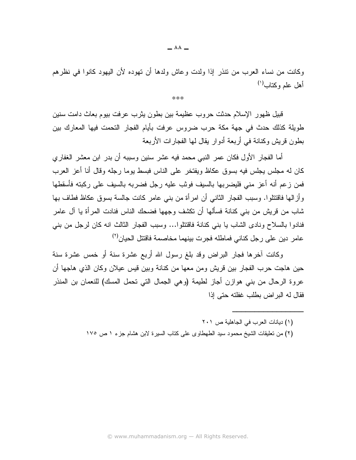وكانت من نساء العرب من نتذر إذا ولدت وعاش ولدها أن تهوده لأن اليهود كانوا في نظرهم أهل علم وكتاب<sup>(י)</sup>

\*\*\*

قبيل ظهور الإسلام حدثت حروب عظيمة بين بطون يثرب عرفت بيوم بعاث دامت سنين طويلة كذلك حدث في جهة مكة حرب ضروس عرفت بأيام الفجار التحمت فيها المعارك بين بطون قريش وكنانة في أربعة أدوار يقال لها الفجارات الأربعة

أما الفجار الأول فكان عمر النبي محمد فيه عشر سنين وسببه أن بدر ابن معشر الغفاري كان له مجلس يجلس فيه بسوق عكاظ ويفتخر على الناس فبسط يوما رجله وقال أنا أعز العرب فمن زعم أنه أعز مني فليضربها بالسيف فونب عليه رجل فضربه بالسيف على ركبته فأسقطها و أز الها فاقتتلوا. وسبب الفجار الثاني أن امر أة من بني عامر كانت جالسة بسوق عكاظ فطاف بها شاب من قريش من بني كنانة فسألها أن تكشف وجهها فضحك الناس فنادت المرأة يا آل عامر فنادوا بالسلاح ونادي الشاب يا بني كنانة فاقتتلوا… وسبب الفجار الثالث انه كان لرجل من بني عامر دين على رجل كناني فماطله فجرت بينهما مخاصمة فاقتتل الحيان<sup>(٢)</sup>

وكانت أخرها فجار البراض وقد بلغ رسول الله أربع عشرة سنة أو خمس عشرة سنة حين هاجت حر ب الفجار بين قريش و من معها من كنانة وبين قيس عيلان و كان الذي هاجها أن عروة الرحال من بني هوازن أجاز لطيمة (وهي الجمال التي تحمل المسك) للنعمان بن المنذر فقال له البر اض بطلب غفلته حتى اذا

- (١) ديانات العرب في الجاهلية ص ٢٠١
- (٢) من تعليقات الشيخ محمود سيد الطهطاوى على كتاب السيرة لابن هشام جزء ١ ص ١٧٥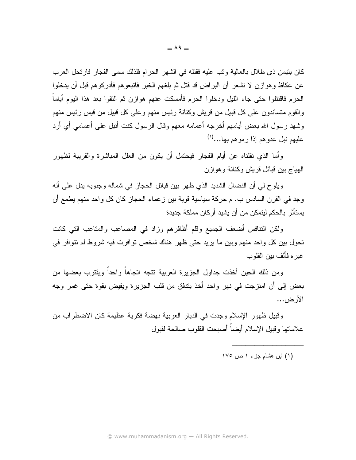كان بنيمن ذي طلال بالعالية وثب عليه فقتله في الشهر الحرام فلذلك سمى الفجار فارتحل العرب عن عكاظ و هوازن لا نشعر أن البراض قد قتل ثم بلغهم الخبر فاتبعو هم فأدركو هم قبل أن يدخلوا الحرم فاقتتلوا حتى جاء الليل ودخلوا الحرم فأمسكت عنهم هوازن ثم التقوا بعد هذا اليوم أياماً والقوم متساندون علي كل قبيل من قريش وكنانة رئيس منهم وعلي كل قبيل من قيس رئيس منهم وشهد رسول الله بعض أيامهم أخرجه أعمامه معهم وقال الرسول كنت أنبل على أعمامي أي أرد عليهم نبل عدوهم إذا رموهم بها...<sup>(י)</sup>

وأما الذي نقلناه عن أيام الفجار فيحتمل أن يكون من العلل المباشرة والقريبة لظهور الهياج بين قبائل قريش وكنانة وهوإزن

ويلوح لـى أن النضـال الشديد الذي ظـهر بين قبـائل الـحجاز فـى شمالـه وجنوبـه يدل علـى أنـه وجد في القرن السادس ب. م حركة سياسية قوية بين ز عماء الحجاز كان كل واحد منهم يطمع أن بستأثر بالحكم لبتمكن من أن بشبد أر كان مملكة جدبدة

ولكن النتافس أضعف الجميع وقلم أظافرهم وزاد في المصاعب والمتاعب التي كانت تحول بين كل واحد منهم وبين ما يريد حتى ظهر هناك شخص تو افر ت فيه شر وط لم تتو افر في غبر ہ فألف بين القلوب

ومن ذلك الحين أخذت جداول الجزيرة العربية نتجه اتجاهاً واحداً ويقترب بعضها من بعض إلى أن امتزجت في نهر واحد أخذ يتدفق من قلب الجزيرة ويفيض بقوة حتى غمر وجه الأر ض...

وقبيل ظهور الإسلام وجدت في الديار العربية نهضة فكرية عظيمة كان الاضطراب من علاماتها وقبيل الاسلام أبضاً أصبحت القلوب صالحة لقبول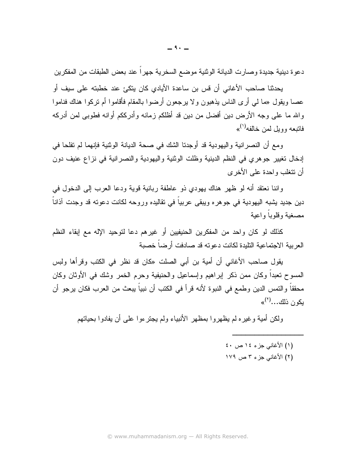دعوة دينية جديدة وصارت الديانة الوثنية موضع السخرية جهرا عند بعض الطبقات من المفكرين

يحدثنا صاحب الأغاني أن قس بن ساعدة الأيادي كان ينكئ عند خطبته على سيف أو عصـا ويقول «مـا لمي أر ي النـاس بذهبون و لا برجعون أرضـوا بـالمقام فأقاموا أم نركوا هناك فناموا والله ما على وجه الأرض دين أفضل من دين قد أظلكم زمانه وأدرككم أوانه فطوبى لمن أدركه فاتبعه وويل لمن خالفه<sup>(۱</sup>)»

ومع أن النصر انية واليهودية قد أوجدنا الشك في صحة الديانة الوثنية فإنهما لم تفلحا في إدخال تغيير جوهري في النظم الدينية وظلت الوثنية واليهودية والنصرانية في نزاع عنيف دون أن نتغلب واحدة علمي الأخرى

واننا نعتقد أنه لو ظهر هناك يهودي ذو عاطفة ربانية قوية ودعا العرب إلى الدخول في دين جديد يشبه اليهودية في جوهره ويبقى عربياً في تقاليده وروحه لكانت دعوته قد وجدت آذاناً مصغنة وقلوبا واعية

كذلك لو كان واحد من المفكرين الحنيفيين أو غيرهم دعا لتوحيد الإله مع إبقاء النظم العربية الاجتماعية التليدة لكانت دعوته قد صادفت أرضاً خصبة

يقول صاحب الأغاني أن أمية بن أبي الصلت «كان قد نظر في الكتب وقرأها ولبس المسوح نعبداً وكان ممن ذكر ۖ إبراهيم وإسماعيل والحنيفية وحرم الخمر وشك في الأوثان وكان محققاً والتمس الدين وطمع في النبوة لأنه قرأ في الكتب أن نبياً يبعث من العرب فكان يرجو أن  $\mathcal{L}^{(7)}$ ، دلك

ولكن أمية وغيره لم يظهروا بمظهر الأنبياء ولم يجترءوا على أن يفادوا بحياتهم

- (١) الأغاني جزء ١٤ ص ٤٠
- (٢) الأغاني جزء ٣ ص ١٧٩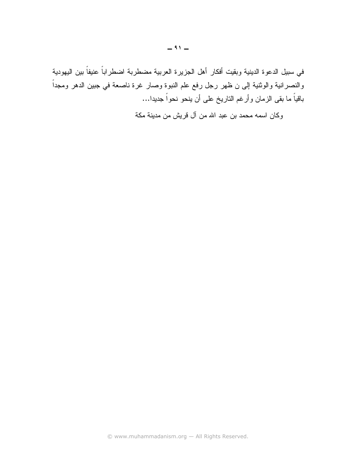في سبيل الدعوة الدينية وبقيت أفكار أهل الجزيرة العربية مضطربة اضطراباً عنيفاً بين اليهودية والنصرانية والوثنية إلى ن ظهر رجل رفع علم النبوة وصار غرة ناصعة في جبين الدهر ومجداً باقياً ما بقى الزمان وأرغم الناريخ على أن ينحو نحواً جديدا…

وكان اسمه محمد بن عبد الله من أل قريش من مدينة مكة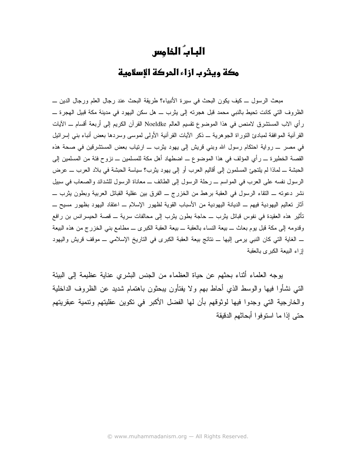## البابُ الذامس

## مكة ويثرب ازاء الدركة الإسلامية

مبعث الرسول ــ كيف يكون البحث في سيرة الأنبياء؟ طريقة البحث عند رجال العلم ورجال الدين ـــ الظروف التي كانت تحيط بالنبي محمد قبل هجرته إلى بِثرب ـــ هل سكن اليهود في مدينة مكة قبيل الهجرة ـــ رأي الاب المستشرق لامنص في هذا الموضوع نقسيم العالم Noeldke القرآن الكريم إلى أربعة أقسام ــ الآيات القرآنية الموافقة لمبادئ النوراة الجوهرية ــ ذكر الأيات القرآنية الأولى لموسى وسردها بعض أنباء بنبي إسرائيل في مصر \_ رواية احتكام رسول الله وبني قريش إلى يهود بثرب \_ ارتياب بعض المستشرقين في صحة هذه القصة الخطيرة ــــ رأى المؤلف في هذا الموضوع ـــ اضطهاد أهل مكة للمسلمين ــــ نزوح فئة من المسلمين إلى الحبشة ــ لماذا لم يلتجئ المسلمون إلى أقاليم العرب أو إلى يهود يثرب؟ سياسة الحبشة في بلاد العرب ـــ عرض الرسول نفسه على العرب في المواسم ـــ رحلة الرسول إلى الطائف ـــ معاناة الرسول للشدائد والصعاب في سبيل نشر دعونه ــ النقاء الرسول في العقبة برهط من الخزرج ــ الفرق بين عقلية القبائل العربية وبطون يثرب ـــ أثار تعاليم اليهودية فيهم ــ الديانة اليهودية من الأسباب القوية لظهور الإسلام ــ اعتقاد اليهود بظهور مسيح ـــ تأثير هذه العقيدة في نفوس قبائل بِثرب ـــ حاجة بطون بِثرب إلى محالفات سرية ـــ قصـة الحيسرانس بن رافع وقدومه إلى مكة قبل يوم بعاث ـــ بيعة النساء بالعقبة ـــ بيعة العقبة الكبرى ـــ مطامع بني الخزرج من هذه البيعة ــ الغاية التي كان النبي برمي إليها ـــ نتائج بيعة العقبة الكبرى في الناريخ الإسلامي ـــ موقف قريش واليهود إز اء البيعة الكبر ي بالعقبة

بوجه العلماء أثناء بحثهم عن حياة العظماء من الجنس البشر ى عناية عظيمة إلى البيئة التي نشأوا فيها والوسط الذي أحاط بهم و لا يفتأون بيحثون باهتمام شديد عن الظروف الداخلية والخارجية التي وجدوا فيها لوثوقهم بأن لها الفضل الأكبر في نكوين عقليتهم ونتمية عبقريتهم حتى إذا ما استوفوا أبحاثهم الدقيقة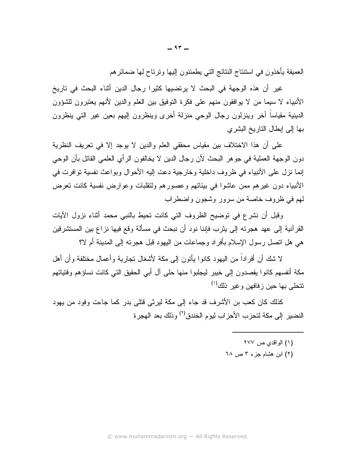العميقة بأخذون في استنتاج النتائج التي بطمئنون إليها ونرناح لها ضمائرهم

غير أن هذه الوجهة في البحث لا يرتضيها كثيرا رجال الدين أثناء البحث في تاريخ الأنبياء لا سيما من لا يوافقون منهم على فكرة النوفيق بين العلم والدين لأنهم يعتبرون للشؤون الدينية مقياسا أخر وينزلون رجال الوحى منزلة أخرى وينظرون إليهم بعين غير التبي ينظرون بها إلى إبطال الناريخ البشرى

على أن هذا الاختلاف بين مقياس محققي العلم والدين لا يوجد إلا في تعريف النظرية دون الوجهة العملية في جو هر البحث لأن رجال الدين لا يخالفون الرأى العلمي القائل بأن الوحي إنما نزل على الأنبياء في ظروف داخلية وخارجية دعت إليه الأحوال وبواعث نفسية توافرت في الأنبياء دون غيرهم ممن عاشوا في بيئاتهم وعصورهم ولنقلبات وعوارض نفسية كانت نعرض لهم في ظروف خاصة من سرور وشجون واضطراب

وقبل أن نشر ع في توضيح الظروف التي كانت تحيط بالنبي محمد أثناء نزول الآيات القرآنية إلى عهد هجرته إلى يثرب فإننا نود أن نبحث في مسألة وقع فيها نزاع بين المستشرقين هي هل اتصل رسول الإسلام بأفر اد وجماعات من اليهود قبل هجر ته إلى المدينة أم لا؟

لا شك أن أفر اداً من البهود كانوا بأنون إلى مكة لأشغال نجار بـة و أعمال مختلفة و أن أهل مكة أنفسهم كانوا بقصدون إلى خيبر ليجلبوا منها حلى آل أبي الحقيق التي كانت نساؤهم وفتياتهم نتحلي بها حبن ز فافهن و غبر ذلك<sup>(۱)</sup>

كذلك كان كعب بن الأشرف قد جاء إلى مكة ليرثى قتلى بدر كما جاءت وفود من يهود النضير إلى مكة لتحز ب الأحز اب ليو م الخندق<sup>(٢)</sup> و ذلك بعد الهجر ة

- (١) الو اقدى ص ٢٧٧
- (٢) ابن هشام جزء ٣ ص ٦٨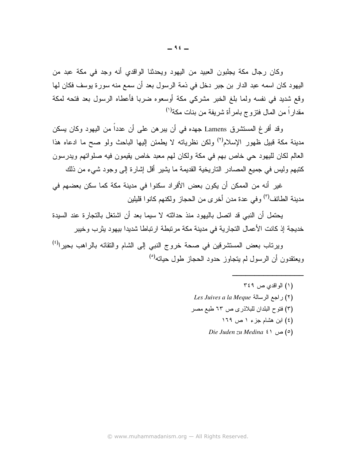$-95-$ 

اليهود كان اسمه عبد الدار بن جبر دخل في ذمة الرسول بعد أن سمع منه سورة يوسف فكان لها وقع شديد في نفسه ولما بلغ الخبر مشركي مكة أوسعوه ضربا فأعطاه الرسول بعد فنحه لمكة مقداراً من المال فتزوج بامرأة شريفة من بنات مكة<sup>(י)</sup>

وقد أفرِ غ المستشر ق Lamens جهده في أن بير هن علي أن عدداً من اليهود وكان بسكن مدينة مكة قبيل ظهور الإسلام<sup>(٢)</sup> ولكن نظرياته لا يطمئن اليها الباحث ولو صح ما ادعاه هذا العالم لكان لليهود حي خاص بهم في مكة ولكان لهم معبد خاص يقيمون فيه صلواتهم ويدرسون كتبهم وليس في جميع المصادر الناريخية القديمة ما يشير أقل إشارة إلى وجود شيء من ذلك

غير أنه من الممكن أن يكون بعض الأفراد سكنوا في مدينة مكة كما سكن بعضهم في مدينة الطائف<sup>(٣)</sup> وفي عدة مدن أخرى من الحجاز ولكنهم كانوا قليلين

يحتمل أن النبي قد اتصل باليهود منذ حداثته لا سيما بعد أن اشتغل بالنجار ة عند السيدة خديجة إذ كانت الأعمال التجارية في مدينة مكة مرتبطة ارتباطا شديدا بيهود يثرب وخيبر

ويرناب بعض المستشرقين في صحة خروج النبي إلى الشام والنقائه بالراهب بحيرا<sup>(٤)</sup> ويعتقدون أن الرسول لم يتجاوز حدود الحجاز طول حياته<sup>(٥)</sup>

- (١) الو اقدى ص ٢٤٩
- Les Juives a la Meque (٢)
- (٣) فتوح البلدان للبلاذري ص ٦٣ طبع مصر
	- (٤) ابن هشام جزء ١ ص ١٦٩
	- Die Juden zu Medina ٤١ ص ٥١)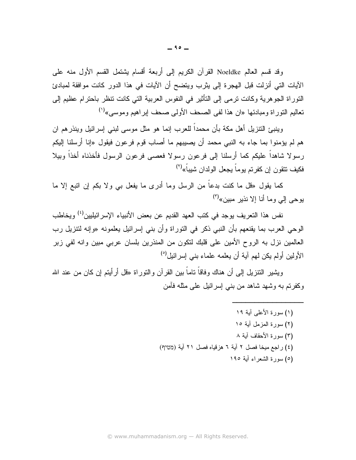وقد قسم العالم Noeldke القرآن الكريم إلى أربعة أقسام بِشتمل القسم الأول منه على الآيات التي أنزلت قبل الهجرة إلى يثرب ويتضح أن الآيات في هذا الدور كانت موافقة لمبادئ النوراة الجوهرية وكانت نرمي إلى التأثير في النفوس العربية التي كانت نتظر باحترام عظيم إلى تعاليم التوراة ومبادئها «ان هذا لفي الصحف الأولى صحف إبراهيم وموسى»<sup>(י)</sup>

وينبئ النتزيل أهل مكة بأن محمداً للعرب إنما هو مثل موسى لبنى إسرائيل وينذرهم ان هم لم يؤمنوا بما جاء به النبي محمد أن يصيبهم ما أصاب قوم فرعون فيقول «إنا أرسلنا إليكم رسولا شاهداً عليكم كما أرسلنا إلى فرعون رسولا فعصبي فرعون الرسول فأخذناه أخذاً وبيلا فكيف نتقون إن كفرتم يوماً يجعل الولدان شيباً»<sup>(٢)</sup>

كما يقول «قل ما كنت بدعاً من الرسل وما أدرى ما يفعل ب*ي و*لا بكم إن اتبع إلا ما  $\left(\begin{smallmatrix} 0 \ 0 \end{smallmatrix}\right)$ بو ھے اِلے وما أنا اِلا نذہر مببن

نفس هذا التعريف يوجد في كتب العهد القديم عن بعض الأنبياء الإسر ائيليين<sup>(٤)</sup> ويخاطب الوحي العرب بما يقنعهم بأن النبي ذكر في التوراة وأن بني إسرائيل يعلمونه «وإنه لنتزيل رب العالمين نزل به الروح الأمين على قلبك لنكون من المنذرين بلسان عربي مبين وانه لفي زبر الأولين أولم بكن لهم آبة أن بعلمه علماء بني اسر ائيل<sup>(٥)</sup>

ويشير التتزيل إلى أن هناك وفاقاً ناماً بين القرآن والتوراة «قل أرأيتم إن كان من عند الله وكفرتم به وشهد شاهد من بنبي إسرائيل علمي مثله فأمن

> (١) سورة الأعلى آبة ١٩ (٢) سورة المزمل آبة ١٥ (٣) سورة الأحقاف آبة ٨ (٤) راجع ميخا فصل ٢ آية ٦ هز قياه فصل ٢١ آية (מטיף) (٥) سورة الشعراء آبة ١٩٥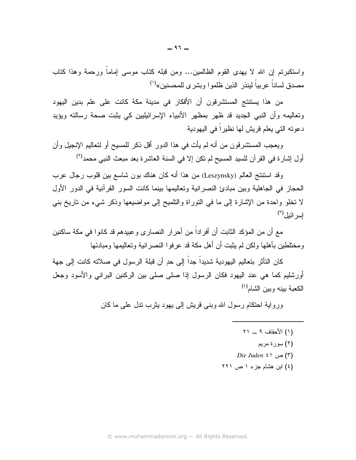واستكبرتم إن الله لا يهدى القوم الظالمين... ومن قبله كتاب موسى إماماً ورحمة وهذا كتاب مصدق لساناً عربياً لينذر الذين ظلموا وبشرى للمحسنين»<sup>(י)</sup>

من هذا يستنتج المستشرقون أن الأفكار في مدينة مكة كانت على علم بدين اليهود ونعاليمه وأن النبي الجديد قد ظهر بمظهر الأنبياء الإسرائيليين كي يثبت صحة رسالته ويؤيد دعوته التي يعلم قريش لها نظيراً في اليهودية

ويعجب المستشرقون من أنه لم يأت في هذا الدور أقل ذكر للمسيح أو لتعاليم الإنجيل وأن أول إشارة في القرآن للسيد المسيح لم تكن إلا في السنة العاشرة بعد مبعث النبي محمد<sup>(٢)</sup>

وقد استتنج العالم (Leszynsky) من هذا أنه كان هناك بون شاسع بين قلوب رجال عرب الحجاز في الجاهلية وبين مبادئ النصرانية وتعاليمها بينما كانت السور القرآنية في الدور الأول لا نخلو واحدة من الإشارة إلى ما في النوراة والنلميح إلى مواضيعها وذكر شيء من ناريخ بني  $\left( \begin{smallmatrix} 0 \ 0 \end{smallmatrix} \right)$ اسر ائبل

مع أن من المؤكد الثابت أن أفر اداً من أحر ار النصار ي و عبيدهم قد كانو ا في مكة ساكنين ومختلطين بأهلها ولكن لم يثبت أن أهل مكة قد عرفو ا النصر انية و تعاليمها ومبادئها

كان التأثر بتعاليم اليهو دية شديداً جداً إلى حدٍ أن قبلة الر سول في صلاته كانت إلى جهة أورشليم كما هي عند اليهود فكان الرسول إذا صلى صلى بين الركنين البراني والأسود وجعل الكعبة ببنه وببن الشام<sup>(٤)</sup>

ورواية احتكام رسول الله وبنبي قريش إلى يهود بثرب ندل على ما كان

- $Y1 9$  الأحقاف ٩
	- (۲) سورة مريم
- Die Juden ٤١ ص ٢١)
- (٤) ابن هشام جزء ١ ص ٢٢١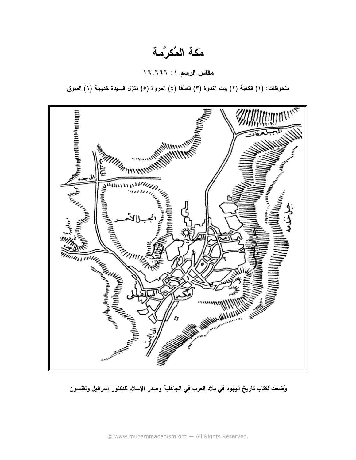## مَكَة المُكرَّمة

مقاس الرسم ١: ١٦.٦٦٦

ملحوظات: (١) الكعبة (٢) بيت الندوة (٣) الصِّفا (٤) المروة (٥) منزل السيدة خديجة (٦) السوق



وُضعت لكتاب تاريخ اليهود في بلاد العرب في الجاهلية وصدر الإسلام للدكتور إسرائيل ولفنسون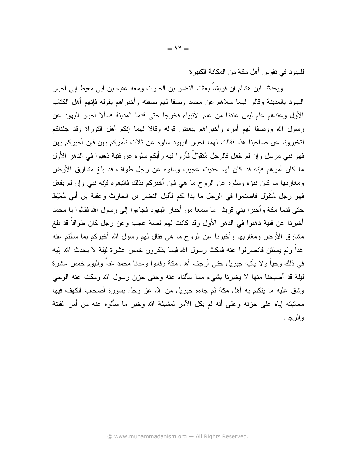لليهود في نفوس أهل مكة من المكانة الكبيرة

ويحدثنا ابن هشام أن قريشاً بعثت النضر بن الحارث ومعه عقبة بن أبي معيط إلى أحبار البهود بالمدينة وقالوا لهما سلاهم عن محمد وصفا لهم صفته وأخبراهم بقوله فإنهم أهل الكتاب الأول وعندهم علم ليس عندنا من علم الأنبياء فخرجا حتى قدما المدينة فسألا أحبار اليهود عن رسول الله ووصفا لمهم أمره وأخبراهم ببعض قوله وقالا لمهما إنكم أهل التوراة وقد جئناكم لتخبرونا عن صاحبنا هذا فقالت لهما أحبار اليهود سلوه عن ثلاث نأمركم بهن فإن أخبركم بهن فهو نبي مرسل وإن لم يفعل فالرجل مُتَقَوّلٌ فأروا فيه رأيكم سلوه عن فتية ذهبوا في الدهر الأول ما كان أمر هم فإنه قد كان لهم حديث عجيب وسلوه عن رجل طواف قد بلغ مشارق الأرض ومغاربها ما كان نبوًه وسلوه عن الروح ما هي فإن أخبر كم بذلك فاتبعوه فإنه نبي وإن لم يفعل فهو رجل مُتَقَوّل فاصنعوا في الرجل ما بدا لكم فأقبل النضر بن الحارث وعقبة بن أبي مُعَيْط حتى قدما مكة وأخبر ا بني قريش ما سمعا من أحبار اليهود فجاءوا إلى رسول الله فقالوا يا محمد أخبرنا عن فتية ذهبوا في الدهر الأول وقد كانت لهم قصبة عجب وعن رجل كان طوافاً قد بلغ مشارق الأرض ومغاربها وأخبرنا عن الروح ما هي فقال لهم رسول الله أخبركم بما سألتم عنه غداً ولم يستثن فانصرفوا عنه فمكث رسول الله فيما يذكرون خمس عشرة ليلة لا يحدث الله إليه في ذلك وحياً و لا يأتيه جبريل حتى أرجف أهل مكة وقالوا وعدنا محمد غداً واليوم خمس عشرة لبلة قد أصبحنا منها لا يخبرنا بشيء مما سألناه عنه وحتى حزن رسول الله ومكث عنه الوحي وشق عليه ما يتكلَّم به أهل مكة ثم جاءه جبريل من الله عز وجل بسورة أصحاب الكهف فيها معاتبته لياه على حزنه وعلى أنه لم يكل الأمر لمشيئة الله وخبر ما سألوه عنه من أمر الفتنة و الر جل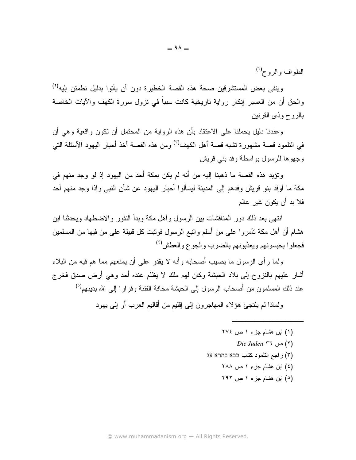الطواف والروح<sup>(י)</sup>

وينفي بعض المستشرقين صحة هذه القصة الخطيرة دون أن يأتوا بدليل نطمئن إليه<sup>(٢)</sup> والحق أن من العسير إنكار رواية تاريخية كانت سبباً في نزول سورة الكهف والأيات الخاصة بالروح وذى القرنين

وعندنا دليل يحملنا على الاعتقاد بأن هذه الرواية من المحتمل أن تكون واقعية وهي أن في التلمود قصبة مشهورة تشبه قصبة أهل الكهف<sup>(٣)</sup> ومن هذه القصبة أخذ أحبار اليهود الأسئلة التي وجهوها للرسول بواسطة وفد بنبي قريش

وتؤيد هذه القصنة ما ذهبنا إليه من أنه لم يكن بمكة أحد من اليهود إذ لو وجد منهم في مكة ما أوفد بنو قريش وفدهم إلى المدينة ليسألوا أحبار اليهود عن شأن النبي وإذا وجد منهم أحد فلا بد أن يكون غير عالم

انتهى بعد ذلك دور المناقشات بين الرسول وأهل مكة وبدأ النفور والاضطهاد ويحدثنا ابن هشام أن أهل مكة نآمروا على من أسلم وانبع الرسول فوثبت كل قبيلة على من فيها من المسلمين فجعلوا يحبسونهم ويعذبونهم بالضرب والجوع والعطش(٤)

ولما ر أي الرسول ما يصيب أصحابه وأنه لا يقدر على أن يمنعهم مما هم فيه من البلاء أشار عليهم بالنزوح إلى بلاد الحبشة وكان لهم ملك لا يظلم عنده أحد وهي أرض صدق فخرج عند ذلك المسلمون من أصحاب الرسول إلى الحبشة مخافة الفتنة وفر ار ا إلى الله بدينهم<sup>(٥)</sup>

ولماذا لم يلتجئ هؤ لاء المهاجرون إلى إقليم من أقاليم العرب أو إلى يهود

- (۱) ابن هشام جزء ۱ ص ٢٧٤
	- Die Juden ٣٦ ص $(5)$
- (٣) راجع التلمود كتاب בבא בתרא על
	- (٤) ابن هشام جزء ١ ص ٢٨٨
	- (٥) ابن هشام جزء ١ ص ٢٩٢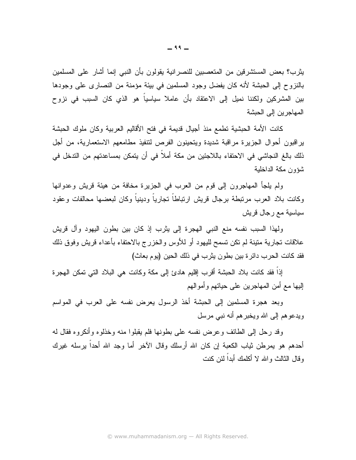يثرب؟ بعض المستشرقين من المتعصبين للنصر انية يقولون بأن النبي إنما أشار على المسلمين بالنزوح إلى الحبشة لأنه كان يفضل وجود المسلمين في بيئة مؤمنة من النصاري على وجودها بين المشركين ولكننا نميل إلى الاعتقاد بأن عاملا سياسيا هو الذي كان السبب في نزوح المهاجر بن إلى الحبشة

كانت الأمة الحبشية تطمع منذ أجيال قديمة في فتح الأقاليم العربية وكان ملوك الحبشة براقبون أحوال الجزيرة مراقبة شديدة ويتحينون الفرص لتتفيذ مطامعهم الاستعمارية، من أجل ذلك بالغ النجاشي في الاحتفاء باللاجئين من مكة أملاً في أن يتمكن بمساعدتهم من التدخل في شؤون مكة الداخلبة

ولم يلجأ المهاجرون إلى قوم من العرب في الجزيرة مخافة من هيئة قريش وعدوانها وكانت بلاد العرب مرتبطة برجال قريش ارتباطاً تجارياً ودينياً وكان لبعضها محالفات وعقود سياسية مع رجال قريش

ولهذا السبب نفسه منع النبي الهجرة إلى يثرب إذ كان بين بطون اليهود وأل قريش علاقات تجارية متينة لم تكن تسمح لليهود أو للأوس والخزرج بالاحتفاء بأعداء قريش وفوق ذلك فقد كانت الحرب دائرة بين بطون يثرب في ذلك الحين (يوم بعاث)

إذا فقد كانت بلاد الحبشة أقرب إقليم هادئ إلى مكة وكانت هي البلاد التي تمكن الهجرة إليها مع أمن المهاجرين على حياتهم وأموالهم

وبعد هجرة المسلمين إلىي الحبشة أخذ الرسول يعرض نفسه على العرب في المواسم ويدعوهم إلىي الله ويخبرهم أنه نبي مرسل

وقد رحل إلى الطائف وعرض نفسه على بطونها فلم يقبلوا منه وخذلوه وأنكروه فقال له أحدهم هو بمرطن ثياب الكعبة إن كان الله أرسلك وقال الآخر أما وجد الله أحدا برسله غيرك و قال الثالث و الله لا أكلمك أبداً لئن كنت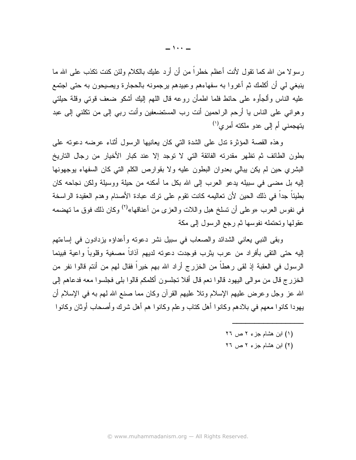رِ سو لا من الله كما نقول لأنت أعظم خطراً من أن أرد عليك بالكلام ولئن كنت نكذب على الله ما ينبغي لي أن أكلمك ثم أغروا به سفهاءهم وعبيدهم يرجمونه بالحجارة ويصيحون به حتى اجتمع عليه الناس وألجأوه على حائط فلما اطمأن روعه قال اللهم إليك أشكو ضعف قوتى وقلة حيلتى وهواني على الناس يا أرحم الراحمين أنت رب المستضعفين وأنت ربي إلى من تكلني إلى عبد يتهجمني أم إلى عدو ملكته أمرى<sup>(י)</sup>

وهذه القصة المؤثرة ندل على الشدة التي كان يعانيها الرسول أثناء عرضه دعونه على بطون الطائف ثم تظهر مقدرته الفائقة التي لا توجد إلا عند كبار الأخيار من رجال التاريخ البشري حين لم يكن ببالي بعدوان البطون عليه ولا بقوارص الكلم التي كان السفهاء بوجهونها إليه بل مضبي في سبيله بدعو العرب إلى الله بكل ما أمكنه من حيلة ووسيلة ولكن نجاحه كان بطيئاً جداً في ذلك الحين لأن تعاليمه كانت تقوم على ترك عبادة الأصنام وهدم العقيدة الراسخة في نفوس العرب «وعلى أن تسلخ هبل واللات والعزى من أعناقها»<sup>(٢)</sup> وكان ذلك فوق ما تهضمه عقولها وتحتمله نفوسها ثم رجع الرسول إلى مكة

وبقى النبي يعاني الشدائد والصعاب في سبيل نشر دعونه وأعداؤه يزدادون فى إساءتهم إليه حتى النقى بأفراد من عرب بثرب فوجدت دعونه لديهم أذاناً مصغية وقلوباً واعية فبينما الرسول في العقبة إذ لقى رهطاً من الخزرج أراد الله بهم خيراً فقال لهم من أنتم قالوا نفر من الخزرج قال من موالي اليهود قالوا نعم قال أفلا نجلسون أكلمكم قالوا بلي فجلسوا معه فدعاهم إلى الله عز وجل وعرض عليهم الإسلام ونلا عليهم القرأن وكان مما صنع الله لهم به في الإسلام أن يهو دا كانو ا معهم في بلادهم وكانو ا أهل كتاب و علم وكانو ا هم أهل شر ك و أصحاب أو ثان وكانو ا

- (١) ابن هشام جزء ٢ ص ٢٦
- (٢) ابن هشام جزء ٢ ص ٢٦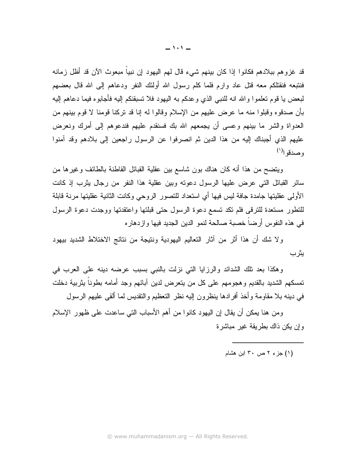قد غزوهم ببلادهم فكانوا إذا كان بينهم شيء قال لهم اليهود إن نبياً مبعوث الآن قد أظل زمانه فنتبعه فنقتلكم معه قتل عاد وارم فلما كلم رسول الله أولئك النفر ودعاهم إلىي الله قال بعضهم لبعض يا قوم نعلموا والله انه للنبي الذي وعدكم به اليهود فلا نسبقنكم إليه فأجابوه فيما دعاهم إليه بأن صدقوه وقبلوا منه ما عرض عليهم من الإسلام وقالوا له إنا قد نركنا قومنا لا قوم بينهم من العدواة والشر ما بينهم وعسى أن يجمعهم الله بك فسنقدم عليهم فندعوهم إلىي أمرك ونعرض عليهم الذي أجبناك إليه من هذا الدين ثم انصرفوا عن الرسول راجعين إلى بلادهم وقد آمنوا وصدقو ا<sup>(۱)</sup>

وينضح من هذا أنه كان هناك بون شاسع بين عقلية القبائل القاطنة بالطائف وغيرها من سائر القبائل التي عرض عليها الرسول دعونه وبين عقلية هذا النفر من رجال بثرب إذ كانت الأولى عقليتها جامدة جافة ليس فيها أي استعداد للتصور الروحي وكانت الثانية عقليتها مرنة قابلة للنطور مستعدة للنرفى فلم نكد نسمع دعوة الرسول حتى فبلتها واعتقدتها ووجدت دعوة الرسول في هذه النفوس أرضاً خصبة صالحة لنمو الدين الجديد فيها وإز دهار ه

ولا شك أن هذا أثر من آثار النعاليم اليهودية ونتيجة من نتائج الاختلاط الشديد بيهود يثرب

وهكذا بعد نلك الشدائد والرزايا التي نزلت بالنبي بسبب عرضه دينه على العرب في تمسكهم الشديد بالقديم وهجومهم علىيكل من يتعرض لدين أبائهم وجد أمامه بطوناً يثربية دخلت في دينه بلا مقاومة وأخذ أفرادها ينظرون إليه نظر التعظيم والتقديس لما ألقى عليهم الرسول

ومن هنا يمكن أن يقال إن اليهود كانوا من أهم الأسباب التي ساعدت على ظهور الإسلام و إن يكن ذاك بطر يقة غير مباشر ة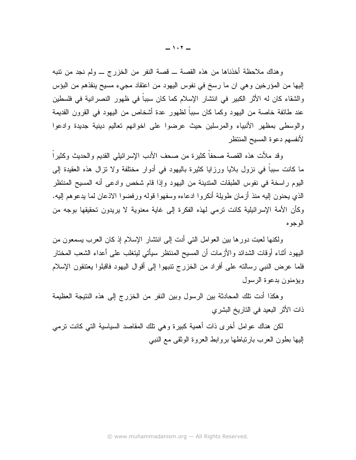وهناك ملاحظة أخذناها من هذه القصة ــ قصة النفر من الخزرج ــ ولم نجد من نتبه إليها من المؤرخين وهي ان ما رسخ في نفوس اليهود من اعتقاد مجيء مسيح ينقذهم من البؤس والشقاء كان له الأثر الكبير في انتشار الإسلام كما كان سبباً في ظهور النصرانية في فلسطين عند طائفة خاصـة من اليهود وكمـا كان سبباً لظهور عدة أشخاص من اليهود في القرون القديمة والوسطى بمظهر الأنبياء والمرسلين حيث عرضوا على اخوانهم تعاليم دينية جديدة وادعوا لأنفسهم دعوة المسيح المنتظر

وقد ملأت هذه القصة صحفاً كثيرة من صحف الأدب الإسرائيلي القديم والحديث وكثيراً ما كانت سبباً في نزول بلايا ورزايا كثيرة باليهود في أدوار مختلفة ولا نزال هذه العقيدة إلى اليو م ر اسخة في نفوس الطبقات المندينة من اليهو د و إذا قام شخص و ادعى أنه المسيح المنتظر الذي يحنون إليه منذ أزمان طويلة أنكروا ادعاءه وسفهوا قوله ورفضوا الاذعان لما يدعوهم إليه. وكأن الأمة الإسرائيلية كانت نرمي لهذه الفكرة إلى غاية معنوية لا يريدون تحقيقها بوجه من الوجو ہ

ولكنها لعبت دورها بين العوامل التبي أدت إلى انتشار الإسلام إذ كان العرب يسمعون من اليهود أثناء أوقات الشدائد والأزمات أن المسيح المنتظر سيأتي ليتغلب على أعداء الشعب المختار فلما عرض النبي رسالته على أفراد من الخزرج نتبهوا إلى أقوال اليهود فاقبلوا يعتنقون الإسلام وبؤمنون بدعوة الرسول

وهكذا أدت نلك المحادثة بين الرسول وبين النفر من الخزرج إلى هذه النتيجة العظيمة ذات الأثر البعيد في التاريخ البشري

لكن هناك عوامل أخرى ذات أهمية كبيرة وهي نلك المقاصد السياسية التبي كانت نرمي إليها بطون العرب بارتباطها بروابط العروة الوثقى مع النبي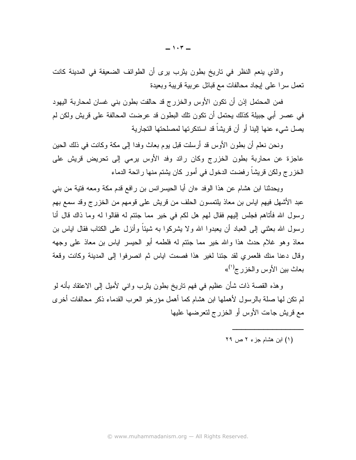والذي ينعم النظر في تاريخ بطون يثرب يرى أن الطوائف الضعيفة في المدينة كانت تعمل سرا على إيجاد محالفات مع قبائل عربية قريبة وبعيدة

فمن المحتمل إذن أن تكون الأوس والخزرج قد حالفت بطون بنبي غسان لمحاربة اليهود في عصر أبي جبيلة كذلك يحتمل أن تكون تلك البطون قد عرضت المحالفة على قريش ولكن لم بصل شيء عنها البنا أو أن قربشاً قد استنكر تها لمصلحتها التجارية

ونحن نعلم أن بطون الأوس قد أرسلت قبل يوم بعاث وفدا إلى مكة وكانت في ذلك الحين عاجزة عن محاربة بطون الخزرج وكان رائد وفد الأوس برمي إلى تحريض قريش على الخزرج ولكن قريشاً رفضت الدخول في أمور كان يشتم منها رائحة الدماء

ويحدثنا ابن هشام عن هذا الوفد «ان أبا الحيسرانس بن رافع قدم مكة ومعه فتية من بني عبد الأشهل فيهم اياس بن معاذ يلتمسون الحلف من قريش على قومهم من الخزرج وقد سمع بهم رسول الله فأتاهم فجلس إليهم فقال لهم هل لكم في خير مما جئتم له فقالوا له وما ذاك قال أنا رسول الله بعثني إلى العباد أن يعبدوا الله ولا يشركوا به شيئاً وأنزل على الكتاب فقال اياس بن معاذ و هو غلام حدث هذا والله خير ًمما جئتم له فلطمه أبو الحيسر اياس بن معاذ على وجهه وقال دعنا منك فلعمر ي لقد جئنا لغير هذا فصمت اباس ثم انصرفوا إلى المدبنة وكانت وقعة  $\langle\langle\cdot\rangle_{\vec{\tau}}$ بعاث بين الأوس والخز رج

وهذه القصة ذات شأن عظيم في فهم تاريخ بطون بثرب وانبي لأميل إلىي الاعتقاد بأنه لو لم نكن لها صلة بالرسول لأهملها ابن هشام كما أهمل مؤرخو العرب القدماء ذكر محالفات أخرى مع قريش جاءت الأوس أو الخزرج لتعرضها عليها

(۱) ابن هشام جزء ۲ ص ۲۹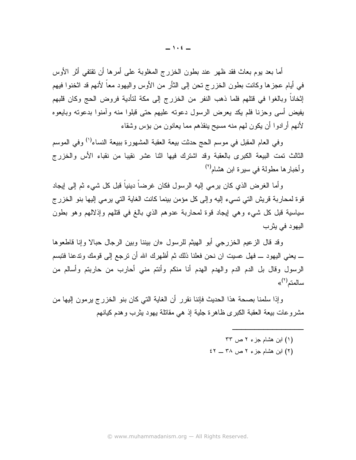أما بعد يوم بعاث فقد ظهر عند بطون الخزرج المغلوبة على أمرها أن نقتفي أثر الأوس في أيام عجزها وكانت بطون الخزرج تحن إلى الثأر من الأوس واليهود معاً لأنهم قد اثخنوا فيهم إثخاناً وبالغوا في قتلهم فلما ذهب النفر من الخزرج إلى مكة لتأدية فروض الحج وكان قلبهم يفيض أسى وحزنا فلم يكد يعرض الرسول دعونه عليهم حتى قبلوا منه وأمنوا بدعونه وبايعوه لأنهم أرادوا أن يكون لهم منه مسيح بنقذهم مما يعانون من بؤس وشقاء

وفي العام المقبل في موسم الحج حدثت بيعة العقبة المشهورة ببيعة النساء<sup>(١)</sup> وفي الموسم الثالث تمت البيعة الكبرى بالعقبة وقد اشترك فيها اثنا عشر نقيبا من نقباء الأس والخزرج و أخبار ها مطولة في سير ة ابن هشام<sup>(٢)</sup>

وأما الغرض الذي كان برمي إليه الرسول فكان غرضا دينيا قبل كل شيء ثم إلى إيجاد قوة لمحاربة قريش التي تسيء إليه وإلى كل مؤمن بينما كانت الغاية التي يرمى إليها بنو الخزرج سياسية قبل كل شيء وهي إيجاد قوة لمحاربة عدوهم الذي بالغ في قتلهم وإذلالهم وهو بطون اليھود في پٿر ب

وقد قال الزعيم الخزرجي أبو الهيثم للرسول «ان بيننا وبين الرجال حبالا وإنا قاطعوها \_ يعني اليهود \_ فهل عسيت ان نحن فعلنا ذلك ثم أظهرك الله أن نرجع إلى قومك وندعنا فنبسم الرسول وقال بل الدم الدم والهدم الهدم أنا منكم وأنتم منى أحارب من حاربتم وأسالم من  $\kappa^{(\varepsilon)}$ سالمتم

وإذا سلمنا بصحة هذا الحديث فإننا نقرر أن الغاية التي كان بنو الخزرج برمون إليها من مشروعات بيعة العقبة الكبرى ظاهرة جلية إذ هي مقاتلة يهود بثرب وهدم كيانهم

- (۱) ابن هشام جزء ۲ ص ۳۳
- (۲) ابن هشام جزء ۲ ص ۳۸ ــ ٤٢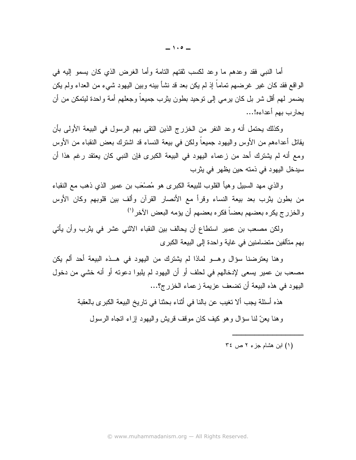أما النبي فقد وعدهم ما وعد لكسب نقتهم النامة وأما الغرض الذي كان بسمو إليه في الواقع فقد كان غير غرضـهم تمـامـاً إذ لم يكن بـعد قد نشأ بينـه وبين اليـهود شـيء من الـعداء ولم يكن يضمر لهم أقل شر بل كان يرمى إلى توحيد بطون يثرب جميعاً وجعلهم أمة واحدة ليتمكن من أن بحارب بهم أعداءه!...

وكذلك يحتمل أنه وعد النفر من الخزرج الذين النقي بهم الرسول في البيعة الأولى بأن يقاتل أعداءهم من الأوس واليهود جميعاً ولكن في بيعة النساء قد اشترك بعض النقباء من الأوس ومع أنه لم يشترك أحد من زعماء اليهود في البيعة الكبرى فإن النبي كان يعتقد رغم هذا أن سيدخل اليهود في ذمته حين يظهر في يثرب

والذي مهد السبيل وهيأ القلوب للبيعة الكبرى هو مُصْعَب بن عمير الذي ذهب مع النقباء من بطون يثرب بعد بيعة النساء وقرأ مع الأنصار القرآن وألف بين قلوبهم وكان الأوس والخزرج يكره بعضهم بعضاً فكره بعضهم أن يؤمه البعض الآخر (')

ولكن مصعب بن عمير استطاع أن يحالف بين النقباء الاثنى عشر في يثرب وأن يأتي بهم منألفين منضامنين في غاية واحدة إلى البيعة الكبرى

وهنا يعترضنا سؤال وهـــو لماذا لم يشترك من اليهود في هـــذه البيعة أحد ألم يكن مصعب بن عمير يسعى لإدخالهم في لحلف أو أن اليهود لم يلبوا دعونه أو أنه خشى من دخول اليهود في هذه البيعة أن تضعف عزيمة زعماء الخزرج؟...

هذه أسئلة يجب ألا تغيب عن بالنا في أثناء بحثنا في تاريخ البيعة الكبرى بالعقبة

و هنا يعنّ لنا سؤال و هو كيف كان موقف قريش واليهود إزاء اتجاه الرسول

 $\uparrow$ د (۱) این هشام جزء ۲ ص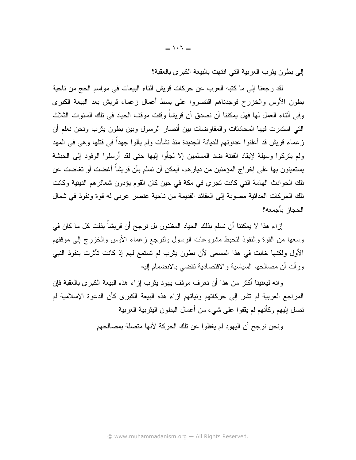إلى بطون يثرب العربية التي انتهت بالبيعة الكبرى بالعقبة؟

لقد رجعنا إلى ما كتبه العرب عن حركات قريش أثناء البيعات في مواسم الحج من ناحية بطون الأوس والخزرج فوجدناهم اقتصروا على بسط أعمال زعماء قريش بعد البيعة الكبرى و في أثناء العمل لها فهل بمكننا أن نصدق أن قريشاً وقفت موقف الحياد في تلك السنو ات الثلاث التي استمر ت فيها المحادثات والمفاو ضات بين أنصار الرسول وبين بطون بثرب ونحن نعلم أن زعماء قريش قد أعلنوا عداوتهم للديانة الجديدة منذ نشأت ولم يألوا جهداً في قتلها وهي في المهد ولم يتركوا وسيلة لإيقاد الفتنة ضد المسلمين إلا لجأوا إليها حتى لقد أرسلوا الوفود إلى الحبشة يستعينون بها على إخراج المؤمنين من ديار هم، أيمكن أن نسلم بأن قريشاً أغضت أو تغاضت عن تلك الحو ادث الهامة التي كانت تجر ي في مكة في حين كان القوم يؤدون شعائر هم الدينية وكانت تلك الحركات العدائية مصوبة إلى العقائد القديمة من ناحية عنصر عربي له قوة ونفوذ في شمال الحجاز بأجمعه؟

إزاء هذا لا يمكننا أن نسلم بذلك الحياد المظنون بل نرجح أن قريشاً بذلت كل ما كان في وسعها من القوة والنفوذ لتحبط مشروعات الرسول ولنرجع زعماء الأوس والخزرج إلىي موقفهم الأول ولكنها خابت في هذا المسعى لأن بطون يثرب لم نستمع لهم إذ كانت تأثرت بنفوذ النبي ورأت أن مصالحها السياسية والاقتصادية تقضي بالانضمام إليه

و إنه ليعنينا أكثر من هذا أن نعرف موقف يهود يثرب إزاء هذه البيعة الكبرى بالعقبة فإن المراجع العربية لم نشر إلى حركاتهم ونياتهم إزاء هذه البيعة الكبرى كأن الدعوة الإسلامية لم تصل اليهم وكأنهم لم يقفوا على شيء من أعمال البطون البثربية العربية

ونحن نرجح أن اليهود لم يغفلوا عن نلك الحركة لأنها متصلة بمصالحهم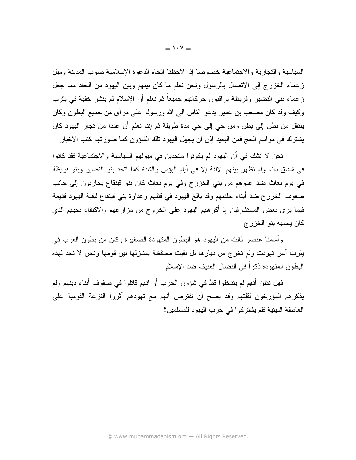السياسية والتجارية والاجتماعية خصوصا إذا لاحظنا اتجاه الدعوة الإسلامية صوب المدينة وميل زعماء الخزرج إلى الاتصال بالرسول ونحن نعلم ما كان بينهم وبين اليهود من الحقد مما جعل زعماء بني النضير وقريظة براقبون حركاتهم جميعاً ثم نعلم أن الإسلام لم ينشر خفية في يثرب وكيف وقد كان مصـعب بن عمير يدعو النـاس إلـى الله ورسولـه علـى مرأى من جميع البطون وكـان يتنقل من بطن إلى بطن ومن حي إلى حي مدة طويلة ثم إننا نعلم أن عددا من تجار اليهود كان يشترك في مواسم الحج فمن البعيد إذن أن يجهل اليهود نلك الشؤون كما صورتهم كتب الأخبار

نحن لا نشك في أن اليهود لم يكونوا متحدين في ميولهم السياسية والاجتماعية فقد كانوا في شقاق دائم ولم تظهر بينهم الألفة إلا في أيام البؤس والشدة كما اتحد بنو النضير وبنو قريظة في يوم بعاث ضد عدوهم من بني الخزرج وفي يوم بعاث كان بنو قينقاع بحاربون إلى جانب صفوف الخزرج ضد أبناء جلدتهم وقد بالغ اليهود في قتلهم وعداوة بني قينقاع لبقية اليهود قديمة فيما برى بعض المستشرقين إذ أكرههم اليهود على الخروج من مزارعهم والاكتفاء بحيهم الذي كان يحميه بنو الخزرج

وأمامنا عنصر ثالث من اليهود هو البطون المتهودة الصغيرة وكان من بطون العرب في يثرب أسر تهودت ولم تخرج من ديارها بل بقيت محتفظة بمنازلها بين قومها ونحن لا نجد لهذه البطون المتهودة ذكراً في النضال العنيف ضد الإسلام

فهل نظن أنهم لم يندخلوا قط في شؤون الحرب أو انهم قانلوا في صفوف أبناء دينهم ولم يذكرهم المؤرخون لقلتهم وقد يصح أن نفترض أنهم مع تهودهم آثروا النزعة القومية على العاطفة الدينية فلم يشتركوا في حرب اليهود للمسلمين؟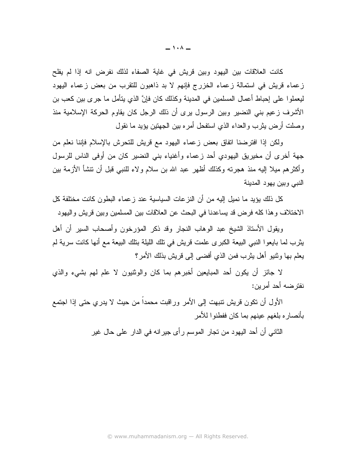كانت العلاقات بين اليهود وبين قريش في غاية الصفاء لذلك نفرض انه إذا لم يفلح زعماء قريش في استمالة زعماء الخزرج فإنهم لا بد ذاهبون للتقرب من بعض زعماء اليهود ليعملو ا على إحباط أعمال المسلمين في المدينة وكذلك كان فإنَّ الذي يتأمل ما جر ي بين كعب بن الأشرف زعيم بني النضير وبين الرسول يرى أن ذلك الرجل كان يقاوم الحركة الإسلامية منذ وصلت أرض بثرب والعداء الذي استفحل أمره بين الجهتين بؤيد ما نقول

ولكن إذا افترضنا اتفاق بعض زعماء اليهود مع قريش للتحرش بالإسلام فإننا نعلم من جهة أخرى أن مخيريق اليهودي أحد زعماء وأغنياء بني النضير كان من أوفى الناس للرسول وأكثرهم ميلا إليه منذ هجرته وكذلك أظهر عبد الله بن سلام ولاء للنبي قبل أن نتشأ الأزمة بين النبي ويبن بهود المدبنة

كل ذلك يؤيد ما نميل إليه من أن النزعات السياسية عند زعماء البطون كانت مختلفة كل الاختلاف وهذا كله فرض قد يساعدنا في البحث عن العلاقات بين المسلمين وبين قريش واليهود

ويقول الأستاذ الشيخ عبد الوهاب النجار وقد ذكر المؤرخون وأصحاب السبر أن أهل يثرب لما بايعوا النبي البيعة الكبرى علمت قريش في تلك الليلة بتلك البيعة مع أنها كانت سرية لم يعلم بها وثنيو أهل بِثر بِ فمن الذي أفضي إلى قريش بذلك الأمر ؟

لا جائزٍ أن يكون أحد المبايعين أخبرهم بما كان والوثنيون لا علم لهم بشيء والذي نفتر ضبه أحد أمر بن:

الأول أن نكون قريش نتبهت إلى الأمر وراقبت محمداً من حيث لا يدري حتى إذا اجتمع بأنصار ه بلغهم عينهم بما كان ففطنو ا للأمر

الثاني أن أحد اليهود من تجار الموسم ر أي جير انه في الدار ٍ على حال غير ِ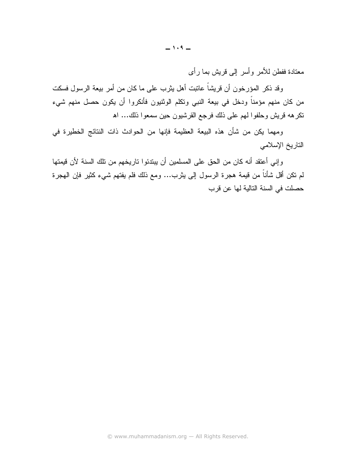معتادة ففطن للأمر وأسر إلى قريش بما رأى

وقد ذكر المؤرخون أن قريشاً عانبت أهل يثرب على ما كان من أمر بيعة الرسول فسكت من كان منهم مؤمناً ودخل في بيعة النبي ونكلم الوثنيون فأنكروا أن يكون حصل منهم شيء نكرهه قريش وحلفوا لهم على ذلك فرجع القرشيون حين سمعوا ذلك... اه

ومهما يكن من شأن هذه البيعة العظيمة فإنها من الحوادث ذات النتائج الخطيرة في التاريخ الإسلامي

وإني أعتقد أنه كان من الحق على المسلمين أن يبتدئوا تاريخهم من نلك السنة لأن قيمتها لم تكن أقل شأناً من قيمة هجرة الرسول إلى يثرب... ومع ذلك فلم يفتهم شيء كثير فإن الهجرة حصلت في السنة التالية لها عن قرب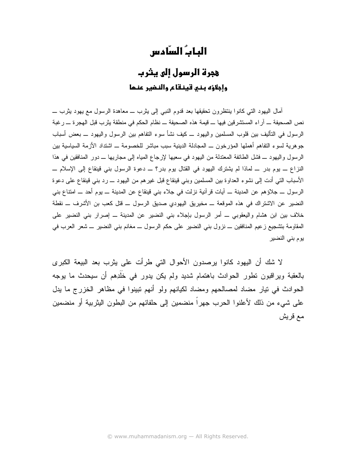## البابُ السّادس

## هجرة الرسول إلى يثرب وإجلاؤه بنبى قينقام والنضير عنما

آمال البھود التبی کانوا بنتظرون تحقیقھا بعد قدوم النبی إلی بِثرب ـــ معاہدۃ الرسول مع بھود بِثرب ـــ نص الصحيفة ـــ آراء المستشرفين فيها ـــ قيمة هذه الصحيفة ـــ نظام الحكم في منطقة يثرب قبل الهجرة ـــ رغبة الرسول في التأليف بين قلوب المسلمين واليهود ـــ كيف نشأ سوء التفاهم بين الرسول واليهود ـــ بعض أسباب جو هر ية لسو ء التفاهم أهملها المؤر خون ـــ المجادلة الدينية سبب مباشر للخصومة ـــ اشتداد الأزمة السياسية بين الرسول واليهود ـــ فشل الطائفة المعتدلة من اليهود في سعيها لإرجاع المياه إلى مجاريها ـــ دور المنافقين في هذا النزاع \_ يوم بدر \_ لماذا لم يشترك اليهود في القتال يوم بدر؟ \_ دعوة الرسول بني فينقاع إلى الإسلام \_ الأسباب التي أدت إلى نشوء العداوة بين المسلمين وبني قينقاع قبل غيرهم من اليهود ــ رد بني قينقاع على دعوة الرسول ـــ جلاؤهم عن المدينة ـــ آيات قرآنية نزلت في جلاء بني قينقاع عن المدينة ـــ يوم أحد ـــ امتناع بني النضير عن الاشتراك في هذه الموقعة ــ مخيريق اليهودي صديق الرسول ــ فتل كعب بن الأشرف ــ نقطة خلاف بين ابن هشام واليعقوبي ـــ أمر الرسول بإجلاء بنبي النضير عن المدينة ـــ إصرار بنبي النضير علي المقاومة بتشجيع زعيم المنافقين ــ نزول بني النضير على حكم الرسول ــ مغانم بني النضير ــ شعر العرب في يوم بني النضير

لا شك أن اليهود كانوا برصدون الأحوال التي طرأت على بثرب بعد البيعة الكبرى بالعقبة ويراقبون نطور الحوادث باهتمام شديد ولم يكن يدور في خُلْدِهم أن سيحدث ما يوجه الحوادث في نيار مضاد لمصالحهم ومضاد لكيانهم ولو أنهم نبينوا في مظاهر الخزرج ما يدل على شيء من ذلك لأعلنوا الحرب جهراً منضمين إلى حلفائهم من البطون اليثربية أو منضمين مع قريش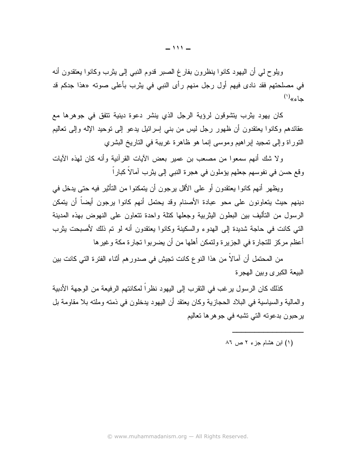ويلوح لبي أن اليهود كانوا ينظرون بفارغ الصبر قدوم النبي إلى يثرب وكانوا يعتقدون أنه في مصلحتهم فقد نادي فيهم أول رجل منهم رأى النبي في يثرب بأعلى صوته «هذا جدكم قد  $^{(1)}$ «cla

كان يهود يثرب يتشوقون لرؤية الرجل الذي ينشر دعوة دينية تتفق في جوهرها مع عقائدهم وكانوا يعتقدون أن ظهور رجل ليس من بنبي إسرائيل يدعو إلىي توحيد الإله وإلىي تعاليم النوراة وإلى تمحيد ايراهيم وموسى إنما هو ظاهرة غريبة في الناريخ البشري

ولا شك أنهم سمعوا من مصعب بن عمير بعض الآيات القرآنية وأنه كان لهذه الآيات وقع حسن في نفوسهم جعلهم يؤملون في هجرة النبي إلى يثرب أمالاً كباراً

ويظهر أنهم كانوا يعتقدون أو على الأقل يرجون أن يتمكنوا من التأثير فيه حتى يدخل في دينهم حيث يتعاونون على محو عبادة الأصنام وقد يحتمل أنهم كانوا برجون أيضاً أن يتمكن الرسول من التأليف بين البطون اليثربية وجعلها كتلة واحدة نتعاون على النهوض بهذه المدينة التي كانت في حاجة شديدة إلى الهدوء والسكينة وكانوا يعتقدون أنه لو تم ذلك لأصبحت يثرب أعظم مركز للتجار ة في الجزير ة ولتمكن أهلها من أن يضربو ا تجار ة مكة و غير ها

من المحتمل أن آمالا من هذا النو ع كانت تجيش في صدور هم أثناء الفتر ة التي كانت بين البيعة الكبرى وببن الهجر ة

كذلك كان الر سول بر غب في النقر ب إلى اليهود نظر اً لمكانتهم الر فيعة من الوجهة الأدبية والمالية والسياسية في البلاد الحجازية وكان يعتقد أن اليهود يدخلون في ذمته وملته بلا مقاومة بل يرحبون بدعوته التي تشبه في جوهر ها تعاليم

 $\wedge$ (۱) این هشام جزء ۲ ص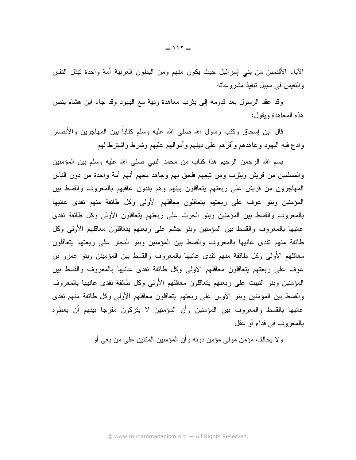الأباء الأقدمين من بنبي إسرائيل حيث يكون منهم ومن البطون العربية أمة واحدة نبذل النفس والنفيس في سبيل نتفيذ مشروعاته

وقد عقد الرسول بعد قدومه إلى بِثرب معاهدة ودية مع اليهود وقد جاء ابن هشام بنص هذه المعاهدة ويقول:

قال ابن إسحاق وكتب رسول الله صلى الله عليه وسلم كتابا بين المهاجرين والأنصار وادع فيه اليهود وعاهدهم وأقرهم على دينهم وأموالهم عليهم وشرط واشترط لهم

بسم الله الرحمن الرحيم هذا كتاب من محمد النبي صلى الله عليه وسلم بين المؤمنين والمسلمين من قريش ويثرب ومن نبعهم فلحق بهم وجاهد معهم أنهم أمة واحدة من دون الناس المهاجرون من قريش على ربعتهم يتعاقلون بينهم وهم يفدون عافيهم بالمعروف والقسط بين المؤمنين وبنو عوف علىي ربعتهم يتعاقلون معاقلهم الأولىي وكل طائفة منهم تفدى عانيها بالمعروف والقسط بين المؤمنين وبنو الحرث على ربعتهم يتعاقلون الأولى وكل طائفة نفدى عانيها بالمعروف والقسط بين المؤمنين وبنو جشم على ربعتهم يتعاقلون معاقلهم الأولى وكل طائفة منهم تفدى عانيها بالمعروف والقسط بين المؤمنين وبنو النجار على ربعتهم يتعاقلون معاقلهم الأولى وكل طائفة منهم نفدى عانيها بالمعروف والقسط بين المؤمينن وبنو عمرو بن عوف على ربعتهم يتعاقلون معاقلهم الأولى وكل طائفة نفدى عانيها بالمعروف والقسط بين المؤمنين وبنو النبيت على ربعتهم يتعاقلون معاقلهم الأولى وكل طائفة نفدى عانيها بالمعروف والقسط بين المؤمنين وبنو الأوس على ربعتهم يتعاقلون معاقلهم الأولىي وكل طائفة منهم تفدى عانيها بالقسط والمعروف بين المؤمنين وأن المؤمنين لا يتركون مفرجا بينهم أن يعطوه بالمعر وف في فداء أو عقل

و لا يحالف مؤمن مولَّى مؤمن دونه وأن المؤمنين المنقين على من بغي أو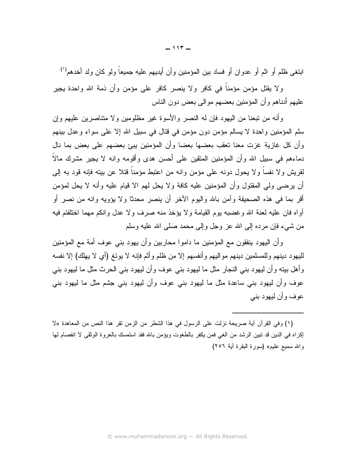ابنغي ظلم أو اثم أو عدو ان أو فساد بين المؤمنين و أن أيديهم عليه جميعاً ولو كان ولد أخدهم<sup>(י)</sup>

ولا يقتل مؤمن مؤمناً في كافر ولا ينصر كافر على مؤمن وأن ذمة الله واحدة يجير عليهم أدناهم وأن المؤمنين بعضهم موالىي بعض دون الناس

وأنه من تبعنا من اليهود فإن له النصر والأسوة غير مظلومين ولا متناصرين عليهم وإن سلَّم المؤمنين واحدة لا يسالم مؤمن دون مؤمن في قتال في سبيل الله إلا على سواء وعدل بينهم وأن كل غازية غزت معنا تعقب بعضها بعضا وأن المؤمنين يبئ بعضهم على بعض بما نال دماءهم في سبيل الله وأن المؤمنين المنقين على أحسن هدى وأقومه وإنه لا يجير مشرك مالاً لقريش ولا نفساً ولا يحول دونه على مؤمن وإنه من اعتبط مؤمناً قتلا عن بيته فإنه قود به إلى أن برضي ولي المقتول وأن المؤمنين عليه كافة ولا يحل لمهم الا قيام عليه وأنه لا يحل لمؤمن أقرَّ بما في هذه الصحيفة وآمن بالله واليوم الآخر أن ينصر محدثًا ولا يؤويه وإنه من نصر أو أواه فان عليه لعنة الله وغضبه بوم القيامة ولا يؤخذ منه صرف ولا عدل وإنكم مهما اختلفتم فيه من شيء فإن مرده إلى الله عز وجل وإلى محمد صلى الله عليه وسلم

و أن اليهود ينفقون مع المؤمنين ما دامو ا محاربين و أن يهود بني عوف أمة مع المؤمنين لليهود دينهم وللمسلمين دينهم مو اليهم و أنفسهم إلا من ظلم و أثم فإنه لا يو تغ (أي لا يهلك) إلا نفسه و أهل بيته و أن ليهو د بني النجار مثل ما ليهو د بني عو ف و أن ليهو د بني الحر ث مثل ما ليهو د بني عوف وأن ليهود بنبي ساعدة مثل ما ليهود بنبي عوف وأن ليهود بنبي جشم مثل ما ليهود بنبي عوف وأن ليهود بنبي

(١) وفي القرآن أية صريحة نزلت على الرسول في هذا الشطر من الزمن تقر هذا النص من المعاهدة «لا إكراه في الدين قد نبين الرشد من الغي فمن يكفر بالطغوت ويؤمن بالله فقد استمسك بالعروة الوثقي لا انفصام لها والله سميع عليم» (سورة البقرة أية ٢٥٦)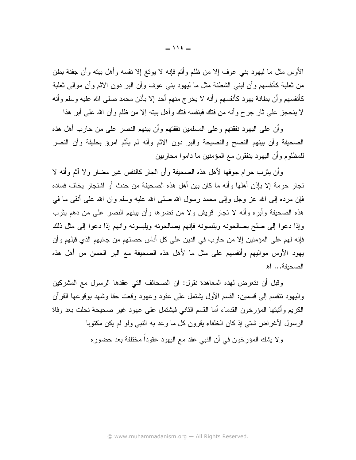الأوس مثل ما ليهود بنبي عوف إلا من ظلم وأثم فإنه لا يوتغ إلا نفسه وأهل بيته وأن جفنة بطن من ثعلبة كأنفسهم وأن لبنبي الشطنة مثل ما ليهود بنبي عوف وأن البر دون الاثم وأن موالي ثعلبة كأنفسهم وأن بطانة يهود كأنفسهم وأنه لا يخرج منهم أحد إلا بأذن محمد صلبي الله عليه وسلم وأنه لا ينحجز على ثار جرح وأنه من فتك فبنفسه فتك وأهل بيته إلا من ظلم وأن الله على أبر هذا

وأن على اليهود نفقتهم وعلى المسلمين نفقتهم وأن بينهم النصر على من حارب أهل هذه الصحيفة وأن بينهم النصح والنصيحة والبر دون الاثم وأنه لم يأثم امرؤ بحليفة وأن النصر للمظلوم وأن اليهود ينفقون مع المؤمنين ما داموا محاربين

وأن يثرب حرام جوفها لأهل هذه الصحيفة وأن الجار كالنفس غير مضار ولا أثم وأنه لا تجار حرمة إلا بإذن أهلها وأنه ما كان بين أهل هذه الصحيفة من حدث أو اشتجار يخاف فساده فإن مرده إلى الله عز وجل وإلى محمد رسول الله صلى الله عليه وسلم وان الله على أنقى ما في هذه الصحيفة وأبره وأنه لا تجار قريش ولا من تضرها وأن بينهم النصر على من دهم بثرب وإذا دعوا إلى صلح بصالحونه ويلبسونه فإنهم بصالحونه ويلبسونه وانهم إذا دعوا إلى مثل ذلك فإنه لهم على المؤمنين إلا من حارب في الدين على كل أناس حصنهم من جانبهم الذي قبلهم وأن يهود الأوس مواليهم وأنفسهم على مثل ما لأهل هذه الصحيفة مع البر الحسن من أهل هذه الصحيفة... اه

وقبل أن نتعرض لهذه المعاهدة نقول: ان الصحائف التي عقدها الرسول مع المشركين والبيهود نتقسم إلىي قسمين: القسم الأول بشتمل على عقود وعهود وقعت حقا وشهد بوقوعها القرآن الكريع وأثبتها المؤرخون القدماء أما القسم الثاني فيشتمل على عهود غير صحيحة نحلت بعد وفاة الرسول لأغراض شتى إذ كان الخلفاء يقرون كل ما وعد به النبـي ولو لم يكن مكتوبا

ولا يشك المؤرخون في أن النبي عقد مع اليهود عقوداً مختلفة بعد حضوره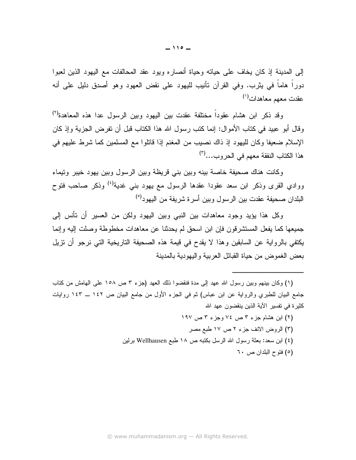إلى المدينة إذ كان يخاف على حياته وحياة أنصاره ويود عقد المحالفات مع اليهود الذين لعبوا دورًا هاماً في يثرب. وفي القرآن تأنيب لليهود على نقض العهود وهو أصدق دليل على أنه عقدت معهم معاهدات<sup>(۱)</sup>

وقد ذكر ابن هشام عقودا مختلفة عقدت بين اليهود وبين الرسول عدا هذه المعاهدة<sup>(٢)</sup> و قال أبو عبيد في كتاب الأمو ال: إنما كتب ر سول الله هذا الكتاب قبل أن تفر ض الجزية و إذ كان الإسلام ضعيفًا وكان لليهود إذ ذاك نصيبٍ من المغنم إذا قاتلوا مع المسلمين كما شرط عليهم في هذا الكتاب النفقة معهم في الحر وب...<sup>(٣)</sup>

وكانت هناك صحيفة خاصنة بينه وبين بنى قريظة وبين الرسول وبين يهود خيبر ونيماء ووادي القرى وذكر ابن سعد عقودا عقدها الرسول مع يهود بني غدية<sup>(٤)</sup> وذكر صاحب فتوح البلدان صحيفة عقدت بين الرسول وبين أسرة شريفة من اليهود<sup>(٥)</sup>

وكل هذا يؤيد وجود معاهدات بين النبي وبين اليهود ولكن من العسير أن تأنس إلى جميعها كما يفعل المستشرقون فإن ابن اسحق لم يحدثنا عن معاهدات مخطوطة وصلت إليه وإنما يكتفي بالر واية عن السابقين وهذا لا يقدح في قيمة هذه الصحيفة التاريخية التي نرجو أن نزيل بعض الغموض من حباة القبائل العريبة والبهودية بالمدبنة

(١) وكان بينهم وبين رسول الله عهد إلى مدة فنقضوا ذلك العهد (جزء ٣ ص ١٥٨ على الهامش من كتاب جامع البيان للطبري والرواية عن ابن عباس) ثم في الجزء الأول من جامع البيان ص ١٤٢ ـــ ١٤٣ روايات كثير ة في تفسير الآية الذين ينقضون عهد الله

> (۲) ابن هشام جزء ۳ ص ۷٤ وجزء ۳ ص ۱۹۷ (٣) الروض الأنف جزء ٢ ص ١٧ طبع مصر (٤) ابن سعد: بعثة رسول الله الرسل بكتبه ص ١٨ طبع Wellhausen برلين (٥) فتوح البلدان ص ٦٠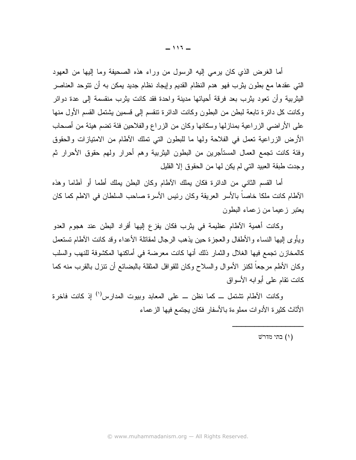أما الغرض الذي كان يرمى إليه الرسول من وراء هذه الصحيفة وما إليها من العهود التي عقدها مع بطون بثرب فهو هدم النظام القديم وإيجاد نظام جديد يمكن به أن نتوحد العناصر البِثرِبِيةِ وأن تعود بِثريبٍ بعد فرقة أحيائها مدينة واحدة فقد كانت بِثريبٍ منقسمةٍ إلى عدة دوائرٍ وكانت كل دائرة تابعة لبطن من البطون وكانت الدائرة تنقسم إلى قسمين يشتمل القسم الأول منها على الأراضبي الزراعية بمنازلها وسكانها وكان من الزراع والفلاحين فئة تضم هيئة من أصحاب الأرض الزراعية تعمل في الفلاحة ولمها ما للبطون التي تملك الأطام من الامتيازات والحقوق وفئة كانت تجمع العمال المستأجرين من البطون البثربية وهم أحرار ولهم حقوق الأحرار ثم وجدت طبقة العبيد التي لم يكن لها من الحقوق إلا القليل

أما القسم الثاني من الدائرة فكان يملك الأطام وكان البطن يملك أطما أو آطاما وهذه الأطام كانت ملكا خاصاً بالأسر العريقة وكان رئيس الأسرة صاحب السلطان في الاطم كما كان بعثير زعيما من زعماء البطون

وكانت أهمية الأطام عظيمة في يثرب فكان يفزع إليها أفراد البطن عند هجوم العدو ويأوى إليها النساء والأطفال والعجزة حين بذهب الرجال لمقاتلة الأعداء وقد كانت الأطام تستعمل كالمخازن نجمع فيها الغلال والثمار ذلك أنها كانت معرضة في أماكنها المكشوفة للنهب والسلب وكان الأطم مرجعاً لكنز الأموال والسلاح وكان للقوافل المثقلة بالبضائع أن نتزل بالقرب منه كما كانت نقام على أبو ابه الأسو اق

وكانت الأطام نتثىتمل ـــ كما نظن ـــ على المعابد وبيوت المدارس<sup>(١)</sup> إذ كانت فاخرة الأثاث كثير ة الأدوات مملو ءة بالأسفار فكان يجتمع فيها الز عماء

 $(i)$  בתי מדרש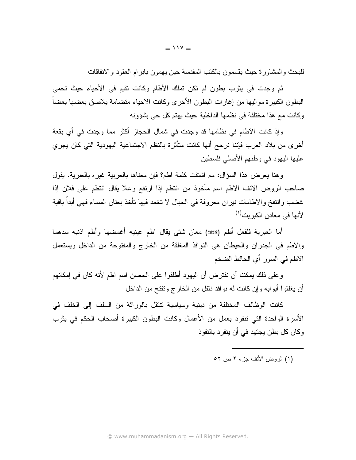للبحث والمشاورة حيث يقسمون بالكتب المقدسة حين يهمون بابرام العقود والاتفاقات

ثم وجدت في يثرب بطون لم تكن تملك الأطام وكانت تقيم في الأحياء حيث تحمي البطون الكبيرة مواليها من إغارات البطون الأخرى وكانت الاحياء متضامة يلاصق بعضها بعضاً وكانت مع هذا مختلفة في نظمها الداخلية حيث يهتم كل حي بشؤونه

وإذ كانت الأطام في نظامها قد وجدت في شمال الحجاز أكثر مما وجدت في أي بقعة أخرى من بلاد العرب فإننا نرجح أنها كانت متأثرة بالنظم الاجتماعية اليهودية التي كان يجري عليها اليهود في وطنهم الأصلي فلسطين

وهنا يعرض هذا السؤال: مم اشتقت كلمة اطم؟ فإن معناها بالعربية غيره بالعبرية. يقول صاحب الروض الانف الاطم اسم مأخوذ من ائتطم إذا ارتفع وعلا يقال ائتطم على فلان إذا غضب وانتفخ والاطامات نيران معروفة في الجبال لا تخمد فيها تأخذ بعنان السماء فهي أبداً باقية لأنها في معادن الكبر بت'')

أما العبرية فلفعل أطم (אـْם) معان شتى يقال اطم عينيه أغمضـها وأطم اذنيه سدهما والاطم في الجدران والحيطان هي النوافذ المغلقة من الخارج والمفتوحة من الداخل ويستعمل الاطم في السور أي الحائط الضخم

وعلى ذلك بمكننا أن نفترض أن اليهود أطلقوا على الحصن اسم اطم لأنه كان في إمكانهم أن يغلقو ا أبو ابه و إن كانت له نو افذ نقفل من الخار ج و تفتح من الداخل

كانت الوظائف المختلفة من دينية وسياسية تتنقل بالوراثة من السلف إلى الخلف في الأسرة الواحدة التي نتفرد بعمل من الأعمال وكانت البطون الكبيرة أصحاب الحكم في يثرب وكان كل بطن يجتهد في أن ينفر د بالنفوذ

(١) الروض الأنف جزء ٢ ص ٥٢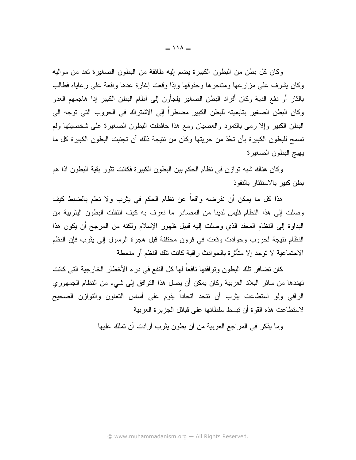وكان كل بطن من البطون الكبيرة يضم إليه طائفة من البطون الصغيرة تعد من مواليه وكان بشرف على مزارعها ومناجرها وحقوقها وإذا وقعت إغارة عدها واقعة على رعاياه فطالب بالثار أو دفع الدية وكان أفراد البطن الصغير يلجأون إلى آطام البطن الكبير إذا هاجمهم العدو وكان البطن الصغير بتابعيته للبطن الكبير مضطراً إلى الاشتراك في الحروب التي توجه إلى البطن الكبير وإلا رمى بالنمرد والعصيان ومع هذا حافظت البطون الصغيرة على شخصيتها ولم تسمح للبطون الكبيرة بأن تحُدّ من حريتها وكان من نتيجة ذلك أن تجنبت البطون الكبيرة كل ما بهيج البطون الصغيرة

وكان هناك شبه نوازن في نظام الحكم بين البطون الكبير ة فكانت نثور بقية البطون إذا هم بطن كبير بالاستئثار بالنفوذ

هذا كل ما يمكن أن نفرضه واقعاً عن نظام الحكم في يثرب ولا نعلم بالضبط كيف وصلت إلى هذا النظام فليس لدينا من المصادر ما نعرف به كيف انتقلت البطون اليثربية من البداوة إلى النظام المعقد الذي وصلت إليه قبيل ظهور الإسلام ولكنه من المرجح أن يكون هذا النظام نتيجة لحروب وحوادث وقعت في قرون مختلفة قبل هجرة الرسول إلىي يثرب فإن النظم الاجتماعية لا توجد إلا متأثرة بالحوادث راقية كانت تلك النظم أو منحطة

كان تضافر نلك البطون وتوافقها نافعاً لها كل النفع في در ء الأخطار الخارجية التي كانت تهددها من سائر البلاد العربية وكان بمكن أن يصل هذا التوافق إلى شيء من النظام الجمهوري الراقي ولو استطاعت بثرب أن نتحد اتحاداً بقوم على أساس النعاون والتوازن الصحيح لاستطاعت هذه القوة أن تبسط سلطانها على قبائل الجزير ة العربية

وما يذكر في المراجع العربية من أن بطون يثرب أرادت أن تملك عليها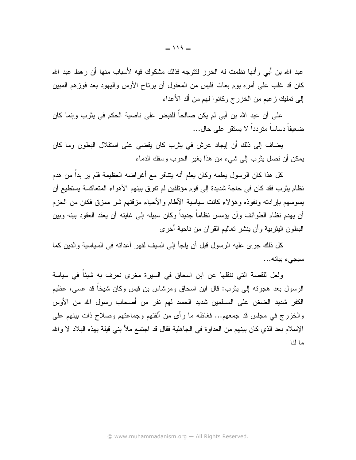عبد الله بن أبي وأنها نظمت له الخرز لنتوجه فذلك مشكوك فيه لأسباب منها أن رهط عبد الله كان قد غلب على أمره يوم بعاث فليس من المعقول أن يرتاح الأوس واليهود بعد فوزهم المبين إلى تمليك زعيم من الخزرج وكانوا لهم من ألد الأعداء

على أن عبد الله بن أبي لم يكن صالحاً للقبض على ناصية الحكم في يثرب وإنما كان ضعيفاً دساساً متر دداً لا بستقر على حال...

يضاف إلى ذلك أن إيجاد عرش في يثرب كان يقضي على استقلال البطون وما كان يمكن أن تصل يثرب إلى شيء من هذا بغير الحرب وسفك الدماء

كل هذا كان الرسول يعلمه وكان يعلم أنه يتنافر مع أغراضه العظيمة فلم ير بداً من هدم نظام بِثرب فقد كان في حاجة شديدة إلى قوم مؤتلفين لم تفرق بينهم الأهواء المتعاكسة يستطيع أن يسوسهم بإرادته ونفوذه وهؤلاء كانت سياسية الأطام والأحياء مزقتهم شر ممزق فكان من الحزم أن يهدم نظام الطوائف وأن يؤسس نظاماً جديداً وكان سبيله إلى غايته أن يعقد العقود بينه وبين البطون البِثر بية وأن بِنشر تعاليم القرآن من ناحية أخر ي

كل ذلك جرى عليه الرسول قبل أن يلجأ إلى السيف لقهر أعدائه في السياسية والدين كما سيجىء بيانه...

ولعل للقصة التي ننقلها عن ابن اسحاق في السيرة مغرى نعرف به شيئاً في سياسة الرسول بعد هجرته إلى يثرب: قال ابن اسحاق ومرشاس بن قيس وكان شيخاً قد عسى، عظيم الكفر شديد الضغن على المسلمين شديد الحسد لهم نفر من أصحاب رسول الله من الأوس والخزرج في مجلس قد جمعهم... فغاظه ما رأى من ألفتهم وجماعتهم وصلاح ذات بينهم على الإسلام بعد الذي كان بينهم من العداو ة في الجاهلية فقال قد اجتمع ملأ بني قيلة بهذه البلاد لا والله ما لنا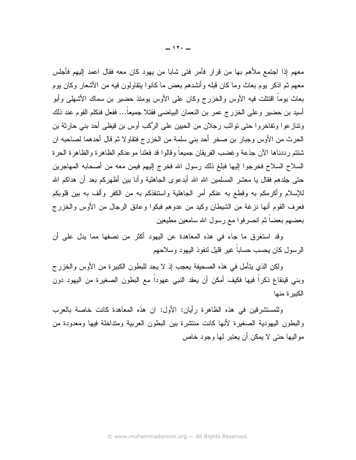معهم إذا اجتمع ملأهم بها من قرار فأمر فتى شابا من يهود كان معه فقال اعمد إليهم فأجلس معهم ثم اذكر بوم بعاث وما كان قبله وأنشدهم بعض ما كانوا بنقاولون فيه من الأشعار وكان بوم بعاث يوماً اقتتلت فيه الأوس والخزرج وكان على الأوس يومئذ حضير بن سماك الأشهلي وأبو أسيد بن حضير وعلى الخزرج عمر بن النعمان البياضي فقتلا جميعاً… ففعل فنكلم القوم عند ذلك ونتازعوا وتفاخروا حتى تواثب رجلان من الحيين على الرُّكب أوس بن قيظي أحد بني حارثة بن الحرث من الأوس وجبار بن صخر أحد بني سلمة من الخزرج فتقاولا ثم قال أحدهما لصاحبه ان شئتم رددناها الآن جذعة وغضب الفريقان جميعاً وقالوا قد فعلنا موعدكم الظاهرة والظاهرة الحرة السلاح السلاح فخرجوا إليها فبلغ ذلك رسول الله فخرج إليهم فيمن معه من أصحابه المهاجرين حتى جلدهم فقال يا معشر المسلمين الله الله أبدعوى الجاهلية وأنا بين أظهركم بعد أن هداكم الله للإسلام وأكرمكم به وقطع به عنكم أمر الجاهلية واستنقذكم به من الكفر وألف به بين قلوبكم فعرف القوم أنها نزغة من الشيطان وكيد من عدوهم فبكوا وعانق الرجال من الأوس والخزرج بعضهم بعضاً ثم انصرفوا مع رسول الله سامعين مطيعين

وقد استغرق ما جاء في هذه المعاهدة عن اليهود أكثر من نصفها مما يدل على أن الرسول كان بحسب حساباً غير قليل لنفوذ اليهود وسلاحهم

ولكن الذي يتأمل في هذه الصحيفة يعجب إذ لا يجد للبطون الكبيرة من الأوس والخزرج وبني قينقاع ذكراً فيها فكيف أمكن أن يعقد النبي عهوداً مع البطون الصغيرة من اليهود دون الكبير ة منها

وللمستشرقين في هذه الظاهرة رأيان: الأول: ان هذه المعاهدة كانت خاصة بالعرب والبطون اليهودية الصغيرة لأنها كانت منتثىرة بين البطون العربية ومتداخلة فيها ومعدودة من مو البها حتى لا بمكن أن بعتبر لها وجود خاص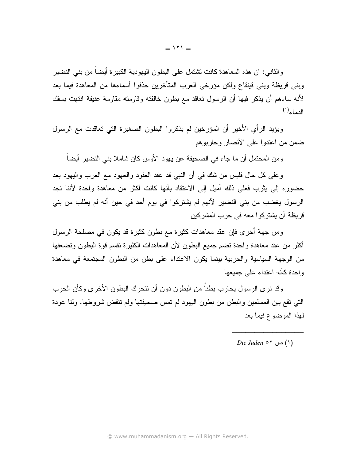و الثاني: ان هذه المعاهدة كانت نشتمل على البطون اليهودية الكبير ة أيضاً من بني النضير وبني قريظة وبنى قينقاع ولكن مؤرخى العرب المتأخرين حذفوا أسماءها من المعاهدة فيما بعد لأنه ساءهم أن يذكر فيها أن الرسول نعاقد مع بطون خالفته وقاومته مقاومة عنيفة انتهت بسفك الدماء<sup>(۱)</sup>

ويؤيد الرأى الأخير أن المؤرخين لم يذكروا البطون الصغيرة التي تعاقدت مع الرسول ضمن من اعتدوا علي الأنصار وحاربوهم

ومن المحتمل أن ما جاء في الصحيفة عن يهود الأوس كان شاملا بني النضير أيضاً

وعلى كل حال فليس من شك في أن النبي قد عقد العقود والعهود مع العرب واليهود بعد حضوره إلى بِثرب فعلى ذلك أميل إلى الاعتقاد بأنها كانت أكثر من معاهدة واحدة لأننا نجد الرسول يغضب من بني النضير لأنهم لم يشتركوا في يوم أحد في حين أنه لم يطلب من بني قر يظة أن يشتر كو ا معه في حر ب المشر كين

ومن جهة أخرى فإن عقد معاهدات كثيرة مع بطون كثيرة قد يكون في مصلحة الرسول أكثر من عقد معاهدة واحدة نضم جميع البطون لأن المعاهدات الكثيرة نقسم قوة البطون ونضعفها من الوجهة السياسية والحربية بينما يكون الاعتداء على بطن من البطون المجتمعة في معاهدة واحدة كأنه اعتداء على جمبعها

وقد نر ي الر سول يحار ب بطناً من البطون دون أن تتحر ك البطون الأخر ي وكأن الحر ب التبي نقع ببين المسلمين والبطن من بطون اليهود لم نمس صحيفتها ولم نتقض شروطها. ولنا عودة لمهذا الموضوع فيما بعد

 $Die Juden \circ \Upsilon$ (۱)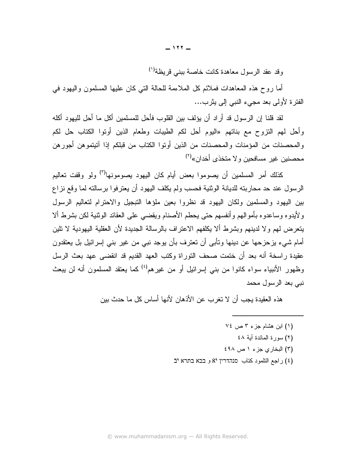وقد عقد الرسول معاهدة كانت خاصة ببني قريظة<sup>(י)</sup>

أما روح هذه المعاهدات فملائم كل الملاءمة للحالة التبي كان عليها المسلمون واليهود في الفترة لأولى بعد مجيء النبي إلى بثرب...

لقد قلنا إن الرسول قد أراد أن يؤلف بين القلوب فأحل للمسلمين أكل ما أحل لليهود أكله وأحل لمهم التزوح مع بناتهم «اليوم أحل لكم الطيبات وطعام الذين أونوا الكتاب حل لكم والمحصنات من المؤمنات والمحصنات من الذين أونوا الكتاب من فبلكم إذا آنتيتموهن أجورهن محصنين غير مسافحين ولا متخذى أخدان»<sup>(۲)</sup>

كذلك أمر المسلمين أن يصوموا بعض أيام كان اليهود يصومونها<sup>(٣)</sup> ولو وقفت تعاليم الرسول عند حد محاربته للديانة الوثنية فحسب ولم يكلف اليهود أن يعترفوا برسالته لما وقع نزاع بين اليهود والمسلمين ولكان اليهود قد نظروا بعين ملؤها التبجيل والاحترام لتعاليم الرسول ولأيدوه وساعدوه بأموالهم وأنفسهم حتى يحطم الأصنام ويقضيي على العقائد الوثنية لكن بشرط ألا يتعرض لهم و لا لدينهم وبشرط ألا يكلفهم الاعتر اف بالر سالة الجديدة لأن العقلية اليهودية لا تلين أمام شبيء بز حز حها عن دينها و تأبي أن تعتر ف بأن يو جد نبي من غير بني إسر ائيل بل يعتقدون عقيدة راسخة أنه بعد أن ختمت صحف التوراة وكتب العهد القديم قد انقضيي عهد بعث الرسل وظهور الأنبياء سواء كانوا من بني ٳسرائيل أو من غيرهم<sup>(٤)</sup> كما يعتقد المسلمون أنه لن يبعث نبي بعد الرسول محمد

هذه العقيدة يجب أن لا تغرب عن الأذهان لأنها أساس كل ما حدث بين

(۱) ابن هشام جزء ۳ ص ۷٤ (٢) سورة المائدة آبة ٤٨ (٣) البخاري جزء ١ ص ٤٩٨ (٤) راجع التلمود كتاب סנהדרין Ri و בבא בתרא 2<sup>5</sup>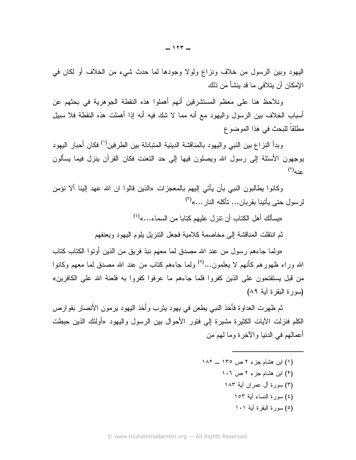اليهود وبين الرسول من خلاف ونزاع ولولا وجودها لما حدث شيء من الخلاف أو لكان في الإمكان أن بتلافي ما قد بنشأ من ذلك

ونلاحظ هنا على معظم المستشرقين أنهم أهملوا هذه النقطة الجوهرية في بحثهم عن أسباب الخلاف بين الرسول واليهود مع أنه مما لا شك فيه أنه إذا أهملت هذه النقطة فلا سبيل مطلقاً للبحث في هذا الموضوع

وبدأ النز اع بين النبي و اليهو د بالمناقشة الدينية المتبادلة بين الطر فين<sup>(י)</sup> فكان أحبار اليهو د يوجهون الأسئلة إلىي رسول الله ويصلون فيها إلى حد النعنت فكان القرآن ينزل فيما يسألون  $(1)$  die

وكانوا بطالبون النبي بأن يأتي إليهم بالمعجزات «الذين قالوا ان الله عهد إلينا ألا نؤمن لر سول حتى يأتينا بقر بان... تأكله النار ...»<sup>(٣)</sup>

«بسألك أهل الكتاب أن تتز ل عليهم كتابا من السماء...»<sup>(٤)</sup>

ثم انتقلت المناقشة إلى مخاصمة كلامية فجعل النتزيل بلوم اليهود ويعنفهم

«ولما جاءهم رسول من عند الله مصدق لما معهم نبذ فريق من الذين أوتوا الكتاب كتاب الله وراء ظهورهم كأنهم لا يعلمون…<sup>(٥</sup>) ولما جاءهم كتاب من عند الله مصدق لما معهم وكانوا من قبل يستفتحون على الذين كفروا فلما جاءهم ما عرفوا كفروا به فلعنة الله على الكافرين» (سورة البقرة آبة ٨٩)

ثم ظهرت العداوة فأخذ النبي يطعن في يهود يثرب وأخذ اليهود يرمون الأنصار بقوارص الكلم فنزلت الأيات الكثيرة مشيرة إلى فتور الأحوال بين الرسول واليهود «أولئك الذين حبطت أعمالهم في الدنيا والأخرة وما لهم من

> (۱) ابن هشام جزء ۲ ص ۱۳٥ ــ ۱۸۲ (٢) ابن هشام جزء ٢ ص ١٠٦ (٣) سورة آل عمران آية ١٨٣ (٤) سورة النساء آبة ١٥٣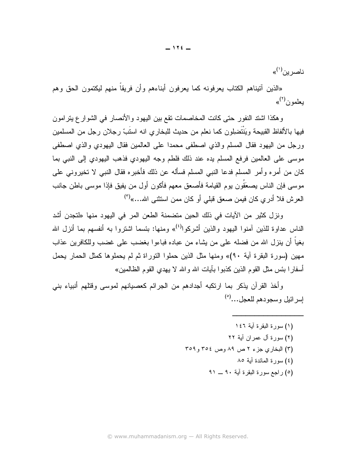ناصرين<sup>(י)</sup>»

«الذين أننيناهم الكتاب يعرفونه كما يعرفون أبناءهم وأن فريقاً منهم ليكتمون الحق وهم  $\left(\mathbf{x}^{(\mathsf{Y})}\right)$ يعلمو ن

و هكذا اشتد النفور حتى كانت المخاصمات تقع بين اليهود والأنصار في الشوار ع يتر امون فيها بالألفاظ القبيحة ويَنْتَضلِون كما نعلم من حديث للبخار ي انه استَبِّ رِجِلان رِجِل من المسلمين ورجل من اليهود فقال المسلم والذي اصطفى محمدا على العالمين فقال اليهودي والذي اصطفى موسى على العالمين فرفع المسلم يده عند ذلك فلطم وجه اليهودي فذهب اليهودي إلى النبي بما كان من أمرٍ و أمرٍ المسلم فدعا النبي المسلم فسأله عن ذلك فأخبر ه فقال النبي لا تخير و نبي علي موسى فإن الناس بصعَقُون بوح القيامة فأصعق معهم فأكون أول من بفيق فإذا موسى باطن جانب العرش فلا أدر ي كان فيمن صعق قبلي أو كان ممن استثنى الله...»<sup>(٣)</sup>

ونز ل كثير من الآيات في ذلك الحين متضمنة الطعن المر في اليهود منها «لتجدن أشد الناس عداوة للذين آمنوا اليهود والذين أشركوا<sup>(٤)</sup>» ومنها: بئسما اشتروا به أنفسهم بما أنزل الله بغياً أن ينزل الله من فضله على من يشاء من عباده فباءوا بغضب على غضب وللكافرين عذاب مهين (سورة البقرة آية ٩٠)» ومنها مثل الذين حملوا النوراة ثم لم يحملوها كمثل الحمار يحمل أسفار ا بئس مثل القوم الذين كذبو ا بآيات الله و الله لا يهدي القوم الظالمين»

وأخذ القرآن يذكر بما ارتكبه أجدادهم من الجرائم كعصيانهم لموسى وقتلهم أنبياء بني إسر ائبل وسجودهم للعجل...<sup>(٥)</sup>

- (١) سورة البقرة آبة ١٤٦ (٢) سورة آل عمر إن آية ٢٢ (٣) البخاري جزء ٢ ص ٨٩ وص ٣٥٤ و ٣٥٩
	- (٤) سورة المائدة أية ٨٥
	- ام) راجع سورة البقرة آبة ٩٠ ــ ٩١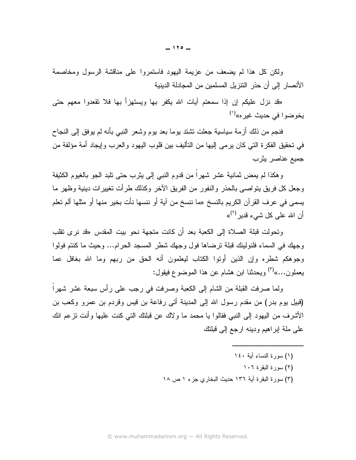ولكن كل هذا لم يضعف من عزيمة اليهود فاستمروا على مناقشة الرسول ومخاصمة الأنصار إلى أن حذر النتزيل المسلمين من المجادلة الدينية

«قد نزل عليكم إن إذا سمعتم أيات الله يكفر بها ويستهزأ بها فلا تقعدوا معهم حتى يخو ضو ا في حديث غير ه»<sup>(۱)</sup>

فنجم من ذلك أزمة سياسية جعلت نشند يوما بعد يوم وشعر النبي بأنه لم يوفق إلى النجاح في تحقيق الفكرة التي كان يرمي إليها من التأليف بين قلوب اليهود والعرب وإيجاد أمة مؤلفة من جميع عناصر يثرب

وهكذا لم يمض ثمانية عشر شهرًا من قدوم النبي إلى بثرب حتى نلبد الجو بالغيوم الكثيفة وجعل كل فريق يتواصىي بالحذر والنفور من الفريق الأخر وكذلك طرأت تغييرات دينية وظهر ما يسمى في عرف القرآن الكريم بالنسخ «ما ننسخ من آية أو ننسها نأت بخير منها أو مثلها ألم تعلم  $\langle$ (1) أن الله على كل شيء قدير

وتحولت قبلة الصلاة إلى الكعبة بعد أن كانت متجهة نحو بيت المقدس «قد نرى تقلب وجهك في السماء فلنولينك قبلة نرضاها فول وجهك شطر المسجد الحرام... وحيث ما كنتم فولوا وجوهكم شطره وإن الذين أوتوا الكتاب ليعلمون أنه الحق من ربهم وما الله بغافل عما يعملون...»<sup>(٣)</sup> ويحدثنا ابن هشام عن هذا الموضوع فيقول:

ولما صرفت القبلة من الشام إلى الكعبة وصرفت في رجب على رأس سبعة عشر شهراً (قبيل يوم بدر) من مقدم رسول الله إلى المدينة أتى رفاعة بن قيس وقردم بن عمرو وكعب بن الأشرف من اليهود إلى النبي فقالوا يا محمد ما ولاك عن قبلتك التي كنت عليها وأنت نزعم انك علي ملة ابر اهيم ودينه ارجع إلى قبلتك

- (١) سورة النساء آبة ١٤٠
	- (٢) سورة البقرة ١٠٦
- (٣) سورة البقرة آية ١٣٦ حديث البخاري جزء ١ ص ١٨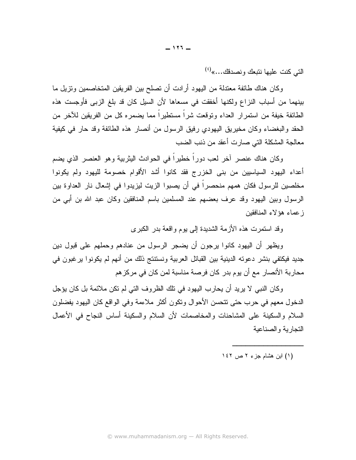التي كنت عليها نتيعك ونصدقك...»<sup>(٤)</sup>

وكان هناك طائفة معتدلة من اليهود أرادت أن نصلح بين الفريقين المتخاصمين ونزيل ما بينهما من أسباب النزاع ولكنها أخفقت في مسعاها لأن السيل كان قد بلغ الزبي فأوجست هذه الطائفة خيفة من استمرار العداء وتوقعت شراً مستطيراً مما يضمره كل من الفريقين للأخر من الحقد والبغضاء وكان مخيريق اليهودي رفيق الرسول من أنصار هذه الطائفة وقد حار في كيفية معالجة المشكلة التي صارت أعقد من ذنب الضب

وكان هناك عنصر أخر لعب دوراً خطيراً في الحوادث البثربية وهو العنصر الذي يضم أعداء اليهود السياسيين من بني الخزرج فقد كانوا أشد الأقوام خصومة لليهود ولم يكونوا مخلصين للرسول فكان همهم منحصراً في أن يصبوا الزيت ليزيدوا في إشعال نار العداوة بين الرسول وبين اليهود وقد عرف بعضهم عند المسلمين باسم المنافقين وكان عبد الله بن أبي من ز عماء هؤلاء المنافقين

وقد استمرت هذه الأز مة الشديدة إلى يوم و اقعة بدر الكبر ي

ويظهر أن اليهود كانوا برجون أن يضجر الرسول من عنادهم وحملهم على قبول دين جديد فيكتفي بنشر دعوته الدينية بين القبائل العربية ونستتتج ذلك من أنهم لم يكونوا يرغبون في محاربة الأنصار مع أن يوم بدر كان فرصة مناسبة لمن كان في مركز هم

وكان النبي لا يريد أن يحارب اليهود في نلك الظروف التي لم نكن ملائمة بل كان يؤجل الدخول معهم في حرب حتى نتحسن الأحوال ونكون أكثر ملاءمة وفي الواقع كان اليهود يفضلون السلام والسكينة على المشاحنات والمخاصمات لأن السلام والسكينة أساس النجاح في الأعمال التجاربة والصناعبة

(١) ابن هشام جزء ٢ ص ١٤٢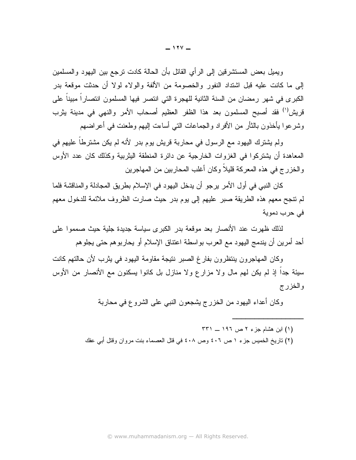ويميل بعض المستشرفين إلى الرأى القائل بأن الحالة كادت نرجع بين اليهود والمسلمين إلى ما كانت عليه قبل اشتداد النفور والخصومة من الألفة والولاء لولا أن حدثت موقعة بدر الكبرى في شهر رمضان من السنة الثانية للهجرة التي انتصر فيها المسلمون انتصاراً مبيناً على قريش'') فقد أصبح المسلمون بعد هذا الظفر العظيم أصحاب الأمر والنهي في مدينة يثرب وشرعوا يأخذون بالثأر من الأفراد والجماعات التي أساءت إليهم وطعنت في أعراضهم

ولم يشترك اليهود مع الرسول في محاربة قريش بوم بدر لأنه لم يكن مشترطاً عليهم في المعاهدة أن يشتركوا في الغزوات الخارجية عن دائرة المنطقة اليثربية وكذلك كان عدد الأوس والخزرج في هذه المعركة قليلاً وكان أغلب المحاربين من المهاجرين

كان النبي في أول الأمر يرجو أن يدخل اليهود في الإسلام بطريق المجادلة والمناقشة فلما لم تنجح معهم هذه الطريقة صبر عليهم إلى يوم بدر حيث صارت الظروف ملائمة للدخول معهم في حرب دموية

لذلك ظهرت عند الأنصار بعد موقعة بدر الكبرى سياسة جديدة جلية حيث صمموا على أحد أمرين أن يندمج اليهود مع العرب بواسطة اعتناق الإسلام أو يحاربوهم حتى يجلوهم

وكان المهاجرون ينتظرون بفارغ الصبر نتيجة مقاومة اليهود في يثرب لأن حالتهم كانت سيئة جدًا إذ لم يكن لهم مال ولا مزارع ولا منازل بل كانوا بسكنون مع الأنصار من الأوس والخزرج

وكان أعداء اليهود من الخزرج يشجعون النبي علىي الشروع في محاربة

- $(1)$  ابن هشام جزء ۲ ص ۱۹۶ ــ ۳۳۱
- (٢) ناريخ الخميس جزء ١ ص ٤٠٦ وص ٤٠٨ في قتل العصماء بنت مروان وقتل أبي عفك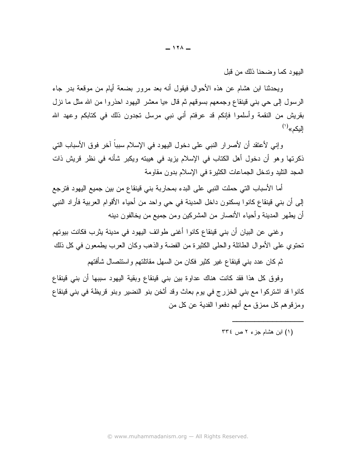البهود كما وضحنا ذلك من قبل

ويحدثنا ابن هشام عن هذه الأحوال فيقول أنه بعد مرور بضعة أيام من موقعة بدر جاء الرسول إلى حي بنبي فينقاع وجمعهم بسوقهم ثم قال «يا معشر اليهود احذروا من الله مثل ما نزل بقريش من النقمة وأسلموا فإنكم قد عرفتم أني نبي مرسل تجدون ذلك في كتابكم وعهد الله البكم»<sup>(۱)</sup>

وإني لأعتقد أن لأصرار النبي على دخول اليهود في الإسلام سبباً آخر فوق الأسباب التي ذكرتها وهو أن دخول أهل الكتاب في الإسلام بزيد في هيبته ويكبر شأنه في نظر قريش ذات المجد التليد وتدخل الجماعات الكثيرة في الإسلام بدون مقاومة

أما الأسباب التي حملت النبي على البدء بمحاربة بني قينقاع من بين جميع اليهود فترجع إلى أن بني قينقاع كانوا يسكنون داخل المدينة في حي واحد من أحياء الأقوام العربية فأراد النبي أن يطهر المدينة وأحياء الأنصار من المشركين ومن جميع من يخالفون دينه

و غني عن البيان أن بني قينقاع كانوا أغني طوائف اليهود في مدينة يثرب فكانت بيوتهم تحتوي على الأموال الطائلة والحلي الكثيرة من الفضة والذهب وكان العرب يطمعون في كل ذلك

ثم كان عدد بني قينقاع غير كثير فكان من السهل مقاتلتهم واستئصال شأفتهم

وفوق كل هذا فقد كانت هناك عداوة بين بني قينقاع وبقية اليهود سببها أن بني قينقاع كانوا قد اشتركوا مع بني الخزرج في يوم بعاث وقد أثخن بنو النضير وبنو قريظة في بني قينقاع ومزقوهم كل ممزق مع أنهم دفعو ا الفدية عن كل من

(۱) ابن هشام جزء ۲ ص ۳۳٤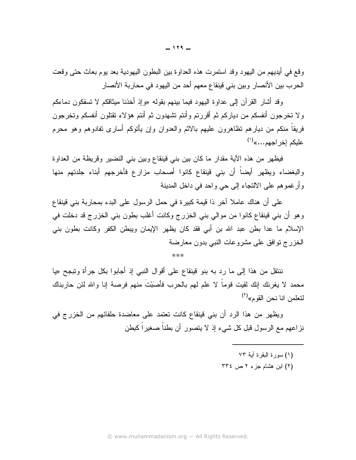وقع في أيديهم من اليهود وقد استمرت هذه العداوة بين البطون اليهودية بعد يوم بعاث حتى وقعت الحرب بين الأنصار وبين بني فينقاع معهم أحد من اليهود في محاربة الأنصار

وقد أشار القرآن إلى عداوة اليهود فيما ببنهم بقوله «وإذ أخذنا مبثاقكم لا تسفكون دماءكم ولا تخرجون أنفسكم من دياركم ثم أقررتم وأنتم نشهدون ثم أنتم هؤلاء نقتلون أنفسكم وتخرجون فريقاً منكم من ديارهم تظاهرون عليهم بالاثم والعدوان وإن يأتوكم أساري تفادوهم وهو محرم عليكم لخر لجهم....»<sup>(۱)</sup>

فيظهر من هذه الآية مقدار ما كان بين بني قينقاع وبين بني النضير وقريظة من العداوة والبغضاء ويظهر أيضاً أن بنى قينقاع كانوا أصحاب مزارع فأخرجهم أبناء جلدتهم منها وأرغموهم على الالتجاء إلى حي واحد في داخل المدينة

على أن هناك عاملا آخر ذا قيمة كبيرة في حمل الرسول على البدء بمحاربة بني قينقاع وهو أن بني قينقاع كانوا من موالي بني الخزرج وكانت أغلب بطون بني الخزرج قد دخلت في الإسلام ما عدا بطن عبد الله بن أبي فقد كان يظهر الإيمان ويبطن الكفر وكانت بطون بني الخزرج توافق على مشروعات النبي بدون معارضة

 $***$ 

ننتقل من هذا إلى ما رد به بنو قينقاع على أقوال النبي إذ أجابوا بكل جرأة وتبجح «يا محمد لا يغرنك إنك لقيت قوما لا علم لهم بالحرب فأصبَبْت منهم فرصة إنا والله لئن حاربناك لتعلمن انا نحن القوم»<sup>(۲)</sup>

ويظهر من هذا الرد أن بني قينقاع كانت تعتمد على معاضدة حلفائهم من الخزرج في نزاعهم مع الرسول قبل كل شيء إذ لا يتصور أن بطناً صغيراً كبطن

- (١) سورة البقرة آية ٧٣
- (۲) ابن هشام جزء ۲ ص ٣٣٤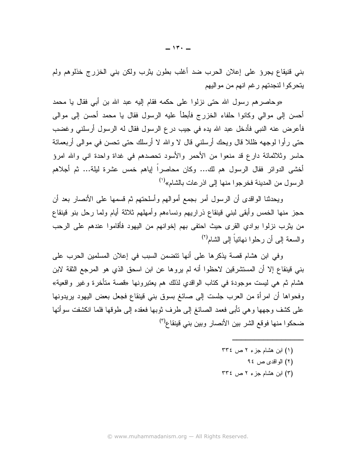بني قنيقاع يجرؤ على إعلان الحرب ضد أغلب بطون يثرب ولكن بني الخزرج خذلوهم ولم يتحركوا لنجدتهم رغم انهم من مواليهم

«وحاصر هم رسول الله حتى نزلوا على حكمه فقام اليه عبد الله بن أبي فقال يا محمد أحسن إلى موالى وكانوا حلفاء الخزرج فأبطأ عليه الرسول فقال يا محمد أحسن إلى موالى فأعرض عنه النبي فأدخل عبد الله يده في جيب درع الرسول فقال له الرسول أرسلني وغضب حتى رأوا لوجهه ظللا قال ويحك أرسلني قال لا والله لا أرسلك حتى نحسن في موالي أربعمائة حاسر وثلاثمائة دارع قد منعوا من الأحمر والأسود تحصدهم في غداة واحدة انبى والله امرؤ أخشبي الدوائر فقال الرسول هم لك... وكان محاصراً إياهم خمس عشرة ليلة... ثم أجلاهم الرسول من المدينة فخرجوا منها إلى اذرعات بالشام»<sup>(י)</sup>

ويحدثنا الواقدي أن الرسول أمر بجمع أموالهم وأسلحتهم ثم قسمها على الأنصار بعد أن حجز منها الخمس وأبقى لبني قينقاع ذراريهم ونساءهم وأمهلهم ثلاثة أيام ولما رحل بنو قينقاع من يثرب نزلوا بوادي القرى حيث احتفى بهم إخوانهم من اليهود فأقاموا عندهم على الرحب والسعة إلى أن رحلوا نهائياً إلى الشام<sup>(٢)</sup>

وفي ابن هشام قصبة بذكر ها على أنها تتضمن السبب في إعلان المسلمين الحرب على بني قينقاع إلا أن المستشرقين لاحظوا أنه لم يروها عن ابن اسحق الذي هو المرجع الثقة لابن هشام ثم هي ليست موجودة في كتاب الواقدي لذلك هم يعتبرونها «قصـة متأخرة وغير واقعية» وفحواها أن امرأة من العرب جلست إلى صائغ بسوق بني فينقاع فجعل بعض اليهود يريدونها على كشف وجهها وهي نأبي فعمد الصائغ إلى طرف ثوبها فعقده إلى طوقها فلما انكشفت سوأتها ضحكو ا منها فوقع الشر بين الأنصار وبين بني قينقاع<sup>(٣)</sup>

- (۱) ابن هشام جزء ۲ ص ٣٣٤
	- (٢) الو اقدى ص ٩٤
- (۳) ابن هشام جزء ۲ ص ٣٣٤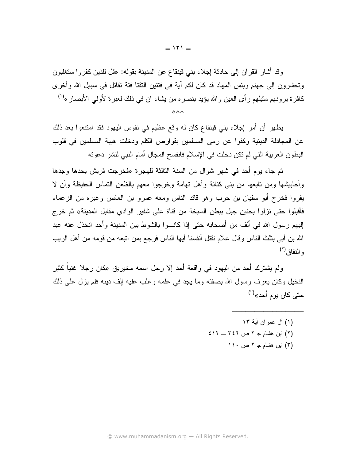وقد أشار القرآن إلى حادثة إجلاء بنبي قينقاع عن المدينة بقوله: «قل للذين كفروا ستغلبون ونَحشرون إلى جهنم وبئس المهاد قد كان لكم آية في فئتين النقتا فئة نقاتل في سبيل الله وأخرى كافرة يرونهم مثيلهم رأى العين والله يؤيد بنصره من يشاء ان في ذلك لعبرة لأولى الأبصار»<sup>(י)</sup>

 $***$ 

يظهر أن أمر إجلاء بنبي قينقاع كان له وقع عظيم في نفوس اليهود فقد امتنعوا بعد ذلك عن المجادلة الدينية وكفوا عن رمي المسلمين بقوارص الكلم ودخلت هيبة المسلمين في قلوب البطون العربية التي لم تكن دخلت في الإسلام فانفسح المجال أمام النبي لنشر دعوته

ثم جاء يوم أحد في شهر شوال من السنة الثالثة للهجرة «فخرجت قريش بحدها وجدها وأحابيشها ومن نابعها من بنبي كنانة وأهل نهامة وخرجوا معهم بالظعن النماس الحفيظة وأن لا يفروا فخرج أبو سفيان بن حرب وهو قائد الناس ومعه عمرو بن العاص وغيره من الزعماء فأقبلوا حتى نزلوا بحنين جبل ببطن السبخة من قناة على شفير الوادي مقابل المدينة» ثم خرج إليهم رسول الله في ألف من أصحابه حتى إذا كانـــوا بالشوط بين المدينة وأحد انخذل عنه عبد الله بن أبي بثلث الناس وقال علام نقتل أنفسنا أيها الناس فرجع بمن انبعه من قومه من أهل الريب ه النفاق<sup>(۲)</sup>

ولم يشترك أحد من اليهود في واقعة أحد إلا ر جل اسمه مخير يق «كان ر جلا غنياً كثير النخيل وكان يعرف رسول الله بصفته وما يجد في علمه وغلب عليه إلف دينه فلم يزل على ذلك  $\left( \mathsf{r} \right)$ حتے کان بو م أحد

> (١) آل عمر ان آبة ١٣ (٢) ابن هشام جـ ٢ ص ٣٤٦ ــ ٤١٢ (٣) ابن هشام جـ ٢ ص ١١٠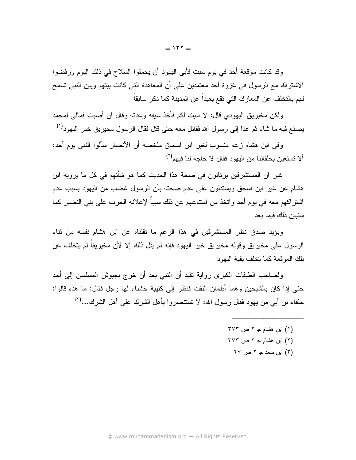وقد كانت موقعة أحد في يوم سبت فأبي اليهود أن يحملوا السلاح في ذلك اليوم ورفضوا الاشتراك مع الرسول في غزوة أحد معتمدين على أن المعاهدة التي كانت بينهم وبين النبي تسمح لهم بالتخلف عن المعارك التي تقع بعيداً عن المدينة كما ذكر سابقاً

ولكن مخيريق اليهودي قال: لا سبت لكم فأخذ سيفه وعدته وقال ان أصبت فمالي لمحمد يصنع فيه ما شاء ثم غدا إلى رسول الله فقاتل معه حتى قتل فقال الرسول مخيريق خير اليهود<sup>(י)</sup>

وفي ابن هشام زعم منسوب لغير ابن اسحاق ملخصه أن الأنصار سألوا النبي يوم أحد: ألا تستعين بحلفائنا من اليهود فقال لا حاجة لنا فيهم<sup>(٢)</sup>

غير ان المستشرقين يرتابون في صحة هذا الحديث كما هو شأنهم في كل ما يرويه ابن هشام عن غير ابن اسحق ويستدلون على عدم صحته بأن الرسول غضب من اليهود بسبب عدم اشتراكهم معه في يوم أحد واتخذ من امتناعهم عن ذلك سبباً لإعلانه الحرب على بني النضير كما سنيين ذلك فيما يعد

ويؤيد صدق نظر المستشرقين في هذا الزعم ما نقلناه عن ابن هشام نفسه من نتاء الرسول على مخيريق وقوله مخيريق خير اليهود فإنه لم يقل ذلك إلا لأن مخيريقا لم يتخلف عن تلك الموقعة كما تخلف بقبة البهود

ولصاحب الطبقات الكبرى رواية تفيد أن النبي بعد أن خرج بجيوش المسلمين إلى أحد حتى إذا كان بالشيخين وهما أطمان النفت فنظر إلى كتيبة خشناء لها زجل فقال: ما هذه قالوا: حلفاء بن أبي من يهود فقال رسول الله: لا تستتصروا بأهل الشرك على أهل الشرك...<sup>(٣)</sup>

- ۳۷۳ این هشام جـ ۲ ص
- (٢) ابن هشام جـ ٢ ص ٣٧٣
	- $YV$ این سعد جر ۲ ص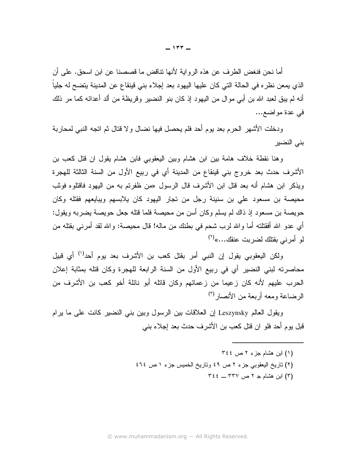أما نحن فنغض الطرف عن هذه الرواية لأنها نتاقض ما قصصنا عن ابن اسحق. على أن الذي يمعن نظر ه في الحالة التي كان عليها اليهود بعد إجلاء بني قينقاع عن المدينة يتضح له جلياً أنه لم يبق لعبد الله بن أبي مو ال من اليهود إذ كان بنو النضير ٍ وقريظة من ألد أعدائه كما مر ذلك في عدة مواضع...

ودخلت الأشهر الحرم بعد بوم أحد فلم يحصل فيها نضال ولا قتال ثم اتجه النبي لمحاربة بني النضير

وهنا نقطة خلاف هامة بين ابن هشام وبين اليعقوبي فابن هشام يقول ان قتل كعب بن الأشرف حدث بعد خروج بني قينقاع من المدينة أي في ربيع الأول من السنة الثالثة للهجرة ويذكر ابن هشام أنه بعد قتل ابن الأشرف قال الرسول «من ظفرتم به من اليهود فاقتلوه فوثب محيصة بن مسعود على بن سنينة رجل من تجار اليهود كان يلابسهم ويبايعهم فقتله وكان حويصة بن مسعود إذ ذاك لم يسلم وكان أسن من محيصة فلما قتله جعل حويصة بضربه ويقول: أي عدو الله أفقتلنه أما والله لرب شحم في بطنك من ماله! قال محيصة: والله لقد أمرنبي بقتله من لو أمرني بقتلك لضربت عنقك...»<sup>(٢)</sup>

ولكن اليعقوبي يقول إن النبي أمر بقتل كعب بن الأشرف بعد يوم أحد<sup>(١)</sup> أي قبيل محاصرته لبني النضير أي في ربيع الأول من السنة الرابعة للهجرة وكان قتله بمثابة إعلان الحرب عليهم لأنه كان زعيما من زعمائهم وكان قاتله أبو نائلة أخو كعب بن الأشرف من الرضاعة ومعه أربعة من الأنصار (٣)

ويقول العالم Leszynsky إن العلاقات بين الرسول وبين بني النضير كانت على ما يرام قبل يوم أحد فلو ان قتل كعب بن الأشرف حدث بعد إجلاء بنبي

> (۱) ابن هشام جزء ۲ ص ۳٤٤ (٢) ناريخ اليعقوبي جزء ٢ ص ٤٩ وناريخ الخميس جزء ١ ص ٢٤٤  $\mathsf{Y}$ ابن هشام ج ۲ ص ۳۳۷ ــ ۳٤٤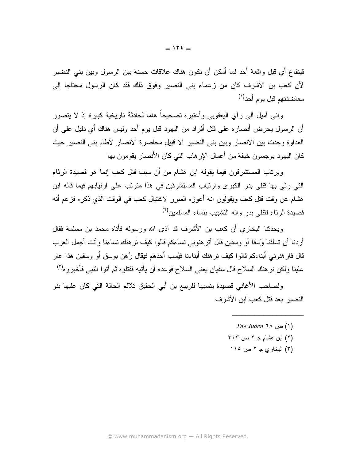قينقاع أي قبل واقعة أحد لما أمكن أن تكون هناك علاقات حسنة بين الرسول وبين بني النضير لأن كعب بن الأشرف كان من زعماء بني النضير وفوق ذلك فقد كان الرسول محتاجا إلى معاضدتهم قبل بوم أحد<sup>(۱)</sup>

و انبي أميل إلى ر أي اليعقوبي و أعتبر م تصحيحاً هاما لحادثة تار يخية كبير ة إذ لا يتصور أن الرسول يحرض أنصاره على قتل أفراد من اليهود قبل يوم أحد وليس هناك أي دليل على أن العداوة وجدت بين الأنصار وبين بني النضير إلا قبيل محاصرة الأنصار لآطام بني النضير حيث كان اليهو د يو جسو ن خيفة من أعمال الإر هاب التي كان الأنصار يقومو ن بها

ويرتاب المستشرقون فيما يقوله ابن هشام من أن سبب قتل كعب إنما هو قصيدة الرئاء التي رئي بها قتلي بدر الكبرى وارتياب المستشرقين في هذا مترتب على ارتيابهم فيما قاله ابن هشام عن وقت قتل كعب ويقولون انه أعوزه المبرر لاغتيال كعب في الوقت الذي ذكره فزعم أنه قصبدة الر ثاء لقتلي بدر وانه التشبيب بنساء المسلمين<sup>(٢)</sup>

ويحدثنا البخاري أن كعب بن الأشرف قد آذي الله ورسوله فأتاه محمد بن مسلمة فقال أردنا أن تسلفنا وَسقا أو وسقين قال أتر هنوني نساءكم قالوا كيف نَر هنك نساءنا وأنت أجمل العرب قال فار هنو نے أبناءكم قالو ا كيف نر هنك أبناءنا فيُسب أحدهم فيقال ر ُهن بوسق أو وسقين هذا عار علينا ولكن نرهنك السلاح قال سفيان يعني السلاح فوعده أن يأتيه فقتلوه ثم أنوا النبي فأخبرو ه<sup>(٣)</sup>

ولصاحب الأغاني فصيدة ينسبها للربيع بن أبي الحقيق تلائم الحالة التي كان عليها بنو النضبر بعد قتل كعب ابن الأشر ف

> Die Juden  $\lambda$  ص ۱۸  $(1)$ (٢) ابن هشام جـ ٢ ص ٣٤٣ (۳) البخاري جـ ۲ ص ۱۱۰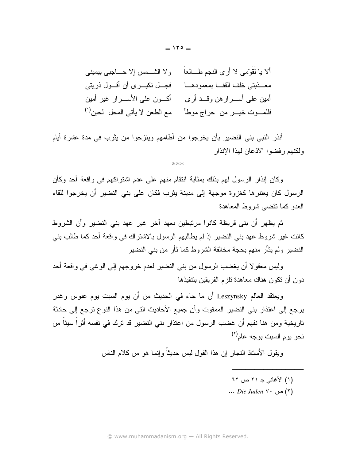أنذر النبي بني النضير بأن يخرجوا من آطامهم وينزحوا من يثرب في مدة عشرة أيام ولكنهم رفضوا الاذعان لهذا الانذار

 $***$ 

وكان إنذار الرسول لمهم بذلك بمثابة انتقام منهم على عدم اشتراكهم في واقعة أحد وكأن الرسول كان يعتبرها كغزوة موجهة إلى مدينة يثرب فكان على بني النضير أن يخرجوا للقاء العدو كما نقضبي شروط المعاهدة

ثم يظهر أن بني قريظة كانوا مرتبطين بعهد آخر غير عهد بني النضير وأن الشروط كانت غير شروط عهد بني النضير إذ لم يطالبهم الرسول بالاشتراك في واقعة أحد كما طالب بني النضير ولم يثأر منهم بحجة مخالفة الشر وط كما ثأر من بني النضير

وليس معقولا أن يغضب الرسول من بني النضير لعدم خروجهم إلى الوغي في واقعة أحد دون أن تكون هناك معاهدة تلزم الفريقين بتتفيذها

ويعتقد العالم Leszynsky أن ما جاء في الحديث من أن يوم السبت يوم عبوس وغدر يرجع إلى اعتذار بني النضير الممقوت وأن جميع الأحاديث التي من هذا النوع ترجع إلى حادثة تاريخية ومن هنا نفهم أن غضب الرسول من اعتذار بني النضير قد ترك في نفسه أثرا سيئا من  $(7)$ نحو بوم السبت بوجه عام

ويقول الأستاذ النجار إن هذا القول ليس حديثًا وإنما هو من كلام الناس

- (١) الأغاني جـ ٢١ ص ٦٢
- $\ldots$  *Die Juden*  $\vee \ldots$  (۲)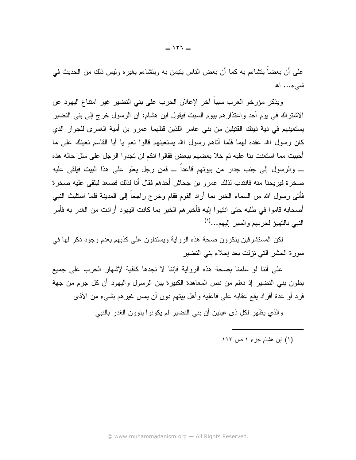علَّـى أن بعضـا ينتثَّـاءم بـه كمـا أن بـعض النـاس ينيمن بـه وينتثَّـاءم بـغير ه وليس ذلك من الـحديث في شيء... اه

ويذكر مؤرخو العرب سبباً آخر لإعلان الحرب على بني النضير غير امتناع اليهود عن الاشتراك في يوم أحد واعتذار هم بيوم السبت فيقول ابن هشام: ان الرسول خرج إلى بني النضير يستعينهم في دية ذينك القتيلين من بني عامر اللذين قتلهما عمرو بن أمية الغمري للجوار الذي كان رسول الله عقده لهما فلما أناهم رسول الله يستعينهم قالوا نعم يا أبا القاسم نعينك على ما أحببت مما استعنت بنا عليه ثم خلا بعضهم ببعض فقالوا انكم لن تجدوا الرجل على مثل حاله هذه ـــــ والرسول إلى جنب جدار من بيوتهم قاعداً ــــ فمن رجل يعلو على هذا البيت فيلقى عليه صخر ة فير يحنا منه فانتدب لذلك عمر و بن جحاش أحدهم فقال أنا لذلك فصعد ليلقى عليه صخر ة فأننى رسول الله من السماء الخبر بما أراد القوم فقام وخرج راجعاً إلى المدينة فلما استلبث النبي أصحابه قاموا في طلبه حتى انتهوا إليه فأخبر هم الخبر بما كانت اليهود أرادت من الغدر به فأمر النبي بالتهيؤ لحربهم والسير اليهم...(')

لكن المستشرقين ينكرون صحة هذه الرواية ويستدلون على كذبهم بعدم وجود ذكر لها في سورة الحشر التي نزلت بعد إجلاء بني النضير

على أننا لو سلمنا بصحة هذه الرواية فإننا لا نجدها كافية لإشهار الحرب على جميع بطون بنبي النضير إذ نعلم من نص المعاهدة الكبيرة بين الرسول واليهود أن كل جرم من جهة فرد أو عدة أفراد يقع عقابه على فاعليه وأهل بيتهم دون أن يمس غيرهم بشيء من الأذي

والذي يظهر لكل ذي عينين أن بني النضير لم يكونوا ينوون الغدر بالنبي

(۱) ابن هشام جزء ۱ ص ۱۱۳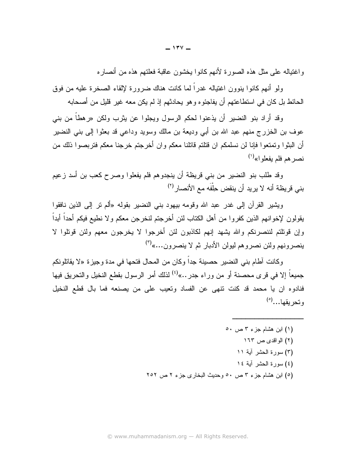واغتياله على مثل هذه الصورة لأنهم كانوا يخشون عاقبة فعلتهم هذه من أنصاره

ولو أنهم كانوا بنوون اغتياله غدراً لما كانت هناك ضرورة لإلقاء الصخرة عليه من فوق الحائط بل كان في استطاعتهم أن يفاجئوه وهو يحادثهم إذ لم يكن معه غير قليل من أصحابه

وقد أراد بنو النضير أن يذعنوا لحكم الرسول ويجلوا عن يثرب ولكن «ر هطاً من بني عوف بن الخزرج منهم عبد الله بن أبي وديعة بن مالك وسويد وداعي قد بعثوا إلى بنبي النضير أن البثوا وتمتعوا فإنا لن نسلمكم ان قتلتم قاتلنا معكم وان أخرجتم خرجنا معكم فتربصوا ذلك من  $^{(1)}$ نصر هم فلم بفعلو ا»

وقد طلب بنو النضير من بني قريظة أن ينجدوهم فلم يفعلوا وصرح كعب بن أسد زعيم بني قريظة أنه لا يريد أن ينقض حِلْفَه مع الأنصار (٢)

ويشير القرآن إلى غدر عبد الله وقومه بيهود بني النضير بقوله «ألم نر إلى الذين نافقوا يقولون لإخوانهم الذين كفروا من أهل الكتاب لئن أخرجتم لنخرجن معكم ولا نطيع فيكم أحداً أبداً وإن قوتلتم لننصرنكم والله يشهد إنهم لكاذبون لئن أخرجوا لا يخرجون معهم ولئن قوتلوا لا ينصرونهم ولئن نصروهم ليولن الأدبار ثم لا ينصرون...»<sup>(٣)</sup>

وكانت أطام بني النضير حصينة جداً وكان من المحال فتحها في مدة وجيزة «لا يقاتلونكم جميعاً إلا في قرى محصنة أو من وراء جدر ..»<sup>(٤)</sup> لذلك أمر الرسول بقطع النخيل والتحريق فيها فنادوه ان يا محمد قد كنت نتهى عن الفساد ونعيب على من يصنعه فما بال قطع النخيل وتحريقها...(°)

> (۱) ابن هشام جزء ۳ ص ٥٠ (۲) الواقدي ص ۱٦۳ (٣) سورة الحشر آبة ١١ (٤) سورة الحشر أية ١٤ (٥) ابن هشام جزء ٣ ص ٥٠ وحديث البخاري جزء ٢ ص ٢٥٢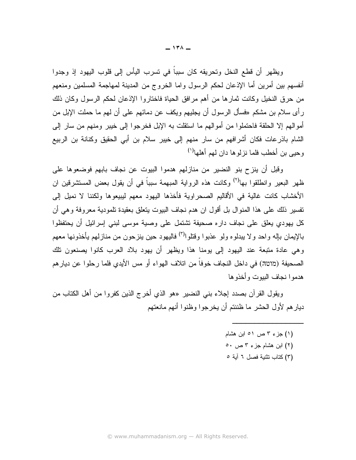ويظهر أن قطع النخل وتحريقه كان سبباً في تسرب اليأس إلى قلوب اليهود إذ وجدوا أنفسهم بين أمرين أما الإذعان لحكم الرسول واما الخروج من المدينة لمهاجمة المسلمين ومنعهم من حرق النخيل وكانت ثمارها من أهم مرافق الحياة فاختاروا الإذعان لحكم الرسول وكان ذلك ر أي سلام بن مشكم «فسأل الرسول أن يجليهم ويكف عن دمائهم على أن لهم ما حملت الإبل من أموالهم إلا الحلقة فاحتملوا من أموالهم ما استقلت به الإبل فخرجوا إلى خببر ومنهم من سار إلى الشام باذرعات فكان أشرافهم من سار منهم إلى خيبر سلام بن أبي الحقيق وكنانة بن الربيع وحيى بن أخطب فلما نزلو ها دان لهم أهلها<sup>(١)</sup>

وقبل أن ينزح بنو النضير من منازلهم هدموا البيوت عن نجاف بابهم فوضعوها على ظهر البعير و انطلقو ا بها<sup>(٢)</sup> وكانت هذه الر و اية المبهمة سبباً في أن يقول بعض المستشر قين ان الأخشاب كانت غالية في الأقاليم الصحر اوية فأخذها اليهود معهم ليبيعوها ولكننا لا نميل إلى نفسير ذلك على هذا المنوال بل أقول ان هدم نجاف البيوت بتعلق بعقيدة نلمودية معروفة وهي أن كل يهودي يعلق على نجاف داره صحيفة تشتمل على وصية موسى لبني إسرائيل أن يحتفظوا بالإيمان بإله وإحد ولا ببدلو ه ولو عذبوا وقتلوا<sup>(٣)</sup> فاليهود حين بنز حون من منازلهم بأخذونها معهم و هي عادة متبعة عند اليهود إلى يومنا هذا ويظهر أن يهود بلاد العرب كانوا يصنعون تلك الصحيفة (מוטה) في داخل النجاف خوفاً من اتلاف الهواء أو مس الأيدي فلما رحلوا عن ديار هم هدمو ا نجاف الببوت و أخذو ها

ويقول القرآن بصدد إجلاء بنبي النضير «هو الذي أخرج الذين كفروا من أهل الكتاب من ديار هم لأول الحشر ما ظننتم أن يخر جو ا وظنو ا أنهم مانعتهم

- (١) جزء ٣ ص ٥١ ابن هشام (٢) ابن هشام جزء ٣ ص ٥٠
- (٣) كتاب تثنية فصل ٦ آية ٥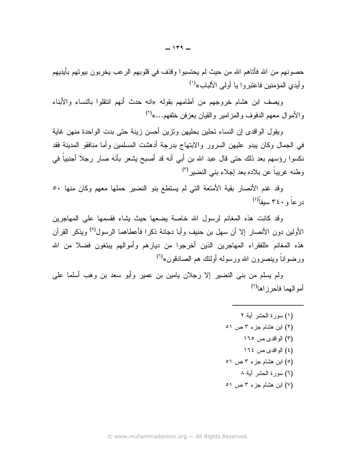حصونهم من الله فأتاهم الله من حيث لم يحتسبوا وقذف في قلوبهم الرعب يخربون بيونهم بأيديهم و أبدى المؤمنين فاعتبر وا يا أولى الألباب»<sup>(١)</sup>

ويصف ابن هشام خروجهم من أطامهم بقوله «انه حدث أنهم انتقلوا بالنساء والأبناء والأموال معهم الدفوف والمزامير والقيان يعزفن خلفهم...»<sup>(٢)</sup>

ويقول الواقدي إن النساء تحلين بحليهن وتزين أحسن زينة حتى بدت الواحدة منهن غاية في الجمال وكان يبدو عليهن السرور والابتهاج بدرجة أدهشت المسلمين وأما منافقو المدينة فقد نكسوا رؤسهم بعد ذلك حتى قال عبد الله بن أبي أنه قد أصبح يشعر بأنه صار رجلا أجنبياً في وطنه غريباً عن بلاده بعد إجلاء بني النضير (٣)

وقد غنم الأنصار بقية الأمتعة التي لم يستطع بنو النضير حملها معهم وكان منها ٥٠  $\left( \epsilon \right)$  (4) در عاً و ۲۶۰ سيفاً

وقد كانت هذه المغانم لرسول الله خاصة يضعها حيث يشاء فقسمها على المهاجرين الأولين دون الأنصار إلا أن سهل بن حنيف وأبا دجانة ذكر! فأعطاهما الرسول<sup>(٥)</sup> ويذكر القرآن هذه المغانم «للفقراء المهاجرين الذين أخرجوا من ديارهم وأموالهم يبتغون فضلا من الله ورضواناً وينصرون الله ورسوله أولئك هم الصادقون»<sup>(٦)</sup>

ولم يسلم من بني النضير إلا رجلان يامين بن عمير وأبو سعد بن وهب أسلما على أموالهما فاحرز اها<sup>(٧)</sup>

> (١) سورة الحشر أية ٢ (۲) ابن هشام جزء ۳ ص ٥١ (۳) الواقدي ص ١٦٥ (٤) الواقدي ص ١٦٤ (٥) ابن هشام جزء ٣ ص ٥١ (٦) سورة الحشر أية ٨ (٧) ابن هشام جزء ٣ ص ٥١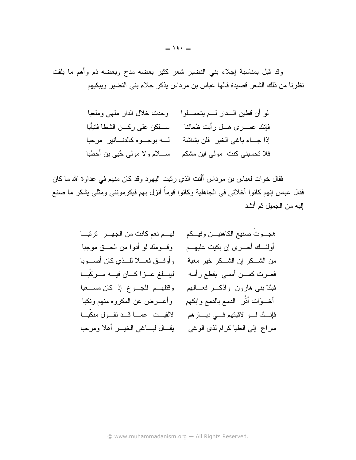وقد قيل بمناسبة إجلاء بنبي النضير شعر كثير بعضه مدح وبعضه ذم وأهم ما يلفت نظرنا من ذلك الشعر قصيدة قالها عباس بن مرداس يذكر جلاء بنبي النضير ويبكيهم

> لو أن قطين الـــدار لـــم يتحمـــلوا وجدت خلال الدار ملهى وملعبا فإنك عصــر ي هـــل ر أبت ظعائنا مــــلكن علـي ركـــن الشطا فتبأبا إذا جساء باغي الخير فلن بشاشة للسه بوجسوه كالدنسانير مرحبا فلا نحسبنبي كنت ًمولى ابن مشكم مسسلام ولا مولى حُببي بن أخطبا

فقال خو ات لعباس بن مر داس أأنت الذي ر ثبت اليهو د و قد كان منهم في عداو ة الله ما كان فقال عباس إنهم كانو ا أخلائي في الجاهلية وكانو ا قو ماً أنز ل بهم فيكر مو نني و مثلي يشكر ما صنع البه من الجمبل ثم أنشد

> هجسوتَ صنيع الكاهنيـــن وفيـــكم م لـهـــم نعم كانت من الجهـــر متر تبـــا أولئـــك أحـــــرى إن بكيت عليهـــم وفــــومك لو أدوا من الحــــق موجبا من الشَّـــكر إن الشَّـــكر خيرٍ مغبة مع وأوفـــق فعـــلا للـــذي كان أصــــوبا فصرت كمـــن أمسى يقطع رأسه مسليبـــلغ عـــزا كـــان فيـــه مـــركّبـــا فبكَّ بنبي هارون وإذكـر فعــالهم وقتلهــم للجــوع إذ كان مســـغبا أخــوّات أنْر الدمع بالدمع وابكهم وأعـــرض عن المكروه منهم ونكبا فإنــك لـــو لاقيتهم فـــي ديـــارهم لالفيــت عمـــا قـــد تقـــول منكّبـــا سراع إلىي العليا كرام لذي الوغي يقــال لبـــاغي الخيـــر أهلا ومرحبا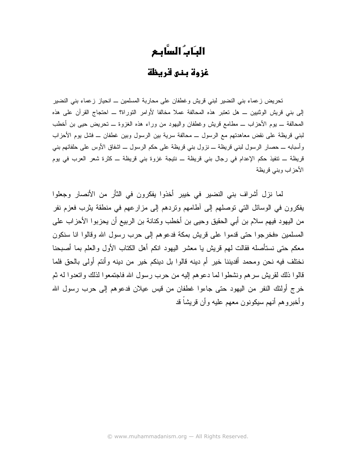# البَابُ السَّابِمِ

#### غزوة بني قريظة

تحريض زعماء بنبي النضير لبنبي قريش وغطفان على محاربة المسلمين \_ انحياز زعماء بنبي النضير إلى بني قريش الوثنيين ـــ هل تعتبر هذه المحالفة عملا مخالفا لأوامر التوراة؟ ـــ احتجاج القرآن على هذه المحالفة ـــ بوم الأحزاب ـــ مطامع قريش وغطفان واليهود من وراء هذه الغزوة ـــ تحريض حيى بن أخطب لبني فريظة على نقض معاهدتهم مع الرسول ـــ محالفة سرية بين الرسول وبين غطفان ـــ فشل يوم الأحزاب وأسبابه ــ حصار الرسول لبني فريظة ـــ نزول بني فريظة على حكم الرسول ـــ اشفاق الأوس على حلفائهم بني قريظة \_ نتفيذ حكم الإعدام في رجال بني قريظة \_ نتيجة غزوة بني قريظة \_ كثرة شعر العرب في يوم الأحزاب وبني قريظة

لما نزل أشراف بني النضير في خيبر أخذوا يفكرون في الثأر من الأنصار وجعلوا يفكرون في الوسائل التي توصلهم إلى أطامهم ونردهم إلى مزارعهم في منطقة يثرب فعزم نفر من اليهود فيهم سلام بن أبي الحقيق وحيى بن أخطب وكنانة بن الربيع أن يحزبوا الأحزاب على المسلمين «فخرجوا حتى قدموا على قريش بمكة فدعوهم إلى حرب رسول الله وقالوا انا سنكون معكم حتى نستأصله فقالت لهم قريش يا معشر اليهود انكم أهل الكتاب الأول والعلم بما أصبحنا نختلف فيه نحن ومحمد أفديننا خير أم دينه قالوا بل دينكم خير من دينه وأنتم أولى بالحق فلما قالوا ذلك لقريش سر هم ونشطوا لما دعو هم إليه من حرب رسول الله فاجتمعوا لذلك وانعدوا له ثم خرج أولئك النفر من اليهود حتى جاءوا غطفان من قيس عيلان فدعوهم إلى حرب رسول الله و أخبر و هم أنهم سبكونون معهم عليه و أن قريشاً قد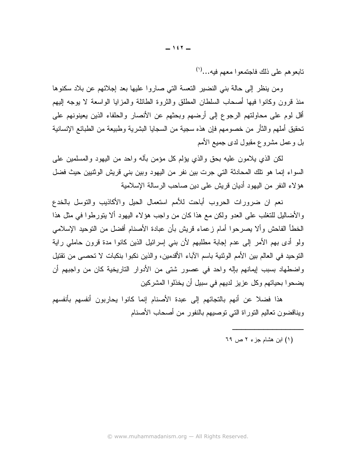نابعوهم على ذلك فاجتمعوا معهم فيه...(')

ومن ينظر إلى حالة بني النضير النعسة التي صاروا عليها بعد إجلائهم عن بلاد سكنوها منذ قرون وكانوا فيها أصحاب السلطان المطلق والثروة الطائلة والمزايا الواسعة لا بوجه إليهم أقل لوم على محاولتهم الرجوع إلى أرضهم وبحثهم عن الأنصار والحلفاء الذين يعينونهم على تحقيق أملهم والثأر من خصومهم فإن هذه سجية من السجايا البشرية وطبيعة من الطبائع الإنسانية بل و عمل مشر و ع مقبول لدى جميع الأمم

لكن الذي يلامون عليه بحق والذي يؤلم كل مؤمن بآله واحد من اليهود والمسلمين على السواء إنما هو تلك المحادثة التي جرت بين نفر من اليهود وبين بني قريش الوثنيين حيث فضل هؤ لاء النفر من اليهود أديان قريش على دين صاحب الرسالة الإسلامية

نعم ان ضرورات الحروب أباحت للأمم استعمال الحيل والأكاذيب والتوسل بالخدع والأضاليل للتغلب على العدو ولكن مع هذا كان من واجب هؤلاء اليهود ألا يتورطوا في مثل هذا الخطأ الفاحش وألا يصرحوا أمام زعماء قريش بأن عبادة الأصنام أفضل من التوحيد الإسلامي ولو أدى بهم الأمر إلى عدم إجابة مطلبهم لأن بني إسرائيل الذين كانوا مدة قرون حاملي راية النَّوحيد في العالم بين الأمم الوثنية باسم الآباء الأقدمين، والذين نكبوا بنكبات لا تحصبي من تقتيل و اضطهاد بسبب إيمانهم بإله واحد في عصور شتي من الأدوار الناريخية كان من واجبهم أن يضحوا بحياتهم وكل عزيز لديهم في سبيل أن يخذلوا المشركين

هذا فضلا عن أنهم بالتجائهم إلى عبدة الأصنام إنما كانوا يحاربون أنفسهم بأنفسهم ويناقضون تعاليم النوراة التي نوصيهم بالنفور من أصحاب الأصنام

(١) ابن هشام جزء ٢ ص ٦٩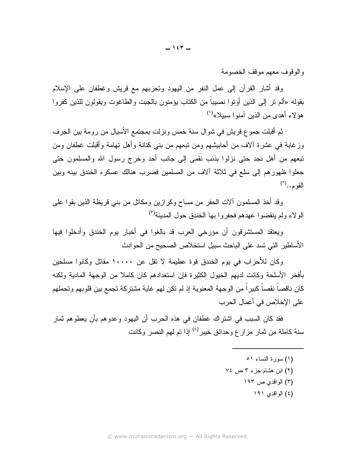والوقوف معهم موقف الخصومة

وقد أشار القرآن إلى عمل النفر من اليهود وتحزبهم مع قريش وغطفان على الإسلام بقوله «ألم نر إلى الذين أوتوا نصبيباً من الكتاب يؤمنون بالجبت والطاغوت ويقولون للذين كفروا هؤ لاء أهدى من الذين آمنو ا سبيلا»<sup>(١)</sup>

ثم أقبلت جموع قريش في شوال سنة خمس ونزلت بمجتمع الأسيال من رومة بين الجرف وزغابة في عشرة ألاف من أحابيشهم ومن تبعهم من بني كنانة وأهل تهامة وأقبلت غطفان ومن تبعهم من أهل نجد حتى نزلوا بذنب نَقَمَى إلى جانب أحد وخرج رسول الله والمسلمون حتى جعلوا ظهور هم إلى سلع في ثلاثة آلاف من المسلمين فضرب هنالك عسكره الخندق بينه وبين القوم..(٢)

وقد أخذ المسلمون ألات الحفر من مساح وكرازين ومكانل من بنبي قريظة الذين بقوا على الو لاء ولم ينقضوا عهدهم فحفر وا بها الخندق حول المدينة<sup>(٣)</sup>

ويعتقد المستشرقون أن مؤرخى العرب قد بالغوا في أخبار يوم الخندق وأدخلوا فيها الأساطير التي تسد على الباحث سبيل استخلاص الصحيح من الحوادث

وكان للأحزاب في يوم الخندق قوة عظيمة لا تقل عن ١٠٠٠٠ مقاتل وكانوا مسلحين بأفخر الأسلحة وكانت لديهم الخيول الكثيرة فإن استعدادهم كان كاملا من الوجهة المادية ولكنه كان ناقصاً نقصاً كبيراً من الوجهة المعنوية إذ لم نكن لهم غاية مشتركة تجمع بين قلوبهم وتحملهم على الإخلاص في أعمال الحرب

فقد كان السبب في اشتراك غطفان في هذه الحرب أن اليهود وعدوهم بأن يعطوهم ثمار سنة كاملة من ثمار مزارع وحدائق خيبر<sup>(٤)</sup> إذا تم لهم النصر وكانت

- (١) سورة النساء ٥١
- (۲) ابن هشام جزء ۳ ص ۷٤
	- (۳) الواقدي ص ۱۹۳
		- (٤) الو اقدى ١٩١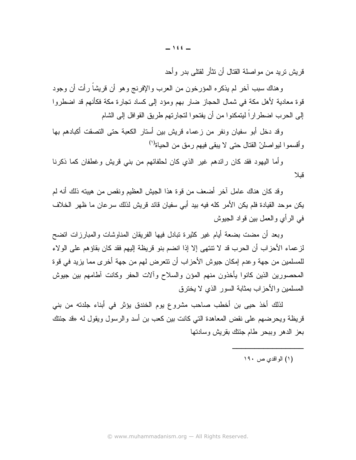قر بش تر بد من مو اصلة القتال أن نتأر القتلي بدر و أحد

وهناك سبب أخر لم يذكره المؤرخون من العرب والإفرنج وهو أن قريشاً رأت أن وجود قوة معادية لأهل مكة في شمال الحجاز ضار بهم ومؤد إلى كساد نجارة مكة فكأنهم قد اضطروا إلى الحرب اضطراراً ليتمكنوا من أن يفتحوا لتجارتهم طريق القوافل إلى الشام

وقد دخل أبو سفيان ونفر من زعماء قريش بين أستار الكعبة حتى التصقت أكبادهم بها وأقسموا ليواصلنّ القتال حتى لا يبقى فيهم رمق من الحياة<sup>(١)</sup>

وأما اليهود فقد كان رائدهم غير الذي كان لحلفائهم من بني قريش وغطفان كما ذكرنا قبلا

وقد كان هناك عامل آخر أضعف من قوة هذا الجيش العظيم ونقص من هيبته ذلك أنه لم يكن موحد القيادة فلم يكن الأمر كله فيه بيد أبي سفيان قائد قريش لذلك سرعان ما ظهر الخلاف في الرأى والعمل بين قواد الجيوش

وبعد أن مضت بضعة أيام غير كثيرة تبادل فيها الفريقان المناوشات والمبارزات انضح لز عماء الأحزاب أن الحرب قد لا تتتهى إلا إذا انضم بنو قريظة إليهم فقد كان بقاؤهم على الولاء للمسلمين من جهة وعدم إمكان جيوش الأحزاب أن تتعرض لهم من جهة أخرى مما يزيد في قوة المحصورين الذين كانوا يأخذون منهم المؤن والسلاح وألات الحفر وكانت أطامهم بين جيوش المسلمين والأحزاب بمثابة السور الذي لا يخترق

لذلك أخذ حيى بن أخطب صاحب مشروع يوم الخندق يؤثر في أبناء جلدته من بني قريظة ويحرضهم على نقض المعاهدة التي كانت بين كعب بن أسد والرسول ويقول له «قد جئتك بعز الدهر وببحر طام جئتك بقريش وسادتها

(۱) الواقدي ص، ۱۹۰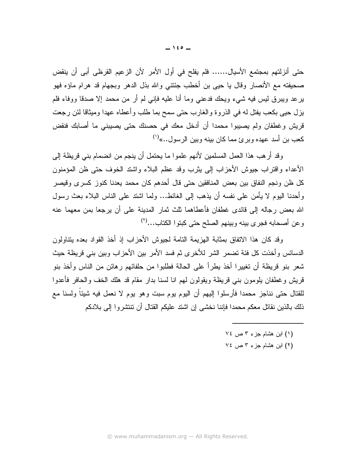حتى أنزلتهم بمجتمع الأسيال...... فلم يفلح في أول الأمر لأن الزعيم القرظي أبي أن ينقض صحيفته مع الأنصار وقال يا حيى بن أخطب جئتني والله بذل الدهر وبجهام قد هرام ماؤه فهو يرعد ويبرق ليس فيه شيء ويحك فدعني وما أنا عليه فإني لم أر من محمد إلا صدقا ووفاء فلم يزل حيى بكعب يفتل له في الذروة والغارب حتى سمح بما طلب وأعطاه عهدا وميثاقا لئن رجعت قريش وغطفان ولم يصيبوا محمدا أن أدخل معك في حصنك حتى يصيبني ما أصابك فنقض كعب بن أسد عهده وبرئ مما كان بينه وبين الرسول..»<sup>(י)</sup>

وقد أر هب هذا العمل المسلمين لأنهم علموا ما يحتمل أن ينجم من انضمام بني قريظة إلى الأعداء وإقتراب جيوش الأحزاب إلى يثرب وقد عظم البلاء وإشتد الخوف حتى ظن المؤمنون كل ظن ونجم النفاق بين بعض المنافقين حتى قال أحدهم كان محمد يعدنا كنوز كسرى وقيصر و أحدنا اليوم لا يأمن على نفسه أن يذهب إلى الغائط... ولما اشتد على الناس البلاء بعث رسول الله بعض رجاله إلى فائدي غطفان فأعطاهما نلْث نمار المدينة على أن يرجعا بمن معهما عنه وعن أصحابه فجرى بينه وبينهم الصلح حتى كبتوا الكتاب...(٢)

و قد كان هذا الاتفاق بمثابة الهزيمة التامة لجيوش الأحزاب إذ أخذ القواد بعده يتناولون الدسائس وأخذت كل فئة تضمر الشر للأخرى ثم فسد الأمر بين الأحزاب وبين بني قريظة حيث شعر بنو قريظة أن تغييرا أخذ يطرأ على الحالة فطلبوا من حلفائهم رهائن من الناس وأخذ بنو قريش وغطفان بلومون بنبي قريظة ويقولون لمهم انا لسنا بدار مقام قد هلك الخف والحافر فأعدوا للقتال حتى نناجز محمدا فأرسلوا البيهم أن اليوم يوم سبت وهو يوم لا نعمل فيه شيئاً ولسنا مع ذلك بالذين نقاتل معكم محمدا فإننا نخشى إن اشتد عليكم القتال أن تتنشر و ا إلى بلادكم

- (١) ابن هشام جزء ٣ ص ٧٤
- (٢) ابن هشام جزء ٣ ص ٧٤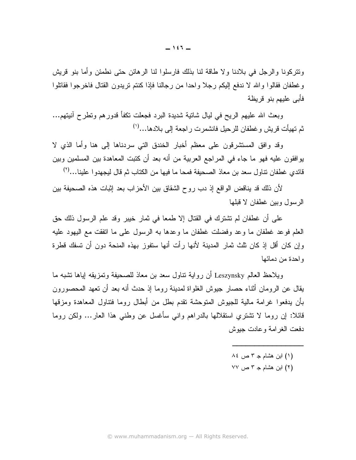ونتركونا والرجل في بلادنا ولا طاقة لنا بذلك فارسلوا لنا الرهائن حتى نطمئن وأما بنو قريش وغطفان فقالوا والله لا ندفع إليكم رجلا واحدا من رجالنا فإذا كنتم نريدون القتال فاخرجوا فقاتلوا فأبي علبهم بنو قريظة

وبعث الله عليهم الريح في ليال شانية شديدة البرد فجعلت نكفأ قدورهم ونطرح أنبيتهم... ثم تهيأت قريش و غطفان للرحيل فانشمرت ر اجعة إلى بلادها...<sup>(י)</sup>

وقد وافق المستشرقون على معظم أخبار الخندق التي سردناها إلى هنا وأما الذي لا يوافقون عليه فهو ما جاء في المراجع العربية من أنه بعد أن كتبت المعاهدة بين المسلمين وبين قائدي غطفان نتاول سعد بن معاذ الصحيفة فمحا ما فيها من الكتاب ثم قال ليجهدو ا علينا...<sup>(٢)</sup>

لأن ذلك قد يناقض الواقع إذ دب روح الشقاق بين الأحزاب بعد إثبات هذه الصحيفة بين الرسول وبين غطفان لا قبلها

على أن غطفان لم تشترك في القتال إلا طمعا في ثمار خيبر وقد علم الرسول ذلك حق العلم فوعد غطفان ما وعد وفضلت غطفان ما وعدها به الرسول على ما انفقت مع اليهود عليه و إن كان أقل إذ كان ثلث ثمار المدينة لأنها رأت أنها ستفوز بهذه المنحة دون أن تسفك قطرة و احدة من دمائها

ويلاحظ العالم Leszynsky أن رواية نتاول سعد بن معاذ للصحيفة ونمزيقه لياها نشبه ما يقال عن الرومان أثناء حصار جيوش الغلواة لمدينة روما إذ حدث أنه بعد أن تعهد المحصورون بأن يدفعوا غرامة مالية للجيوش المتوحشة نقدم بطل من أبطال روما فتناول المعاهدة ومزقها قائلاً: إن روما لا نشتري استقلالها بالدراهم وانبي سأغسل عن وطنبي هذا العار ... ولكن روما دفعت الغر امة و عادت جبوش

- $\wedge$ (۱) ابن هشام جـ ۳ ص ۸٤
- (٢) ابن هشام جـ ٣ ص ٧٧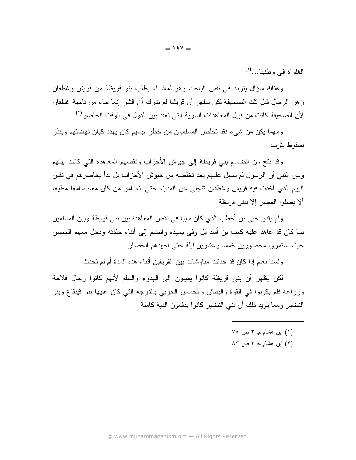الغلواة إلى وطنها...<sup>(۱</sup>)

وهناك سؤال بنردد في نفس الباحث وهو لماذا لم يطلب بنو قريظة من قريش وغطفان ر هن الرجال قبل تلك الصحيفة لكن يظهر أن قريشا لم تدرك أن الشر إنما جاء من ناحية غطفان لأن الصحيفة كانت من قبيل المعاهدات السرية التي تعقد بين الدول في الوقت الحاضر<sup>(٢)</sup>

ومهما يكن من شيء فقد تخلص المسلمون من خطر جسيم كان يهدد كيان نهضتهم وينذر يسقوط يثرب

وقد نتج من انضمام بني قريظة إلى جيوش الأحزاب ونقضهم المعاهدة التي كانت بينهم وبين النبي أن الرسول لم يمهل عليهم بعد تخلصه من جيوش الأحزاب بل بدأ يحاصر هم في نفس اليوم الذي أخذت فيه قريش وغطفان نتجلى عن المدينة حتى أنه أمرٍ من كان معه سامعا مطيعا ألا يصلوا العصر إلا ببنى قريظة

ولم يقدر حيى بن أخطب الذي كان سببا في نقض المعاهدة بين بني قريظة وبين المسلمين بما كان قد عاهد عليه كعب بن أسد بل وفي بعهده وانضم إلى أبناء جلدته ودخل معهم الحصن حيث استمروا محصورين خمسا وعشرين ليلة حتى أجهدهم الحصار

ولسنا نعلم إذا كان قد حدثت مناوشات بين الفريقين أثناء هذه المدة أم لم تحدث

لكن يظهر أن بني قريظة كانوا بميلون إلى الهدوء والسلم لأنهم كانوا رجال فلاحة وزراعة فلم يكونوا في القوة والبطش والحماس الحربي بالدرجة التي كان عليها بنو قينقاع وبنو النضير ومما يؤيد ذلك أن بني النضير كانوا يدفعون الدية كاملة

- $V$ بن هشام جـ ٣ ص ٧٤ )
- (٢) ابن هشام جـ ٣ ص ٨٣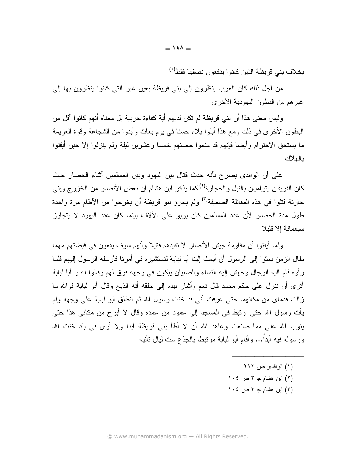بخلاف بني قريظة الذين كانوا يدفعون نصفها فقط<sup>(י)</sup>

من أجل ذلك كان العرب ينظرون إلى بني قريظة بعين غير التي كانوا ينظرون بها إلى غير هم من البطون اليهودية الأخرى

وليس معنى هذا أن بني قريظة لم نكن لديهم أية كفاءة حربية بل معناه أنهم كانوا أقل من البطون الأخرى في ذلك ومع هذا أبلوا بلاء حسنا في بوم بعاث وأبدوا من الشجاعة وقوة العزيمة ما يستحق الاحترام وأيضا فإنهم قد منعوا حصنهم خمسا وعشرين ليلة ولم ينزلوا إلا حين أيقنوا بالهلاك

على أن الواقدي بصرح بأنه حدث قتال بين اليهود وبين المسلمين أثناء الحصار حيث كان الفريقان يتراميان بالنبل والحجارة<sup>(٢)</sup>كما يذكر ابن هشام أن بعض الأنصار من الخزرج وبني حارثة قتلوا في هذه المقاتلة الضعيفة<sup>(٣)</sup> ولم يجرؤ بنو قريظة أن يخرجوا من الآطام مرة واحدة طول مدة الحصار لأن عدد المسلمين كان يربو على الآلاف بينما كان عدد اليهود لا يتجاوز سيعمائة الا قليلا

ولما أيقنوا أن مقاومة جيش الأنصار لا تفيدهم فتيلا وأنهم سوف يقعون في قبضتهم مهما طال الزمن بعثوا إلى الرسول أن أبعث إلينا أبا لبابة لنستشير ه في أمرنا فأرسله الرسول إليهم فلما ر أو ه قام إليه الرجال وجهش إليه النساء و الصبيان ببكون في وجهه فرق لهم وقالو ا له يا أبا لبابة أنزى أن ننزل على حكم محمد قال نعم وأشار بيده إلى حلقه أنه الذبح وقال أبو لبابة فوالله ما زالت قدماي من مكانهما حتى عرفت أنى قد خنت رسول الله ثم انطلق أبو لبابة على وجهه ولم يأت رسول الله حتى ارتبط في المسجد إلى عمود من عمده وقال لا أبرح من مكاني هذا حتى يتوب الله على مما صنعت وعاهد الله أن لا أطأ بنبي قريظة أبدا ولا أرى في بلد خنت الله ورسوله فيه أبداً… وأقام أبو لبابة مرتبطا بالجذع ست ليال نأتيه

- (۱) الواقدي ص ۲۱۲
- (٢) ابن هشام جـ ٣ ص ١٠٤
- (٣) ابن هشام جـ ٣ ص ١٠٤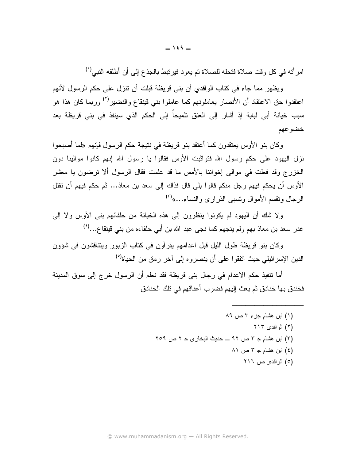امرِ أنه في كل وقت صلاة فتحله للصلاة ثم يعود فيربِّبط بالجذع إلى أن أطلقه النبي<sup>(י)</sup>

ويظهر مما جاء في كتاب الواقدي أن بني قريظة قبلت أن نتزل على حكم الرسول لأنهم اعتقدوا حق الاعتقاد أن الأنصار يعاملونهم كما عاملوا بني قينقاع والنضير<sup>(٢)</sup> وربما كان هذا هو سبب خيانة أبي لبابة إذ أشار إلى العنق تلميحاً إلى الحكم الذي سينفذ في بني قريظة بعد خضو عهم

وكان بنو الأوس يعتقدون كما أعتقد بنو قريظة في نتيجة حكم الرسول فإنهم «لما أصبحوا نزل اليهود على حكم رسول الله فتواثبت الأوس فقالوا يا رسول الله إنهم كانوا موالينا دون الخزرج وقد فعلت في موالي إخواننا بالأمس ما قد علمت فقال الرسول ألا نرضون يا معشر الأوس أن يحكم فيهم رجل منكم قالوا بلي قال فذاك إلى سعد بن معاذ… ثم حكم فيهم أن نقتل الرجال وتقسم الأموال وتسبى الذراري والنساء...»<sup>(٣)</sup>

ولا شك أن اليهود لم يكونوا ينظرون إلى هذه الخيانة من حلفائهم بني الأوس ولا إلى غدر سعد بن معاذ بهم ولم ينجهم كما نجي عبد الله بن أبي حلفاءه من بني قينقاع...<sup>(٤)</sup>

وكان بنو ٍ قريظة طول الليل قبل اعدامهم يقرأون في كتاب الزيور ٍ ويتناقشون في شؤون الدين الإسرائيلي حيث انفقوا على أن ينصروه إلى آخر رمق من الحياة<sup>(٥)</sup>

أما نتفيذ حكم الاعدام في رجال بني قريظة فقد نعلم أن الرسول خرج إلى سوق المدينة فخندق بها خنادق ثم بعث إليهم فضرب أعناقهم في تلك الخنادق

- (۱) ابن هشام جزء ۳ ص ۸۹
	- (۲) الو اقدی ۲۱۳
- (٣) ابن هشام جـ ٣ ص ٩٢ ـــ حديث البخارى جـ ٢ ص ٢٥٩
	- $\wedge$ ) ابن هشام جـ ٣ ص ٨١
		- (٥) الواقدي ص ٢١٦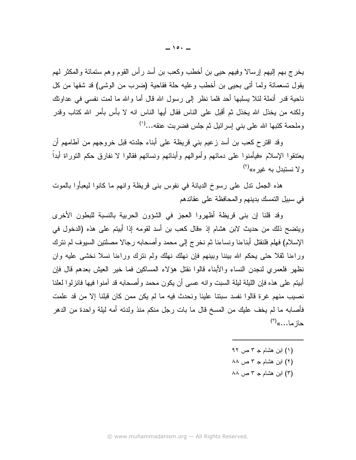يخرج بهم إليهم إرسالا وفيهم حيى بن أخطب وكعب بن أسد رأس القوم وهم ستمائة والمكثر لهم يقول تسعمائة ولما أتى بحيى بن أخطب وعليه حلة فقاحية (ضرب من الوشى) قد شقها من كل ناحية قدر أنملة لئلا يسلبها أحد فلما نظر إلى رسول الله قال أما والله ما لمت نفسى في عداونك ولكنه من يخذل الله يخذل ثم أقبل على الناس فقال أيها الناس انه لا بأس بأمر الله كتاب وقدر وملحمة كتبها الله على بني إسر ائيل ثم جلس فضربت عنقه...<sup>(י)</sup>

وقد اقترح كعب بن أسد زعيم بني قريظة على أبناء جلدته قبل خروجهم من أطامهم أن يعتنقوا الإسلام «فيأمنوا على دمائهم وأموالهم وأبنائهم ونسائهم فقالوا لا نفارق حكم التوراة أبداً و لا نستبدل به غبر ه $^{(7)}$ 

هذه الجمل ندل علمي رسوخ الديانة في نفوس بنبي قريظة وانـهم مـا كـانوا ليعبأوا بـالموت في سبيل التمسك بدينهم والمحافظة على عقائدهم

وقد قلنا إن بني قريظة أظهروا العجز في الشؤون الحربية بالنسبة للبطون الأخرى ويتضح ذلك من حديث لابن هشام إذ «قال كعب بن أسد لقومه إذا أبيتم على هذه (الدخول في الإسلام) فهلم فلنقتل أبناءنا ونساءنا ثم نخرج إلى محمد و أصحابه ر جالا مصلتين السبوف لم نترك ور اءنا نقلًا حتى يحكم الله بيننا وبينهم فإن نهلك نهلك ولم نترك ور اءنا نسلًا نخشى عليه وإن نظهر فلعمري لنجدن النساء والأبناء قالوا نقتل هؤلاء المساكين فما خير العيش بعدهم قال فإن أبيتم على هذه فإن الليلة ليلة السبت وإنه عسى أن يكون محمد و أصحابه قد آمنوا فيها فانزلوا لعلنا نصيب منهم غرة قالوا نفسد سبتنا علينا ونحدث فيه ما لم يكن ممن كان قبلنا إلا من قد علمت فأصابه ما لم يخف عليك من المسخ قال ما بات رجل منكم منذ ولدنه أمه ليلة واحدة من الدهر  $\mathcal{L}^{(\tau)}$ هان ما

- (۱) ابن هشام جـ ۳ ص ۹۲
- (٢) ابن هشام جـ ٣ ص ٨٨
- (٣) ابن هشام جـ ٣ ص ٨٨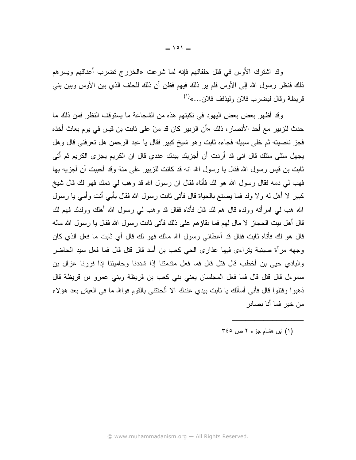وقد اشترك الأوس في قتل حلفائهم فإنه لما شرعت «الخزرج تضرب أعناقهم ويسرهم ذلك فنظر رسول الله إلى الأوس فلم ير ذلك فيهم فظن أن ذلك للحلف الذي بين الأوس وبين بني قريظة وقال ليضرب فلان وليذفف فلان...»<sup>(١)</sup>

وقد أظهر بعض بعض اليهود في نكبتهم هذه من الشجاعة ما يستوقف النظر فمن ذلك ما حدث للزبير مع أحد الأنصار ، ذلك «أن الزبير كان قد منّ على ثابت بن قيس في يوم بعاث أخذه فجز ناصبتِه ثم خلَّى سبيله فجاءه ثابت وهو شيخ كبير فقال يا عبد الرحمن هل تعرفني قال وهل يجهل مثلي مثلك قال اني قد أردت أن أجزيك بيدك عندي قال ان الكريم يجزى الكريم ثم أتي ثابت بن قيس رسول الله فقال يا رسول الله انه قد كانت للزبير ٍ على منة وقد أحببت أن أجزيه بها فهب لي دمه فقال ر سول الله هو لك فأتاه فقال ان ر سول الله قد و هب لي دمك فهو لك قال شيخ كبير لا أهل له ولا ولد فما يصنع بالحياة قال فأتى ثابت رسول الله فقال بأبي أنت وأمى يا رسول الله هب لمي امرأته وولده قال هم لك قال فأتاه فقال قد وهب لمي رسول الله أهلك وولدك فهم لك قال أهل بيت الحجاز ِ لا مال لهم فما بقاؤ هم على ذلك فأتى ثابت رِ سول الله فقال يا رِ سول الله ماله قال هو لك فأتاه ثابت فقال قد أعطاني رسول الله مالك فهو لك قال أي ثابت ما فعل الذي كان وجهه مرآة صينية بتراءى فيها عذارى الحي كعب بن أسد قال قتل قال فما فعل سيد الحاضر والبادي حيى بن أخطب قال قتل قال فما فعل مقدمتنا إذا شددنا وحاميتنا إذا فررنا عزال بن سموعل قال قتل قال فما فعل المجلسان يعني بني كعب بن قريظة وبني عمرو بن قريظة قال ذهبوا وقتلوا قال فأنبي أسألك يا ثابت بيدي عندك الا ألحقتني بالقوم فوالله ما في العيش بعد هؤلاء من خير فما أنا بصابر

(۱) ابن هشام جزء ۲ ص ۳٤٥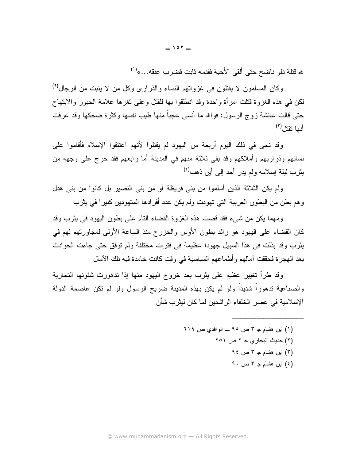لله قتلة دلو ناضح حتى ألقى الأحبة فقدمه ثابت فضر ب عنقه...»<sup>(١)</sup>

وكان المسلمون لا يقتلون في غزواتهم النساء والذرارى وكل من لا ينبت من الرجال<sup>(٢)</sup> لكن في هذه الغزوة قتلت امرأة واحدة وقد انطلقوا بها للقتل وعلى ثغرها علامة الحبور والابتهاج حتى قالت عائشة زوج الرسول: فوالله ما أنسى عجبًا منها طيب نفسها وكثرة ضحكها وقد عرفت أنبا نقتل (٢)

وقد نجى في ذلك اليوم أربعة من اليهود لم يقتلوا لأنهم اعتنقوا الإسلام فأقاموا على نسائهم وذراريهم وأملاكهم وقد بقى ثلاثة منهم في المدينة أما رابعهم فقد خرج على وجهه من يثرب ليلة إسلامه ولم يدر أحد إلى أين ذهب<sup>(٤)</sup>

ولم يكن الثلاثة الذين أسلموا من بني قريظة أو من بني النضير بل كانوا من بني هدل وهم بطن من البطون العربية التي تهودت ولم يكن عدد أفرادها المتهودين كبيرا في يثرب

ومهما يكن من شيء فقد قضت هذه الغزوة القضاء النام على بطون اليهود في بثرب وقد كان القضاء على اليهود هو رائد بطون الأوس والخزرج منذ الساعة الأولى لمجاورتهم لهم في يثرب وقد بذلت في هذا السبيل جهودا عظيمة في فترات مختلفة ولم توفق حتى جاءت الحوادث بعد الهجر ة فحققت آمالهم و أطماعهم السياسية في وقت كانت خامدة فيه تلك الآمال

وقد طرأ تغيير عظيم على يثرب بعد خروج اليهود منها إذا ندهورت شئونها التجارية والصناعية ندهوراً شديداً ولو لم يكن بهذه المدينة ضريح الرسول ولو لم نكن عاصمة الدولة الإسلامية في عصر الخلفاء الراشدين لما كان ليثرب شأن

> (۱) ابن هشام جـ ۳ ص ۹۰ ـــ الو اقدى ص ۲۱۹ (٢) حديث البخاري جـ ٢ ص ٢٥١ (٣) ابن هشام جـ ٣ ص ٩٤ (٤) ابن هشام جـ ٣ ص ٩٠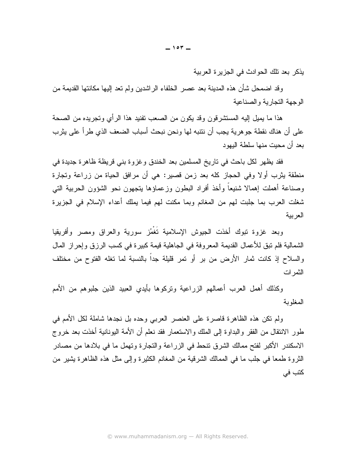يذكر بعد نلك الحوادث في الجزيرة العربية

وقد اضمحل شأن هذه المدينة بعد عصر الخلفاء الراشدين ولم نعد إليها مكانتها القديمة من الوجهة التجارية والصناعية

هذا ما يميل إليه المستشر قون وقد يكون من الصعب تفنيد هذا الر أي وتجر يده من الصحة على أن هناك نقطة جو هرية يجب أن ننتبه لها ونحن نبحث أسباب الضعف الذي طر أ على يثر ب بعد أن محبت منها سلطة البهود

فقد يظهر لكل باحث في ناريخ المسلمين بعد الخندق وغزوة بني قريظة ظاهرة جديدة في منطقة بِثرب أولا وفي الحجاز كله بعد زمن قصير: هي أن مرافق الحياة من زراعة وتجارة وصناعة أهملت إهمالا شنيعا وأخذ أفراد البطون وزعماؤها بتجهون نحو الشؤون الحرببة التبي شغلت العرب بما جلبت لمهم من المغانم وبما مكنت لمهم فيما يملك أعداء الإسلام في الجزيرة العريبة

وبعد غزوة تبوك أخذت الجيوش الإسلامية تَغْمُز سورية والعراق ومصر وأفريقيا الشمالية فلم نبق للأعمال القديمة المعروفة في الجاهلية قيمة كبيرة في كسب الرزق وإحراز المال والسلاح إذ كانت ثمار الأرض من بر أو تمر قليلة جدا بالنسبة لما تغله الفتوح من مختلف الثمر ات

وكذلك أهمل العرب أعمالهم الزراعية وتركوها بأيدى العبيد الذين جلبوهم من الأمم المغلوبة

ولم نكن هذه الظاهرة قاصرة على العنصر العربي وحده بل نجدها شاملة لكل الأمم في طور الانتقال من الفقر والبداوة إلى الملك والاستعمار فقد نعلم أن الأمة اليونانية أخذت بعد خروج الاسكندر الأكبر لفتح ممالك الشرق نتحط في الزراعة والتجارة وتهمل ما في بلادها من مصادر الثروة طمعا في جلب ما في الممالك الشرقية من المغانم الكثيرة وإلى مثل هذه الظاهرة يشير ٍ من کتب فی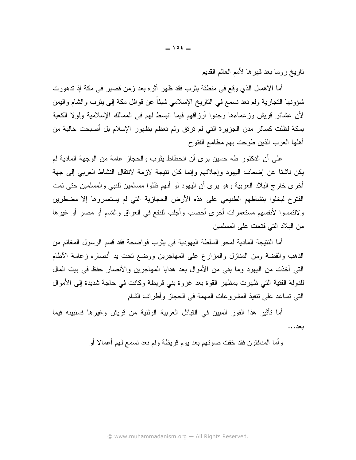ناريخ روما بعد قهرها لأمم العالم القديم

أما الاهمال الذي وقع في منطقة يثرب فقد ظهر أثره بعد زمن قصير في مكة إذ تدهورت شؤونها النجارية ولم نعد نسمع في الناريخ الإسلامي شيئاً عن فوافل مكة إلى يثرب والشام واليمن لأن عشائر فريش وزعماءها وجدوا أرزاقهم فيما انبسط لهم في الممالك الإسلامية ولولا الكعبة بمكة لظلت كسائر مدن الجزيرة التي لم ترتق ولم تعظم بظهور الإسلام بل أصبحت خالية من أهلها العرب الذين طوحت بهم مطامع الفتوح

على أن الدكتور طه حسين يرى أن انحطاط بثرب والحجاز عامة من الوجهة المادية لم يكن ناشئا عن إضعاف اليهود وإجلائهم وإنما كان نتيجة لازمة لانتقال النشاط العربي إلى جهة أخرى خارج البلاد العربية وهو يرى أن اليهود لو أنهم ظلوا مسالمين للنبي والمسلمين حتى تمت الفتوح لبخلوا بنشاطهم الطبيعي على هذه الأرض الحجازية التي لم يستعمروها إلا مضطرين ولالتمسوا لأنفسهم مستعمرات أخرى أخصب وأجلب للنفع في العراق والشام أو مصر أو غيرها من البلاد التي فتحت على المسلمين

أما النتيجة المادية لمحو السلطة اليهودية في يثر ب فواضحة فقد قسم الرسول المغانم من الذهب والفضة ومن المنازل والمزارع على المهاجرين ووضع نحت يد أنصار ه ز عامة الآطام التي أخذت من اليهود وما بقى من الأموال بعد هدايا المهاجرين والأنصار حفظ في بيت المال للدولة الفتية التي ظهرت بمظهر القوة بعد غزوة بني قريظة وكانت في حاجة شديدة إلى الأموال النبي نساعد على نتفيذ المشروعات المهمة في الحجاز وأطراف الشام

أما تأثير هذا الفوز المبين في القبائل العربية الوثنية من قريش وغيرها فسنبينه فيما بعد . . .

وأما المنافقون فقد خفت صوتهم بعد بوم قريظة ولم نعد نسمع لهم أعمالا أو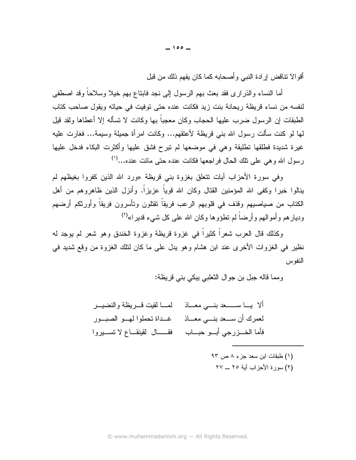أقو الا تناقض إر ادة النبي و أصحابه كما كان يفهم ذلك من قبل

أما النساء والذراري فقد بعث بهم الرسول إلى نجد فابناع بهم خيلا وسلاحا وقد اصطفى لنفسه من نساء قريظة ريحانة بنت زيد فكانت عنده حتى توفيت في حياته ويقول صاحب كتاب الطبقات إن الرسول ضرب عليها الحجاب وكان معجباً بها وكانت لا تسأله إلا أعطاها ولقد قيل لمها لو كنت سألت رسول الله بنى قريظة لأعتقهم... وكانت امرأة جميلة وسيمة... فغارت عليه غيرة شديدة فطلقها تطليقة وهي في موضعها لم تبرح فشق عليها وأكثرت البكاء فدخل عليها رسول الله وهي على نلك الحال فراجعها فكانت عنده حتى مانت عنده...(')

وفي سورة الأحزاب آيات نتعلق بغزوة بني قريظة «ورد الله الذين كفروا بغيظهم لم ينالوا خبرا وكفى الله المؤمنين القتال وكان الله قوياً عزيزاً. وأنزل الذين ظاهروهم من أهل الكتاب من صياصيهم وقذف في قلوبهم الرعب فريقاً نقتلون وتأسرون فريقاً وأورثكم أرضهم وديار هم و أمو الهم و أرضـاً لم تطؤو ها وكان الله علـى كل شـىء قدير ا»<sup>(٢)</sup>

وكذلك قال العرب شعراً كثيراً في غزوة قريظة وغزوة الخندق وهو شعر لم يوجد له نظير في الغزوات الأخرى عند ابن هشام وهو يدل على ما كان لنلك الغزوة من وقع شديد في النفو س

ومما قاله جبل بن جوال الثعلبي يبكي بني قريظة:

ألا يسا سسسعد بنسى معساذ للمسالقيت فسريظة والنضيسر لعمرك أن ســـعد بنــــى معــــاذ مــــــــــداة تـحملوا لـهــــو الصبـــور فأما الخــزرجي أبــو حبـــاب فقـــــال لقينقــاع لا تســيروا

- (١) طبقات ابن سعد جزء ٨ ص ٩٣
- (٢) سورة الأحز اب آية ٢٥ ــ ٢٧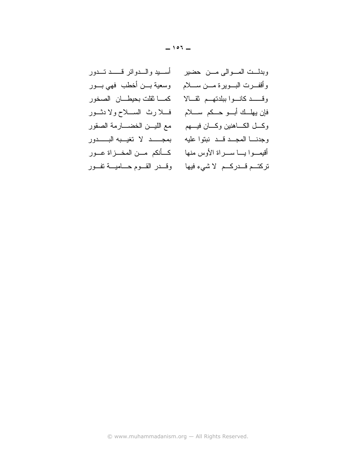## وبدلــت المـــوالى مـــن حضبر بمسلَّميد والـــدوائر قـــــد تـــدور وأقف رت البويرة مــن ســـلام مـــوسعية بـــن أخطب فهي بـــور وقــــد كانــوا ببلدتهــم نقــالا كمــا نقلت بحيطــان الصخور فإن يهلَّــك أبـــو حـــكم ســــلام فــــلا رث الســــلاح و لا دثــــور وكل الكـــاهنين وكـــان فيـــهم مـــــمع الليــــن الخضـــــارمة الصـقور وجدنا المجدقد نبتوا عليه بمجهد لا تغيبه البهور أقيمـــوا يــــا ســــراة الأوس منها كـــأنكم مـــن المخــــزاة عــــور تركتــم قـــدركـــم لا شيء فيها وقـــدر القـــوم حـــاميـــة تفـــور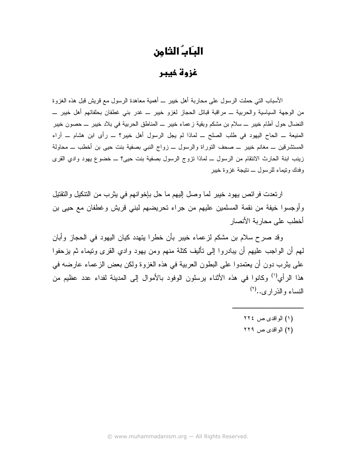### البَابُ الثامِن

#### غزوة خيبر

الأسباب التي حملت الرسول على محاربة أهل خيبر ـــ أهمية معاهدة الرسول مع قريش قبل هذه الغزوة من الوجهة السياسية والحربية ـــ مراقبة قبائل الحجاز لغزو خيبر ـــ غدر بني غطفان بحلفائهم أهل خيبر ـــ النضال حول آطام خيبر \_ سلام بن مشكم وبقية زعماء خيبر \_ المناطق الحربية في بلاد خيبر \_ حصون خيبر المنيعة ــ الحاح اليهود في طلب الصلح ــ لماذا لم يجل الرسول أهل خيبر؟ ــ رأى ابن هشام ــ آراء المستشرقين ــ مغانم خيبر ـــ صحف التوراة والرسول ـــ زواج النبي بصفية بنت حيى بن أخطب ـــ محاولة زينب ابنة الحارث الانتقام من الرسول ــ لماذا نزوج الرسول بصفية بنت حيى؟ ــ خضوع يهود وادي القرى وفدك وتيماء للرسول ـــ نتيجة غزوة خيبر

ارنعدت فرائص يهود خيبر لما وصل إليهم ما حل بإخوانهم في يثرب من التنكيل والتقتيل وأوجسوا خيفة من نقمة المسلمين عليهم من جراء تحريضهم لبنبي قريش وغطفان مع حيى بن أخطب على محار بة الأنصار

وقد صرح سلام بن مشكم لزعماء خيبر بأن خطرا بتهدد كيان اليهود في الحجاز وأبان لمهم أن الواجب عليهم أن يبادروا إلى نأليف كنلة منهم ومن يهود وادي القرى ونيماء ثم يزحفوا على يثرب دون أن يعتمدوا على البطون العربية في هذه الغزوة ولكن بعض الزعماء عارضه في هذا الرأى<sup>(י)</sup> وكانوا في هذه الأثناء يرسلون الوفود بالأموال إلى المدينة لفداء عدد عظيم من النساء والذراري...<sup>(٢)</sup>

- (۱) الواقدي ص ٢٢٤
- (۲) الو اقدی ص ۲۲۹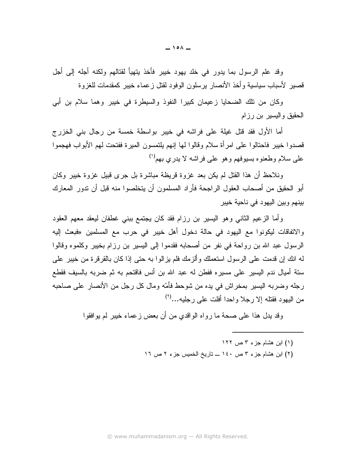وقد علم الرسول بما يدور في خلد يهود خيبر فأخذ يتهيأ لقتالهم ولكنه أجله إلى أجل قصير لأسباب سياسية وأخذ الأنصار يرسلون الوفود لقتل زعماء خيبر كمقدمات للغزوة

وكان من نلك الضحايا زعيمان كبيرا النفوذ والسيطرة في خيبر وهما سلام بن أبي الحقيق واليسير بن رزام

أما الأول فقد قتل غيلة على فراشه في خيبر بواسطة خمسة من رجال بني الخزرج قصدوا خيبر فاحتالوا على امرأة سلام وقالوا لمها إنهم يلتمسون الميرة ففتحت لمهم الأبواب فهجموا علمي سلام وطعنوه بسيوفهم وهو علمي فراشه لا يدري بهم<sup>(١)</sup>

ونلاحظ أن هذا القتل لم يكن بعد غزوة قريظة مباشرة بل جرى قبيل غزوة خيبر وكان أبو الحقيق من أصحاب العقول الراجحة فأراد المسلمون أن يتخلصوا منه قبل أن ندور المعارك بينهم وبين اليهود في ناحية خيبر

وأما الزعيم الثانبي وهو اليسير بن رزام فقد كان يجتمع ببنبي غطفان ليعقد معهم العقود والاتفاقات ليكونوا مع اليهود في حالة دخول أهل خيبر في حرب مع المسلمين «فبعث إليه الرسول عبد الله بن رواحة في نفرٍ من أصحابه فقدموا إلى اليسير بن رزام بخيبر وكلموه وقالوا له انك إن قدمت على الرسول استعملك وألزمك فلم يز الوا به حتى إذا كان بالقرقرة من خيبر على ستة أميال ندم اليسير ٍ على مسير ِه ففطن له عبد الله بن أنس فاقتحم به ثم ضربه بالسيف فقطع رجله وضربه اليسير بمخراش في يده من شوحط فأمّه ومال كل رجل من الأنصار على صاحبه من البهود فقتله إلا رجلا واحدا أفلت على رجلبه...<sup>(٢)</sup>

وقد يدل هذا على صحة ما رواه الواقدي من أن بعض زعماء خيبر لم يوافقوا

- (١) این هشام جزء ٣ ص ١٢٢
- (٢) ابن هشام جزء ٣ ص ١٤٠ ـــ تاريخ الخميس جزء ٢ ص ١٦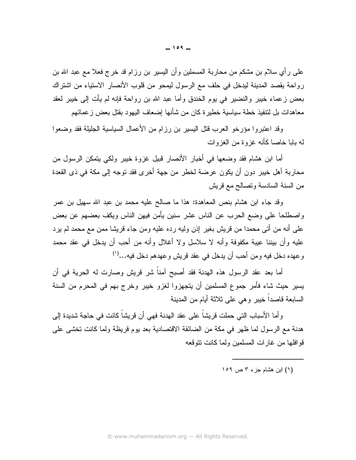على رأي سلام بن مشكم من محاربة المسملين وأن اليسير بن رزام قد خرج فعلا مع عبد الله بن رواحة يقصد المدينة ليدخل في حلف مع الرسول ليمحو من قلوب الأنصار الاستياء من اشتراك بعض زعماء خيبر والنضير في يوم الخندق وأما عبد الله بن رواحة فإنه لم يأت إلى خيبر لعقد معاهدات بل لنتفيذ خطة سياسية خطيرة كان من شأنها إضعاف اليهود بقتل بعض زعمائهم

وقد اعتبر وا مؤرخو العرب قتل اليسير بن رزام من الأعمال السياسية الجليلة فقد وضعوا له بابا خاصا كأنه غزوة من الغزوات

أما ابن هشام فقد وضعها في أخبار الأنصار قبيل غزوة خيبر ولكي يتمكن الرسول من محاربة أهل خيبر دون أن يكون عرضة لخطر من جهة أخرى فقد توجه إلى مكة في ذي القعدة من السنة السادسة ونصالح مع قريش

وقد جاء ابن هشام بنص المعاهدة: هذا ما صالح عليه محمد بن عبد الله سهيل بن عمر واصطلحا على وضع الحرب عن الناس عشر سنين يأمن فيهن الناس ويكف بعضهم عن بعض علمي أنه من أتبي محمدا من قريش بغير إذن وليه رده عليه ومن جاء قريشا ممن مع محمد لم يرد عليه وأن بيننا عيبة مكفوفة وأنه لا سلاسل ولا أغلال وأنه من أحب أن يدخل في عقد محمد و عهده دخل فيه و من أحب أن يدخل في عقد قريش و عهدهم دخل فيه...(')

أما بعد عقد الرسول هذه الهدنة فقد أصبح آمناً شر قريش وصارت له الحرية في أن يسير حيث شاء فأمر جموع المسلمين أن يتجهزوا لغزو خبير وخرج بهم في المحرم من السنة السابعة فاصداً خيبر وهي على ثلاثة أيام من المدينة

وأما الأسباب التي حملت قريشاً على عقد الهدنة فهي أن قريشاً كانت في حاجة شديدة إلى هدنة مع الرسول لما ظهر ً في مكة من الضائقة الاقتصادية بعد يوم قريظة ولما كانت تخشى على قو افلها من غار ات المسلمين ولما كانت نتوقعه

(١) ابن هشام جزء ٣ ص ١٥٩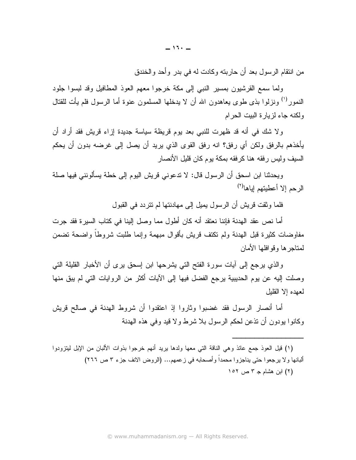من انتقام الرسول بعد أن حاربته وكادت له في بدر وأحد والخندق

ولما سمع القرشيون بمسير النبي إلى مكة خرجوا معهم العوذ المطافيل وقد لبسوا جلود النمور<sup>(י)</sup> ونزلوا بذي طوى يعاهدون الله أن لا يدخلها المسلمون عنوة أما الرسول فلم يأت للقتال ولكنه جاء لزيار ة البيت الحر ام

ولا شك في أنه قد ظهرت للنبي بعد بوم قريظة سياسة جديدة إزاء قريش فقد أراد أن يأخذهم بالرفق ولكن أي رفق؟ انه رفق القوى الذي يريد أن يصل إلى غرضه بدون أن يحكم السيف وليس رفقه هنا كرفقه بمكة يوم كان قليل الأنصار

ويحدثنا ابن اسحق أن الرسول قال: لا تدعوني قريش اليوم إلى خطة يسألونني فيها صلة الرحم إلا أعطيتهم إياها<sup>(٢)</sup>

فلما وثقت فريش أن الرسول يميل إلى مهادنتها لم تتردد في القبول

أما نص عقد الهدنة فإننا نعتقد أنه كان أطول مما وصل إلينا في كتاب السير ة فقد جرت مفاوضات كثيرة قبل الهدنة ولم تكتف قريش بأقوال مبهمة وإنما طلبت شروطا وإضحة تضمن لمتاجر ها وقو افلها الأمان

والذي يرجع إلى أيات سورة الفتح التي يشرحها ابن إسحق برى أن الأخبار القليلة التي وصلت إليه عن يوم الحديبية يرجع الفضل فيها إلى الآيات أكثر من الروايات التي لم يبق منها لعهده إلا القلبل

أما أنصار الرسول فقد غضبوا وثاروا إذ اعتقدوا أن شروط الهدنة في صالح قريش وكانوا بودون أن تذعن لحكم الرسول بلا شرط ولا قيد وفي هذه الهدنة

(١) قيل العوذ جمع عائذ وهي الناقة التي معها ولدها بريد أنهم خرجوا بذوات الألبان من الإبل ليتزودوا ألبانها ولا يرجعوا حتى يناجزوا محمداً وأصحابه في زعمهم... (الروض الانف جزء ٣ ص ٢٦٦) (٢) ابن هشام جـ ٣ ص ١٥٢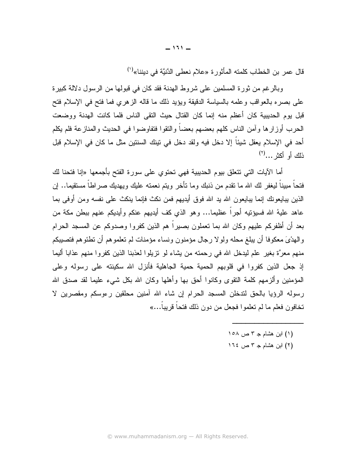قال عمر بن الخطاب كلمته المأثورة «علام نعطي الدَّنيَّة في ديننا»<sup>(י)</sup>

وبالرغم من ثورة المسلمين على شروط الهدنة فقد كان في قبولها من الرسول دلالة كبيرة على بصره بالعواقب وعلمه بالسياسة الدقيقة ويؤيد ذلك ما قاله الزهري فما فتح في الإسلام فتح قبل بوم الحديبية كان أعظم منه إنما كان القتال حيث النقى الناس فلما كانت الهدنة ووضعت الحرب أوزارها وآمن الناس كلهم بعضهم بعضاً والنقوا فتفاوضوا في الحديث والمنازعة فلم يكلم أحد في الإسلام يعقل شيئاً إلا دخل فيه ولقد دخل في نينك السنتين مثل ما كان في الإسلام قبل  $\ddot{\Omega}$ ذلك أو أكثر ...

أما الآيات التي تتعلَّق بيوم الحديبية فهي تحتوي على سورة الفتح بأجمعها «إنا فتحنا لك فتحا مبينا ليغفر لك الله ما نقدم من ذنبك وما نأخر ويتم نعمته عليك ويهديك صراطا مستقيما.. إن الذين يبايعونك إنما يبايعون الله بد الله فوق أيديهم فمن نكث فإنما ينكث على نفسه ومن أوفى بما عاهد عليهُ الله فسيؤنيه أجراً عظيما… وهو الذي كف أيديهم عنكم وأيديكم عنهم ببطن مكة من بعد أن أظفركم عليهم وكان الله بما تعملون بصيراً هم الذين كفروا وصدوكم عن المسجد الحرام والهدْيَ معكوفًا أن يبلغ محلَّه ولو لا رجال مؤمنون ونساء مؤمنات لم تعلَّموهم أن نطَّئوهم فتصيبكم منهم معرَّة بغير علم ليدخل الله في رحمته من يشاء لو نزيلوا لعذبنا الذين كفروا منهم عذابا أليما إذ جعل الذين كفروا في قلوبهم الحمية حمية الجاهلية فأنزل الله سكينته على رسوله وعلى المؤمنين وألزمهم كلمة النقوى وكانوا أحق بها وأهلها وكان الله بكل شيء عليما لقد صدق الله رسوله الرؤيا بالحق لندخلن المسجد الحرام إن شاء الله أمنين محلقين رءوسكم ومقصرين لا تخافون فعلم ما لم تعلمو ا فجعل من دون ذلك فتحاً قريباً…»

- (١) ابن هشام جـ ٣ ص ١٥٨
- (٢) ابن هشام جـ ٣ ص ٢٦٤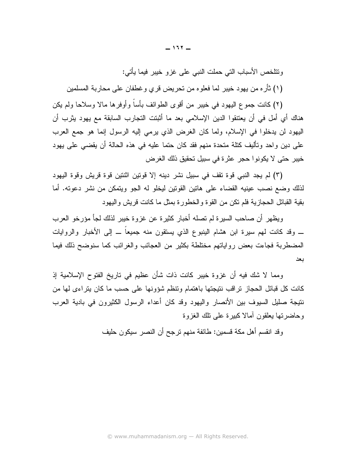ونتلخص الأسباب التي حملت النبي على غزو خيبر فيما يأتي:

(١) ثأر ه من يهود خيبر لما فعلو ه من تحريض قري و غطفان على محاربة المسلمين

(٢) كانت جموع اليهود في خيبر من أقوى الطوائف بأساً وأوفرها مالا وسلاحا ولم يكن هناك أي أمل في أن يعتنقوا الدين الإسلامي بعد ما أثبتت التجارب السابقة مع يهود يثرب أن اليهود لن يدخلوا في الإسلام، ولما كان الغرض الذي يرمى إليه الرسول إنما هو جمع العرب على دين واحد وتأليف كتلة متحدة منهم فقد كان حتما عليه في هذه الحالة أن يقضي على يهود خيبر حتى لا يكونوا حجر عثرة في سبيل تحقيق ذلك الغرض

(٣) لم يجد النبي قوة تقف في سبيل نشر دينه إلا قوتين اثنتين قوة قريش وقوة اليهود لذلك وضع نصب عينيه القضاء على هانين القونين ليخلو له الجو ويتمكن من نشر دعونه. أما بقية القبائل الحجازية فلم نكن من القوة والخطورة بمثل ما كانت قريش واليهود

ويظهر أن صاحب السيرة لم تصله أخبار كثيرة عن غزوة خيبر لذلك لجأ مؤرخو العرب \_ وقد كانت لمهم سيرة ابن هشام الينبوع الذي يستقون منه جميعاً \_ إلىي الأخبار والروايات المضطربة فجاءت بعض رواياتهم مختلطة بكثير من العجائب والغرائب كما سنوضح ذلك فيما بعد

ومما لا شك فيه أن غزوة خيبر كانت ذات شأن عظيم في تاريخ الفتوح الإسلامية إذ كانت كل فبائل الحجاز نرافب نتيجتها باهتمام ونتظم شؤونها على حسب ما كان يتراءى لها من نتيجة صليل السيوف بين الأنصار واليهود وقد كان أعداء الرسول الكثيرون في بادية العرب وحاضر نها يعلقون أمالا كبير ة علمي نلك الغزوة

وقد انقسم أهل مكة قسمين: طائفة منهم ترجح أن النصر سيكون حليف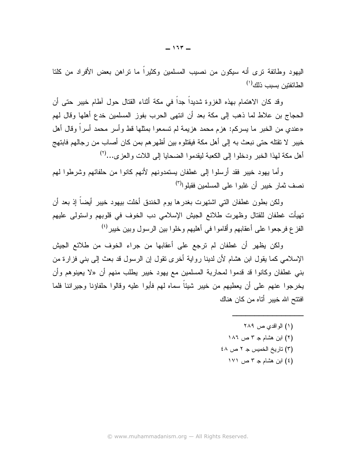اليهود وطائفة نرى أنه سيكون من نصيب المسلمين وكثيراً ما نراهن بعض الأفراد من كلتا الطائفتين بسبب ذلك (۱)

وقد كان الاهتمام بهذه الغزوة شديداً جداً في مكة أثناء القتال حول آطام خيبر حتى أن الحجاج بن علاط لما ذهب إلى مكة بعد أن انتهى الحرب بفوز المسلمين خدع أهلها وقال لهم «عندي من الخبر ما يسركم: هزم محمد هزيمة لم تسمعوا بمثلها قط وأسر محمد أسراً وقال أهل خيبر لا نقتله حتى نبعث به إلى أهل مكة فيقتلوه بين أظهر هم بمن كان أصـاب من رجالهم فابتهج أهل مكة لهذا الخبر ودخلوا إلى الكعبة لبقدموا الضحايا إلى اللات والعز ي...<sup>(٢)</sup>

وأما يهود خيبر فقد أرسلوا إلى غطفان يستمدونهم لأنهم كانوا من حلفائهم وشرطوا لهم نصف ثمار خبير أن غلبوا على المسلمين فقبلوا<sup>(٣)</sup>

ولكن بطون غطفان التي اشتهرت بغدرها يوم الخندق أخلت بيهود خيبر أيضاً إذ بعد أن تهيأت غطفان للقتال وظهرت طلائع الجيش الإسلامي دب الخوف في قلوبهم واستولى عليهم الفز ع فرجعوا على أعقابهم وأقاموا في أهليهم وخلوا بين الرسول وبين خيبر<sup>(٤)</sup>

ولكن يظهر أن غطفان لم ترجع على أعقابها من جراء الخوف من طلائع الجيش الإسلامي كما يقول ابن هشام لأن لدينا رواية أخرى نقول إن الرسول قد بعث إلى بني فزارة من بني غطفان وكانوا قد قدموا لمحاربة المسلمين مع يهود خيبر يطلب منهم أن «لا يعينوهم وأن يخرجوا عنهم على أن يعطيهم من خيبر شيئاً سماه لهم فأبوا عليه وقالوا حلفاؤنا وجيراننا فلما افتتح الله خيبر أتاه من كان هناك

> (١) الو اقدى ص ٢٨٩ (٢) ابن هشام جـ ٣ ص ١٨٦ (٣) تاريخ الخميس جـ ٢ ص ٤٨ (٤) ابن هشام جـ ٣ ص ١٧١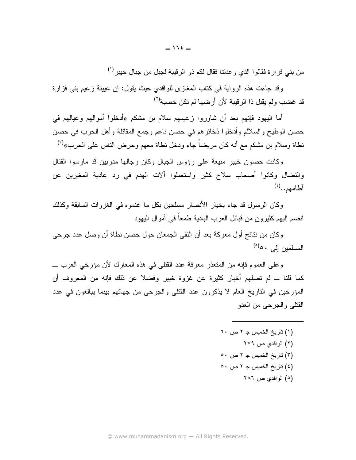من بني فزارة فقالوا الذي وعدتنا فقال لكم ذو الرقيبة لجبل من جبال خيبر (')

وقد جاءت هذه الرواية في كتاب المغازي للواقدي حيث يقول: إن عيينة زعيم بني فزارة قد غضب ولم يقبل ذا الرقيبة لأن أرضها لم تكن خصبة<sup>(٢)</sup>

أما اليهود فإنهم بعد أن شاوروا زعيمهم سلام بن مشكم «أدخلوا أموالهم وعيالهم في حصن الوطيح والسلالم وأدخلوا ذخائرهم في حصن ناعم وجمع المقاتلة وأهل الحرب في حصن نطاة وسلام بن مشكم مع أنه كان مريضاً جاء ودخل نطاة معهم وحرض الناس على الحرب»<sup>(٣)</sup>

وكانت حصون خيبر منيعة على رؤوس الجبال وكان رجالها مدربين قد مارسوا القتال والنضال وكانوا أصحاب سلاح كثير واستعملوا ألات الهدم في رد عادية المغيرين عن آطامهم..<sup>(٤)</sup>

وكان الرسول قد جاء بخيار الأنصار مسلحين بكل ما غنموه في الغزوات السابقة وكذلك انضم الِيهم كثير ون من قبائل العرب البادية طمعاً في أمو ال اليهود

وكان من نتائج أول معركة بعد أن النقى الجمعان حول حصن نطاة أن وصل عدد جرحى المسلمين إلى ٥٠°)

وعلى العموم فإنه من المتعذر معرفة عدد القتلي في هذه المعارك لأن مؤرخي العرب ــــ كما قلنا ـــ لم تصلهم أخبار كثيرة عن غزوة خبير وفضلاً عن ذلك فإنه من المعروف أن المؤرخين في الناريخ العام لا يذكرون عدد القتلي والجرحى من جهاتهم بينما يبالغون في عدد القتلبي والجرحبي من العدو

> (۱) تاريخ الخميس جـ ٢ ص ٦٠ (۲) الواقدي ص ۲۷۹ (٣) تاريخ الخميس جـ ٢ ص ٥٠ (٤) تاريخ الخميس ج ٢ ص ٥٠ (٥) الواقدي ص ٢٨٦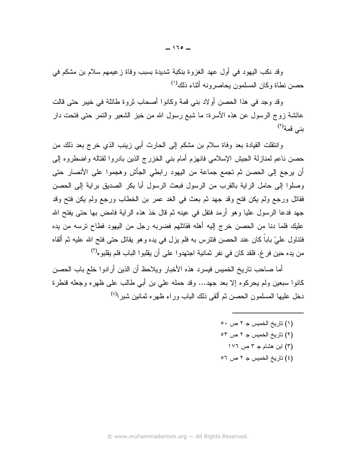$-110 -$ 

وقد نكب اليهود في أول عهد الغزوة بنكبة شديدة بسبب وفاة زعيمهم سلام بن مشكم في حصن نطاة وكان المسلمون يحاصرونه أثناء ذلك (')

وقد وجد في هذا الحصن أولاد بني قمة وكانوا أصحاب ثروة طائلة في خيبر حتى قالت عائشة زوج الرسول عن هذه الأسرة: ما شبع رسول الله من خبز الشعير والنمر حتى فتحت دار  $\ddot{\left( \begin{smallmatrix} 1 \end{smallmatrix} \right)}$ بنے قمة

وانتقلت القيادة بعد وفاة سلام بن مشكم إلى الحارث أبي زينب الذي خرج بعد ذلك من حصن ناعم لمنازلة الجيش الإسلامي فانهزم أمام بنبي الخزرج الذين بادروا لقتاله واضطروه إلىي أن برجع إلى الحصن ثم نجمع جماعة من اليهود رابطي الجأش وهجموا على الأنصار حتى وصلوا إلى حامل الرابة بالقرب من الرسول فبعث الرسول أبا بكر الصديق براية إلى الحصن فقاتل ورجع ولم يكن فتح وقد جهد ثم بعث في الغد عمر بن الخطاب ورجع ولم يكن فتح وقد جهد فدعا الرسول عليا وهو أرمد فتفل في عينه ثم قال خذ هذه الراية فامض بها حتى يفتح الله عليك فلما دنا من الحصن خرج إليه أهله فقاتلهم فضربه رجل من اليهود فطاح نرسه من يده فتناول عليّ بابا كان عند الحصن فتترس به فلم يزل في يده وهو يقاتل حتى فتح الله عليه ثم ألقاه من يده حين فر غ. فلقد كان في نفر ثمانية اجتهدوا على أن يقلبوا الباب فلم يقلبوه<sup>(٣)</sup>

أما صباحب ناريخ الخميس فيسرد هذه الأخبار ويلاحظ أن الذين أرادوا خلع باب الحصن كانوا سبعين ولم يحركوه إلا بعد جهد… وقد حمله علي بن أبي طالب على ظهره وجعله قنطرة دخل عليها المسلمون الحصن ثم ألقى ذلك الباب وراء ظهره ثمانين شبر ا<sup>(٤)</sup>

- (۱) تاريخ الخميس جـ ۲ ص ٥٠
- (٢) تاريخ الخميس جـ ٢ ص ٥٣
	- (۳) ابن هشام جـ ۳ ص ۱۷۲
- (٤) تاريخ الخميس جـ ٢ ص ٥٦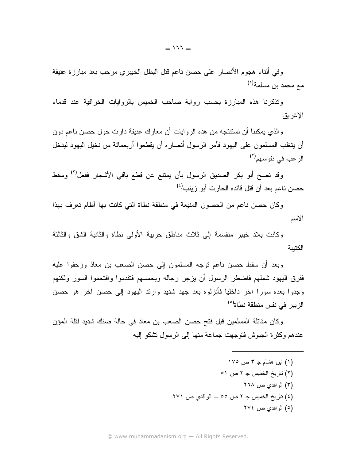وفي أثناء هجوم الأنصار على حصن ناعم قتل البطل الخيبري مرحب بعد مبارزة عنيفة مع محمد بن مسلمة<sup>(۱)</sup>

ونذكرنا هذه المبارزة بحسب رواية صاحب الخميس بالروايات الخرافية عند قدماء الإغر يق

والذي يمكننا أن نستنتجه من هذه الروايات أن معارك عنيفة دارت حول حصن ناعم دون أن يتغلب المسلمون على اليهود فأمر الرسول أنصاره أن يقطعوا أربعمائة من نخيل اليهود لبدخل الر عب في نفو سهم<sup>(٢)</sup>

وقد نصىح أبو بكر الصديق الرسول بأن يمتنع عن قطع باقي الأشجار ففعل<sup>(٣)</sup> وسقط حصن ناعم بعد أن قتل قائده الحار ث أبو ز بنب<sup>(٤)</sup>

وكان حصن ناعم من الحصون المنيعة في منطقة نطاة التي كانت بها أطام نعرف بهذا الأسم

وكانت بلاد خيبر منقسمة إلى ثلاث مناطق حربية الأولى نطاة والثانية الشق والثالثة الكنيبة

وبعد أن سقط حصن ناعم نوجه المسلمون إلى حصن الصعب بن معاذ وزحفوا عليه ففرق اليهود شملهم فاضطر الرسول أن يزجر رجاله ويحمسهم فتقدموا واقتحموا السور ولكنهم وجدوا بعده سورا آخر داخليا فأنزلوه بعد جهد شديد وارند اليهود إلى حصن آخر هو حصن الزبير في نفس منطقة نطاة<sup>(0)</sup>

وكان مقاتلة المسلمين قبل فتح حصن الصعب بن معاذ في حالة ضنك شديد لقلة المؤن عندهم وكثرة الجيوش فتوجهت جماعة منها إلىي الرسول نشكو إليه

> (۱) ابن هشام جـ ۳ ص ۱۷۰ (٢) تاريخ الخميس جـ ٢ ص ٥١ (۳) الواقدي ص ۲٦۸ (٤) تاريخ الخميس جـ ٢ ص ٥٥ ـــ الواقدى ص ٢٧١ (٥) الواقدي ص ٢٧٤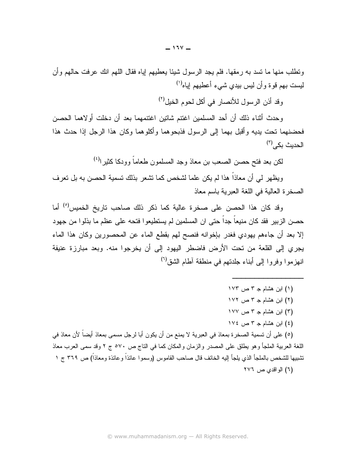ونطلب منها ما نسد به رمقها. فلم يجد الرسول شيئا يعطيهم إياه فقال اللهم انك عرفت حالهم وأن ليست بهم قوة وأن ليس بيدي شيء أعطيهم إياه<sup>(١)</sup>

وقد أذن الرسول للأنصار في أكل لحوم الخيل (٢)

وحدث أثناء ذلك أن أحد المسلمين اغتنم شاتين اغتنمهما بعد أن دخلت أو لاهما الحصن فحضنهما تحت يديه وأقبل بهما إلىي الرسول فذبحوهما وأكلوهما وكان هذا الرجل إذا حدث هذا الحديث بكي<sup>(٣)</sup>

لكن بعد فنح حصن الصعب بن معاذ وجد المسلمون طعاماً وودكا كثير ا<sup>(٤)</sup>

ويظهر لمي أن معاذاً هذا لم يكن علما لشخص كما تشعر بذلك تسمية الحصن به بل تعرف الصخر ة العالية في اللغة العبر ية باسم معاذ

وقد كان هذا الحصن على صخرة عالية كما ذكر ذلك صاحب تاريخ الخميس<sup>(٥)</sup> أما حصن الزبير فقد كان منيعاً جداً حتى ان المسلمين لم يستطيعو! فتحه على عظم ما بذلو! من جهود إلا بعد أن جاءهم يهودي فغدر بإخوانه فنصح لهم بقطع الماء عن المحصورين وكان هذا الماء يجري إلى القلعة من تحت الأرض فاضطر اليهود إلى أن يخرجوا منه. وبعد مبارزة عنيفة انهز مو ا و فر و ا إلى أبناء جلدتهم في منطقة آطام الشق<sup>(٦)</sup>

- (۱) ابن هشام جـ ۳ ص ۱۷۳
- (٢) ابن هشام جـ ٣ ص ١٧٢
- (۳) ابن هشام جـ ۳ ص ۱۷۷
- $V\in$ بن هشام جس ۳ ص

(٥) على أن تسمية الصخرة بمعاذ في العبرية لا يمنع من أن يكون أبا لرجل مسمى بمعاذ أيضاً لأن معاذ في اللغة العربية الملجأ وهو يطلق على المصدر والزمان والمكان كما في الناج ص ٥٧٠ ج ٢ وقد سمي العرب معاذ تشبيها للشخص بالملجأ الذي يلجأ إليه الخائف قال صاحب القاموس (وسموا عائذاً وعائذة ومعاذاً) ص ٣٦٩ ج ١ (٦) الو اقدى ص ٢٧٦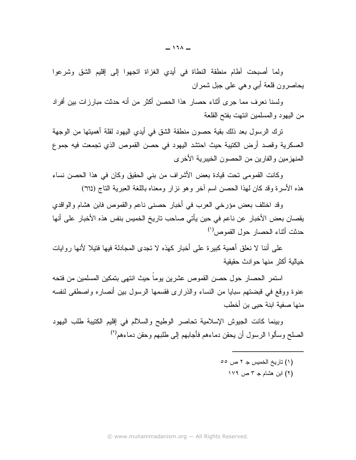ولما أصبحت أطام منطقة النطاة في أيدي الغزاة انجهوا إلى إقليم الشق وشرعوا بحاصرون قلعة أبي وهي علىي جبل شمران

ولسنا نعرف مما جرى أثناء حصار هذا الحصن أكثر من أنه حدثت مبارزات بين أفراد من اليهود والمسلمين انتهت بفتح القلعة

ترك الرسول بعد ذلك بقية حصون منطقة الشق في أيدي اليهود لقلة أهميتها من الوجهة العسكرية وقصد أرض الكتيبة حيث احتشد اليهود في حصن القموص الذي تجمعت فيه جموع المنهزمين والفارين من الحصون الخيبرية الأخرى

وكانت القمومي تحت قيادة بعض الأشراف من بني الحقيق وكان في هذا الحصن نساء هذه الأسرة وقد كان لهذا الحصن اسم أخر وهو نزار ومعناه باللغة العبرية الناج (נור)

وقد اختلف بعض مؤرخي العرب في أخبار حصني ناعم والقموص فابن هشام والواقدي يقصان بعض الأخبار عن ناعم في حين يأتي صاحب تاريخ الخميس بنفس هذه الأخبار على أنها حدثت أثناء الحصار حول القموص $^{(1)}$ 

علَّمِي أننا لا نعلق أهمية كبير ة على أخبار كهذه لا تجدي المجادلة فيها فتيلا لأنها ر و ايات خيالية أكثر ًمنها حوادث حقيقية

استمر الحصار حول حصن القموص عشرين يوماً حيث انتهى بتمكين المسلمين من فتحه عنوة ووقع في قبضتهم سبايا من النساء والذراري فقسمها الرسول بين أنصاره واصطفى لنفسه منها صفية ابنة حيى بن أخطب

وبينما كانت الجيوش الإسلامية تحاصر الوطيح والسلالم في إقليم الكتيبة طلب اليهود الصلح وسألوا الرسول أن يحقن دماءهم فأجابهم إلى طلبهم وحقن دماءهم<sup>(٢)</sup>

- (١) تاريخ الخميس جـ ٢ ص ٥٥
	- (۲) ابن هشام جـ ۳ ص ۱۷۹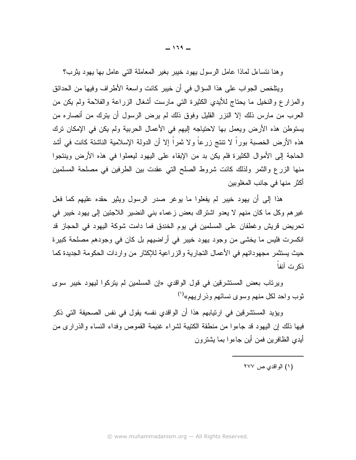وهنا نتساءل لماذا عامل الرسول بهود خيبر بغير المعاملة التبي عامل بها بهود بثرب؟

ويتلخص الجواب على هذا السؤال في أن خيبر كانت واسعة الأطراف وفيها من الحدائق والمزارع والنخيل ما يحتاج للأيدى الكثيرة التي مارست أشغال الزراعة والفلاحة ولم يكن من العرب من مارس ذلك إلا النزر القليل وفوق ذلك لم يرض الرسول أن يترك من أنصاره من يستوطن هذه الأرض ويعمل بها لاحتياجه إليهم في الأعمال الحربية ولم يكن في الإمكان ترك هذه الأرض الخصبة بوراً لا نتنج زرعاً ولا شراً إلا أن الدولة الإسلامية الناشئة كانت في أشد الحاجة إلى الأموال الكثيرة فلم يكن بد من الإبقاء على اليهود ليعملوا في هذه الأرض وينتجوا منها الزرع والثمر ولذلك كانت شروط الصلح التي عقدت بين الطرفين في مصلحة المسلمين أكثر منها في جانب المغلوبين

هذا إلى أن يهود خيبر لم يفعلوا ما يوغر صدر الرسول ويثير حقده عليهم كما فعل غير هم وكل ما كان منهم لا يعدو اشتراك بعض زعماء بني النضير اللاجئين إلى يهود خيبر في تحريض قريش وغطفان على المسلمين في يوم الخندق فما دامت شوكة اليهود في الحجاز قد انكسرت فليس ما يخشى من وجود يهود خيبر في أراضيهم بل كان في وجودهم مصلحة كبيرة حيث يستثمر مجهوداتهم في الأعمال النجارية والزراعية للإكثار من واردات الحكومة الجديدة كما ذكر ت آنفا

ويرتاب بعض المستشرقين في قول الواقدي «إن المسلمين لم يتركوا ليهود خيبر سوى ثوب واحد لكل منهم وسوى نسائهم وذراريهم»<sup>(۱</sup>)

ويؤيد المستشرقين في ارتيابهم هذا أن الواقدي نفسه يقول في نفس الصحيفة التي ذكر فيها ذلك إن اليهود قد جاءوا من منطقة الكتيبة لشراء غنيمة القموص وفداء النساء والذراري من أيدى الظافرين فمن أين جاءوا بما يشترون

(۱) الواقدي ص ۲۷۷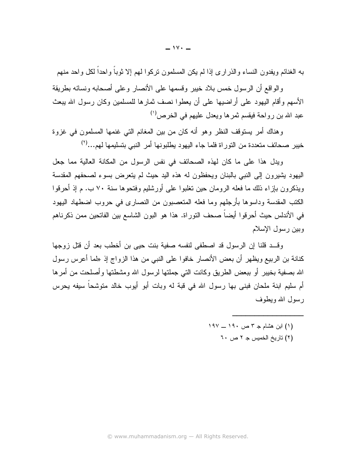به الغنائم ويفدون النساء والذر ارى إذا لم يكن المسلمون نركوا لـهم إلا ثوباً وإحداً لكل وإحد منهم

والواقع أن الرسول خمس بلاد خيبر وفسمها على الأنصار وعلى أصحابه ونسائه بطريقة الأسهم وأقام اليهود على أراضيها على أن يعطوا نصف ثمارها للمسلمين وكان رسول الله يبعث عبد الله بن ر و احة فيقسم ثمر ها ويعدل عليهم في الخر ص'')

وهناك أمر يستوقف النظر وهو أنه كان من بين المغانم التي غنمها المسلمون في غزوة خيبر صحائف متعددة من التوراة فلما جاء اليهود يطلبونها أمر النبي بتسليمها لهم...(٢)

ويدل هذا على ما كان لهذه الصحائف في نفس الرسول من المكانة العالية مما جعل اليهود يشيرون إلى النبي بالبنان ويحفظون له هذه اليد حيث لم يتعرض بسوء لصحفهم المقدسة ويذكرون بإزاء ذلك ما فعله الرومان حين نغلبوا على أورشليم وفتحوها سنة ٧٠ ب. م إذ أحرقوا الكتب المقدسة وداسوها بأرجلهم وما فعله المتعصبون من النصارى في حروب اضطهاد اليهود في الأندلس حيث أحرفوا أيضاً صحف التوراة. هذا هو البون الشاسع بين الفاتحين ممن ذكرناهم وبين رسول الإسلام

وقب ذقانا إن الرسول قد اصطفى لنفسه صفية بنت حيى بن أخطب بعد أن قتل زوجها كنانة بن الربيع ويظهر أن بعض الأنصار خافوا على النبي من هذا الزواج إذ «لما أعرس رسول الله بصفية بخبير أو ببعض الطريق وكانت التبي جملتها لرسول الله ومشطتها وأصلحت من أمرها أم سليم ابنة ملحان فبني بها رسول الله في قبة له وبات أبو أيوب خالد متوشحاً سيفه بحرس ر سول الله وبطوف

- $(1)$  ابن هشام جـ ٣ ص ١٩٠ ــ ١٩٧
	- $7 \cdot \omega$ ۲ تاريخ الخميس جـ ۲ ص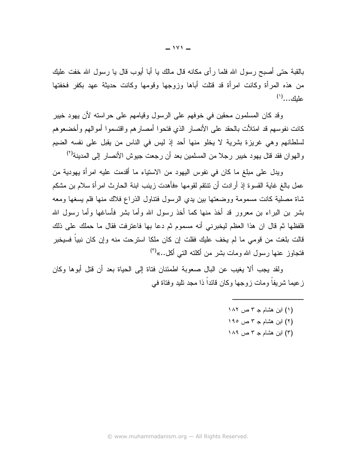بالقبة حتى أصبح رسول الله فلما رأى مكانه قال مالك يا أبا أيوب قال يا رسول الله خفت عليك من هذه المرأة وكانت امرأة قد قتلت أباها وزوجها وقومها وكانت حديثة عهد بكفر فخفتها  $\mathcal{L}^{(1)}$ ...  $\Delta$ 

وقد كان المسلمون محقين في خوفهم على الرسول وقيامهم على حراسته لأن يهود خيبر كانت نفوسهم قد امتلأت بالحقد على الأنصار الذي فتحوا أمصار هم واقتسموا أموالهم وأخضعوهم لسلطانهم وهي غريزة بشرية لا يخلو منها أحد إذ ليس في الناس من يقبل على نفسه الضيم والهوان فقد قتل يهود خيبر رجلا من المسلمين بعد أن رجعت جيوش الأنصار إلى المدينة<sup>(٢)</sup>

ويدل على مبلغ ما كان في نفوس اليهود من الاستياء ما أقدمت عليه امر أة يهودية من عمل بالـغ غايـة القسوة إذ أرادت أن تتتقم لقومـها «فأهدت زينب ابنـة الـحارث امرأة سلام بن مشكم شاة مصلية كانت مسمومة ووضعتها بين يدي الرسول فتناول الذراع فلاك منها فلم يسغها ومعه بشر بن البراء بن معرور قد أخذ منها كما أخذ رسول الله وأما بشر فأساغها وأما رسول الله فلفظها ثم قال ان هذا العظم ليخبرني أنه مسموم ثم دعا بها فاعترفت فقال ما حملك على ذلك قالت بلغت من قومي ما لم يخف عليك فقلت إن كان ملكا استرحت منه وإن كان نبيا فسيخبر فتجاوز عنها رسول الله ومات بشر من أكلته التبي أكل..»<sup>(٣)</sup>

ولقد يجب ألا يغيب عن البال صعوبة اطمئنان فتاة إلى الحياة بعد أن قتل أبوها وكان ز عيما شريفاً ومات زوجها وكان قائداً ذا مجد تليد وفتاة في

- (۱) ابن هشام جـ ۳ ص ۱۸۲
- (۲) ابن هشام جـ ۳ ص ۱۹۰
- (۳) ابن هشام جـ ۳ ص ۱۸۹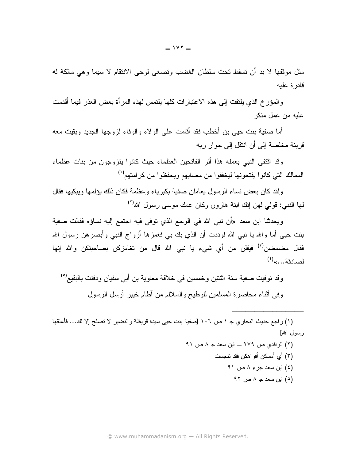مثل موقفها لا بد أن تسقط تحت سلطان الغضب وتصغى لوحى الانتقام لا سيما وهي مالكة له قادرة علبه

والمؤرخ الذي يلتفت إلى هذه الاعتبارات كلها يلتمس لهذه المرأة بعض العذر فيما أقدمت عليه من عمل منكر

أما صفية بنت حيى بن أخطب فقد أقامت على الولاء والوفاء لزوجها الجديد وبقيت معه قرينة مخلصة إلى أن انتقل إلى جوار ربه

وقد افتفى النبي بعمله هذا أثر الفاتحين العظماء حيث كانوا ينزوجون من بنات عظماء الممالك التي كانوا يفتحونها ليخففوا من مصابهم ويحفظوا من كرامتهم<sup>(י)</sup>

ولقد كان بعض نساء الرسول يعاملن صفية بكبر ياء و عظمة فكان ذلك يؤلمها ويبكيها فقال لمها النبي: قولمي لهن إنك ابنة هارون وكان عمك موسى رسول الله<sup>(٢)</sup>

ويحدثنا ابن سعد «أن نبي الله في الوجع الذي توفي فيه اجتمع إليه نساؤه فقالت صفية بنت حيى أما والله يا نبي الله لوددت أن الذي بك بي فغمزها أزواج النبي وأبصرهن رسول الله فقال مضمضن<sup>(٣)</sup> فيقلن من أي شيء يا نبي الله قال من تغامزكن بصاحبتكن والله إنها لصادقة...»<sup>(٤)</sup>

وقد توفيت صفية سنة اثنتين وخمسين في خلافة معاوية بن أبي سفيان ودفنت بالبقيع<sup>(٥)</sup> وفي أثناء محاصرة المسلمين للوطيح والسلالم من أطام خيبر أرسل الرسول

(١) راجع حديث البخاري جـ ١ ص ١٠٦ [صفية بنت حيى سيدة قريظة والنضير الا تصلح إلا لك... فأعتقها ر سول الله].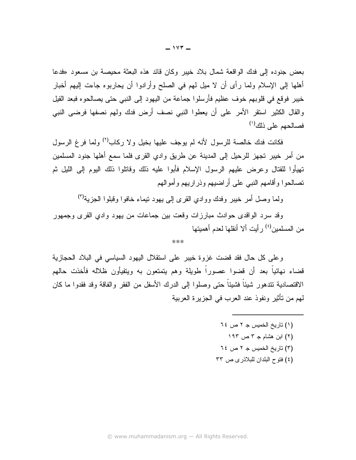بعض جنوده إلى فدك الواقعة شمال بلاد خيبر وكان قائد هذه البعثة محيصة بن مسعود «فدعا أهلها إلى الإسلام ولما رأى أن لا ميل لهم في الصلح وأرادوا أن يحاربوه جاءت إليهم أخبار خيبر فوقع في قلوبهم خوف عظيم فأرسلوا جماعة من اليهود إلى النبي حتى يصالحوه فبعد القيل والقال الكثير استقر الأمر على أن يعطوا النبي نصف أرض فدك ولهم نصفها فرضي النبي فصالحهم على ذلك<sup>(١)</sup>

فكانت فدك خالصة للرسول لأنه لم يوجف عليها بخيل ولا ركاب<sup>(٢)</sup> ولما فرغ الرسول من أمر خيبر تجهز للرحيل إلى المدينة عن طريق وادى القرى فلما سمع أهلها جنود المسلمين تهيأوا للقتال وعرض عليهم الرسول الإسلام فأبوا عليه ذلك وفاتلوا ذلك اليوم إلى الليل ثم تصالحو ا و أقامهم النبي علي أر اضبهم و ذر ار بهم و أمو الهم

ولما وصل أمر خيبر وفدك ووادى القرى إلى يهود نيماء خافوا وقبلوا الجزية<sup>(٣)</sup>

وقد سرد الواقدي حوادث مبارزات وقعت بين جماعات من بهود وادي القرى وجمهور من المسلمين<sup>(٤)</sup> ر أيت ألا أنقلها لعدم أهميتها

 $***$ 

وعلى كل حال فقد قضت غزوة خيبر على استقلال اليهود السياسي في البلاد الحجازية قضاء نهائياً بعد أن قضوا عصوراً طويلة وهم يتمتعون به ويتفيأون ظلاله فأخذت حالهم الاقتصادية تتدهور شيئاً فشيئاً حتى وصلوا إلى الدرك الأسفل من الفقر والفاقة وقد فقدوا ما كان لمهم من تأثير ونفوذ عند العرب في الجزيرة العربية

> (١) تاريخ الخميس جـ ٢ ص ٢٤ (۲) ابن هشام جس ۳ ص ۱۹۳ (٣) تاريخ الخميس جـ ٢ ص ٢٤ (٤) فتوح البلدان للبلاذري ص ٣٣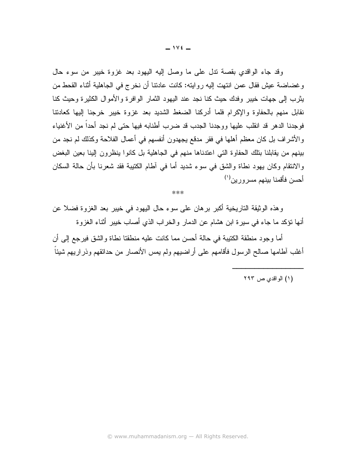وقد جاء الواقدي بقصة نذل على ما وصل إليه اليهود بعد غزوة خيبر من سوء حال وغضاضة عيش فقال عمن انتهت إليه روايته: كانت عادننا أن نخرج في الجاهلية أثناء القحط من يثرب إلى جهات خيبر وفدك حيث كنا نجد عند اليهود الثمار الوافرة والأموال الكثيرة وحيث كنا نقابل منهم بالحفاوة والإكرام فلما أدركنا الضغط الشديد بعد غزوة خيبر خرجنا إليها كعادتنا فوجدنا الدهر قد انقلب عليها ووجدنا الجدب قد ضرب أطنابه فيها حتى لم نجد أحداً من الأغنياء والأشراف بل كان معظم أهلها في فقر مدقع يجهدون أنفسهم في أعمال الفلاحة وكذلك لم نجد من بينهم من يقابلنا بنلك الحفاوة التي اعتدناها منهم في الجاهلية بل كانوا ينظرون إلينا بعين البغض والانتقام وكان يهود نطاة والشق في سوء شديد أما في أطام الكتيبة فقد شعرنا بأن حالة السكان أحسن فأقمنا بينهم مسر ورين<sup>(۱)</sup>

 $***$ 

و هذه الوثيقة النار يخية أكبر بر هان على سوء حال اليهود في خيبر بعد الغزوة فضلا عن أنها نؤكد ما جاء في سيرة ابن هشام عن الدمار والخراب الذي أصاب خيبر أثناء الغزوة

أما وجودٍ منطقة الكتيبة في حالة أحسن مما كانت عليه منطقتا نطاة والشق فيرجع إلى أن أغلب آطامها صالح الرسول فأقامهم على أراضيهم ولم يمس الأنصار من حدائقهم وذر اريهم شيئاً

(۱) الو اقدی ص ۲۹۳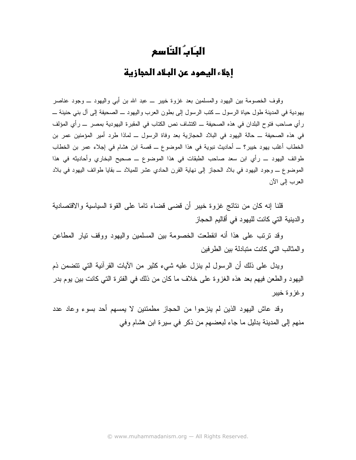# البَابُ التّاسع

## إجلاء اليمود عن البلاد الحجازية

وقوف الخصومة بين اليهود والمسلمين بعد غزوة خيبر \_ عبد الله بن أبي واليهود \_ وجود عناصر يهودية في المدينة طول حياة الرسول ـــ كتب الرسول إلى بطون العرب واليهود ـــ الصحيفة إلى أل بني حنينة ــــ ر أي صاحب فتوح البلدان في هذه الصحيفة ـــ اكتشاف نص الكتاب في المقبرة اليهودية بمصر ــــ ر أي المؤلف في هذه الصحيفة ـــ حالة اليهود في البلاد الحجازية بعد وفاة الرسول ـــ لماذا طرد أمير المؤمنين عمر بن الخطاب أغلب يهود خيبر ؟ ـــ أحاديث نبوية في هذا الموضوع ـــ قصة ابن هشام في إجلاء عمر بن الخطاب طوائف اليهود \_ رأى ابن سعد صاحب الطبقات في هذا الموضوع \_ صحيح البخاري وأحاديثه في هذا الموضوع ـــ وجود اليهود في بلاد الحجاز إلى نهاية القرن الحادي عشر للميلاد ـــ بقايا طوائف اليهود في بلاد العرب إلىي الآن

قلنا إنه كان من نتائج غزوة خيبر أن قضي قضاء ناما على القوة السياسية والاقتصادية و الدينية التي كانت لليهود في أقاليم الحجاز

وقد نزنب على هذا أنه انقطعت الخصومة بين المسلمين واليهود ووقف نيار المطاعن و المثالب التي كانت متبادلة ببن الطر فبن

ويدل على ذلك أن الرسول لم ينزل عليه شيء كثير من الأيات القرآنية التي تتضمن ذم اليهود والطعن فيهم بعد هذه الغزوة على خلاف ما كان من ذلك في الفترة التي كانت بين يوم بدر و غز و ة خبير

وقد عاش اليهود الذين لم ينزحوا من الحجاز مطمئنين لا يمسهم أحد بسوء وعاد عدد منهم إلى المدينة بدليل ما جاء لبعضهم من ذكر في سيرة ابن هشام وفي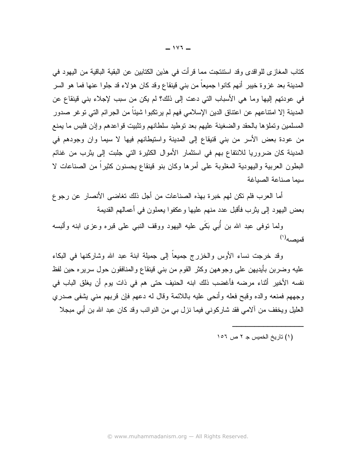كتاب المغاز ي للو اقدى وقد استتنجت مما قر أت في هذين الكتابين عن البقية الباقية من اليهود في المدينة بعد غزوة خيبر أنهم كانوا جميعاً من بني قينقاع وقد كان هؤلاء قد جلوا عنها فما هو السر في عودتهم إليها وما هي الأسباب التي دعت إلى ذلك؟ لم يكن من سبب لإجلاء بني فينقاع عن المدينة إلا امتناعهم عن اعتناق الدين الإسلامي فهم لم يرتكبوا شيئا من الجرائم التي توغر صدور المسلمين وتملؤها بالحقد والضغينة عليهم بعد نوطيد سلطانهم ونتثبيت قواعدهم وإذن فليس ما يمنع من عودة بعض الأسر من بني قنيقاع إلى المدينة واستيطانهم فيها لا سيما وان وجودهم في المدينة كان ضروريا للانتفاع بهم في استثمار الأموال الكثيرة التي جلبت إلى يثرب من غنائم البطون العربية واليهودية المغلوبة على أمرها وكان بنو قينقاع يحسنون كثيرًا من الصناعات لا سيما صناعة الصياغة

أما العرب فلم نكن لهم خبرة بهذه الصناعات من أجل ذلك تغاضبي الأنصار عن رجوع بعض البهود إلى بِثرب فأقبل عدد منهم عليها وعكفوا بعملون في أعمالهم القديمة

ولما نوفي عبد الله بن أُبي بَكَى عليه اليهود ووقف النبي على قبره وعزى ابنه وألبسه قميصه<sup>(۱)</sup>

وقد خرجت نساء الأوس والخزرج جميعاً إلى جميلة ابنة عبد الله وشاركنها في البكاء عليه وضربن بأيديهن على وجوههن وكثر القوم من بني فينقاع والمنافقون حول سريره حين لفظ نفسه الأخير أثناء مرضه فأغضب ذلك ابنه الحنيف حتى هم في ذات يوم أن يغلق الباب في وجههم فمنعه والده وقبح فعله وأنحى عليه باللائمة وقال له دعهم فإن قربهم منبي يشفي صدري العليل ويخفف من ألامي فقد شاركوني فيما نزل بي من النوائب وقد كان عبد الله بن أبي مبجلا

<sup>(</sup>١) تاريخ الخميس جـ ٢ ص ١٥٦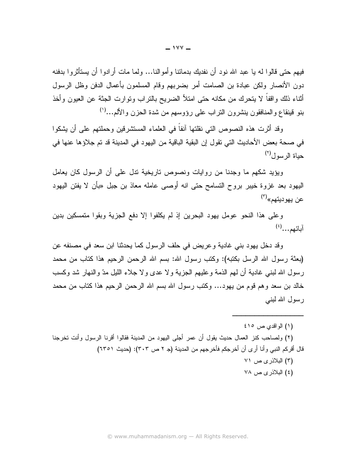فيهم حتى قالوا له با عبد الله نود أن نفديك بدمائنا وأموالنا... ولما مات أرادوا أن بستأثر وا بدفنه دون الأنصار ولكن عبادة بن الصامت أمر بضربهم وقام المسلمون بأعمال الدفن وظل الرسول أثناء ذلك واقفاً لا يتحرك من مكانه حتى امتلأ الضريح بالنراب ونوارت الجثة عن العيون وأخذ بنو قينقاع والمنافقون ينشرون النراب على رؤوسهم من شدة الحزن والألم...<sup>(י)</sup>

وقد أثر ت هذه النصوص التي نقلتها آنفاً في العلماء المستشر قين وحملتهم على أن يشكو ا في صحة بعض الأحاديث التي تقول إن البقية الباقية من اليهود في المدينة قد تم جلاؤها عنها في حباة الر سو ل<sup>(۲)</sup>

ويؤيد شكهم ما وجدنا من روايات ونصوص ناريخية ندل على أن الرسول كان يعامل اليهود بعد غزوة خيبر بروح التسامح حتى انه أوصبي عامله معاذ بن جبل «بأن لا يفتن اليهود عن يهوديتهم»<sup>(۳)</sup>

وعلى هذا النحو عومل يهود البحرين إذ لم يكلفوا إلا دفع الجزية وبقوا متمسكين بدين آبائهم...(٤)

وقد دخل يهود بني غادية وعريض في حلف الرسول كما يحدثنا ابن سعد في مصنفه عن (بعثة رسول الله الرسل بكتبه): وكتب رسول الله: بسم الله الرحص الرحيم هذا كتاب من محمد رسول الله لبنبي غادية أن لمهم الذمة وعليهم الجزية ولا عدى ولا جلاء الليل مدّ والنهار شد وكسب خالد بن سعد وهم قوم من يهود… وكتب رسول الله بسم الله الرحمن الرحيم هذا كتاب من محمد رسول الله لبنبي

(٢) ولصاحب كنز العمال حديث يقول أن عمر أجلى اليهود من المدينة فقالوا أقرنا الرسول وأنت تخرجنا قال أقركم النبي وأنا أرى أن أخرجكم فأخرجهم من المدينة (جـ ٢ ص ٢٠٣): (حديث ٦٣٥١) (۳) البلاذر ی ص ۷۱ (٤) البلاذري ص ٧٨

<sup>(</sup>١) الو اقدى ص ١٥٤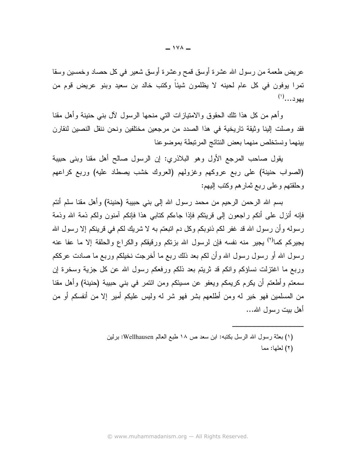عريض طعمة من رسول الله عشرة أوسق قمح وعشرة أوسق شعير في كل حصاد وخمسين وسقا تمرا يوفون في كل عام لحينه لا يظلمون شيئا وكتب خالد بن سعيد وبنو عريض قوم من  $(')$ يھو د

وأهم من كل هذا نلك الحقوق والامتيازات التبي منحها الرسول لآل بنبي حنينة وأهل مقنا فقد وصلت إلينا وثيقة تاريخية في هذا الصدد من مرجعين مختلفين ونحن ننقل النصين لنقارن بينهما ونستخلص منهما بعض النتائج المرتبطة بموضوعنا

يقول صاحب المرجع الأول وهو البلاذري: إن الرسول صالح أهل مقنا وبني حبيبة (الصواب حنينة) على ربع عروكهم وغزولهم (العروك خشب يصطاد عليه) وربع كراعهم وحلقتهم وعلى ربع ثمارهم وكتب إليهم:

بسم الله الرحمن الرحيم من محمد رسول الله إلى بنبي حبيبة (حنينة) وأهل مقنا سلم أنتم فإنه أنزل على أنكم راجعون إلى قريتكم فإذا جاءكم كتابي هذا فإنكم آمنون ولكم ذمة الله وذمة رسوله وأن رسول الله قد غفر لكم ذنوبكم وكل دم اتبعتم به لا شريك لكم في قرينكم إلا رسول الله يجير كم كما<sup>(٢)</sup> يجير منه نفسه فإن لرسول الله بز تكم ورقيقكم والكر اع والحلقة إلا ما عفا عنه ر سول الله أو ر سول ر سول الله و أن لكم بعد ذلك ر بع ما أخر جت نخيلكم ور بع ما صادت عر ككم وربع ما اغتزلت نساؤكم وانكم قد ثربتم بعد ذلكم ورفعكم رسول الله عن كل جزية وسخرة إن سمعتم وأطعتم أن يكرم كريمكم ويعفو عن مسيئكم ومن ائتمر في بني حبيبة (حنينة) وأهل مقنا من المسلمين فهو خير له ومن أطلعهم بشر فهو شر له وليس عليكم أمير إلا من أنفسكم أو من أهل بيت ر سول الله...

> (١) بعثة رسول الله الرسل بكتبه: ابن سعد ص ١٨ طبع العالم Wellhausen: برلين (٢) لعلها: مما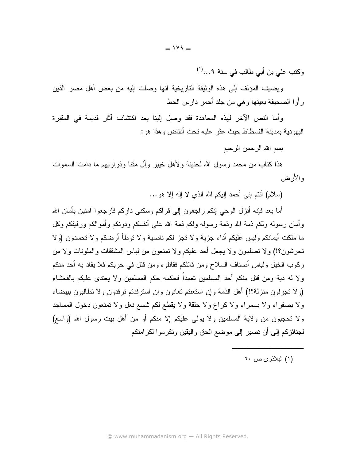وكتب على بن أبي طالب في سنة ٩...(')

ويضيف المؤلف إلى هذه الوثيقة التاريخية أنها وصلت إليه من بعض أهل مصر الذين رأوا الصحيفة بعينها وهي من جلد أحمر دارس الخط

وأما النص الآخر لهذه المعاهدة فقد وصل البنا بعد اكتشاف آثار قديمة في المقيرة اليهودية بمدينة الفسطاط حيث عثر عليه تحت أنقاض وهذا هو :

بسم الله الرحمن الرحيم

هذا كتابٍ من محمد ر سول الله لحنينة و لأهل خيير ۖ و آل مقنا وذر ار يهم ما دامت السموات و الأرض

(سلام) أنتم إني أحمد إليكم الله الذي لا إله إلا هو ...

أما بعد فإنه أنزل الوحي إنكم راجعون إلىي قراكم وسكني داركم فارجعوا آمنين بأمان الله و أمان ر سوله ولكم ذمة الله وذمة ر سوله ولكم ذمة الله على أنفسكم ودونكم و أموالكم ور فيقكم وكل ما ملكت أيمانكم وليس عليكم أداء جزية و لا تجز لكم ناصية و لا توطأ أرضكم و لا تحسدون (و لا تحرشون؟!) و لا تصلَّمون و لا يجعل أحد عليكم و لا تمنعون من لباس المشققات والملونات و لا من ركوب الخيل ولباس أصناف السلاح ومن قاتلكم فقاتلوه ومن قتل في حربكم فلا يقاد به أحد منكم و لا له دية ومن قتل منكم أحد المسلمين تعمداً فحكمه حكم المسلمين و لا يعتدى عليكم بالفحشاء (و لا تجزيلون منزلة؟!) أهل الذمة وإن استعنتم تعانون وإن استرفدتم ترفدون ولا تطالبون ببيضاء ولا بصفراء ولا بسمراء ولا كراع ولا حلقة ولا يقطع لكم شسع نعل ولا تمنعون دخول المساجد ولا تحجبون من ولاية المسلمين ولا يولى عليكم إلا منكم أو من أهل بيت رسول الله (واسع) لجنائزكم إلى أن تصير إلى موضع الحق واليقين وتكرموا لكر امتكم

 $\mathcal{U}$  البلاذري ص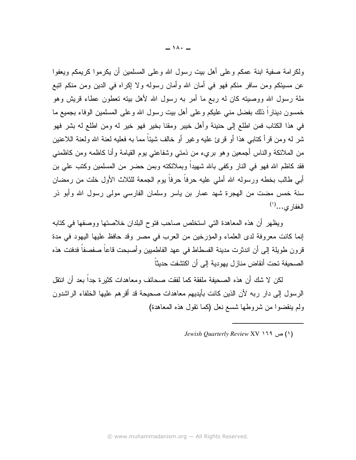ولكر امة صفية ابنة عمكم وعلى أهل بيت رسول الله وعلى المسلمين أن يكرموا كريمكم ويعفوا عن مسيئكم ومن سافر منكم فهو في أمان الله وأمان رسوله ولا إكراه في الدين ومن منكم انبع ملة رسول الله ووصيته كان له ربع ما أمر به رسول الله لأهل بيته تعطون عطاء قريش وهو خمسون ديناراً ذلك بفضل منبي عليكم وعلى أهل بيت رسول الله وعلى المسلمين الوفاء بجميع ما في هذا الكتاب فمن اطلع إلى حنينة وأهل خيبر ومقنا بخير فهو خير له ومن اطلع له بشر فهو شر له ومن قرأ كتابي هذا أو قرئ عليه وغير أو خالف شيئاً مما به فعليه لعنة الله ولعنة اللاعنين من الملائكة والناس أجمعين وهو برىء من ذمتى وشفاعتى بوم القيامة وأنا كاظمه ومن كاظمنى فقد كاظم الله فهو في النار وكفي بالله شهيداً وبملائكته وبمن حضر من المسلمين وكتب على بن أبي طالب بخطه ورسوله الله أملي عليه حرفاً حرفاً يوم الجمعة للثلاث الأول خلت من رمضان سنة خمس مضت من الهجرة شهد عمار بن ياسر وسلمان الفارسي مولى رسول الله وأبو ذر  $\mathcal{L}^{(1)}$ الغفاري...

ويظهر أن هذه المعاهدة التبي استخلص صاحب فتوح البلدان خلاصتها ووصفها في كتابه إنما كانت معروفة لدى العلماء والمؤرخين من العرب في مصر وقد حافظ عليها اليهود في مدة قرون طويلة إلى أن اندثرت مدينة الفسطاط في عهد الفاطميين و أصبحت قاعاً صفصفاً فدفنت هذه الصحيفة تحت أنقاض منازل يهودية إلى أن اكتشفت حديثاً

لكن لا شك أن هذه الصحيفة ملفقة كما لفقت صحائف ومعاهدات كثيرة جداً بعد أن انتقل الرسول إلى دار ربه لأن الذين كانت بأيديهم معاهدات صحيحة قد أقرهم عليها الخلفاء الراشدون ولم ينقضوا من شروطها شسع نعل (كما نقول هذه المعاهدة)

<sup>(</sup>۱) ص 1۹ Vewish Ouarterly Review XV اص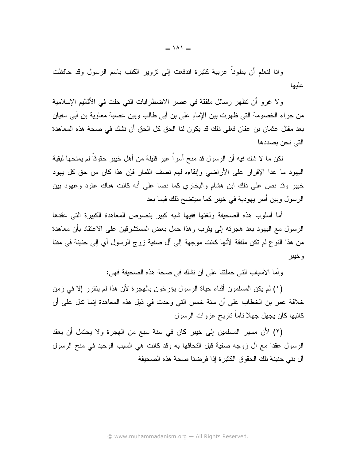وإنا لنعلم أن بطونا عربية كثيرة اندفعت إلى نزوير الكتب باسم الرسول وقد حافظت علبها

ولا غرو أن نظهر رسائل ملفقة في عصر الاضطرابات التي حلت في الأقاليم الإسلامية من جراء الخصومة التي ظهرت بين الإمام على بن أبي طالب وبين عصبة معاوية بن أبي سفيان بعد مقتل عثمان بن عفان فعلي ذلك قد يكون لنا الحق كل الحق أن نشك في صحة هذه المعاهدة التي نحن بصددها

لكن ما لا شك فيه أن الرسول قد منح أسراً غير قليلة من أهل خيبر حقوقاً لم يمنحها لبقية اليهود ما عدا الإقرار على الأراضي وإبقاءه لهم نصف الثمار فإن هذا كان من حق كل يهود خيبر وقد نص على ذلك ابن هشام والبخاري كما نصا على أنه كانت هناك عقود وعهود بين الرسول وبين أسر يهودية في خيبر كما سيتضح ذلك فيما بعد

أما أسلوب هذه الصحيفة ولغتها ففيها شبه كبير بنصوص المعاهدة الكبيرة التي عقدها الرسول مع اليهود بعد هجرته إلى بِثرب وهذا حمل بعض المستشرقين على الاعتقاد بأن معاهدة من هذا النو ع لم تكن ملفقة لأنها كانت موجهة إلى آل صفية ز و ج الر سول أي إلى حنينة في مقنا و خيبر

وأما الأسباب التي حملتنا على أن نشك في صحة هذه الصحيفة فهي:

(١) لم يكن المسلمون أثناء حياة الرسول يؤرخون بالهجرة لأن هذا لم يتقرر إلا في زمن خلافة عمر بن الخطاب على أن سنة خمس التي وجدت في ذيل هذه المعاهدة إنما ندل على أن كاتبها كان يجهل جهلا تاماً تاريخ غزوات الرسول

(٢) لأن مسير المسلمين إلى خيبر كان في سنة سبع من الهجرة ولا يحتمل أن يعقد الرسول عقدا مع آل زوجه صفية قبل التحاقها به وقد كانت هي السبب الوحيد في منح الرسول آل بني حنينة تلك الحقوق الكثير ة إذا فرضنا صحة هذه الصحيفة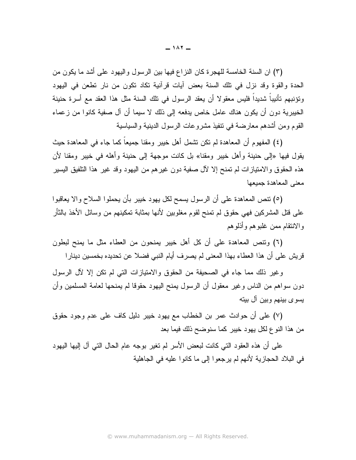(٣) ان السنة الخامسة للهجرة كان النزاع فيها بين الرسول واليهود على أشد ما يكون من الحدة والقوة وقد نزل في نلك السنة بعض أيات قرأنية نكاد نكون من نار نطعن في اليهود ونؤنبهم تأنيباً شديداً فليس معقولا أن يعقد الرسول في نلك السنة مثل هذا العقد مع أسرة حنينة الخيبرية دون أن يكون هناك عامل خاص يدفعه إلى ذلك لا سيما أن آل صفية كانوا من زعماء القوم ومن أشدهم معارضة في نتفيذ مشروعات الرسول الدينية والسياسية

(٤) المفهوم أن المعاهدة لم تكن تشمل أهل خيبر ۖ ومقنا جميعاً كما جاء في المعاهدة حيث يقول فيها «إلى حنينة وأهل خيبر ومقنا» بل كانت موجهة إلى حنينة وأهله في خيبر ومقنا لأن هذه الحقوق والامتيازات لم تمنح إلا لآل صفية دون غيرهم من اليهود وقد غير هذا التلفيق اليسير معنى المعاهدة جمبعها

(٥) نتص المعاهدة على أن الرسول يسمح لكل يهود خيبر بأن يحملوا السلاح والا يعاقبوا على قتل المشركين فهي حقوق لم تمنح لقوم مغلوبين لأنها بمثابة تمكينهم من وسائل الأخذ بالثأر والانتقام ممن غلبوهم وأذلوهم

(٦) ونتص المعاهدة على أن كل أهل خبير يمنحون من العطاء مثل ما يمنح لبطون قريش على أن هذا العطاء بهذا المعنى لم يصرف أيام النبي فضلا عن تحديده بخمسين دينارا

وغير ذلك مما جاء في الصحيفة من الحقوق والامتيازات التي لم نكن إلا لآل الرسول دون سواهم من الناس وغير معقول أن الرسول بمنح اليهود حقوقا لم بمنحها لعامة المسلمين وأن يسو ي بينهم و بين آل بيته

(٧) على أن حوادث عمر بن الخطاب مع يهود خيبر دليل كاف على عدم وجود حقوق من هذا النوع لكل يهود خيبر كما سنوضح ذلك فيما بعد

على أن هذه العقود التي كانت لبعض الأسر لم تغير بوجه عام الحال التي آل إليها اليهود في البلاد الحجازية لأنهم لم يرجعو ا إلى ما كانو ا عليه في الجاهلية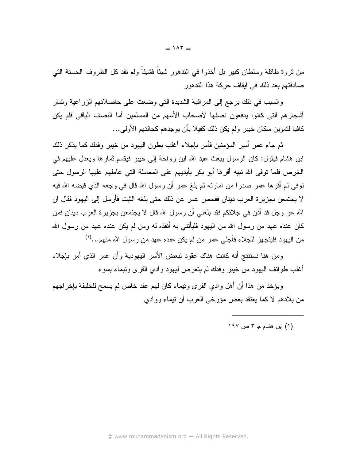من ثروة طائلة وسلطان كبير بل أخذوا في الندهور شيئاً فشيئاً ولم تفد كل الظروف الحسنة التي صادفتهم بعد ذلك في إيقاف حركة هذا التدهور

والسبب في ذلك برجع إلى المراقبة الشديدة التي وضعت على حاصلاتهم الزراعية وثمار أشجارهم التي كانوا يدفعون نصفها لأصحاب الأسهم من المسلمين أما النصف الباقي فلم يكن كافيا لتموين سكان خبير ولم بكن ذلك كفيلا بأن بوجدهم كحالتهم الأولى...

ثم جاء عمر أمير المؤمنين فأمر بإجلاء أغلب بطون البهود من خبير وفدك كما بذكر ذلك ابن هشام فيقول: كان الرسول يبعث عبد الله ابن رواحة إلى خيبر فيقسم ثمارها ويعدل عليهم في الخرص فلما توفي الله نبيه أقرها أبو بكر بأيديهم على المعاملة التي عاملهم عليها الرسول حتى نوفي ثم أقرها عمر صدرا من امارته ثم بلغ عمر أن رسول الله قال في وجعه الذي قبضه الله فيه لا يجتمعن بجزير ة العرب دينان ففحص عمر عن ذلك حتى بلغه الثبت فأرسل إلى اليهود فقال ان الله عز وجل قد أذن في جلائكم فقد بلغني أن رسول الله قال لا يجتمعن بجزيرة العرب دينان فمن كان عنده عهد من رسول الله من اليهود فليأتني به أنفذه له ومن لم يكن عنده عهد من رسول الله من اليهود فليتجهز للجلاء فأجلى عمر من لم يكن عنده عهد من رسول الله منهم...(')

ومن هنا نستتنج أنه كانت هناك عقود ليعض الأسر البهودية وأن عمر الذي أمر ياجلاء أغلب طوائف اليهود من خيبر وفدك لم يتعرض ليهود وادى القرى وتيماء بسوء

ويؤخذ من هذا أن أهل وإدى القرى ونيماء كان لهم عقد خاص لم يسمح للخليفة بإخر اجهم من بلادهم لا كما يعتقد بعض مؤرخي العرب أن نتيماء ووادي

(١) ابن هشام جـ ٣ ص ١٩٧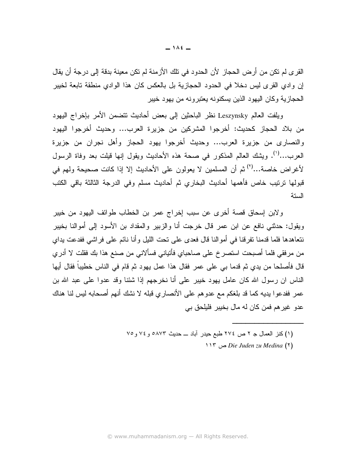القر ي لم تكن من أرض الحجاز لأن الحدود في تلك الأز منة لم تكن معينة بدقة إلى درجة أن يقال إن وادي القرى ليس دخلا في الحدود الحجازية بل بالعكس كان هذا الوادي منطقة تابعة لخيبر الحجازية وكان اليهود الذين يسكنونه يعتبر ونه من يهود خيبر

ويلفت العالم Leszynsky نظر الباحثين إلى بعض أحاديث نتضمن الأمر بإخراج اليهود من بلاد الحجاز كحديث: أخرجوا المشركين من جزيرة العرب... وحديث أخرجوا اليهود والنصاري من جزيرة العرب... وحديث أخرجوا يهود الحجاز وأهل نجران من جزيرة العرب…<sup>(י)</sup>. ويشك العالم المذكور في صحة هذه الأحاديث ويقول إنها قيلت بعد وفاة الرسول لأغراض خاصة...<sup>(٢)</sup> ثم أن المسلمين لا يعولون على الأحاديث إلا إذا كانت صحيحة ولهم في قبولها ترتيب خاص فأهمها أحاديث البخاري ثم أحاديث مسلم وفي الدرجة الثالثة باقي الكتب الستة

ولابن إسحاق قصة أخرى عن سبب إخراج عمر بن الخطاب طوائف اليهود من خيبر ويقول: حدثتي نافع عن ابن عمر قال خرجت أنا والزبير والمقداد بن الأسود إلى أموالنا بخيبر نتعاهدها فلما قدمنا تفرقنا في أموالنا قال فعدى على تحت الليل وأنا نائم على فراشي ففدعت بداي من مرفقي فلما أصبحت استصر خ على صاحباي فأتياني فسألاني من صنع هذا بك فقلت لا أدري قال فأصلحا من يدي ثم قدما بي علي عمر فقال هذا عمل يهود ثم قام في الناس خطيباً فقال أيها الناس ان رسول الله كان عامل يهود خيبر على أنا نخرجهم إذا شئنا وقد عدوا على عبد الله بن عمر ففدعوا يديه كما قد بلغكم مع عدوهم على الأنصاري قبله لا نشك أنهم أصحابه ليس لنا هناك عدو غير هم فمن كان له مال بخيبر فليلحق بي

- (١) كنز العمال جـ ٢ ص ٢٧٤ طبع حيدر أباد ـــ حديث ٥٨٧٣ و ٧٤ و ٧٥
	- $115$  ص $Die Juden zu Medina (5)$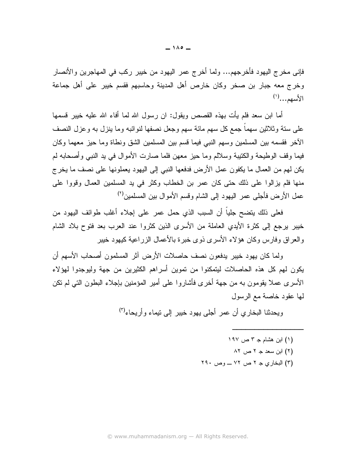فإني مخرج اليهود فأخرجهم... ولما أخرج عمر اليهود من خيبر ركب في المهاجرين والأنصار وخرج معه جبار بن صخر وكان خارص أهل المدينة وحاسبهم فقسم خيبر على أهل جماعة الأسهم...(۱)

أما ابن سعد فلم يأت بهذه القصص ويقول: ان رسول الله لما أفاء الله عليه خيبر فسمها علي ستة و ثلاثين سهماً جمع كل سهم مائة سهم و جعل نصفها لنو ائبه وما ينز ل به و عز ل النصف الأخر فقسمه بين المسلمين وسهم النبي فيما قسم بين المسلمين الشق ونطاة وما حيز معهما وكان فيما وقف الوطيحة والكتيبة وسلالم وما حيز معهن فلما صارت الأموال في يد النبي وأصحابه لم يكن لهم من العمال ما يكفون عمل الأرض فدفعها النبي إلى اليهود يعملونها على نصف ما يخرج منها فلم يز الوا على ذلك حتى كان عمر بن الخطاب وكثر في يد المسلمين العمال وقووا على عمل الأرض فأجلَّى عمر اليهود إلى الشام وفسم الأموال بين المسلمين<sup>(٢)</sup>

فعلي ذلك يتضح جلياً أن السبب الذي حمل عمر على إجلاء أغلب طوائف اليهود من خيبر برجع إلى كثرة الأيدي العاملة من الأسرى الذين كثروا عند العرب بعد فتوح بلاد الشام والعراق وفارس وكان هؤلاء الأسرى ذوى خبرة بالأعمال الزراعية كيهود خيبر

ولما كان بهود خبير بدفعون نصف حاصلات الأرض آثر المسلمون أصحاب الأسهم أن يكون لهم كل هذه الحاصلات ليتمكنوا من تموين أسراهم الكثيرين من جهة وليوجدوا لهؤلاء الأسرى عملا يقومون به من جهة أخرى فأشاروا على أمير المؤمنين بإجلاء البطون التي لم نكن لمها عقود خاصة مع الرسول

ويحدثنا البخاري أن عمر أجلبي يهود خيبر إلى نيماء وأريحاء<sup>(٣)</sup>

- (۱) ابن هشام جـ ۳ ص ۱۹۷ (٢) ابن سعد جـ ٢ ص ٨٢
- (۳) البخاري جـ ۲ ص ۷۲ ـــ وص ۲۹۰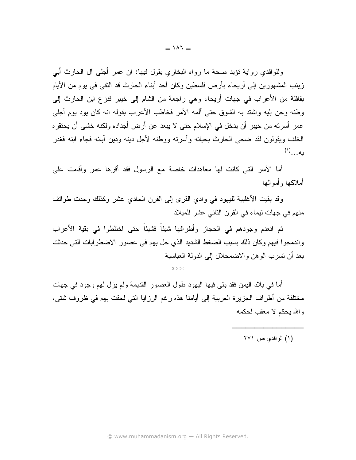وللواقدي رواية تؤيد صحة ما رواه البخاري يقول فيها: ان عمر أجلي أل الحارث أبي زينب المشهورين إلى أريحاء بأرض فلسطين وكان أحد أبناء الحارث قد النقى في يوم من الأيام بقافلة من الأعراب في جهات أريحاء وهي راجعة من الشام إلى خيبر فنزع ابن الحارث إلى وطنه وحن إليه واشتد به الشوق حتى ألمه الأمر فخاطب الأعراب بقوله انه كان بود بوم أجلبي عمر أسرته من خيبر أن يدخل في الإسلام حتى لا يبعد عن أرض أجداده ولكنه خشى أن يحتقر ه الخلف ويقولون لقد ضحى الحارث بحياته وأسرته ووطنه لأجل دينه ودين آبائه فجاء ابنه فغدر  $(1)$ 

أما الأسر التي كانت لها معاهدات خاصة مع الرسول فقد أقرها عمر وأقامت على أملاكها وأموالها

وقد بقيت الأغلبية لليهود في وادي القرى إلى القرن الحادي عشر وكذلك وجدت طوائف منهم في جهات نيماء في القرن الثاني عشر للميلاد

ثم انعدم وجودهم في الحجاز وأطرافها شيئاً فشيئاً حتى اختلطوا في بقية الأعراب واندمجوا فيهم وكان ذلك بسبب الضغط الشديد الذي حل بهم في عصور الاضطرابات التي حدثت بعد أن تسرب الوهن والاضمحلال الى الدولة العباسبة

 $***$ 

أما في بلاد اليمن فقد بقي فيها اليهود طول العصور القديمة ولم يزل لهم وجود في جهات مختلفة من أطراف الجزير ة العربية إلى أيامنا هذه رغم الرزايا التي لحقت بهم في ظروف شتي، والله بحكم لا معقب لحكمه

(۱) الواقدي ص ۲۷۱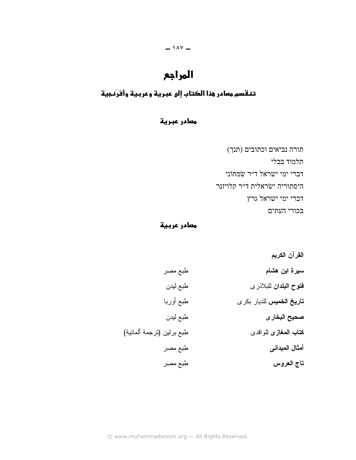# المراجع

 $-14V -$ 

## تنقسم معادر هذا الكتاب إلى عبرية وعربية وأفرَنجية

#### معادر عبرية

תורה נביאים וכתובים (תנך) תלמוד בבלי דברי ימי ישראל ד״ר שמחוני היסתוריה ישׂראלית ד״ר קלויזנר דברי ימי ישראל גרץ בכורי העתים

معادر عربية

القر آن الكريم سيرة ابن هشام طبع مصر طبع ليدن فتوح البلدان للبلاذرى طبع أوربا **تاريخ الخميس** للديار بكر *ى* طبع ليدن صحيح البخار ي طبع برلين (ترجمة ألمانية) **كتاب المغازى** للواقدى أمثال الميداني طبع مصر طبع مصر تاج العروس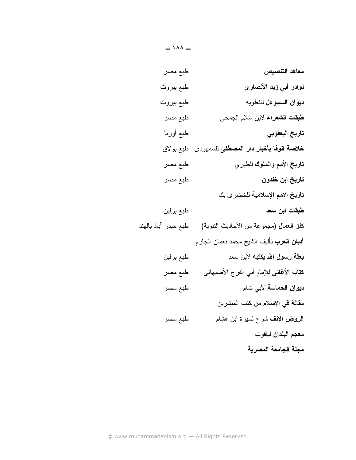طبع مصر معاهد التنصيص ری مسلم است است مطبع بیروت نوادر أب*ى* زيد الأنصا 1- " @"E **ديوان السموعل لنفط**ويه طبع مصر , @"E ! G "- U F 9 "- @"E ? F G تاريخ اليعقوبي **خلاصة الوفا بأخبار دار المصطفى** للسمهودى طبع بولاق -, @"E J-تاريخ الأمم والملوك للطبر *ي* طبع مصر , @"E <L  G تار**يخ الأمم الإسلامية** للخضر *ى* بك رلين طبقات ابن سعد **كنز العصال (**مجموعة من الأحاديث النبوية) طبع حيدر أباد بالهند أ**ديان العرب** تأليف الشيخ محمد نعمان الجار م رلين " @"E / "- 
 W ' 2F **كتاب الأغاني** للإمام أبي الفرج الأصبهاني طبع مصر طبع مصر **ديوان الحماسة** لأبي تمام **مقالـة في الإسلام** من كتب المبشرين طبع مصر , @"E 0 " B-  ^- +Y Z معجم البلدان لياقوت مجلة الجامعة المصرية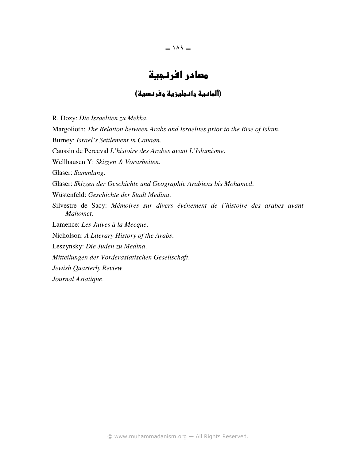#### $-149-$

## معادر افرنجية

### (ألمانية وانجليزية وفرنسية)

R. Dozy: *Die Israeliten zu Mekka*.

Margolioth: *The Relation between Arabs and Israelites prior to the Rise of Islam*.

Burney: *Israel's Settlement in Canaan*.

Caussin de Perceval *L'histoire des Arabes avant L'Islamisme*.

Wellhausen Y: *Skizzen & Vorarbeiten*.

Glaser: *Sammlung*.

Glaser: *Skizzen der Geschichte und Geographie Arabiens bis Mohamed*.

Wüstenfeld: *Geschichte der Stadt Medina*.

Silvestre de Sacy: *Mémoires sur divers événement de l'histoire des arabes avant Mahomet*.

Lamence: *Les Juives à la Mecque*.

Nicholson: *A Literary History of the Arabs*.

Leszynsky: *Die Juden zu Medina*.

*Mitteilungen der Vorderasiatischen Gesellschaft*.

*Jewish Quarterly Review* 

*Journal Asiatique*.